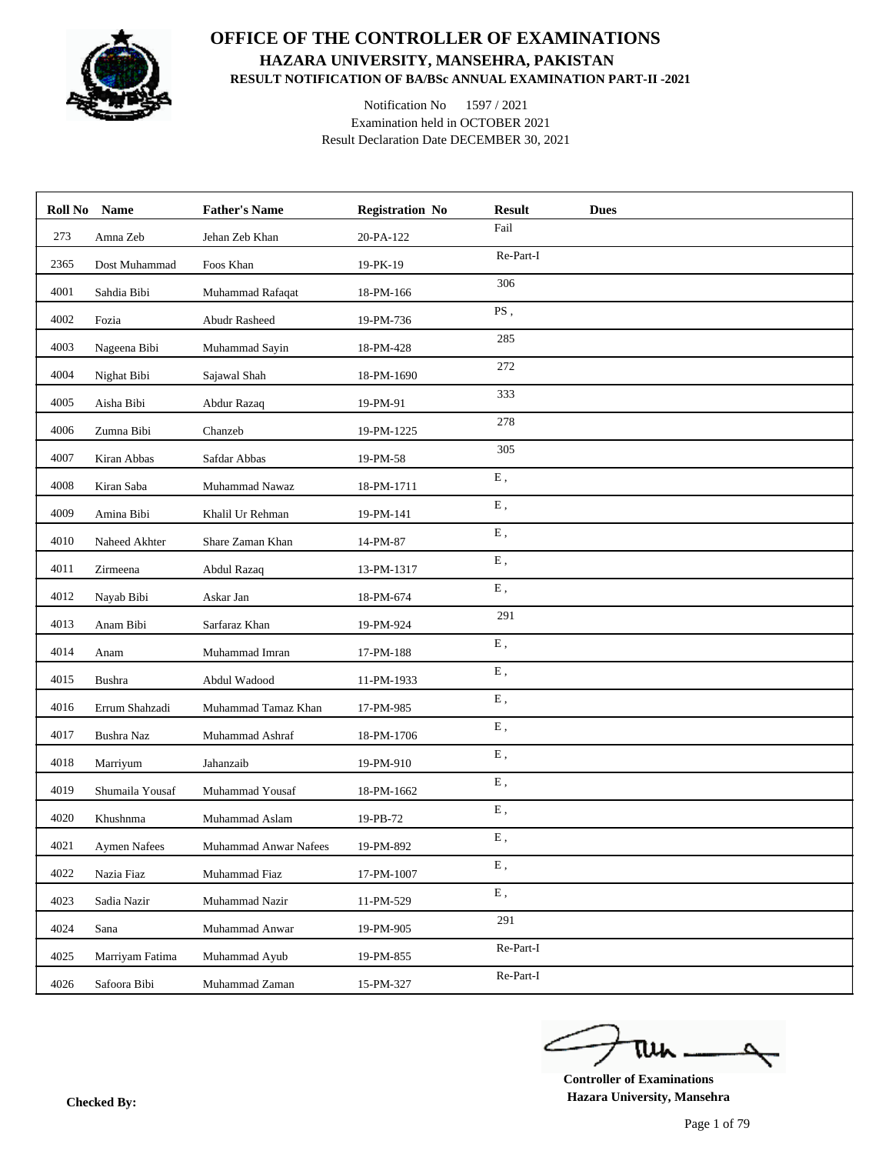

## **OFFICE OF THE CONTROLLER OF EXAMINATIONS HAZARA UNIVERSITY, MANSEHRA, PAKISTAN RESULT NOTIFICATION OF BA/BSc ANNUAL EXAMINATION PART-II -2021**

Notification No 1597 / 2021 Examination held in OCTOBER 2021 Result Declaration Date DECEMBER 30, 2021

|      | Roll No Name    | <b>Father's Name</b>  | <b>Registration No</b> | <b>Result</b><br><b>Dues</b> |
|------|-----------------|-----------------------|------------------------|------------------------------|
| 273  | Amna Zeb        | Jehan Zeb Khan        | 20-PA-122              | Fail                         |
| 2365 | Dost Muhammad   | Foos Khan             | 19-PK-19               | Re-Part-I                    |
| 4001 | Sahdia Bibi     | Muhammad Rafaqat      | 18-PM-166              | 306                          |
| 4002 | Fozia           | <b>Abudr Rasheed</b>  | 19-PM-736              | PS,                          |
| 4003 | Nageena Bibi    | Muhammad Sayin        | 18-PM-428              | 285                          |
| 4004 | Nighat Bibi     | Sajawal Shah          | 18-PM-1690             | 272                          |
| 4005 | Aisha Bibi      | Abdur Razaq           | 19-PM-91               | 333                          |
| 4006 | Zumna Bibi      | Chanzeb               | 19-PM-1225             | 278                          |
| 4007 | Kiran Abbas     | Safdar Abbas          | 19-PM-58               | 305                          |
| 4008 | Kiran Saba      | Muhammad Nawaz        | 18-PM-1711             | E,                           |
| 4009 | Amina Bibi      | Khalil Ur Rehman      | 19-PM-141              | E,                           |
| 4010 | Naheed Akhter   | Share Zaman Khan      | 14-PM-87               | ${\bf E}$ ,                  |
| 4011 | Zirmeena        | Abdul Razaq           | 13-PM-1317             | E,                           |
| 4012 | Nayab Bibi      | Askar Jan             | 18-PM-674              | ${\bf E}$ ,                  |
| 4013 | Anam Bibi       | Sarfaraz Khan         | 19-PM-924              | 291                          |
| 4014 | Anam            | Muhammad Imran        | 17-PM-188              | ${\bf E}$ ,                  |
| 4015 | <b>Bushra</b>   | Abdul Wadood          | 11-PM-1933             | E,                           |
| 4016 | Errum Shahzadi  | Muhammad Tamaz Khan   | 17-PM-985              | ${\bf E}$ ,                  |
| 4017 | Bushra Naz      | Muhammad Ashraf       | 18-PM-1706             | ${\bf E}$ ,                  |
| 4018 | Marriyum        | Jahanzaib             | 19-PM-910              | ${\bf E}$ ,                  |
| 4019 | Shumaila Yousaf | Muhammad Yousaf       | 18-PM-1662             | ${\bf E}$ ,                  |
| 4020 | Khushnma        | Muhammad Aslam        | 19-PB-72               | ${\bf E}$ ,                  |
| 4021 | Aymen Nafees    | Muhammad Anwar Nafees | 19-PM-892              | Ε,                           |
| 4022 | Nazia Fiaz      | Muhammad Fiaz         | 17-PM-1007             | ${\bf E}$ ,                  |
| 4023 | Sadia Nazir     | Muhammad Nazir        | 11-PM-529              | ${\bf E}$ ,                  |
| 4024 | Sana            | Muhammad Anwar        | 19-PM-905              | 291                          |
| 4025 | Marriyam Fatima | Muhammad Ayub         | 19-PM-855              | Re-Part-I                    |
| 4026 | Safoora Bibi    | Muhammad Zaman        | 15-PM-327              | Re-Part-I                    |

**Controller of Examinations Hazara University, Mansehra Checked By:**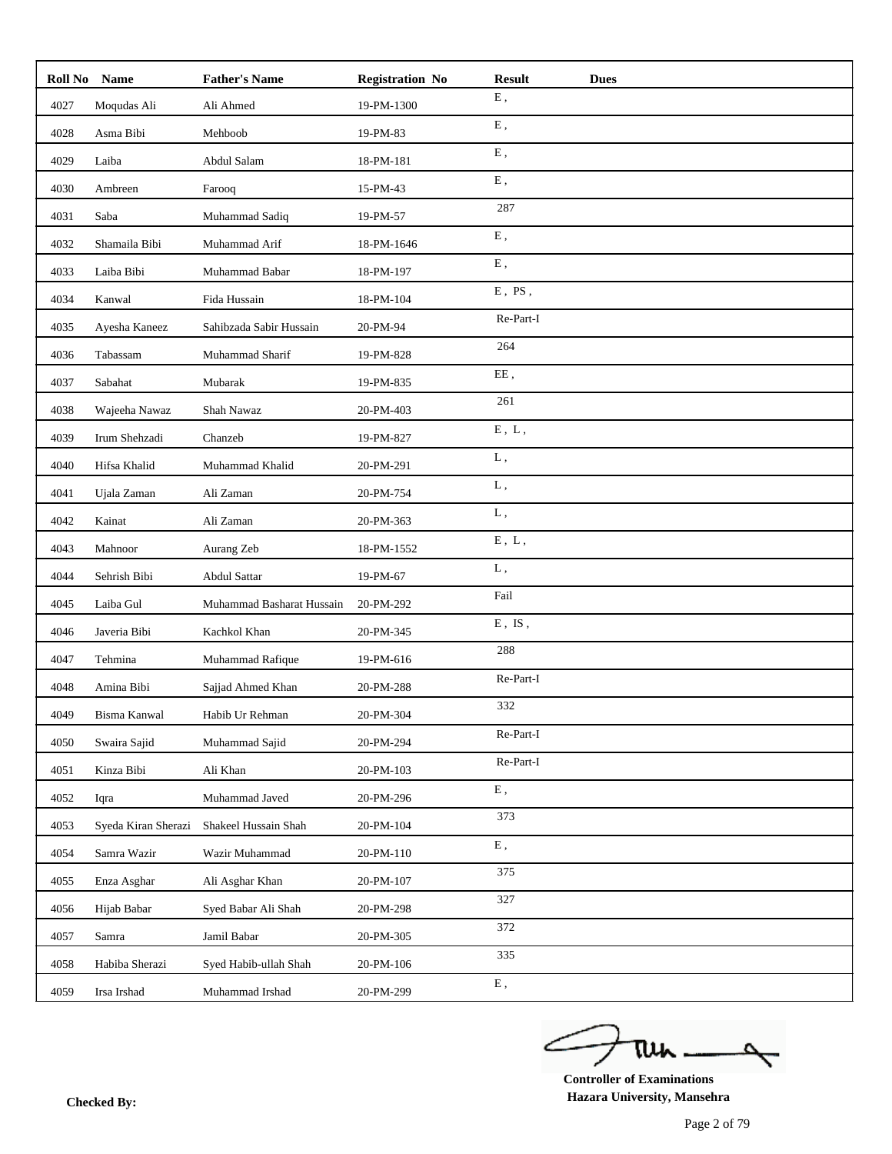| Roll No | <b>Name</b>         | <b>Father's Name</b>      | <b>Registration No</b> | <b>Result</b>             | <b>Dues</b> |
|---------|---------------------|---------------------------|------------------------|---------------------------|-------------|
| 4027    | Moqudas Ali         | Ali Ahmed                 | 19-PM-1300             | ${\bf E}$ ,               |             |
| 4028    | Asma Bibi           | Mehboob                   | 19-PM-83               | ${\bf E}$ ,               |             |
| 4029    | Laiba               | Abdul Salam               | 18-PM-181              | ${\bf E}$ ,               |             |
| 4030    | Ambreen             | Farooq                    | 15-PM-43               | E,                        |             |
| 4031    | Saba                | Muhammad Sadiq            | 19-PM-57               | 287                       |             |
| 4032    | Shamaila Bibi       | Muhammad Arif             | 18-PM-1646             | ${\bf E}$ ,               |             |
| 4033    | Laiba Bibi          | Muhammad Babar            | 18-PM-197              | ${\bf E}$ ,               |             |
| 4034    | Kanwal              | Fida Hussain              | 18-PM-104              | $E$ , $PS$ ,              |             |
| 4035    | Ayesha Kaneez       | Sahibzada Sabir Hussain   | 20-PM-94               | Re-Part-I                 |             |
| 4036    | Tabassam            | Muhammad Sharif           | 19-PM-828              | 264                       |             |
| 4037    | Sabahat             | Mubarak                   | 19-PM-835              | EE,                       |             |
| 4038    | Wajeeha Nawaz       | Shah Nawaz                | 20-PM-403              | 261                       |             |
| 4039    | Irum Shehzadi       | Chanzeb                   | 19-PM-827              | $E$ , $L$ ,               |             |
| 4040    | Hifsa Khalid        | Muhammad Khalid           | 20-PM-291              | L,                        |             |
| 4041    | Ujala Zaman         | Ali Zaman                 | 20-PM-754              | ${\bf L}$ ,               |             |
| 4042    | Kainat              | Ali Zaman                 | 20-PM-363              | L,                        |             |
| 4043    | Mahnoor             | Aurang Zeb                | 18-PM-1552             | ${\bf E}$ , $\;{\bf L}$ , |             |
| 4044    | Sehrish Bibi        | Abdul Sattar              | 19-PM-67               | L,                        |             |
| 4045    | Laiba Gul           | Muhammad Basharat Hussain | 20-PM-292              | Fail                      |             |
| 4046    | Javeria Bibi        | Kachkol Khan              | 20-PM-345              | $E$ , $IS$ ,              |             |
| 4047    | Tehmina             | Muhammad Rafique          | 19-PM-616              | 288                       |             |
| 4048    | Amina Bibi          | Sajjad Ahmed Khan         | 20-PM-288              | Re-Part-I                 |             |
| 4049    | Bisma Kanwal        | Habib Ur Rehman           | 20-PM-304              | 332                       |             |
| 4050    | Swaira Sajid        | Muhammad Sajid            | 20-PM-294              | Re-Part-I                 |             |
| 4051    | Kinza Bibi          | Ali Khan                  | 20-PM-103              | Re-Part-I                 |             |
| 4052    | Iqra                | Muhammad Javed            | 20-PM-296              | ${\bf E}$ ,               |             |
| 4053    | Syeda Kiran Sherazi | Shakeel Hussain Shah      | 20-PM-104              | 373                       |             |
| 4054    | Samra Wazir         | Wazir Muhammad            | 20-PM-110              | ${\bf E}$ ,               |             |
| 4055    | Enza Asghar         | Ali Asghar Khan           | 20-PM-107              | 375                       |             |
| 4056    | Hijab Babar         | Syed Babar Ali Shah       | 20-PM-298              | 327                       |             |
| 4057    | Samra               | Jamil Babar               | 20-PM-305              | 372                       |             |
| 4058    | Habiba Sherazi      | Syed Habib-ullah Shah     | 20-PM-106              | 335                       |             |
| 4059    | Irsa Irshad         | Muhammad Irshad           | 20-PM-299              | ${\bf E}$ ,               |             |

ے tui ₹

**Controller of Examinations Hazara University, Mansehra Checked By:**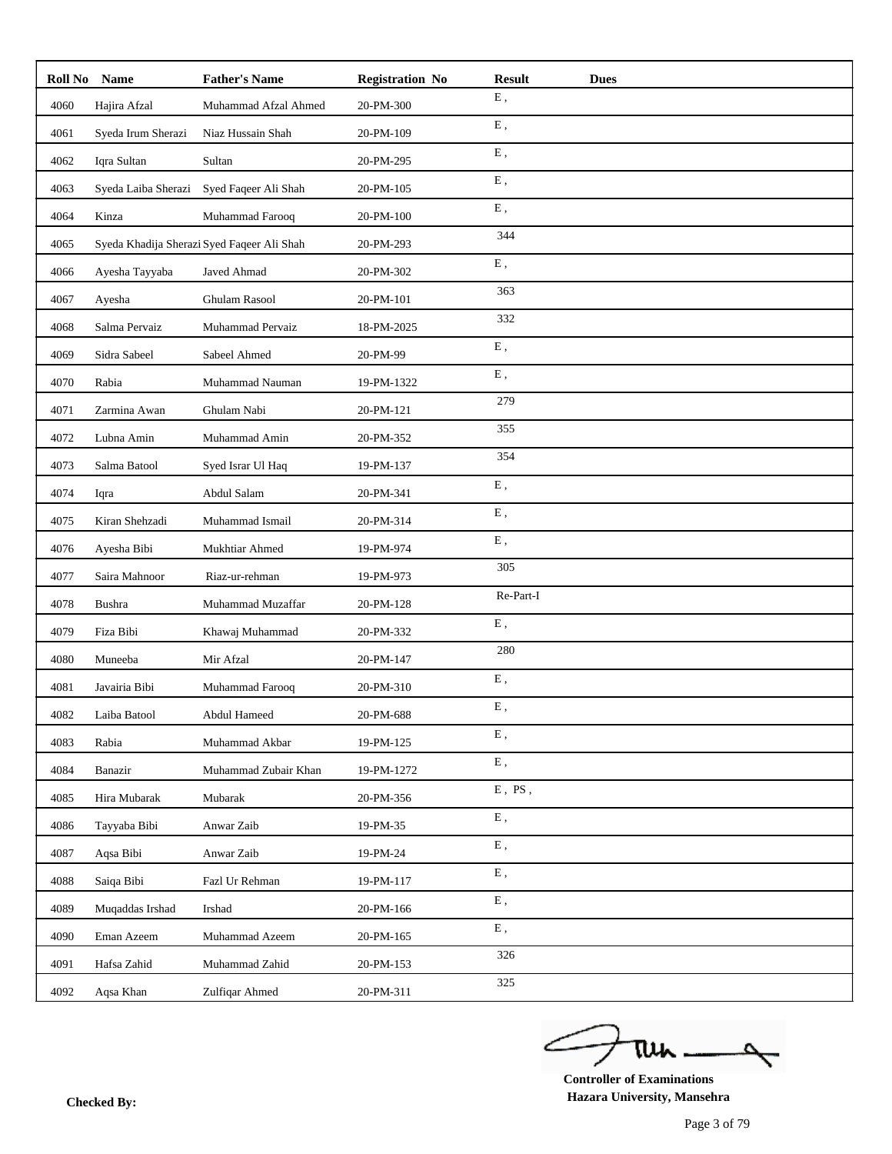| Roll No | <b>Name</b>         | <b>Father's Name</b>                                                                                                             | <b>Registration No</b>               | <b>Result</b> | <b>Dues</b> |
|---------|---------------------|----------------------------------------------------------------------------------------------------------------------------------|--------------------------------------|---------------|-------------|
| 4060    | Hajira Afzal        | Muhammad Afzal Ahmed                                                                                                             | 20-PM-300                            | ${\bf E}$ ,   |             |
| 4061    | Syeda Irum Sherazi  | Niaz Hussain Shah                                                                                                                | 20-PM-109                            | ${\bf E}$ ,   |             |
| 4062    | Iqra Sultan         | Sultan                                                                                                                           | 20-PM-295                            | ${\bf E}$ ,   |             |
| 4063    | Syeda Laiba Sherazi | Syed Faqeer Ali Shah                                                                                                             | 20-PM-105                            | E,            |             |
| 4064    | Kinza               | Muhammad Farooq                                                                                                                  | 20-PM-100                            | ${\bf E}$ ,   |             |
| 4065    |                     | Syeda Khadija Sherazi Syed Faqeer Ali Shah                                                                                       | 20-PM-293                            | 344           |             |
| 4066    | Ayesha Tayyaba      | Javed Ahmad                                                                                                                      | 20-PM-302                            | ${\bf E}$ ,   |             |
| 4067    | Ayesha              | <b>Ghulam Rasool</b>                                                                                                             | 20-PM-101                            | 363           |             |
| 4068    | Salma Pervaiz       | Muhammad Pervaiz                                                                                                                 | 18-PM-2025                           | 332           |             |
| 4069    | Sidra Sabeel        | Sabeel Ahmed                                                                                                                     | 20-PM-99                             | ${\bf E}$ ,   |             |
| 4070    | Rabia               | Muhammad Nauman                                                                                                                  | 19-PM-1322                           | ${\bf E}$ ,   |             |
| 4071    | Zarmina Awan        | Ghulam Nabi                                                                                                                      | 20-PM-121                            | 279           |             |
| 4072    | Lubna Amin          | Muhammad Amin                                                                                                                    | 20-PM-352                            | 355           |             |
| 4073    | Salma Batool        | Syed Israr Ul Haq                                                                                                                | 19-PM-137                            | 354           |             |
| 4074    | Iqra                | Abdul Salam                                                                                                                      | 20-PM-341                            | ${\bf E}$ ,   |             |
| 4075    | Kiran Shehzadi      | Muhammad Ismail                                                                                                                  | 20-PM-314                            | E,            |             |
| 4076    | Ayesha Bibi         | Mukhtiar Ahmed                                                                                                                   | 19-PM-974                            | ${\bf E}$ ,   |             |
| 4077    | Saira Mahnoor       | Riaz-ur-rehman                                                                                                                   | 19-PM-973                            | 305           |             |
| 4078    | Bushra              | Muhammad Muzaffar                                                                                                                | 20-PM-128                            | Re-Part-I     |             |
| 4079    | Fiza Bibi           | Khawaj Muhammad                                                                                                                  | 20-PM-332                            | ${\bf E}$ ,   |             |
| 4080    | Muneeba             | Mir Afzal                                                                                                                        | 20-PM-147                            | 280           |             |
| 4081    | Javairia Bibi       | Muhammad Farooq                                                                                                                  | 20-PM-310                            | E,            |             |
| 4082    | Laiba Batool        | Abdul Hameed                                                                                                                     | $20\mbox{-} \mathrm{PM}\mbox{-} 688$ | E,            |             |
| 4083    | Rabia               | Muhammad Akbar                                                                                                                   | 19-PM-125                            | ${\bf E}$ ,   |             |
| 4084    | Banazir             | Muhammad Zubair Khan                                                                                                             | 19-PM-1272                           | ${\bf E}$ ,   |             |
| 4085    | Hira Mubarak        | Mubarak                                                                                                                          | 20-PM-356                            | $E$ , PS,     |             |
| 4086    | Tayyaba Bibi        | Anwar Zaib                                                                                                                       | 19-PM-35                             | ${\bf E}$ ,   |             |
| 4087    | Aqsa Bibi           | Anwar Zaib                                                                                                                       | 19-PM-24                             | ${\bf E}$ ,   |             |
| 4088    | Saiqa Bibi          | Fazl Ur Rehman                                                                                                                   | 19-PM-117                            | ${\bf E}$ ,   |             |
| 4089    | Muqaddas Irshad     | $\operatorname*{Irshad}% \nolimits_{\mathbb{Z}}\left( \mathcal{M}\right) ^{\ast }=\mathcal{M}\left( \mathcal{M}\right) ^{\ast }$ | 20-PM-166                            | ${\bf E}$ ,   |             |
| 4090    | Eman Azeem          | Muhammad Azeem                                                                                                                   | 20-PM-165                            | ${\bf E}$ ,   |             |
| 4091    | Hafsa Zahid         | Muhammad Zahid                                                                                                                   | 20-PM-153                            | 326           |             |
| 4092    | Aqsa Khan           | Zulfiqar Ahmed                                                                                                                   | 20-PM-311                            | 325           |             |

ے tui ₹

**Controller of Examinations Hazara University, Mansehra Checked By:**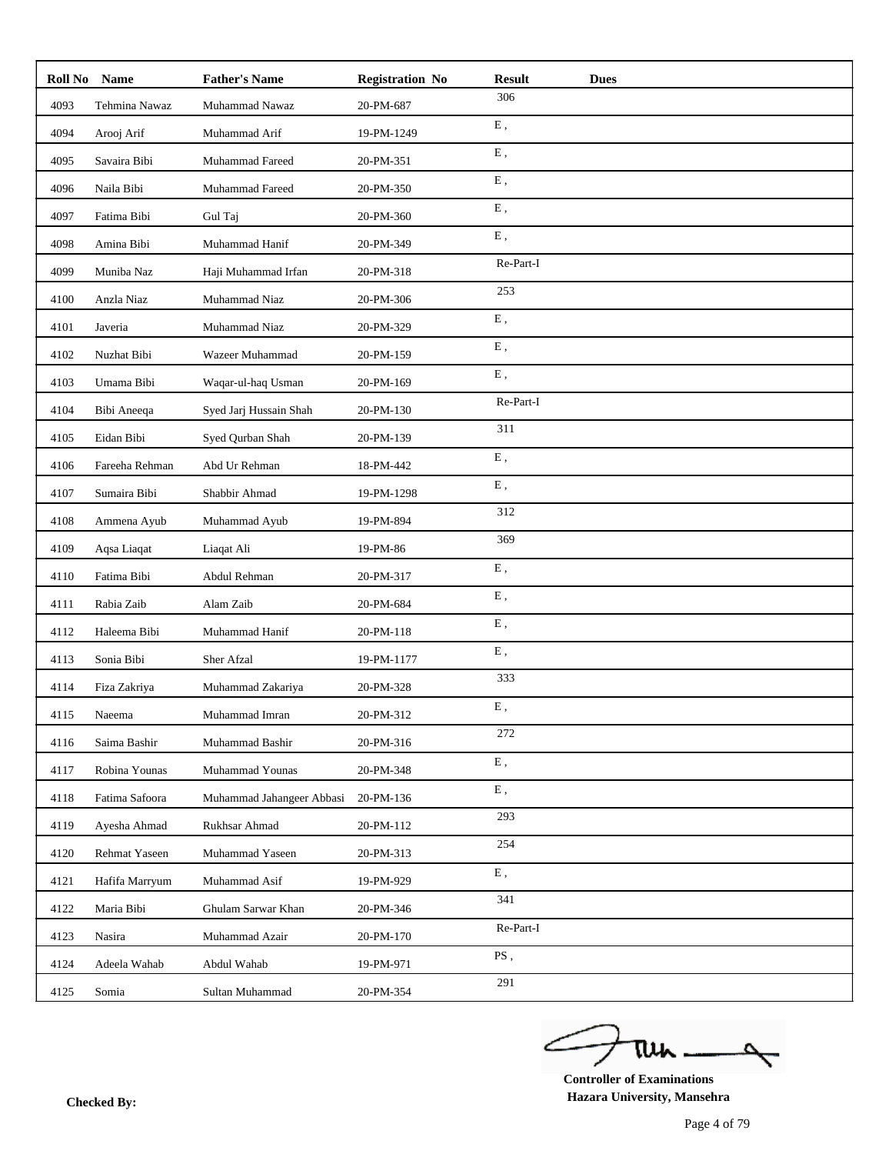| <b>Roll No</b> | <b>Name</b>    | <b>Father's Name</b>      | <b>Registration No</b> | <b>Result</b>              | <b>Dues</b> |
|----------------|----------------|---------------------------|------------------------|----------------------------|-------------|
| 4093           | Tehmina Nawaz  | Muhammad Nawaz            | 20-PM-687              | 306                        |             |
| 4094           | Arooj Arif     | Muhammad Arif             | 19-PM-1249             | ${\bf E}$ ,                |             |
| 4095           | Savaira Bibi   | Muhammad Fareed           | 20-PM-351              | E,                         |             |
| 4096           | Naila Bibi     | Muhammad Fareed           | 20-PM-350              | ${\bf E}$ ,                |             |
| 4097           | Fatima Bibi    | Gul Taj                   | 20-PM-360              | ${\bf E}$ ,                |             |
| 4098           | Amina Bibi     | Muhammad Hanif            | 20-PM-349              | E,                         |             |
| 4099           | Muniba Naz     | Haji Muhammad Irfan       | 20-PM-318              | Re-Part-I                  |             |
| 4100           | Anzla Niaz     | Muhammad Niaz             | 20-PM-306              | 253                        |             |
| 4101           | Javeria        | Muhammad Niaz             | 20-PM-329              | E,                         |             |
| 4102           | Nuzhat Bibi    | Wazeer Muhammad           | 20-PM-159              | ${\bf E}$ ,                |             |
| 4103           | Umama Bibi     | Waqar-ul-haq Usman        | 20-PM-169              | ${\bf E}$ ,                |             |
| 4104           | Bibi Aneeqa    | Syed Jarj Hussain Shah    | 20-PM-130              | Re-Part-I                  |             |
| 4105           | Eidan Bibi     | Syed Qurban Shah          | 20-PM-139              | 311                        |             |
| 4106           | Fareeha Rehman | Abd Ur Rehman             | 18-PM-442              | ${\bf E}$ ,                |             |
| 4107           | Sumaira Bibi   | Shabbir Ahmad             | 19-PM-1298             | E,                         |             |
| 4108           | Ammena Ayub    | Muhammad Ayub             | 19-PM-894              | 312                        |             |
| 4109           | Aqsa Liaqat    | Liaqat Ali                | 19-PM-86               | 369                        |             |
| 4110           | Fatima Bibi    | Abdul Rehman              | 20-PM-317              | E,                         |             |
| 4111           | Rabia Zaib     | Alam Zaib                 | 20-PM-684              | ${\bf E}$ ,                |             |
| 4112           | Haleema Bibi   | Muhammad Hanif            | 20-PM-118              | ${\bf E}$ ,                |             |
| 4113           | Sonia Bibi     | Sher Afzal                | 19-PM-1177             | E,                         |             |
| 4114           | Fiza Zakriya   | Muhammad Zakariya         | 20-PM-328              | 333                        |             |
| 4115           | Naeema         | Muhammad Imran            | 20-PM-312              | E,                         |             |
| 4116           | Saima Bashir   | Muhammad Bashir           | 20-PM-316              | 272                        |             |
| 4117           | Robina Younas  | Muhammad Younas           | 20-PM-348              | ${\bf E}$ ,                |             |
| 4118           | Fatima Safoora | Muhammad Jahangeer Abbasi | 20-PM-136              | ${\bf E}$ ,                |             |
| 4119           | Ayesha Ahmad   | Rukhsar Ahmad             | 20-PM-112              | 293                        |             |
| 4120           | Rehmat Yaseen  | Muhammad Yaseen           | 20-PM-313              | 254                        |             |
| 4121           | Hafifa Marryum | Muhammad Asif             | 19-PM-929              | ${\bf E}$ ,                |             |
| 4122           | Maria Bibi     | Ghulam Sarwar Khan        | 20-PM-346              | 341                        |             |
| 4123           | Nasira         | Muhammad Azair            | 20-PM-170              | Re-Part-I                  |             |
| 4124           | Adeela Wahab   | Abdul Wahab               | 19-PM-971              | $\overline{\mathrm{PS}}$ , |             |
| 4125           | Somia          | Sultan Muhammad           | 20-PM-354              | 291                        |             |

ے tui ₹

**Controller of Examinations Hazara University, Mansehra Checked By:**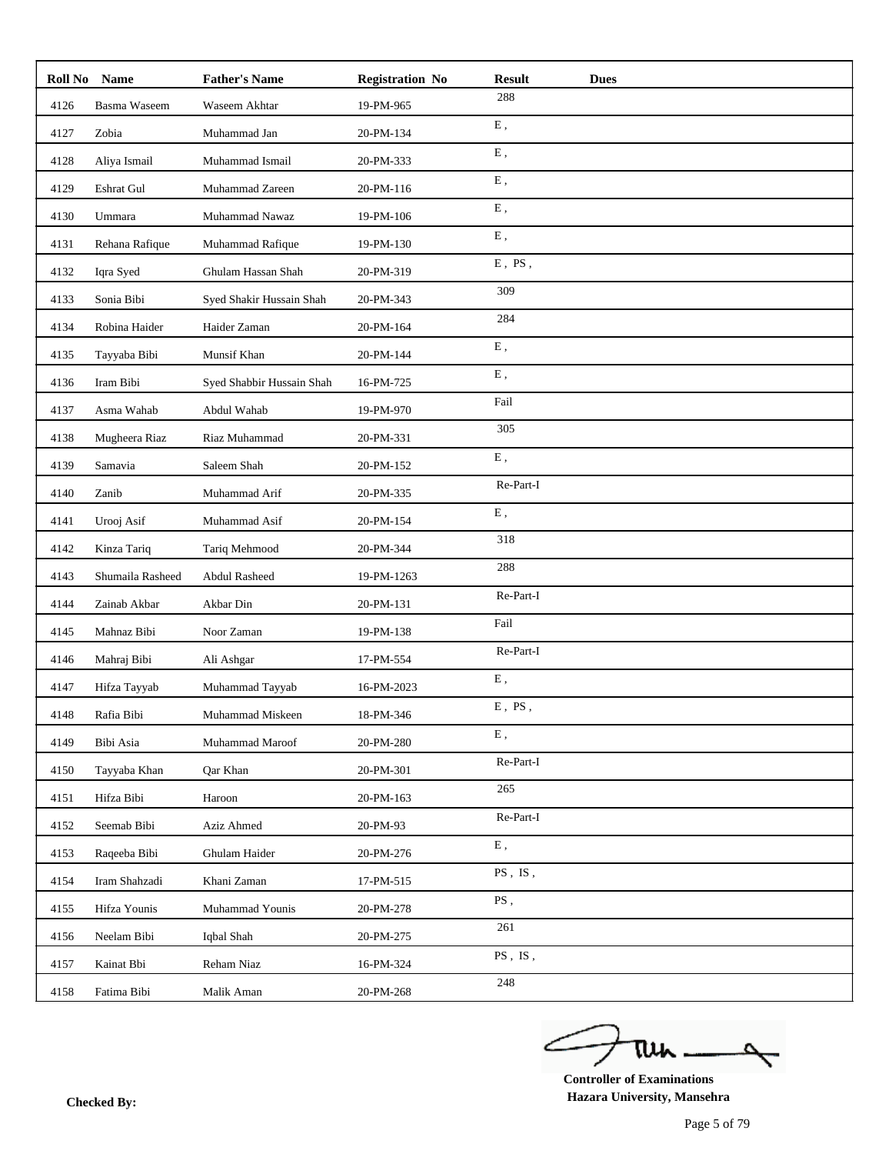| Roll No | <b>Name</b>      | <b>Father's Name</b>      | <b>Registration No</b> | <b>Result</b><br><b>Dues</b> |  |
|---------|------------------|---------------------------|------------------------|------------------------------|--|
| 4126    | Basma Waseem     | Waseem Akhtar             | 19-PM-965              | 288                          |  |
| 4127    | Zobia            | Muhammad Jan              | 20-PM-134              | ${\bf E}$ ,                  |  |
| 4128    | Aliya Ismail     | Muhammad Ismail           | 20-PM-333              | E,                           |  |
| 4129    | Eshrat Gul       | Muhammad Zareen           | 20-PM-116              | E,                           |  |
| 4130    | Ummara           | Muhammad Nawaz            | 19-PM-106              | ${\bf E}$ ,                  |  |
| 4131    | Rehana Rafique   | Muhammad Rafique          | 19-PM-130              | E,                           |  |
| 4132    | Iqra Syed        | Ghulam Hassan Shah        | 20-PM-319              | $E$ , PS,                    |  |
| 4133    | Sonia Bibi       | Syed Shakir Hussain Shah  | 20-PM-343              | 309                          |  |
| 4134    | Robina Haider    | Haider Zaman              | 20-PM-164              | 284                          |  |
| 4135    | Tayyaba Bibi     | Munsif Khan               | 20-PM-144              | ${\bf E}$ ,                  |  |
| 4136    | Iram Bibi        | Syed Shabbir Hussain Shah | 16-PM-725              | ${\bf E}$ ,                  |  |
| 4137    | Asma Wahab       | Abdul Wahab               | 19-PM-970              | Fail                         |  |
| 4138    | Mugheera Riaz    | Riaz Muhammad             | 20-PM-331              | 305                          |  |
| 4139    | Samavia          | Saleem Shah               | 20-PM-152              | ${\bf E}$ ,                  |  |
| 4140    | Zanib            | Muhammad Arif             | 20-PM-335              | Re-Part-I                    |  |
| 4141    | Urooj Asif       | Muhammad Asif             | 20-PM-154              | ${\bf E}$ ,                  |  |
| 4142    | Kinza Tariq      | Tariq Mehmood             | 20-PM-344              | 318                          |  |
| 4143    | Shumaila Rasheed | Abdul Rasheed             | 19-PM-1263             | 288                          |  |
| 4144    | Zainab Akbar     | Akbar Din                 | 20-PM-131              | Re-Part-I                    |  |
| 4145    | Mahnaz Bibi      | Noor Zaman                | 19-PM-138              | Fail                         |  |
| 4146    | Mahraj Bibi      | Ali Ashgar                | 17-PM-554              | Re-Part-I                    |  |
| 4147    | Hifza Tayyab     | Muhammad Tayyab           | 16-PM-2023             | ${\bf E}$ ,                  |  |
| 4148    | Rafia Bibi       | Muhammad Miskeen          | 18-PM-346              | $E$ , PS,                    |  |
| 4149    | Bibi Asia        | Muhammad Maroof           | 20-PM-280              | ${\bf E}$ ,                  |  |
| 4150    | Tayyaba Khan     | Qar Khan                  | 20-PM-301              | Re-Part-I                    |  |
| 4151    | Hifza Bibi       | Haroon                    | 20-PM-163              | 265                          |  |
| 4152    | Seemab Bibi      | Aziz Ahmed                | 20-PM-93               | $\mbox{Re-Part-I}$           |  |
| 4153    | Raqeeba Bibi     | Ghulam Haider             | 20-PM-276              | ${\bf E}$ ,                  |  |
| 4154    | Iram Shahzadi    | Khani Zaman               | 17-PM-515              | $PS$ , $IS$ ,                |  |
| 4155    | Hifza Younis     | Muhammad Younis           | 20-PM-278              | PS,                          |  |
| 4156    | Neelam Bibi      | Iqbal Shah                | 20-PM-275              | 261                          |  |
| 4157    | Kainat Bbi       | Reham Niaz                | 16-PM-324              | $PS$ , IS,                   |  |
| 4158    | Fatima Bibi      | Malik Aman                | 20-PM-268              | 248                          |  |

ے tui ₹

**Controller of Examinations Hazara University, Mansehra Checked By:**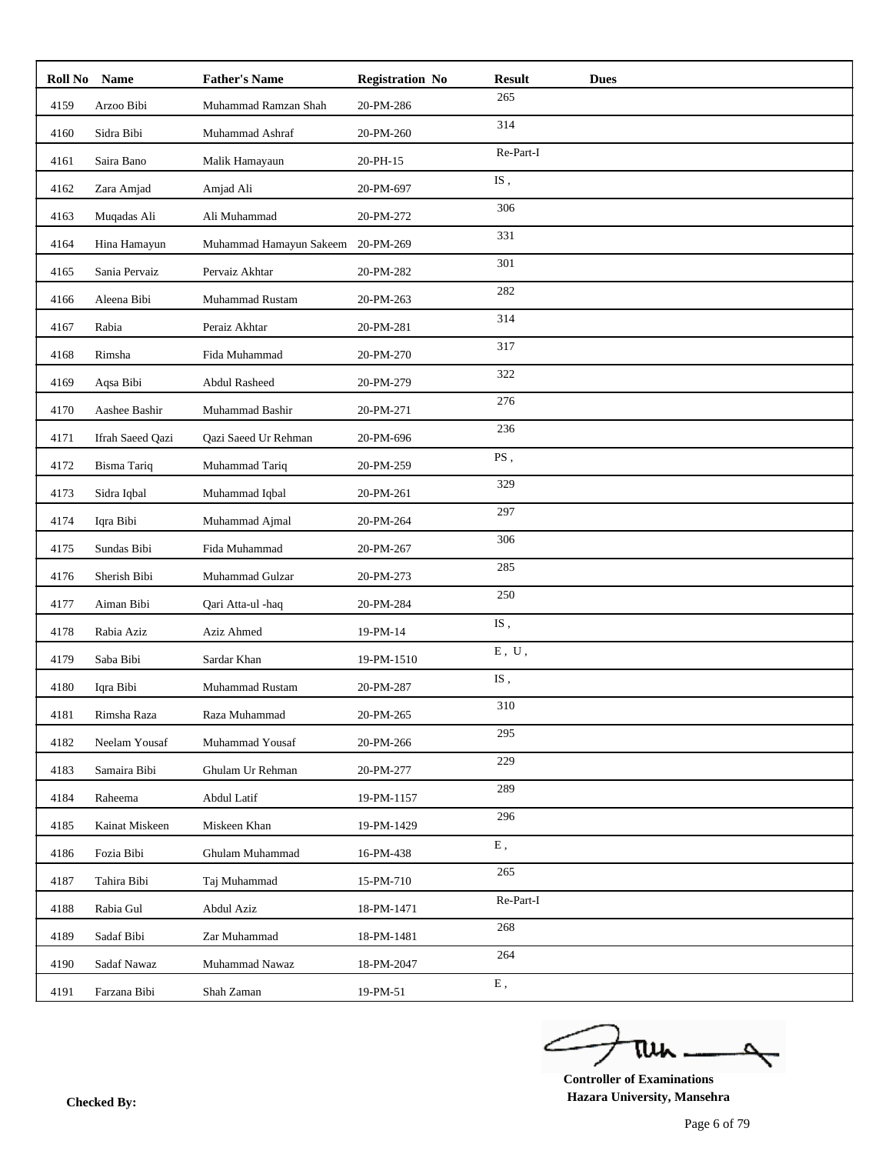| Roll No | Name               | <b>Father's Name</b>    | <b>Registration No</b> | <b>Result</b>             | <b>Dues</b> |
|---------|--------------------|-------------------------|------------------------|---------------------------|-------------|
| 4159    | Arzoo Bibi         | Muhammad Ramzan Shah    | 20-PM-286              | 265                       |             |
| 4160    | Sidra Bibi         | Muhammad Ashraf         | 20-PM-260              | 314                       |             |
| 4161    | Saira Bano         | Malik Hamayaun          | 20-PH-15               | Re-Part-I                 |             |
| 4162    | Zara Amjad         | Amjad Ali               | 20-PM-697              | $IS$ ,                    |             |
| 4163    | Muqadas Ali        | Ali Muhammad            | 20-PM-272              | 306                       |             |
| 4164    | Hina Hamayun       | Muhammad Hamayun Sakeem | 20-PM-269              | 331                       |             |
| 4165    | Sania Pervaiz      | Pervaiz Akhtar          | 20-PM-282              | 301                       |             |
| 4166    | Aleena Bibi        | Muhammad Rustam         | 20-PM-263              | 282                       |             |
| 4167    | Rabia              | Peraiz Akhtar           | 20-PM-281              | 314                       |             |
| 4168    | Rimsha             | Fida Muhammad           | 20-PM-270              | 317                       |             |
| 4169    | Aqsa Bibi          | <b>Abdul Rasheed</b>    | 20-PM-279              | 322                       |             |
| 4170    | Aashee Bashir      | Muhammad Bashir         | 20-PM-271              | 276                       |             |
| 4171    | Ifrah Saeed Qazi   | Qazi Saeed Ur Rehman    | 20-PM-696              | 236                       |             |
| 4172    | <b>Bisma Tariq</b> | Muhammad Tariq          | 20-PM-259              | PS,                       |             |
| 4173    | Sidra Iqbal        | Muhammad Iqbal          | 20-PM-261              | 329                       |             |
| 4174    | Iqra Bibi          | Muhammad Ajmal          | 20-PM-264              | 297                       |             |
| 4175    | Sundas Bibi        | Fida Muhammad           | 20-PM-267              | 306                       |             |
| 4176    | Sherish Bibi       | Muhammad Gulzar         | 20-PM-273              | 285                       |             |
| 4177    | Aiman Bibi         | Qari Atta-ul -haq       | 20-PM-284              | 250                       |             |
| 4178    | Rabia Aziz         | Aziz Ahmed              | 19-PM-14               | $IS$ ,                    |             |
| 4179    | Saba Bibi          | Sardar Khan             | 19-PM-1510             | ${\rm E}$ , $\;{\rm U}$ , |             |
| 4180    | Iqra Bibi          | Muhammad Rustam         | 20-PM-287              | $IS$ ,                    |             |
| 4181    | Rimsha Raza        | Raza Muhammad           | 20-PM-265              | 310                       |             |
| 4182    | Neelam Yousaf      | Muhammad Yousaf         | 20-PM-266              | 295                       |             |
| 4183    | Samaira Bibi       | Ghulam Ur Rehman        | 20-PM-277              | 229                       |             |
| 4184    | Raheema            | Abdul Latif             | 19-PM-1157             | 289                       |             |
| 4185    | Kainat Miskeen     | Miskeen Khan            | 19-PM-1429             | 296                       |             |
| 4186    | Fozia Bibi         | Ghulam Muhammad         | 16-PM-438              | ${\bf E}$ ,               |             |
| 4187    | Tahira Bibi        | Taj Muhammad            | 15-PM-710              | 265                       |             |
| 4188    | Rabia Gul          | Abdul Aziz              | 18-PM-1471             | Re-Part-I                 |             |
| 4189    | Sadaf Bibi         | Zar Muhammad            | 18-PM-1481             | 268                       |             |
| 4190    | Sadaf Nawaz        | Muhammad Nawaz          | 18-PM-2047             | 264                       |             |
| 4191    | Farzana Bibi       | Shah Zaman              | 19-PM-51               | ${\bf E}$ ,               |             |

ے tui ₹

**Controller of Examinations Hazara University, Mansehra Checked By:**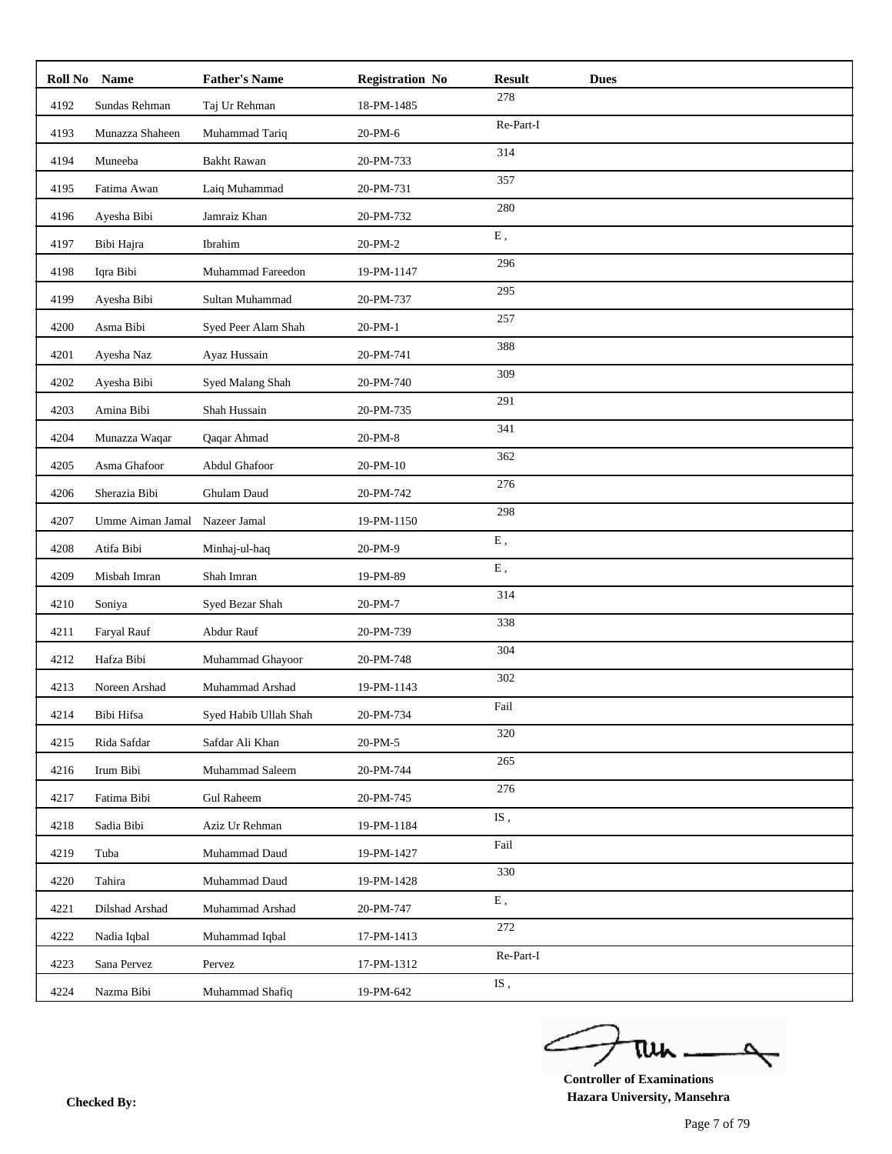| Roll No | Name             | <b>Father's Name</b>  | <b>Registration No</b> | <b>Result</b><br><b>Dues</b>                                         |
|---------|------------------|-----------------------|------------------------|----------------------------------------------------------------------|
| 4192    | Sundas Rehman    | Taj Ur Rehman         | 18-PM-1485             | 278                                                                  |
| 4193    | Munazza Shaheen  | Muhammad Tariq        | 20-PM-6                | Re-Part-I                                                            |
| 4194    | Muneeba          | <b>Bakht Rawan</b>    | 20-PM-733              | 314                                                                  |
| 4195    | Fatima Awan      | Laiq Muhammad         | 20-PM-731              | 357                                                                  |
| 4196    | Ayesha Bibi      | Jamraiz Khan          | 20-PM-732              | 280                                                                  |
| 4197    | Bibi Hajra       | Ibrahim               | 20-PM-2                | ${\bf E}$ ,                                                          |
| 4198    | Iqra Bibi        | Muhammad Fareedon     | 19-PM-1147             | 296                                                                  |
| 4199    | Ayesha Bibi      | Sultan Muhammad       | 20-PM-737              | 295                                                                  |
| 4200    | Asma Bibi        | Syed Peer Alam Shah   | 20-PM-1                | 257                                                                  |
| 4201    | Ayesha Naz       | Ayaz Hussain          | 20-PM-741              | 388                                                                  |
| 4202    | Ayesha Bibi      | Syed Malang Shah      | 20-PM-740              | 309                                                                  |
| 4203    | Amina Bibi       | Shah Hussain          | 20-PM-735              | 291                                                                  |
| 4204    | Munazza Waqar    | Qaqar Ahmad           | 20-PM-8                | 341                                                                  |
| 4205    | Asma Ghafoor     | Abdul Ghafoor         | 20-PM-10               | 362                                                                  |
| 4206    | Sherazia Bibi    | Ghulam Daud           | 20-PM-742              | 276                                                                  |
| 4207    | Umme Aiman Jamal | Nazeer Jamal          | 19-PM-1150             | 298                                                                  |
| 4208    | Atifa Bibi       | Minhaj-ul-haq         | 20-PM-9                | ${\bf E}$ ,                                                          |
| 4209    | Misbah Imran     | Shah Imran            | 19-PM-89               | ${\bf E}$ ,                                                          |
| 4210    | Soniya           | Syed Bezar Shah       | 20-PM-7                | 314                                                                  |
| 4211    | Faryal Rauf      | Abdur Rauf            | 20-PM-739              | 338                                                                  |
| 4212    | Hafza Bibi       | Muhammad Ghayoor      | 20-PM-748              | 304                                                                  |
| 4213    | Noreen Arshad    | Muhammad Arshad       | 19-PM-1143             | 302                                                                  |
| 4214    | Bibi Hifsa       | Syed Habib Ullah Shah | 20-PM-734              | Fail                                                                 |
| 4215    | Rida Safdar      | Safdar Ali Khan       | 20-PM-5                | 320                                                                  |
| 4216    | Irum Bibi        | Muhammad Saleem       | 20-PM-744              | 265                                                                  |
| 4217    | Fatima Bibi      | <b>Gul Raheem</b>     | 20-PM-745              | 276                                                                  |
| 4218    | Sadia Bibi       | Aziz Ur Rehman        | 19-PM-1184             | IS,                                                                  |
| 4219    | Tuba             | Muhammad Daud         | 19-PM-1427             | Fail                                                                 |
| 4220    | Tahira           | Muhammad Daud         | 19-PM-1428             | 330                                                                  |
| 4221    | Dilshad Arshad   | Muhammad Arshad       | 20-PM-747              | ${\bf E}$ ,                                                          |
| 4222    | Nadia Iqbal      | Muhammad Iqbal        | 17-PM-1413             | 272                                                                  |
| 4223    | Sana Pervez      | Pervez                | 17-PM-1312             | Re-Part-I                                                            |
| 4224    | Nazma Bibi       | Muhammad Shafiq       | 19-PM-642              | $\mathrm{IS}% _{1}\left( t\right) ,\mathcal{N}_{2}\left( t\right)$ , |

ے tui

**Controller of Examinations Hazara University, Mansehra Checked By:**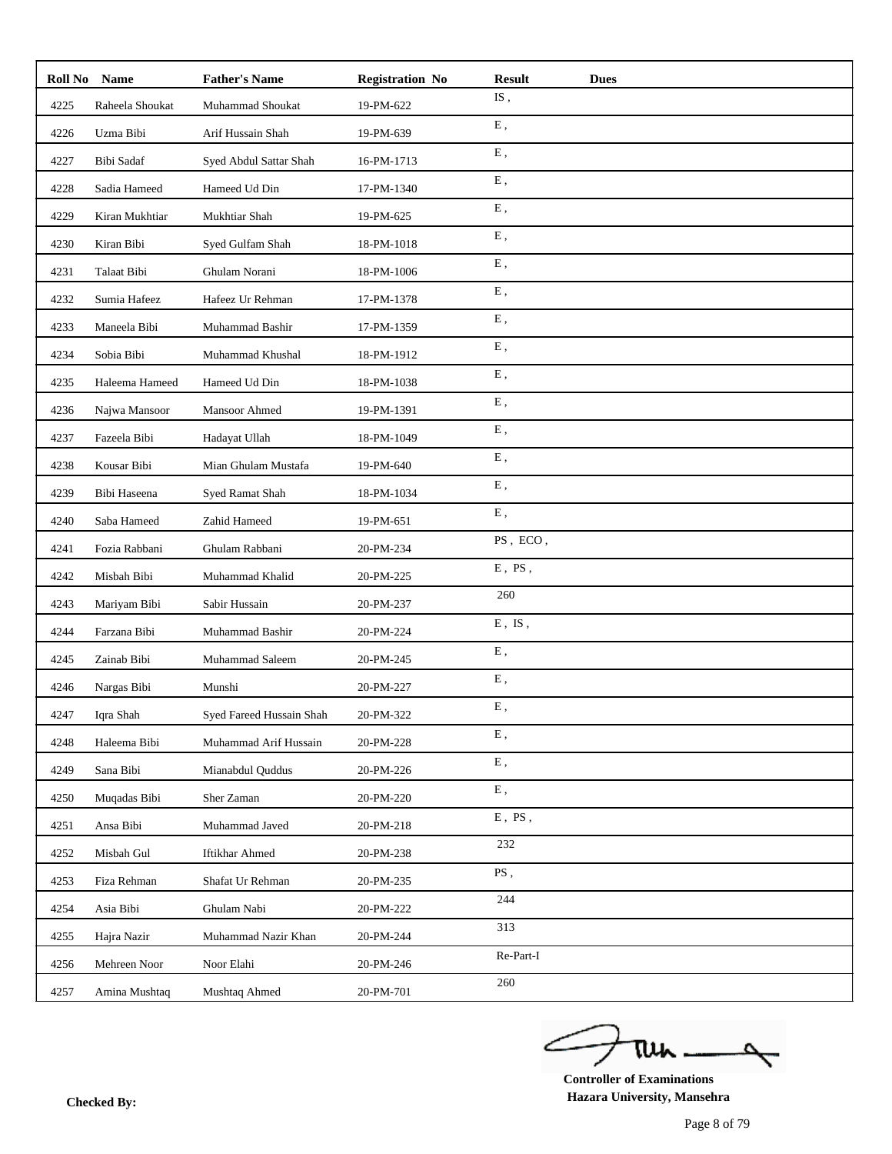| Roll No | <b>Name</b>     | <b>Father's Name</b>     | <b>Registration No</b> | <b>Result</b><br><b>Dues</b> |
|---------|-----------------|--------------------------|------------------------|------------------------------|
| 4225    | Raheela Shoukat | Muhammad Shoukat         | 19-PM-622              | IS,                          |
| 4226    | Uzma Bibi       | Arif Hussain Shah        | 19-PM-639              | ${\bf E}$ ,                  |
| 4227    | Bibi Sadaf      | Syed Abdul Sattar Shah   | 16-PM-1713             | E,                           |
| 4228    | Sadia Hameed    | Hameed Ud Din            | 17-PM-1340             | E,                           |
| 4229    | Kiran Mukhtiar  | Mukhtiar Shah            | 19-PM-625              | ${\bf E}$ ,                  |
| 4230    | Kiran Bibi      | Syed Gulfam Shah         | 18-PM-1018             | E,                           |
| 4231    | Talaat Bibi     | Ghulam Norani            | 18-PM-1006             | ${\bf E}$ ,                  |
| 4232    | Sumia Hafeez    | Hafeez Ur Rehman         | 17-PM-1378             | E,                           |
| 4233    | Maneela Bibi    | Muhammad Bashir          | 17-PM-1359             | Ε,                           |
| 4234    | Sobia Bibi      | Muhammad Khushal         | 18-PM-1912             | ${\bf E}$ ,                  |
| 4235    | Haleema Hameed  | Hameed Ud Din            | 18-PM-1038             | E,                           |
| 4236    | Najwa Mansoor   | Mansoor Ahmed            | 19-PM-1391             | ${\bf E}$ ,                  |
| 4237    | Fazeela Bibi    | Hadayat Ullah            | 18-PM-1049             | ${\bf E}$ ,                  |
| 4238    | Kousar Bibi     | Mian Ghulam Mustafa      | 19-PM-640              | ${\bf E}$ ,                  |
| 4239    | Bibi Haseena    | Syed Ramat Shah          | 18-PM-1034             | E,                           |
| 4240    | Saba Hameed     | Zahid Hameed             | 19-PM-651              | E,                           |
| 4241    | Fozia Rabbani   | Ghulam Rabbani           | 20-PM-234              | $PS$ , $ECO$ ,               |
| 4242    | Misbah Bibi     | Muhammad Khalid          | 20-PM-225              | $E$ , PS,                    |
| 4243    | Mariyam Bibi    | Sabir Hussain            | 20-PM-237              | 260                          |
| 4244    | Farzana Bibi    | Muhammad Bashir          | 20-PM-224              | $E$ , IS,                    |
| 4245    | Zainab Bibi     | Muhammad Saleem          | 20-PM-245              | E,                           |
| 4246    | Nargas Bibi     | Munshi                   | 20-PM-227              | ${\bf E}$ ,                  |
| 4247    | Iqra Shah       | Syed Fareed Hussain Shah | 20-PM-322              | E,                           |
| 4248    | Haleema Bibi    | Muhammad Arif Hussain    | 20-PM-228              | Ε,                           |
| 4249    | Sana Bibi       | Mianabdul Ouddus         | 20-PM-226              | ${\bf E}$ ,                  |
| 4250    | Muqadas Bibi    | Sher Zaman               | 20-PM-220              | ${\bf E}$ ,                  |
| 4251    | Ansa Bibi       | Muhammad Javed           | 20-PM-218              | $E$ , $PS$ ,                 |
| 4252    | Misbah Gul      | Iftikhar Ahmed           | 20-PM-238              | 232                          |
| 4253    | Fiza Rehman     | Shafat Ur Rehman         | 20-PM-235              | PS,                          |
| 4254    | Asia Bibi       | Ghulam Nabi              | 20-PM-222              | 244                          |
| 4255    | Hajra Nazir     | Muhammad Nazir Khan      | 20-PM-244              | 313                          |
| 4256    | Mehreen Noor    | Noor Elahi               | 20-PM-246              | Re-Part-I                    |
| 4257    | Amina Mushtaq   | Mushtaq Ahmed            | 20-PM-701              | 260                          |

ے tui ₹

**Controller of Examinations Hazara University, Mansehra Checked By:**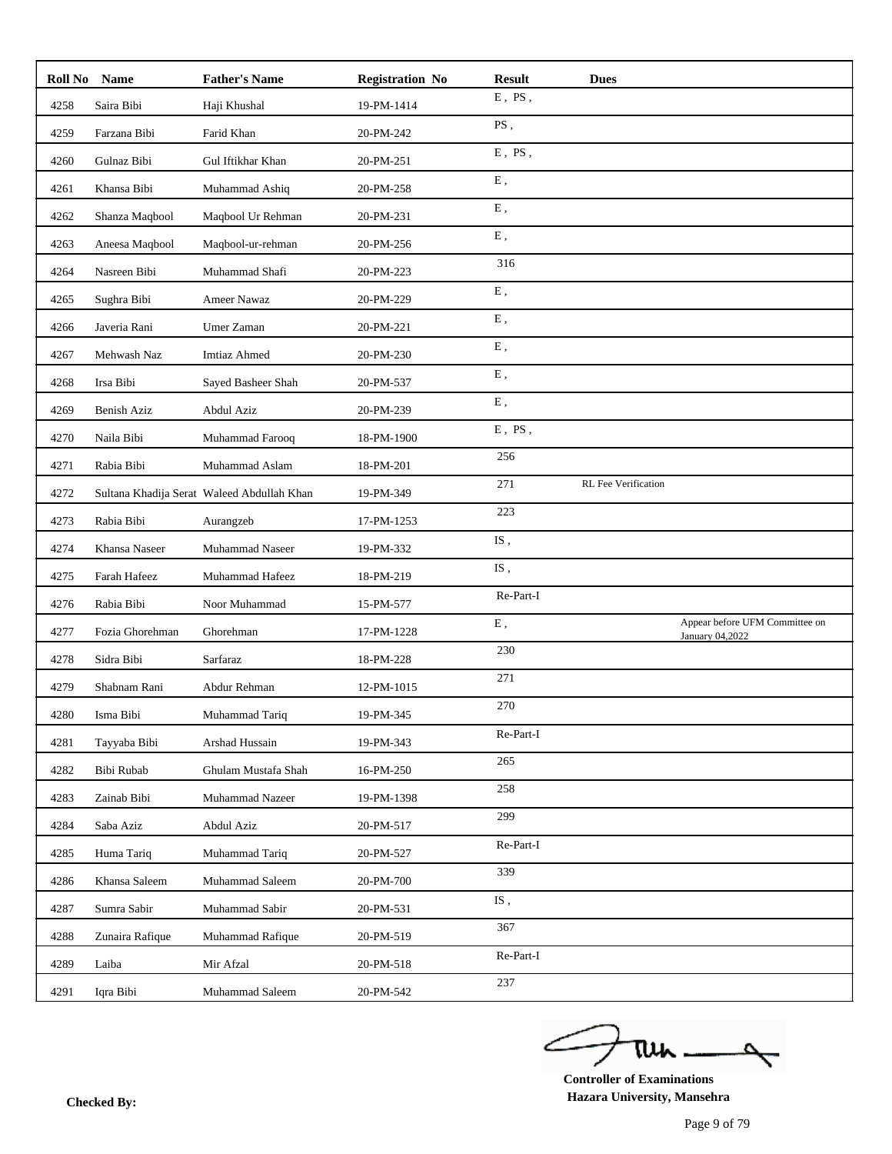| Roll No Name |                    | <b>Father's Name</b>                       | <b>Registration No</b> | <b>Result</b> | <b>Dues</b>         |                                                   |
|--------------|--------------------|--------------------------------------------|------------------------|---------------|---------------------|---------------------------------------------------|
| 4258         | Saira Bibi         | Haji Khushal                               | 19-PM-1414             | $E$ , $PS$ ,  |                     |                                                   |
| 4259         | Farzana Bibi       | Farid Khan                                 | 20-PM-242              | PS,           |                     |                                                   |
| 4260         | Gulnaz Bibi        | Gul Iftikhar Khan                          | 20-PM-251              | $E$ , $PS$ ,  |                     |                                                   |
| 4261         | Khansa Bibi        | Muhammad Ashiq                             | 20-PM-258              | E,            |                     |                                                   |
| 4262         | Shanza Maqbool     | Maqbool Ur Rehman                          | 20-PM-231              | Ε,            |                     |                                                   |
| 4263         | Aneesa Maqbool     | Maqbool-ur-rehman                          | 20-PM-256              | ${\bf E}$ ,   |                     |                                                   |
| 4264         | Nasreen Bibi       | Muhammad Shafi                             | 20-PM-223              | 316           |                     |                                                   |
| 4265         | Sughra Bibi        | Ameer Nawaz                                | 20-PM-229              | ${\bf E}$ ,   |                     |                                                   |
| 4266         | Javeria Rani       | Umer Zaman                                 | 20-PM-221              | ${\bf E}$ ,   |                     |                                                   |
| 4267         | Mehwash Naz        | <b>Imtiaz Ahmed</b>                        | 20-PM-230              | E,            |                     |                                                   |
| 4268         | Irsa Bibi          | Sayed Basheer Shah                         | 20-PM-537              | ${\bf E}$ ,   |                     |                                                   |
| 4269         | <b>Benish Aziz</b> | Abdul Aziz                                 | 20-PM-239              | ${\bf E}$ ,   |                     |                                                   |
| 4270         | Naila Bibi         | Muhammad Farooq                            | 18-PM-1900             | $E$ , $PS$ ,  |                     |                                                   |
| 4271         | Rabia Bibi         | Muhammad Aslam                             | 18-PM-201              | 256           |                     |                                                   |
| 4272         |                    | Sultana Khadija Serat Waleed Abdullah Khan | 19-PM-349              | 271           | RL Fee Verification |                                                   |
| 4273         | Rabia Bibi         | Aurangzeb                                  | 17-PM-1253             | 223           |                     |                                                   |
| 4274         | Khansa Naseer      | Muhammad Naseer                            | 19-PM-332              | IS,           |                     |                                                   |
| 4275         | Farah Hafeez       | Muhammad Hafeez                            | 18-PM-219              | IS,           |                     |                                                   |
| 4276         | Rabia Bibi         | Noor Muhammad                              | 15-PM-577              | Re-Part-I     |                     |                                                   |
| 4277         | Fozia Ghorehman    | Ghorehman                                  | 17-PM-1228             | ${\bf E}$ ,   |                     | Appear before UFM Committee on<br>January 04,2022 |
| 4278         | Sidra Bibi         | Sarfaraz                                   | 18-PM-228              | 230           |                     |                                                   |
| 4279         | Shabnam Rani       | Abdur Rehman                               | 12-PM-1015             | 271           |                     |                                                   |
| 4280         | Isma Bibi          | Muhammad Tariq                             | 19-PM-345              | 270           |                     |                                                   |
| 4281         | Tayyaba Bibi       | Arshad Hussain                             | 19-PM-343              | Re-Part-I     |                     |                                                   |
| 4282         | Bibi Rubab         | Ghulam Mustafa Shah                        | 16-PM-250              | 265           |                     |                                                   |
| 4283         | Zainab Bibi        | Muhammad Nazeer                            | 19-PM-1398             | 258           |                     |                                                   |
| 4284         | Saba Aziz          | Abdul Aziz                                 | 20-PM-517              | 299           |                     |                                                   |
| 4285         | Huma Tariq         | Muhammad Tariq                             | 20-PM-527              | Re-Part-I     |                     |                                                   |
| 4286         | Khansa Saleem      | Muhammad Saleem                            | 20-PM-700              | 339           |                     |                                                   |
| 4287         | Sumra Sabir        | Muhammad Sabir                             | 20-PM-531              | IS,           |                     |                                                   |
| 4288         | Zunaira Rafique    | Muhammad Rafique                           | 20-PM-519              | 367           |                     |                                                   |
| 4289         | Laiba              | Mir Afzal                                  | 20-PM-518              | Re-Part-I     |                     |                                                   |
| 4291         | Iqra Bibi          | Muhammad Saleem                            | 20-PM-542              | 237           |                     |                                                   |

ے tui

**Controller of Examinations Hazara University, Mansehra Checked By:**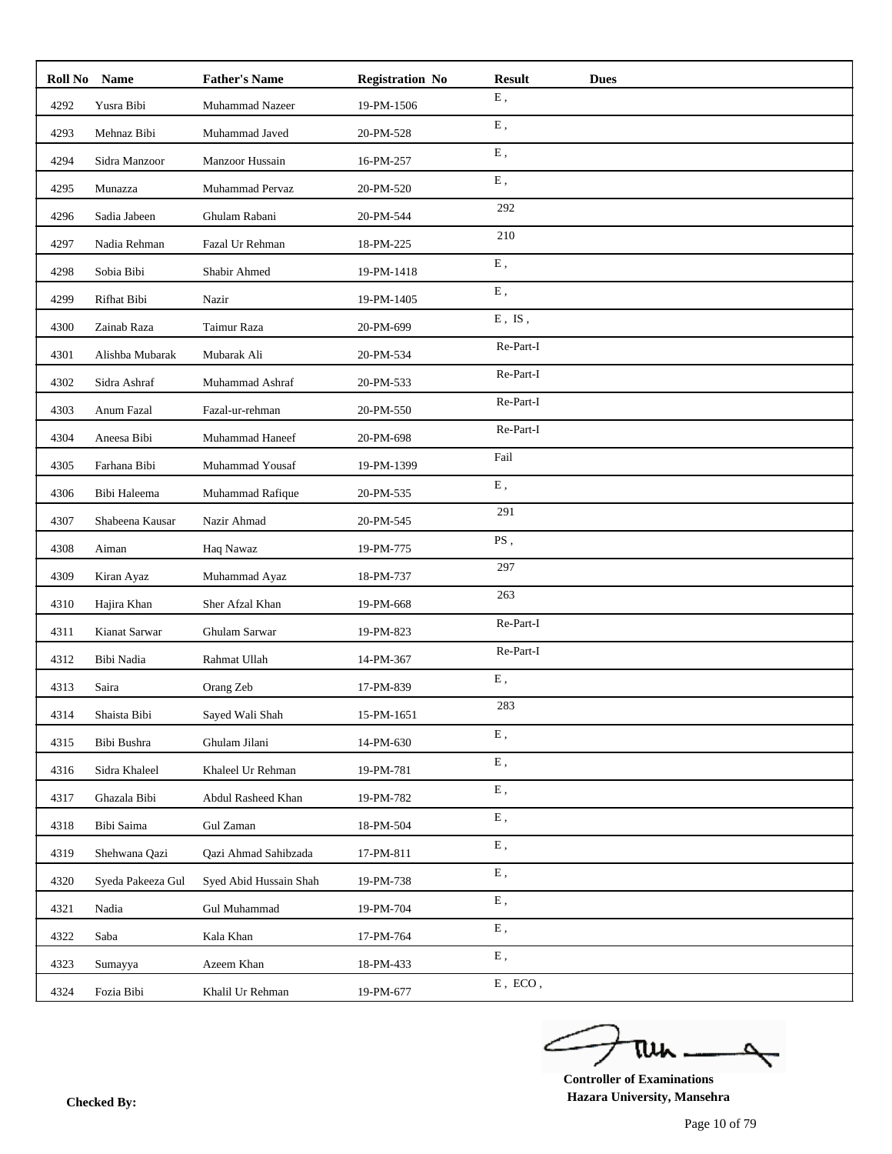| Roll No | <b>Name</b>       | <b>Father's Name</b>   | <b>Registration No</b> | <b>Result</b>               | <b>Dues</b> |
|---------|-------------------|------------------------|------------------------|-----------------------------|-------------|
| 4292    | Yusra Bibi        | Muhammad Nazeer        | 19-PM-1506             | ${\bf E}$ ,                 |             |
| 4293    | Mehnaz Bibi       | Muhammad Javed         | 20-PM-528              | ${\bf E}$ ,                 |             |
| 4294    | Sidra Manzoor     | Manzoor Hussain        | 16-PM-257              | ${\bf E}$ ,                 |             |
| 4295    | Munazza           | Muhammad Pervaz        | 20-PM-520              | E,                          |             |
| 4296    | Sadia Jabeen      | Ghulam Rabani          | 20-PM-544              | 292                         |             |
| 4297    | Nadia Rehman      | Fazal Ur Rehman        | 18-PM-225              | 210                         |             |
| 4298    | Sobia Bibi        | Shabir Ahmed           | 19-PM-1418             | ${\bf E}$ ,                 |             |
| 4299    | Rifhat Bibi       | Nazir                  | 19-PM-1405             | ${\bf E}$ ,                 |             |
| 4300    | Zainab Raza       | Taimur Raza            | 20-PM-699              | ${\bf E}$ , $\;{\bf IS}$ ,  |             |
| 4301    | Alishba Mubarak   | Mubarak Ali            | 20-PM-534              | Re-Part-I                   |             |
| 4302    | Sidra Ashraf      | Muhammad Ashraf        | 20-PM-533              | Re-Part-I                   |             |
| 4303    | Anum Fazal        | Fazal-ur-rehman        | 20-PM-550              | Re-Part-I                   |             |
| 4304    | Aneesa Bibi       | Muhammad Haneef        | 20-PM-698              | Re-Part-I                   |             |
| 4305    | Farhana Bibi      | Muhammad Yousaf        | 19-PM-1399             | Fail                        |             |
| 4306    | Bibi Haleema      | Muhammad Rafique       | 20-PM-535              | ${\bf E}$ ,                 |             |
| 4307    | Shabeena Kausar   | Nazir Ahmad            | 20-PM-545              | 291                         |             |
| 4308    | Aiman             | Haq Nawaz              | 19-PM-775              | PS,                         |             |
| 4309    | Kiran Ayaz        | Muhammad Ayaz          | 18-PM-737              | 297                         |             |
| 4310    | Hajira Khan       | Sher Afzal Khan        | 19-PM-668              | 263                         |             |
| 4311    | Kianat Sarwar     | Ghulam Sarwar          | 19-PM-823              | Re-Part-I                   |             |
| 4312    | Bibi Nadia        | Rahmat Ullah           | 14-PM-367              | Re-Part-I                   |             |
| 4313    | Saira             | Orang Zeb              | 17-PM-839              | E,                          |             |
| 4314    | Shaista Bibi      | Sayed Wali Shah        | 15-PM-1651             | 283                         |             |
| 4315    | Bibi Bushra       | Ghulam Jilani          | 14-PM-630              | ${\bf E}$ ,                 |             |
| 4316    | Sidra Khaleel     | Khaleel Ur Rehman      | 19-PM-781              | ${\bf E}$ ,                 |             |
| 4317    | Ghazala Bibi      | Abdul Rasheed Khan     | 19-PM-782              | ${\bf E}$ ,                 |             |
| 4318    | Bibi Saima        | Gul Zaman              | 18-PM-504              | ${\bf E}$ ,                 |             |
| 4319    | Shehwana Qazi     | Qazi Ahmad Sahibzada   | 17-PM-811              | ${\bf E}$ ,                 |             |
| 4320    | Syeda Pakeeza Gul | Syed Abid Hussain Shah | 19-PM-738              | E,                          |             |
| 4321    | Nadia             | Gul Muhammad           | 19-PM-704              | ${\bf E}$ ,                 |             |
| 4322    | Saba              | Kala Khan              | 17-PM-764              | ${\bf E}$ ,                 |             |
| 4323    | Sumayya           | Azeem Khan             | 18-PM-433              | ${\bf E}$ ,                 |             |
| 4324    | Fozia Bibi        | Khalil Ur Rehman       | 19-PM-677              | ${\rm E}$ , $\,{\rm ECO}$ , |             |

ے tui

**Controller of Examinations Hazara University, Mansehra Checked By:**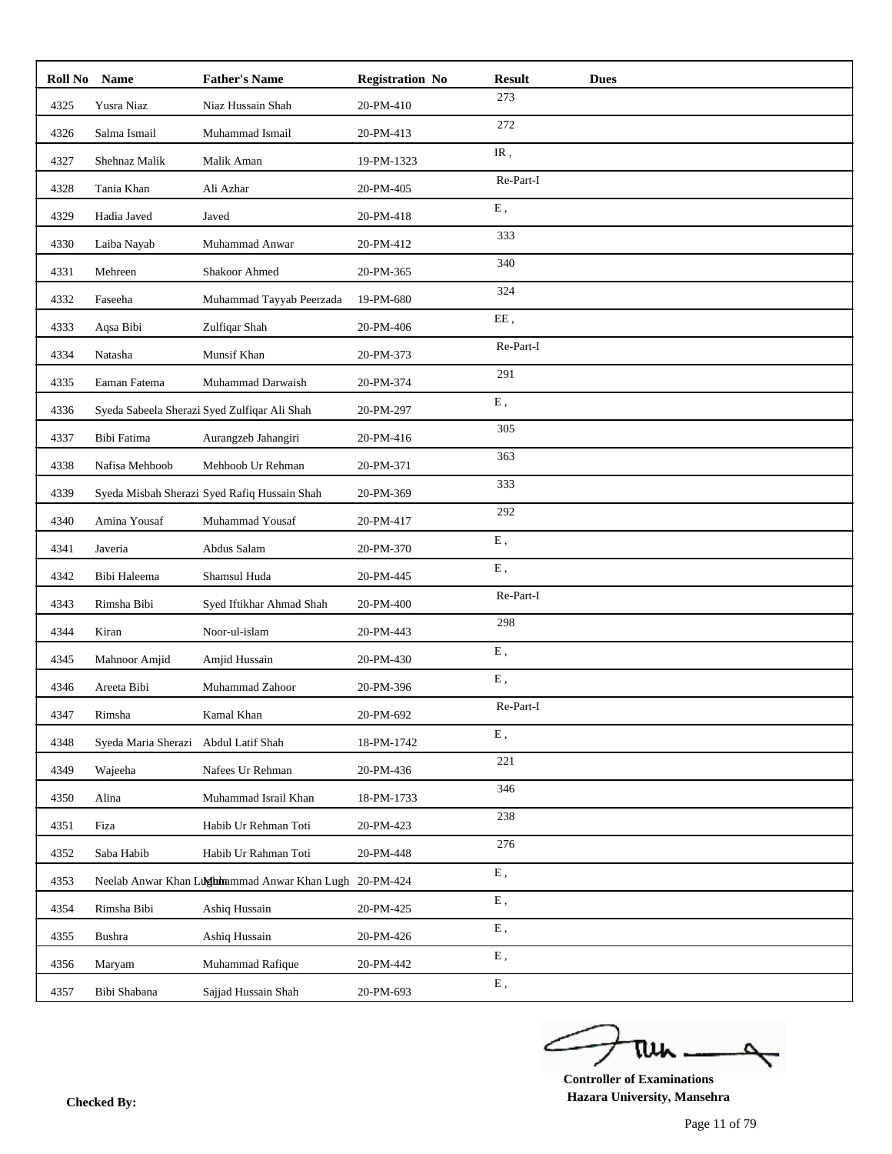| Roll No | Name                | <b>Father's Name</b>                                   | <b>Registration No</b> | <b>Result</b> | <b>Dues</b> |
|---------|---------------------|--------------------------------------------------------|------------------------|---------------|-------------|
| 4325    | Yusra Niaz          | Niaz Hussain Shah                                      | 20-PM-410              | 273           |             |
| 4326    | Salma Ismail        | Muhammad Ismail                                        | 20-PM-413              | 272           |             |
| 4327    | Shehnaz Malik       | Malik Aman                                             | 19-PM-1323             | IR,           |             |
| 4328    | Tania Khan          | Ali Azhar                                              | 20-PM-405              | Re-Part-I     |             |
| 4329    | Hadia Javed         | Javed                                                  | 20-PM-418              | ${\bf E}$ ,   |             |
| 4330    | Laiba Nayab         | Muhammad Anwar                                         | 20-PM-412              | 333           |             |
| 4331    | Mehreen             | Shakoor Ahmed                                          | 20-PM-365              | 340           |             |
| 4332    | Faseeha             | Muhammad Tayyab Peerzada                               | 19-PM-680              | 324           |             |
| 4333    | Aqsa Bibi           | Zulfiqar Shah                                          | 20-PM-406              | EE,           |             |
| 4334    | Natasha             | Munsif Khan                                            | 20-PM-373              | Re-Part-I     |             |
| 4335    | Eaman Fatema        | Muhammad Darwaish                                      | 20-PM-374              | 291           |             |
| 4336    |                     | Syeda Sabeela Sherazi Syed Zulfiqar Ali Shah           | 20-PM-297              | ${\bf E}$ ,   |             |
| 4337    | Bibi Fatima         | Aurangzeb Jahangiri                                    | 20-PM-416              | 305           |             |
| 4338    | Nafisa Mehboob      | Mehboob Ur Rehman                                      | 20-PM-371              | 363           |             |
| 4339    |                     | Syeda Misbah Sherazi Syed Rafiq Hussain Shah           | 20-PM-369              | 333           |             |
| 4340    | Amina Yousaf        | Muhammad Yousaf                                        | 20-PM-417              | 292           |             |
| 4341    | Javeria             | Abdus Salam                                            | 20-PM-370              | ${\bf E}$ ,   |             |
| 4342    | Bibi Haleema        | Shamsul Huda                                           | 20-PM-445              | E,            |             |
| 4343    | Rimsha Bibi         | Syed Iftikhar Ahmad Shah                               | 20-PM-400              | Re-Part-I     |             |
| 4344    | Kiran               | Noor-ul-islam                                          | 20-PM-443              | 298           |             |
| 4345    | Mahnoor Amjid       | Amjid Hussain                                          | 20-PM-430              | E,            |             |
| 4346    | Areeta Bibi         | Muhammad Zahoor                                        | 20-PM-396              | ${\bf E}$ ,   |             |
| 4347    | Rimsha              | Kamal Khan                                             | 20-PM-692              | Re-Part-I     |             |
| 4348    | Syeda Maria Sherazi | Abdul Latif Shah                                       | 18-PM-1742             | E,            |             |
| 4349    | Wajeeha             | Nafees Ur Rehman                                       | 20-PM-436              | 221           |             |
| 4350    | Alina               | Muhammad Israil Khan                                   | 18-PM-1733             | 346           |             |
| 4351    | Fiza                | Habib Ur Rehman Toti                                   | 20-PM-423              | 238           |             |
| 4352    | Saba Habib          | Habib Ur Rahman Toti                                   | 20-PM-448              | 276           |             |
| 4353    |                     | Neelab Anwar Khan Lughmammad Anwar Khan Lugh 20-PM-424 |                        | ${\bf E}$ ,   |             |
| 4354    | Rimsha Bibi         | Ashiq Hussain                                          | 20-PM-425              | Ε,            |             |
| 4355    | Bushra              | Ashiq Hussain                                          | 20-PM-426              | Ε,            |             |
| 4356    | Maryam              | Muhammad Rafique                                       | 20-PM-442              | ${\bf E}$ ,   |             |
| 4357    | Bibi Shabana        | Sajjad Hussain Shah                                    | 20-PM-693              | ${\bf E}$ ,   |             |

ے tui ₹

**Controller of Examinations Hazara University, Mansehra Checked By:**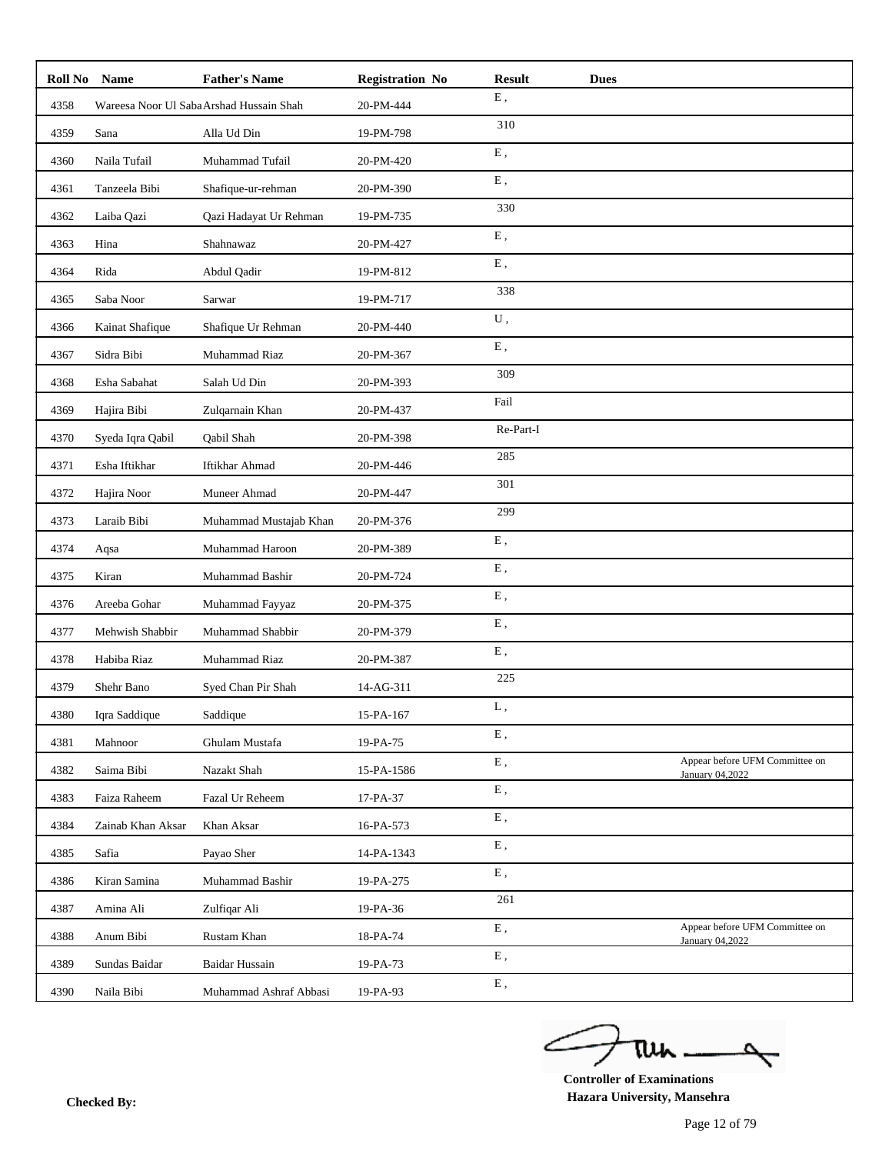|      | Roll No Name      | <b>Father's Name</b>                    | <b>Registration No</b> | <b>Result</b> | <b>Dues</b>                                       |
|------|-------------------|-----------------------------------------|------------------------|---------------|---------------------------------------------------|
| 4358 |                   | Wareesa Noor Ul SabaArshad Hussain Shah | 20-PM-444              | ${\bf E}$ ,   |                                                   |
| 4359 | Sana              | Alla Ud Din                             | 19-PM-798              | 310           |                                                   |
| 4360 | Naila Tufail      | Muhammad Tufail                         | 20-PM-420              | ${\bf E}$ ,   |                                                   |
| 4361 | Tanzeela Bibi     | Shafique-ur-rehman                      | 20-PM-390              | ${\bf E}$ ,   |                                                   |
| 4362 | Laiba Qazi        | Qazi Hadayat Ur Rehman                  | 19-PM-735              | 330           |                                                   |
| 4363 | Hina              | Shahnawaz                               | 20-PM-427              | ${\bf E}$ ,   |                                                   |
| 4364 | Rida              | Abdul Qadir                             | 19-PM-812              | ${\bf E}$ ,   |                                                   |
| 4365 | Saba Noor         | Sarwar                                  | 19-PM-717              | 338           |                                                   |
| 4366 | Kainat Shafique   | Shafique Ur Rehman                      | 20-PM-440              | ${\bf U}$ ,   |                                                   |
| 4367 | Sidra Bibi        | Muhammad Riaz                           | 20-PM-367              | ${\bf E}$ ,   |                                                   |
| 4368 | Esha Sabahat      | Salah Ud Din                            | 20-PM-393              | 309           |                                                   |
| 4369 | Hajira Bibi       | Zulqarnain Khan                         | 20-PM-437              | Fail          |                                                   |
| 4370 | Syeda Iqra Qabil  | Qabil Shah                              | 20-PM-398              | Re-Part-I     |                                                   |
| 4371 | Esha Iftikhar     | Iftikhar Ahmad                          | 20-PM-446              | 285           |                                                   |
| 4372 | Hajira Noor       | Muneer Ahmad                            | 20-PM-447              | 301           |                                                   |
| 4373 | Laraib Bibi       | Muhammad Mustajab Khan                  | 20-PM-376              | 299           |                                                   |
| 4374 | Aqsa              | Muhammad Haroon                         | 20-PM-389              | ${\bf E}$ ,   |                                                   |
| 4375 | Kiran             | Muhammad Bashir                         | 20-PM-724              | ${\bf E}$ ,   |                                                   |
| 4376 | Areeba Gohar      | Muhammad Fayyaz                         | 20-PM-375              | ${\bf E}$ ,   |                                                   |
| 4377 | Mehwish Shabbir   | Muhammad Shabbir                        | 20-PM-379              | ${\bf E}$ ,   |                                                   |
| 4378 | Habiba Riaz       | Muhammad Riaz                           | 20-PM-387              | ${\bf E}$ ,   |                                                   |
| 4379 | Shehr Bano        | Syed Chan Pir Shah                      | 14-AG-311              | 225           |                                                   |
| 4380 | Iqra Saddique     | Saddique                                | $15-PA-167$            | L,            |                                                   |
| 4381 | Mahnoor           | Ghulam Mustafa                          | 19-PA-75               | ${\bf E}$ ,   |                                                   |
| 4382 | Saima Bibi        | Nazakt Shah                             | 15-PA-1586             | ${\bf E}$ ,   | Appear before UFM Committee on<br>January 04,2022 |
| 4383 | Faiza Raheem      | Fazal Ur Reheem                         | 17-PA-37               | ${\bf E}$ ,   |                                                   |
| 4384 | Zainab Khan Aksar | Khan Aksar                              | 16-PA-573              | ${\bf E}$ ,   |                                                   |
| 4385 | Safia             | Payao Sher                              | 14-PA-1343             | ${\bf E}$ ,   |                                                   |
| 4386 | Kiran Samina      | Muhammad Bashir                         | 19-PA-275              | Ε,            |                                                   |
| 4387 | Amina Ali         | Zulfiqar Ali                            | 19-PA-36               | 261           |                                                   |
| 4388 | Anum Bibi         | Rustam Khan                             | 18-PA-74               | ${\bf E}$ ,   | Appear before UFM Committee on<br>January 04,2022 |
| 4389 | Sundas Baidar     | <b>Baidar Hussain</b>                   | 19-PA-73               | ${\bf E}$ ,   |                                                   |
| 4390 | Naila Bibi        | Muhammad Ashraf Abbasi                  | 19-PA-93               | ${\bf E}$ ,   |                                                   |

ے tui ₹

**Controller of Examinations Hazara University, Mansehra Checked By:**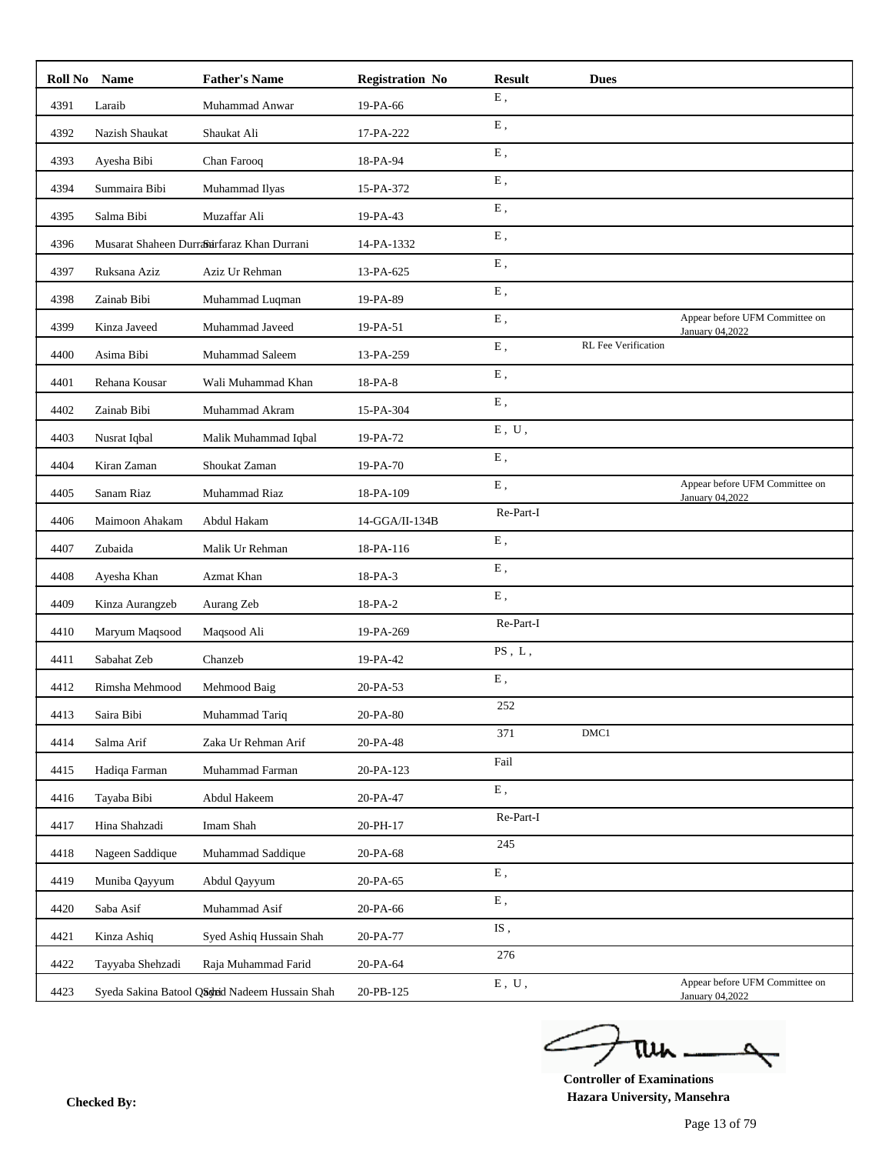| Roll No Name |                  | <b>Father's Name</b>                           | <b>Registration No</b> | <b>Result</b>                        | <b>Dues</b>         |                                                   |
|--------------|------------------|------------------------------------------------|------------------------|--------------------------------------|---------------------|---------------------------------------------------|
| 4391         | Laraib           | Muhammad Anwar                                 | 19-PA-66               | ${\bf E}$ ,                          |                     |                                                   |
| 4392         | Nazish Shaukat   | Shaukat Ali                                    | 17-PA-222              | ${\bf E}$ ,                          |                     |                                                   |
| 4393         | Ayesha Bibi      | Chan Farooq                                    | 18-PA-94               | E,                                   |                     |                                                   |
| 4394         | Summaira Bibi    | Muhammad Ilyas                                 | 15-PA-372              | ${\bf E}$ ,                          |                     |                                                   |
| 4395         | Salma Bibi       | Muzaffar Ali                                   | 19-PA-43               | E,                                   |                     |                                                   |
| 4396         |                  | Musarat Shaheen Durrairfaraz Khan Durrani      | 14-PA-1332             | ${\bf E}$ ,                          |                     |                                                   |
| 4397         | Ruksana Aziz     | Aziz Ur Rehman                                 | 13-PA-625              | ${\bf E}$ ,                          |                     |                                                   |
| 4398         | Zainab Bibi      | Muhammad Luqman                                | 19-PA-89               | ${\bf E}$ ,                          |                     |                                                   |
| 4399         | Kinza Javeed     | Muhammad Javeed                                | 19-PA-51               | E,                                   |                     | Appear before UFM Committee on<br>January 04,2022 |
| 4400         | Asima Bibi       | Muhammad Saleem                                | 13-PA-259              | ${\bf E}$ ,                          | RL Fee Verification |                                                   |
| 4401         | Rehana Kousar    | Wali Muhammad Khan                             | 18-PA-8                | E,                                   |                     |                                                   |
| 4402         | Zainab Bibi      | Muhammad Akram                                 | 15-PA-304              | ${\bf E}$ ,                          |                     |                                                   |
| 4403         | Nusrat Iqbal     | Malik Muhammad Iqbal                           | 19-PA-72               | ${\bf E}$ , $\;{\bf U}$ ,            |                     |                                                   |
| 4404         | Kiran Zaman      | Shoukat Zaman                                  | 19-PA-70               | ${\bf E}$ ,                          |                     |                                                   |
| 4405         | Sanam Riaz       | Muhammad Riaz                                  | 18-PA-109              | Ε,                                   |                     | Appear before UFM Committee on<br>January 04,2022 |
| 4406         | Maimoon Ahakam   | Abdul Hakam                                    | 14-GGA/II-134B         | Re-Part-I                            |                     |                                                   |
| 4407         | Zubaida          | Malik Ur Rehman                                | 18-PA-116              | E,                                   |                     |                                                   |
| 4408         | Ayesha Khan      | Azmat Khan                                     | 18-PA-3                | ${\bf E}$ ,                          |                     |                                                   |
| 4409         | Kinza Aurangzeb  | Aurang Zeb                                     | 18-PA-2                | ${\bf E}$ ,                          |                     |                                                   |
| 4410         | Maryum Maqsood   | Maqsood Ali                                    | 19-PA-269              | Re-Part-I                            |                     |                                                   |
| 4411         | Sabahat Zeb      | Chanzeb                                        | 19-PA-42               | $PS$ , $L$ ,                         |                     |                                                   |
| 4412         | Rimsha Mehmood   | Mehmood Baig                                   | 20-PA-53               | ${\bf E}$ ,                          |                     |                                                   |
| 4413         | Saira Bibi       | Muhammad Tariq                                 | 20-PA-80               | 252                                  |                     |                                                   |
| 4414         | Salma Arif       | Zaka Ur Rehman Arif                            | 20-PA-48               | 371                                  | DMC1                |                                                   |
| 4415         | Hadiqa Farman    | Muhammad Farman                                | 20-PA-123              | Fail                                 |                     |                                                   |
| 4416         | Tayaba Bibi      | Abdul Hakeem                                   | 20-PA-47               | ${\bf E}$ ,                          |                     |                                                   |
| 4417         | Hina Shahzadi    | Imam Shah                                      | 20-PH-17               | Re-Part-I                            |                     |                                                   |
| 4418         | Nageen Saddique  | Muhammad Saddique                              | 20-PA-68               | 245                                  |                     |                                                   |
| 4419         | Muniba Qayyum    | Abdul Qayyum                                   | 20-PA-65               | ${\bf E}$ ,                          |                     |                                                   |
| 4420         | Saba Asif        | Muhammad Asif                                  | 20-PA-66               | ${\bf E}$ ,                          |                     |                                                   |
| 4421         | Kinza Ashiq      | Syed Ashiq Hussain Shah                        | 20-PA-77               | $\mathrm{IS}% _{T}\left( t\right)$ , |                     |                                                   |
| 4422         | Tayyaba Shehzadi | Raja Muhammad Farid                            | 20-PA-64               | 276                                  |                     |                                                   |
| 4423         |                  | Syeda Sakina Batool Qadrid Nadeem Hussain Shah | 20-PB-125              | ${\bf E}$ , $\;{\bf U}$ ,            |                     | Appear before UFM Committee on<br>January 04,2022 |

ے tui

**Controller of Examinations Hazara University, Mansehra Checked By:**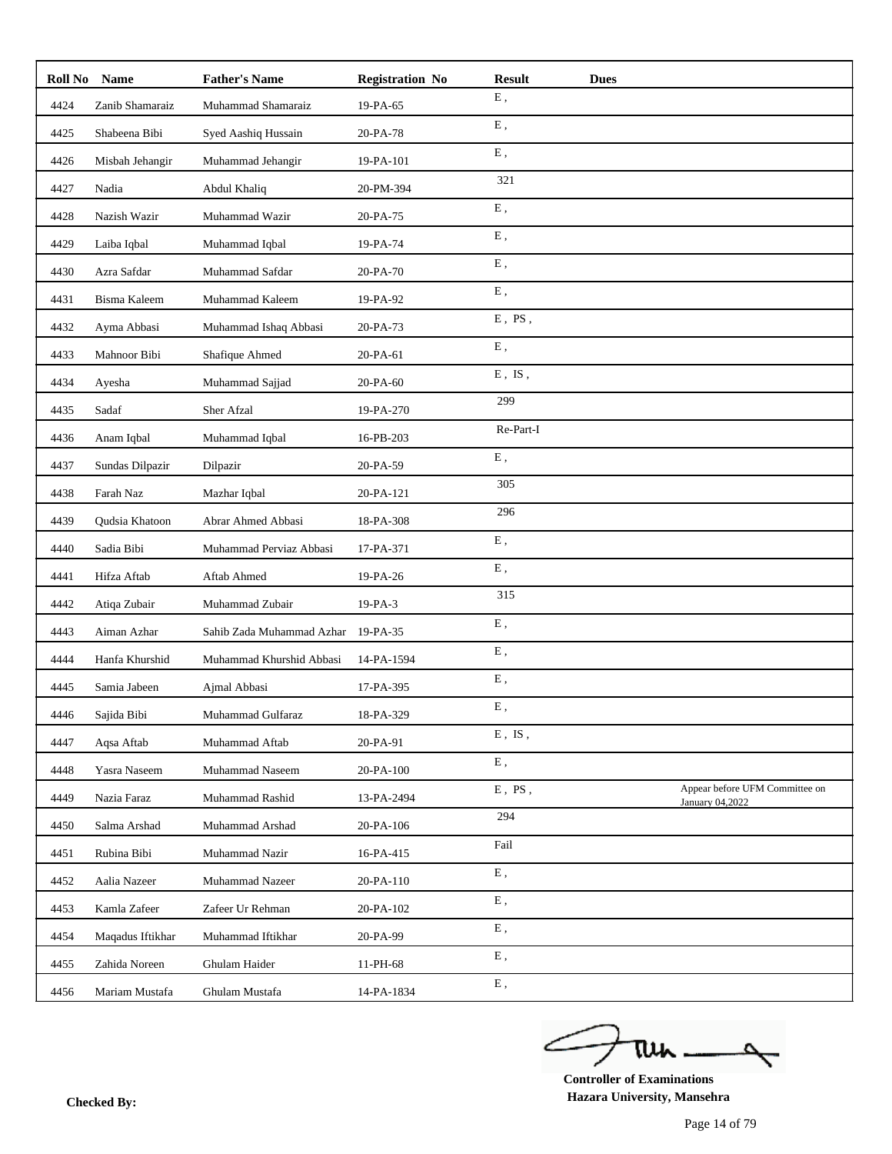| Roll No | <b>Name</b>      | <b>Father's Name</b>      | <b>Registration No</b> | <b>Result</b> | <b>Dues</b> |                                                   |
|---------|------------------|---------------------------|------------------------|---------------|-------------|---------------------------------------------------|
| 4424    | Zanib Shamaraiz  | Muhammad Shamaraiz        | 19-PA-65               | ${\bf E}$ ,   |             |                                                   |
| 4425    | Shabeena Bibi    | Syed Aashiq Hussain       | 20-PA-78               | ${\bf E}$ ,   |             |                                                   |
| 4426    | Misbah Jehangir  | Muhammad Jehangir         | 19-PA-101              | ${\bf E}$ ,   |             |                                                   |
| 4427    | Nadia            | Abdul Khaliq              | 20-PM-394              | 321           |             |                                                   |
| 4428    | Nazish Wazir     | Muhammad Wazir            | 20-PA-75               | ${\bf E}$ ,   |             |                                                   |
| 4429    | Laiba Iqbal      | Muhammad Iqbal            | 19-PA-74               | E,            |             |                                                   |
| 4430    | Azra Safdar      | Muhammad Safdar           | 20-PA-70               | ${\bf E}$ ,   |             |                                                   |
| 4431    | Bisma Kaleem     | Muhammad Kaleem           | 19-PA-92               | ${\bf E}$ ,   |             |                                                   |
| 4432    | Ayma Abbasi      | Muhammad Ishaq Abbasi     | 20-PA-73               | $E$ , PS,     |             |                                                   |
| 4433    | Mahnoor Bibi     | Shafique Ahmed            | 20-PA-61               | ${\bf E}$ ,   |             |                                                   |
| 4434    | Ayesha           | Muhammad Sajjad           | 20-PA-60               | $E$ , $IS$ ,  |             |                                                   |
| 4435    | Sadaf            | Sher Afzal                | 19-PA-270              | 299           |             |                                                   |
| 4436    | Anam Iqbal       | Muhammad Iqbal            | 16-PB-203              | Re-Part-I     |             |                                                   |
| 4437    | Sundas Dilpazir  | Dilpazir                  | 20-PA-59               | ${\bf E}$ ,   |             |                                                   |
| 4438    | Farah Naz        | Mazhar Iqbal              | 20-PA-121              | 305           |             |                                                   |
| 4439    | Qudsia Khatoon   | Abrar Ahmed Abbasi        | 18-PA-308              | 296           |             |                                                   |
| 4440    | Sadia Bibi       | Muhammad Perviaz Abbasi   | 17-PA-371              | ${\bf E}$ ,   |             |                                                   |
| 4441    | Hifza Aftab      | Aftab Ahmed               | 19-PA-26               | ${\bf E}$ ,   |             |                                                   |
| 4442    | Atiqa Zubair     | Muhammad Zubair           | 19-PA-3                | 315           |             |                                                   |
| 4443    | Aiman Azhar      | Sahib Zada Muhammad Azhar | 19-PA-35               | ${\bf E}$ ,   |             |                                                   |
| 4444    | Hanfa Khurshid   | Muhammad Khurshid Abbasi  | 14-PA-1594             | ${\bf E}$ ,   |             |                                                   |
| 4445    | Samia Jabeen     | Ajmal Abbasi              | 17-PA-395              | ${\bf E}$ ,   |             |                                                   |
| 4446    | Sajida Bibi      | Muhammad Gulfaraz         | 18-PA-329              | E,            |             |                                                   |
| 4447    | Aqsa Aftab       | Muhammad Aftab            | 20-PA-91               | $E$ , IS,     |             |                                                   |
| 4448    | Yasra Naseem     | Muhammad Naseem           | 20-PA-100              | ${\bf E}$ ,   |             |                                                   |
| 4449    | Nazia Faraz      | Muhammad Rashid           | 13-PA-2494             | $E$ , PS,     |             | Appear before UFM Committee on<br>January 04,2022 |
| 4450    | Salma Arshad     | Muhammad Arshad           | 20-PA-106              | 294           |             |                                                   |
| 4451    | Rubina Bibi      | Muhammad Nazir            | 16-PA-415              | Fail          |             |                                                   |
| 4452    | Aalia Nazeer     | Muhammad Nazeer           | 20-PA-110              | ${\bf E}$ ,   |             |                                                   |
| 4453    | Kamla Zafeer     | Zafeer Ur Rehman          | 20-PA-102              | ${\bf E}$ ,   |             |                                                   |
| 4454    | Maqadus Iftikhar | Muhammad Iftikhar         | 20-PA-99               | ${\bf E}$ ,   |             |                                                   |
| 4455    | Zahida Noreen    | Ghulam Haider             | 11-PH-68               | Ε,            |             |                                                   |
| 4456    | Mariam Mustafa   | Ghulam Mustafa            | 14-PA-1834             | ${\bf E}$ ,   |             |                                                   |

ے tui ₹

**Controller of Examinations Hazara University, Mansehra Checked By:**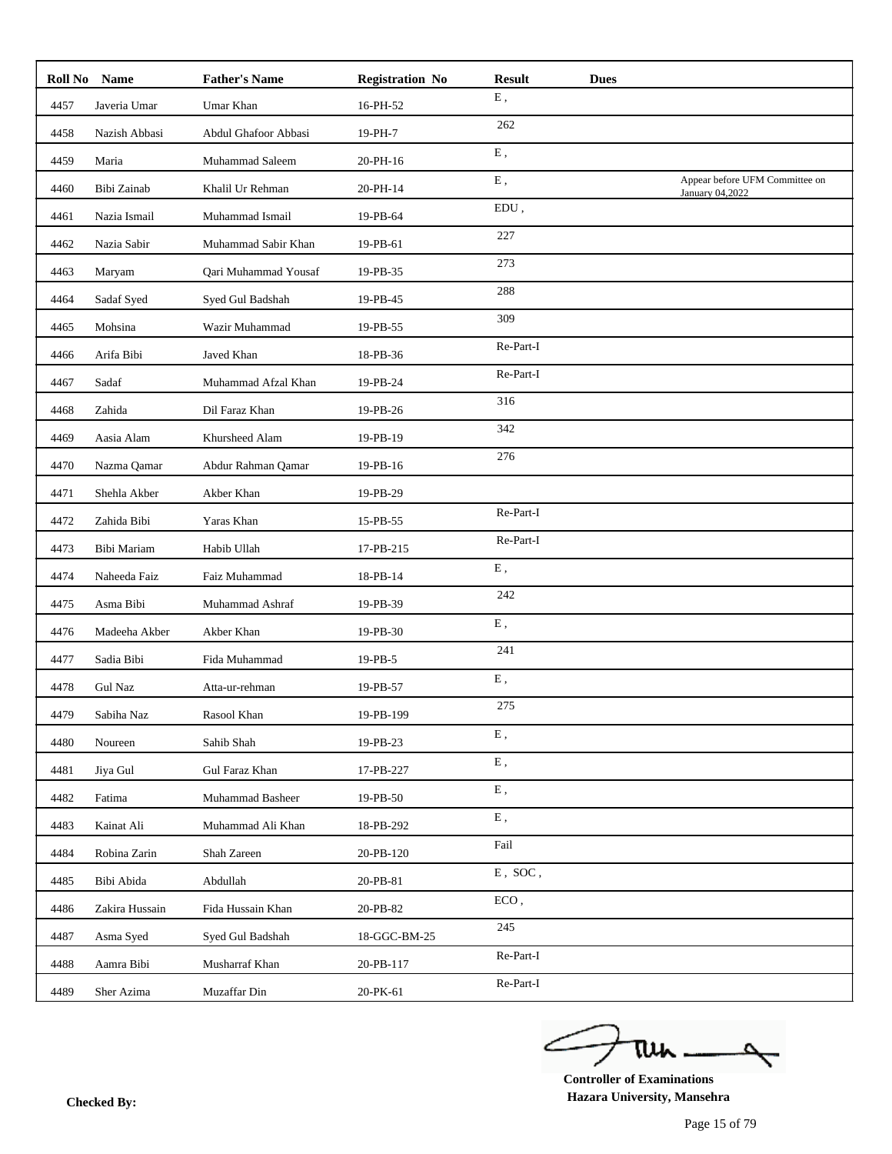|      | Roll No Name   | <b>Father's Name</b> | <b>Registration No</b> | <b>Result</b> | <b>Dues</b> |                                                   |
|------|----------------|----------------------|------------------------|---------------|-------------|---------------------------------------------------|
| 4457 | Javeria Umar   | Umar Khan            | 16-PH-52               | Ε,            |             |                                                   |
| 4458 | Nazish Abbasi  | Abdul Ghafoor Abbasi | 19-PH-7                | 262           |             |                                                   |
| 4459 | Maria          | Muhammad Saleem      | 20-PH-16               | E,            |             |                                                   |
| 4460 | Bibi Zainab    | Khalil Ur Rehman     | 20-PH-14               | E,            |             | Appear before UFM Committee on<br>January 04,2022 |
| 4461 | Nazia Ismail   | Muhammad Ismail      | 19-PB-64               | $EDU$ ,       |             |                                                   |
| 4462 | Nazia Sabir    | Muhammad Sabir Khan  | 19-PB-61               | 227           |             |                                                   |
| 4463 | Maryam         | Qari Muhammad Yousaf | 19-PB-35               | 273           |             |                                                   |
| 4464 | Sadaf Syed     | Syed Gul Badshah     | 19-PB-45               | 288           |             |                                                   |
| 4465 | Mohsina        | Wazir Muhammad       | 19-PB-55               | 309           |             |                                                   |
| 4466 | Arifa Bibi     | Javed Khan           | 18-PB-36               | Re-Part-I     |             |                                                   |
| 4467 | Sadaf          | Muhammad Afzal Khan  | 19-PB-24               | Re-Part-I     |             |                                                   |
| 4468 | Zahida         | Dil Faraz Khan       | 19-PB-26               | 316           |             |                                                   |
| 4469 | Aasia Alam     | Khursheed Alam       | 19-PB-19               | 342           |             |                                                   |
| 4470 | Nazma Qamar    | Abdur Rahman Qamar   | 19-PB-16               | 276           |             |                                                   |
| 4471 | Shehla Akber   | Akber Khan           | 19-PB-29               |               |             |                                                   |
| 4472 | Zahida Bibi    | Yaras Khan           | 15-PB-55               | Re-Part-I     |             |                                                   |
| 4473 | Bibi Mariam    | Habib Ullah          | 17-PB-215              | Re-Part-I     |             |                                                   |
| 4474 | Naheeda Faiz   | Faiz Muhammad        | 18-PB-14               | E,            |             |                                                   |
| 4475 | Asma Bibi      | Muhammad Ashraf      | 19-PB-39               | 242           |             |                                                   |
| 4476 | Madeeha Akber  | Akber Khan           | 19-PB-30               | ${\bf E}$ ,   |             |                                                   |
| 4477 | Sadia Bibi     | Fida Muhammad        | 19-PB-5                | 241           |             |                                                   |
| 4478 | <b>Gul Naz</b> | Atta-ur-rehman       | 19-PB-57               | E,            |             |                                                   |
| 4479 | Sabiha Naz     | Rasool Khan          | 19-PB-199              | 275           |             |                                                   |
| 4480 | Noureen        | Sahib Shah           | 19-PB-23               | E,            |             |                                                   |
| 4481 | Jiya Gul       | Gul Faraz Khan       | 17-PB-227              | ${\bf E}$ ,   |             |                                                   |
| 4482 | Fatima         | Muhammad Basheer     | 19-PB-50               | ${\bf E}$ ,   |             |                                                   |
| 4483 | Kainat Ali     | Muhammad Ali Khan    | 18-PB-292              | Ε,            |             |                                                   |
| 4484 | Robina Zarin   | Shah Zareen          | 20-PB-120              | Fail          |             |                                                   |
| 4485 | Bibi Abida     | Abdullah             | 20-PB-81               | $E$ , SOC,    |             |                                                   |
| 4486 | Zakira Hussain | Fida Hussain Khan    | 20-PB-82               | $ECO$ ,       |             |                                                   |
| 4487 | Asma Syed      | Syed Gul Badshah     | 18-GGC-BM-25           | 245           |             |                                                   |
| 4488 | Aamra Bibi     | Musharraf Khan       | 20-PB-117              | Re-Part-I     |             |                                                   |
| 4489 | Sher Azima     | Muzaffar Din         | 20-PK-61               | Re-Part-I     |             |                                                   |
|      |                |                      |                        |               |             |                                                   |

ے tui

**Controller of Examinations Hazara University, Mansehra Checked By:**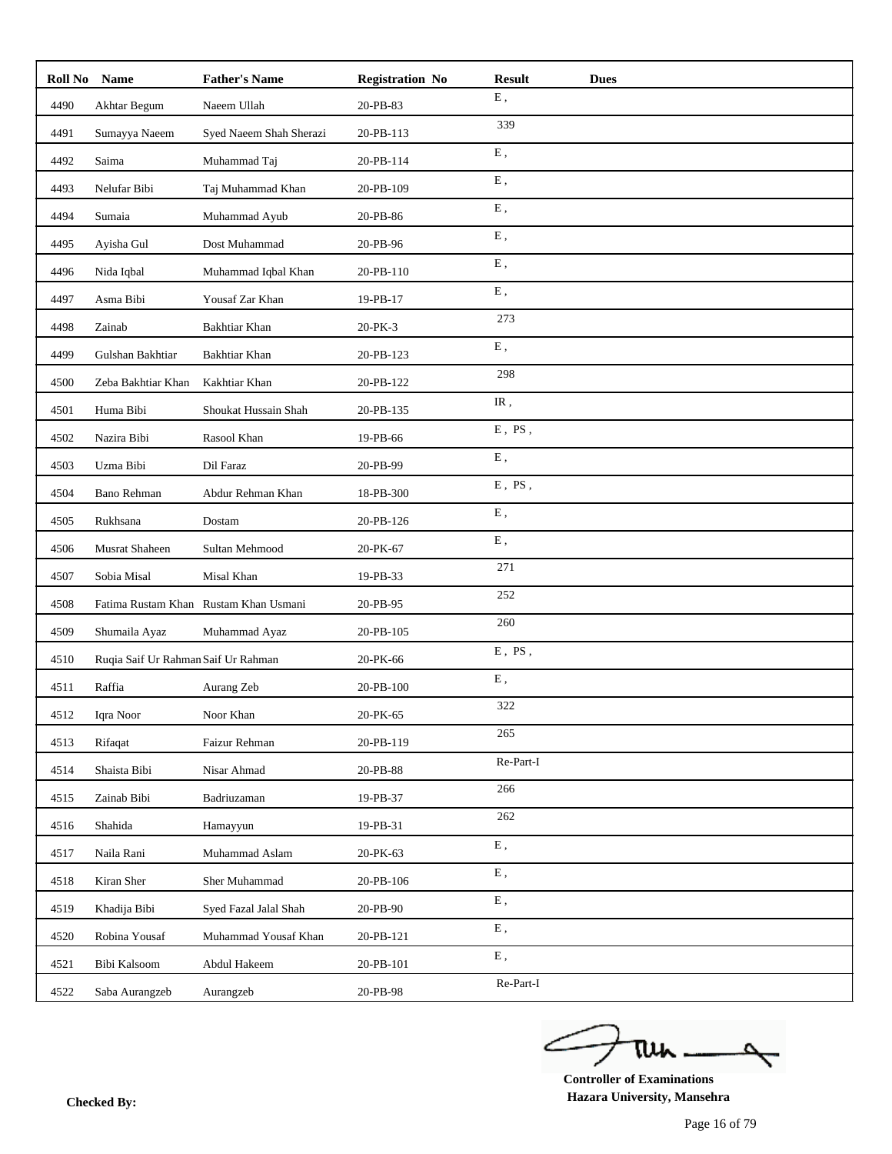| Roll No | <b>Name</b>                         | <b>Father's Name</b>                  | <b>Registration No</b> | <b>Result</b><br><b>Dues</b> |  |
|---------|-------------------------------------|---------------------------------------|------------------------|------------------------------|--|
| 4490    | Akhtar Begum                        | Naeem Ullah                           | 20-PB-83               | ${\bf E}$ ,                  |  |
| 4491    | Sumayya Naeem                       | Syed Naeem Shah Sherazi               | 20-PB-113              | 339                          |  |
| 4492    | Saima                               | Muhammad Taj                          | 20-PB-114              | E,                           |  |
| 4493    | Nelufar Bibi                        | Taj Muhammad Khan                     | 20-PB-109              | ${\bf E}$ ,                  |  |
| 4494    | Sumaia                              | Muhammad Ayub                         | 20-PB-86               | ${\bf E}$ ,                  |  |
| 4495    | Ayisha Gul                          | Dost Muhammad                         | 20-PB-96               | E,                           |  |
| 4496    | Nida Iqbal                          | Muhammad Iqbal Khan                   | 20-PB-110              | ${\bf E}$ ,                  |  |
| 4497    | Asma Bibi                           | Yousaf Zar Khan                       | 19-PB-17               | ${\bf E}$ ,                  |  |
| 4498    | Zainab                              | Bakhtiar Khan                         | 20-PK-3                | 273                          |  |
| 4499    | Gulshan Bakhtiar                    | Bakhtiar Khan                         | 20-PB-123              | ${\bf E}$ ,                  |  |
| 4500    | Zeba Bakhtiar Khan                  | Kakhtiar Khan                         | 20-PB-122              | 298                          |  |
| 4501    | Huma Bibi                           | Shoukat Hussain Shah                  | 20-PB-135              | IR,                          |  |
| 4502    | Nazira Bibi                         | Rasool Khan                           | 19-PB-66               | $E$ , $PS$ ,                 |  |
| 4503    | Uzma Bibi                           | Dil Faraz                             | 20-PB-99               | ${\bf E}$ ,                  |  |
| 4504    | Bano Rehman                         | Abdur Rehman Khan                     | 18-PB-300              | $E$ , $PS$ ,                 |  |
| 4505    | Rukhsana                            | Dostam                                | 20-PB-126              | ${\bf E}$ ,                  |  |
| 4506    | Musrat Shaheen                      | Sultan Mehmood                        | 20-PK-67               | ${\bf E}$ ,                  |  |
| 4507    | Sobia Misal                         | Misal Khan                            | 19-PB-33               | 271                          |  |
| 4508    |                                     | Fatima Rustam Khan Rustam Khan Usmani | 20-PB-95               | 252                          |  |
| 4509    | Shumaila Ayaz                       | Muhammad Ayaz                         | 20-PB-105              | 260                          |  |
| 4510    | Ruqia Saif Ur Rahman Saif Ur Rahman |                                       | 20-PK-66               | $E$ , PS,                    |  |
| 4511    | Raffia                              | Aurang Zeb                            | 20-PB-100              | ${\bf E}$ ,                  |  |
| 4512    | Iqra Noor                           | Noor Khan                             | $20-PK-65$             | 322                          |  |
| 4513    | Rifaqat                             | Faizur Rehman                         | 20-PB-119              | 265                          |  |
| 4514    | Shaista Bibi                        | Nisar Ahmad                           | 20-PB-88               | Re-Part-I                    |  |
| 4515    | Zainab Bibi                         | Badriuzaman                           | 19-PB-37               | 266                          |  |
| 4516    | Shahida                             | Hamayyun                              | 19-PB-31               | 262                          |  |
| 4517    | Naila Rani                          | Muhammad Aslam                        | 20-PK-63               | ${\bf E}$ ,                  |  |
| 4518    | Kiran Sher                          | Sher Muhammad                         | 20-PB-106              | ${\bf E}$ ,                  |  |
| 4519    | Khadija Bibi                        | Syed Fazal Jalal Shah                 | 20-PB-90               | ${\bf E}$ ,                  |  |
| 4520    | Robina Yousaf                       | Muhammad Yousaf Khan                  | 20-PB-121              | ${\bf E}$ ,                  |  |
| 4521    | Bibi Kalsoom                        | Abdul Hakeem                          | 20-PB-101              | ${\bf E}$ ,                  |  |
| 4522    | Saba Aurangzeb                      | Aurangzeb                             | 20-PB-98               | Re-Part-I                    |  |

ے tui

**Controller of Examinations Hazara University, Mansehra Checked By:**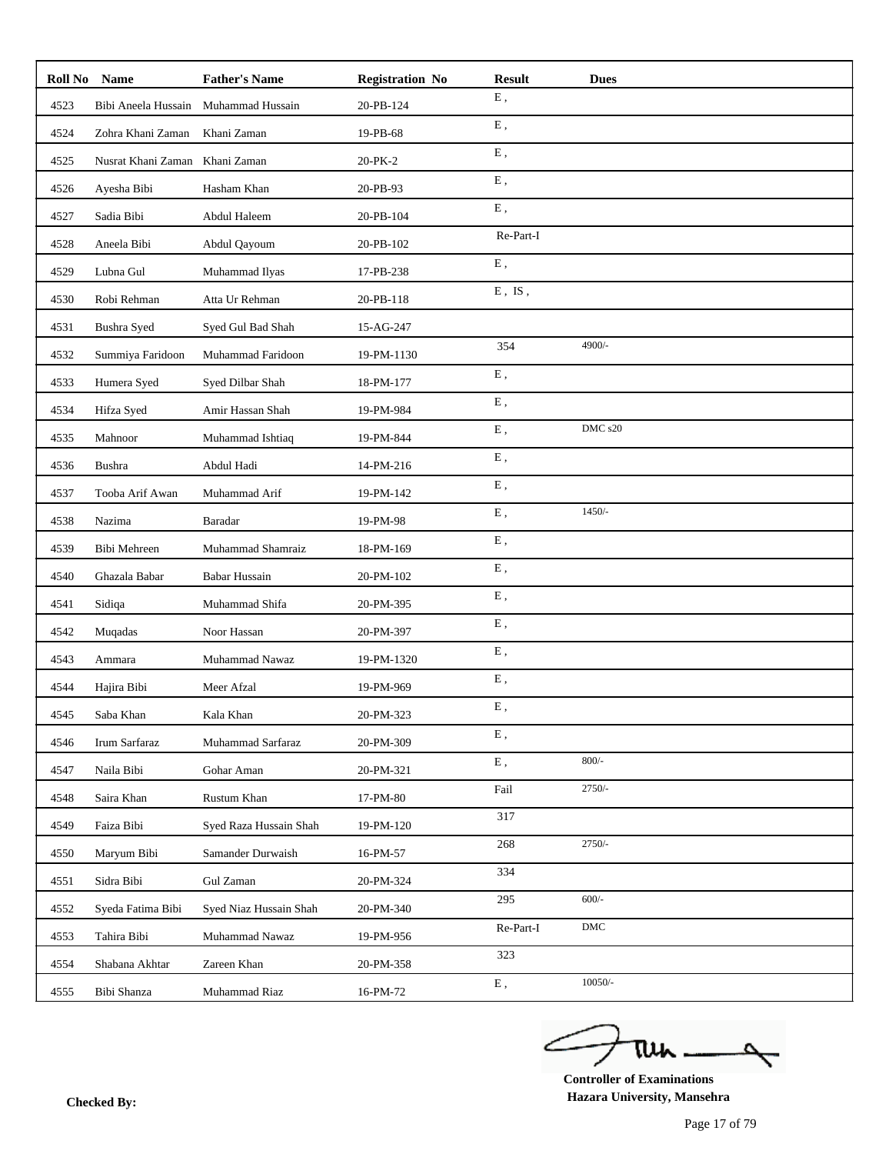| Roll No | Name                | <b>Father's Name</b>   | <b>Registration No</b> | <b>Result</b> | <b>Dues</b> |
|---------|---------------------|------------------------|------------------------|---------------|-------------|
| 4523    | Bibi Aneela Hussain | Muhammad Hussain       | 20-PB-124              | E,            |             |
| 4524    | Zohra Khani Zaman   | Khani Zaman            | 19-PB-68               | ${\bf E}$ ,   |             |
| 4525    | Nusrat Khani Zaman  | Khani Zaman            | 20-PK-2                | ${\bf E}$ ,   |             |
| 4526    | Ayesha Bibi         | Hasham Khan            | 20-PB-93               | E,            |             |
| 4527    | Sadia Bibi          | Abdul Haleem           | 20-PB-104              | ${\bf E}$ ,   |             |
| 4528    | Aneela Bibi         | Abdul Qayoum           | 20-PB-102              | Re-Part-I     |             |
| 4529    | Lubna Gul           | Muhammad Ilyas         | 17-PB-238              | ${\bf E}$ ,   |             |
| 4530    | Robi Rehman         | Atta Ur Rehman         | 20-PB-118              | $E$ , $IS$ ,  |             |
| 4531    | Bushra Syed         | Syed Gul Bad Shah      | 15-AG-247              |               |             |
| 4532    | Summiya Faridoon    | Muhammad Faridoon      | 19-PM-1130             | 354           | 4900/-      |
| 4533    | Humera Syed         | Syed Dilbar Shah       | 18-PM-177              | E,            |             |
| 4534    | Hifza Syed          | Amir Hassan Shah       | 19-PM-984              | ${\bf E}$ ,   |             |
| 4535    | Mahnoor             | Muhammad Ishtiaq       | 19-PM-844              | ${\bf E}$ ,   | DMC s20     |
| 4536    | Bushra              | Abdul Hadi             | 14-PM-216              | ${\bf E}$ ,   |             |
| 4537    | Tooba Arif Awan     | Muhammad Arif          | 19-PM-142              | ${\bf E}$ ,   |             |
| 4538    | Nazima              | Baradar                | 19-PM-98               | E,            | $1450/-$    |
| 4539    | Bibi Mehreen        | Muhammad Shamraiz      | 18-PM-169              | ${\bf E}$ ,   |             |
| 4540    | Ghazala Babar       | <b>Babar Hussain</b>   | 20-PM-102              | ${\bf E}$ ,   |             |
| 4541    | Sidiqa              | Muhammad Shifa         | 20-PM-395              | Ε,            |             |
| 4542    | Muqadas             | Noor Hassan            | 20-PM-397              | ${\bf E}$ ,   |             |
| 4543    | Ammara              | Muhammad Nawaz         | 19-PM-1320             | ${\bf E}$ ,   |             |
| 4544    | Hajira Bibi         | Meer Afzal             | 19-PM-969              | E,            |             |
| 4545    | Saba Khan           | Kala Khan              | 20-PM-323              | Ε,            |             |
| 4546    | Irum Sarfaraz       | Muhammad Sarfaraz      | 20-PM-309              | Ε,            |             |
| 4547    | Naila Bibi          | Gohar Aman             | 20-PM-321              | ${\bf E}$ ,   | $800/-$     |
| 4548    | Saira Khan          | Rustum Khan            | 17-PM-80               | Fail          | $2750/-$    |
| 4549    | Faiza Bibi          | Syed Raza Hussain Shah | 19-PM-120              | 317           |             |
| 4550    | Maryum Bibi         | Samander Durwaish      | 16-PM-57               | 268           | $2750/-$    |
| 4551    | Sidra Bibi          | Gul Zaman              | 20-PM-324              | 334           |             |
| 4552    | Syeda Fatima Bibi   | Syed Niaz Hussain Shah | 20-PM-340              | 295           | $600/-$     |
| 4553    | Tahira Bibi         | Muhammad Nawaz         | 19-PM-956              | Re-Part-I     | ${\rm DMC}$ |
| 4554    | Shabana Akhtar      | Zareen Khan            | 20-PM-358              | 323           |             |
| 4555    | Bibi Shanza         | Muhammad Riaz          | 16-PM-72               | ${\bf E}$ ,   | $10050/-$   |

ے tui

**Controller of Examinations Hazara University, Mansehra Checked By:**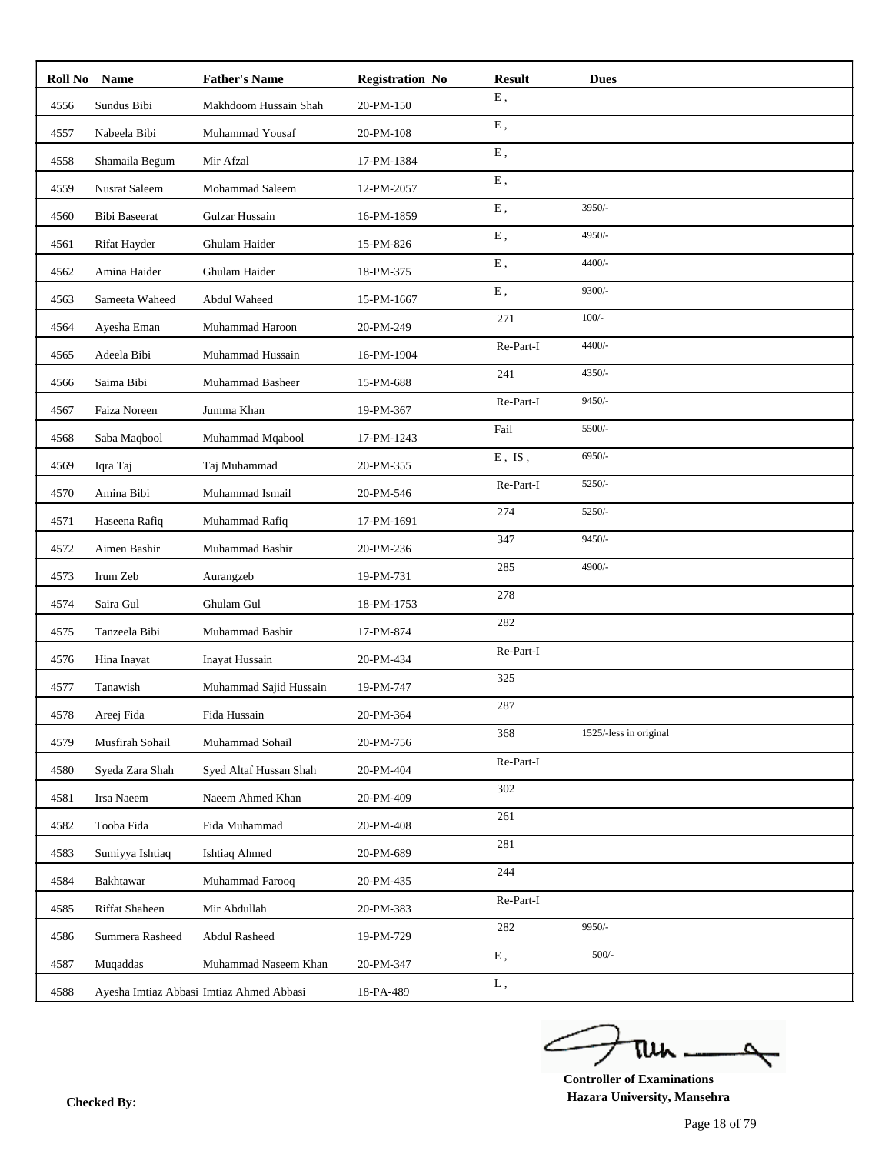|      | Roll No Name         | <b>Father's Name</b>                     | <b>Registration No</b> | <b>Result</b> | <b>Dues</b>            |
|------|----------------------|------------------------------------------|------------------------|---------------|------------------------|
| 4556 | Sundus Bibi          | Makhdoom Hussain Shah                    | 20-PM-150              | E,            |                        |
| 4557 | Nabeela Bibi         | Muhammad Yousaf                          | 20-PM-108              | ${\bf E}$ ,   |                        |
| 4558 | Shamaila Begum       | Mir Afzal                                | 17-PM-1384             | E,            |                        |
| 4559 | <b>Nusrat Saleem</b> | Mohammad Saleem                          | 12-PM-2057             | E,            |                        |
| 4560 | <b>Bibi Baseerat</b> | Gulzar Hussain                           | 16-PM-1859             | ${\bf E}$ ,   | 3950/-                 |
| 4561 | Rifat Hayder         | Ghulam Haider                            | 15-PM-826              | E,            | 4950/-                 |
| 4562 | Amina Haider         | Ghulam Haider                            | 18-PM-375              | ${\bf E}$ ,   | 4400/-                 |
| 4563 | Sameeta Waheed       | Abdul Waheed                             | 15-PM-1667             | ${\bf E}$ ,   | 9300/-                 |
| 4564 | Ayesha Eman          | Muhammad Haroon                          | 20-PM-249              | 271           | $100/-$                |
| 4565 | Adeela Bibi          | Muhammad Hussain                         | 16-PM-1904             | Re-Part-I     | $4400/-$               |
| 4566 | Saima Bibi           | Muhammad Basheer                         | 15-PM-688              | 241           | 4350/-                 |
| 4567 | Faiza Noreen         | Jumma Khan                               | 19-PM-367              | Re-Part-I     | $9450/-$               |
| 4568 | Saba Maqbool         | Muhammad Mqabool                         | 17-PM-1243             | Fail          | 5500/-                 |
| 4569 | Iqra Taj             | Taj Muhammad                             | 20-PM-355              | $E$ , IS,     | 6950/-                 |
| 4570 | Amina Bibi           | Muhammad Ismail                          | 20-PM-546              | Re-Part-I     | 5250/-                 |
| 4571 | Haseena Rafiq        | Muhammad Rafiq                           | 17-PM-1691             | 274           | 5250/-                 |
| 4572 | Aimen Bashir         | Muhammad Bashir                          | 20-PM-236              | 347           | $9450/-$               |
| 4573 | Irum Zeb             | Aurangzeb                                | 19-PM-731              | 285           | 4900/-                 |
| 4574 | Saira Gul            | Ghulam Gul                               | 18-PM-1753             | 278           |                        |
| 4575 | Tanzeela Bibi        | Muhammad Bashir                          | 17-PM-874              | 282           |                        |
| 4576 | Hina Inayat          | Inayat Hussain                           | 20-PM-434              | Re-Part-I     |                        |
| 4577 | Tanawish             | Muhammad Sajid Hussain                   | 19-PM-747              | 325           |                        |
| 4578 | Areej Fida           | Fida Hussain                             | 20-PM-364              | 287           |                        |
| 4579 | Musfirah Sohail      | Muhammad Sohail                          | 20-PM-756              | 368           | 1525/-less in original |
| 4580 | Syeda Zara Shah      | Syed Altaf Hussan Shah                   | 20-PM-404              | Re-Part-I     |                        |
| 4581 | Irsa Naeem           | Naeem Ahmed Khan                         | 20-PM-409              | 302           |                        |
| 4582 | Tooba Fida           | Fida Muhammad                            | 20-PM-408              | 261           |                        |
| 4583 | Sumiyya Ishtiaq      | <b>Ishtiaq Ahmed</b>                     | 20-PM-689              | 281           |                        |
| 4584 | Bakhtawar            | Muhammad Farooq                          | 20-PM-435              | 244           |                        |
| 4585 | Riffat Shaheen       | Mir Abdullah                             | 20-PM-383              | Re-Part-I     |                        |
| 4586 | Summera Rasheed      | Abdul Rasheed                            | 19-PM-729              | 282           | 9950/-                 |
| 4587 | Muqaddas             | Muhammad Naseem Khan                     | 20-PM-347              | ${\bf E}$ ,   | $500/-$                |
| 4588 |                      | Ayesha Imtiaz Abbasi Imtiaz Ahmed Abbasi | 18-PA-489              | L,            |                        |

ے tui

**Controller of Examinations Hazara University, Mansehra Checked By:**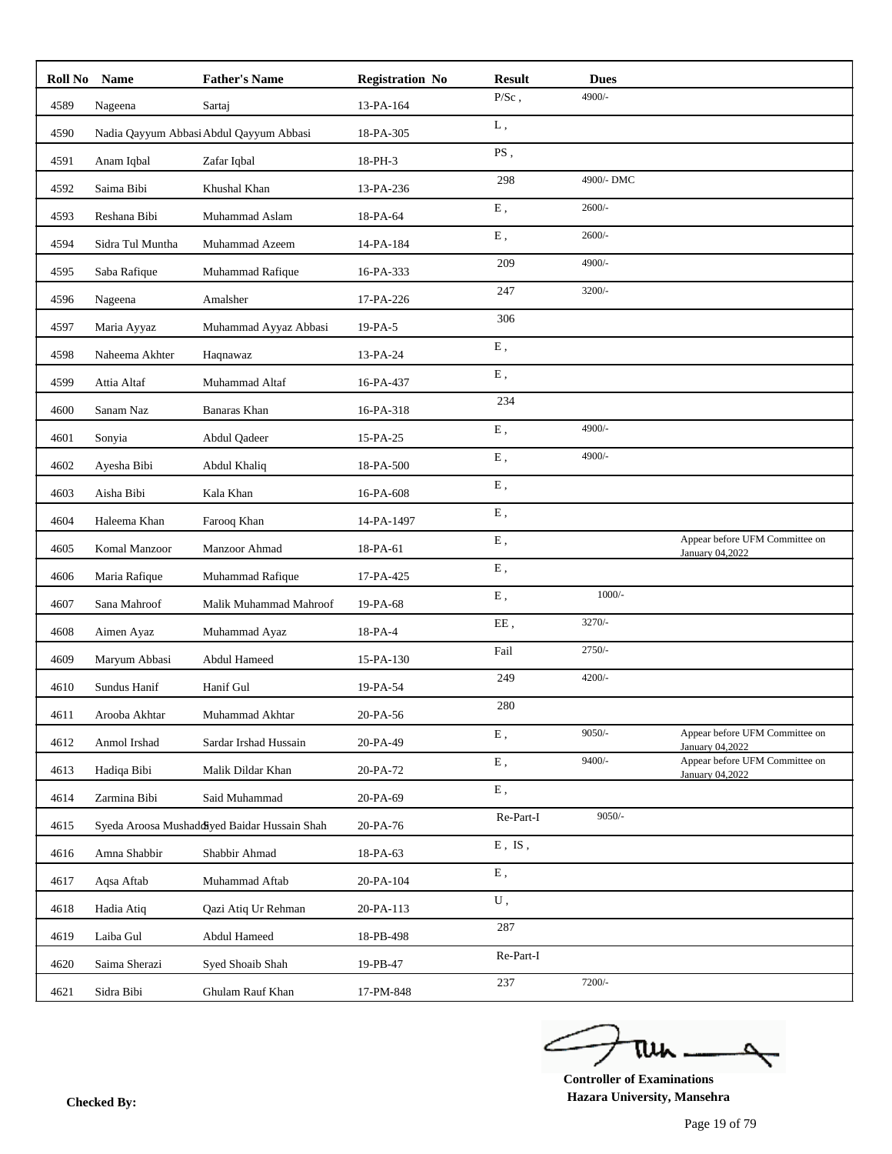|      | Roll No Name     | <b>Father's Name</b>                         | <b>Registration No</b> | <b>Result</b> | <b>Dues</b> |                                                   |
|------|------------------|----------------------------------------------|------------------------|---------------|-------------|---------------------------------------------------|
| 4589 | Nageena          | Sartaj                                       | 13-PA-164              | $P/Sc$ ,      | 4900/-      |                                                   |
| 4590 |                  | Nadia Qayyum Abbasi Abdul Qayyum Abbasi      | 18-PA-305              | ${\bf L}$ ,   |             |                                                   |
| 4591 | Anam Iqbal       | Zafar Iqbal                                  | 18-PH-3                | PS,           |             |                                                   |
| 4592 | Saima Bibi       | Khushal Khan                                 | 13-PA-236              | 298           | 4900/-DMC   |                                                   |
| 4593 | Reshana Bibi     | Muhammad Aslam                               | 18-PA-64               | E,            | $2600/-$    |                                                   |
| 4594 | Sidra Tul Muntha | Muhammad Azeem                               | 14-PA-184              | E,            | $2600/-$    |                                                   |
| 4595 | Saba Rafique     | Muhammad Rafique                             | 16-PA-333              | 209           | 4900/-      |                                                   |
| 4596 | Nageena          | Amalsher                                     | 17-PA-226              | 247           | $3200/-$    |                                                   |
| 4597 | Maria Ayyaz      | Muhammad Ayyaz Abbasi                        | 19-PA-5                | 306           |             |                                                   |
| 4598 | Naheema Akhter   | Haqnawaz                                     | 13-PA-24               | ${\bf E}$ ,   |             |                                                   |
| 4599 | Attia Altaf      | Muhammad Altaf                               | 16-PA-437              | ${\bf E}$ ,   |             |                                                   |
| 4600 | Sanam Naz        | Banaras Khan                                 | 16-PA-318              | 234           |             |                                                   |
| 4601 | Sonyia           | Abdul Qadeer                                 | 15-PA-25               | ${\bf E}$ ,   | 4900/-      |                                                   |
| 4602 | Ayesha Bibi      | Abdul Khaliq                                 | 18-PA-500              | ${\bf E}$ ,   | 4900/-      |                                                   |
| 4603 | Aisha Bibi       | Kala Khan                                    | 16-PA-608              | E,            |             |                                                   |
| 4604 | Haleema Khan     | Farooq Khan                                  | 14-PA-1497             | ${\bf E}$ ,   |             |                                                   |
| 4605 | Komal Manzoor    | Manzoor Ahmad                                | 18-PA-61               | ${\bf E}$ ,   |             | Appear before UFM Committee on<br>January 04,2022 |
| 4606 | Maria Rafique    | Muhammad Rafique                             | 17-PA-425              | ${\bf E}$ ,   |             |                                                   |
| 4607 | Sana Mahroof     | Malik Muhammad Mahroof                       | 19-PA-68               | ${\bf E}$ ,   | $1000/-$    |                                                   |
| 4608 | Aimen Ayaz       | Muhammad Ayaz                                | 18-PA-4                | EE,           | $3270/-$    |                                                   |
| 4609 | Maryum Abbasi    | Abdul Hameed                                 | 15-PA-130              | Fail          | $2750/-$    |                                                   |
| 4610 | Sundus Hanif     | Hanif Gul                                    | 19-PA-54               | 249           | $4200/-$    |                                                   |
| 4611 | Arooba Akhtar    | Muhammad Akhtar                              | 20-PA-56               | 280           |             |                                                   |
| 4612 | Anmol Irshad     | Sardar Irshad Hussain                        | 20-PA-49               | Ε,            | $9050/-$    | Appear before UFM Committee on<br>January 04,2022 |
| 4613 | Hadiqa Bibi      | Malik Dildar Khan                            | 20-PA-72               | ${\bf E}$ ,   | $9400/-$    | Appear before UFM Committee on<br>January 04,2022 |
| 4614 | Zarmina Bibi     | Said Muhammad                                | 20-PA-69               | ${\bf E}$ ,   |             |                                                   |
| 4615 |                  | Syeda Aroosa Mushaddiyed Baidar Hussain Shah | 20-PA-76               | Re-Part-I     | $9050/-$    |                                                   |
| 4616 | Amna Shabbir     | Shabbir Ahmad                                | 18-PA-63               | $E$ , $IS$ ,  |             |                                                   |
| 4617 | Aqsa Aftab       | Muhammad Aftab                               | 20-PA-104              | ${\bf E}$ ,   |             |                                                   |
| 4618 | Hadia Atiq       | Qazi Atiq Ur Rehman                          | 20-PA-113              | ${\bf U}$ ,   |             |                                                   |
| 4619 | Laiba Gul        | Abdul Hameed                                 | 18-PB-498              | 287           |             |                                                   |
| 4620 | Saima Sherazi    | Syed Shoaib Shah                             | 19-PB-47               | Re-Part-I     |             |                                                   |
| 4621 | Sidra Bibi       | Ghulam Rauf Khan                             | 17-PM-848              | 237           | $7200/-$    |                                                   |
|      |                  |                                              |                        |               |             |                                                   |

ے tui

**Controller of Examinations Hazara University, Mansehra Checked By:**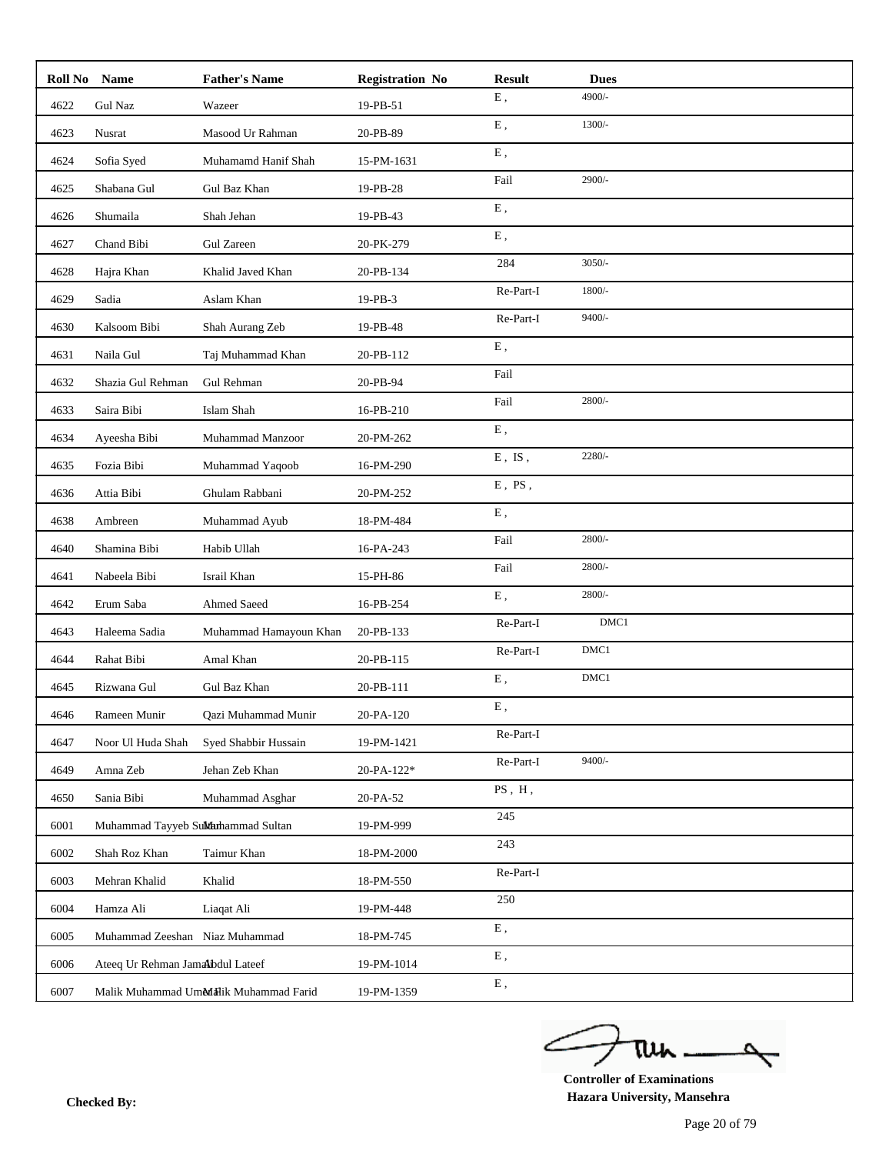| Roll No | <b>Name</b>                       | <b>Father's Name</b>                  | <b>Registration No</b> | <b>Result</b> | <b>Dues</b> |
|---------|-----------------------------------|---------------------------------------|------------------------|---------------|-------------|
| 4622    | <b>Gul Naz</b>                    | Wazeer                                | 19-PB-51               | ${\bf E}$ ,   | 4900/-      |
| 4623    | Nusrat                            | Masood Ur Rahman                      | 20-PB-89               | ${\bf E}$ ,   | $1300/-$    |
| 4624    | Sofia Syed                        | Muhamamd Hanif Shah                   | 15-PM-1631             | E,            |             |
| 4625    | Shabana Gul                       | Gul Baz Khan                          | 19-PB-28               | Fail          | 2900/-      |
| 4626    | Shumaila                          | Shah Jehan                            | 19-PB-43               | ${\bf E}$ ,   |             |
| 4627    | Chand Bibi                        | Gul Zareen                            | 20-PK-279              | E,            |             |
| 4628    | Hajra Khan                        | Khalid Javed Khan                     | 20-PB-134              | 284           | $3050/-$    |
| 4629    | Sadia                             | Aslam Khan                            | 19-PB-3                | Re-Part-I     | $1800/-$    |
| 4630    | Kalsoom Bibi                      | Shah Aurang Zeb                       | 19-PB-48               | Re-Part-I     | $9400/-$    |
| 4631    | Naila Gul                         | Taj Muhammad Khan                     | 20-PB-112              | ${\bf E}$ ,   |             |
| 4632    | Shazia Gul Rehman                 | Gul Rehman                            | 20-PB-94               | Fail          |             |
| 4633    | Saira Bibi                        | Islam Shah                            | 16-PB-210              | Fail          | 2800/-      |
| 4634    | Ayeesha Bibi                      | Muhammad Manzoor                      | 20-PM-262              | E,            |             |
| 4635    | Fozia Bibi                        | Muhammad Yaqoob                       | 16-PM-290              | $E$ , IS,     | 2280/-      |
| 4636    | Attia Bibi                        | Ghulam Rabbani                        | 20-PM-252              | $E$ , $PS$ ,  |             |
| 4638    | Ambreen                           | Muhammad Ayub                         | 18-PM-484              | E,            |             |
| 4640    | Shamina Bibi                      | Habib Ullah                           | 16-PA-243              | Fail          | $2800/-$    |
| 4641    | Nabeela Bibi                      | Israil Khan                           | 15-PH-86               | Fail          | 2800/-      |
| 4642    | Erum Saba                         | Ahmed Saeed                           | 16-PB-254              | ${\bf E}$ ,   | 2800/-      |
| 4643    | Haleema Sadia                     | Muhammad Hamayoun Khan                | 20-PB-133              | Re-Part-I     | DMC1        |
| 4644    | Rahat Bibi                        | Amal Khan                             | 20-PB-115              | Re-Part-I     | DMC1        |
| 4645    | Rizwana Gul                       | Gul Baz Khan                          | 20-PB-111              | ${\bf E}$ ,   | DMC1        |
| 4646    | Rameen Munir                      | Qazi Muhammad Munir                   | 20-PA-120              | E,            |             |
| 4647    | Noor Ul Huda Shah                 | Syed Shabbir Hussain                  | 19-PM-1421             | Re-Part-I     |             |
| 4649    | Amna Zeb                          | Jehan Zeb Khan                        | 20-PA-122*             | Re-Part-I     | 9400/-      |
| 4650    | Sania Bibi                        | Muhammad Asghar                       | 20-PA-52               | PS, H,        |             |
| 6001    | Muhammad Tayyeb SuMuhammad Sultan |                                       | 19-PM-999              | 245           |             |
| 6002    | Shah Roz Khan                     | Taimur Khan                           | 18-PM-2000             | 243           |             |
| 6003    | Mehran Khalid                     | Khalid                                | 18-PM-550              | Re-Part-I     |             |
| 6004    | Hamza Ali                         | Liaqat Ali                            | 19-PM-448              | 250           |             |
| 6005    | Muhammad Zeeshan Niaz Muhammad    |                                       | 18-PM-745              | ${\bf E}$ ,   |             |
| 6006    | Ateeq Ur Rehman Jamalbdul Lateef  |                                       | 19-PM-1014             | ${\bf E}$ ,   |             |
| 6007    |                                   | Malik Muhammad UmMalik Muhammad Farid | 19-PM-1359             | ${\bf E}$ ,   |             |

ے tui

**Controller of Examinations Hazara University, Mansehra Checked By:**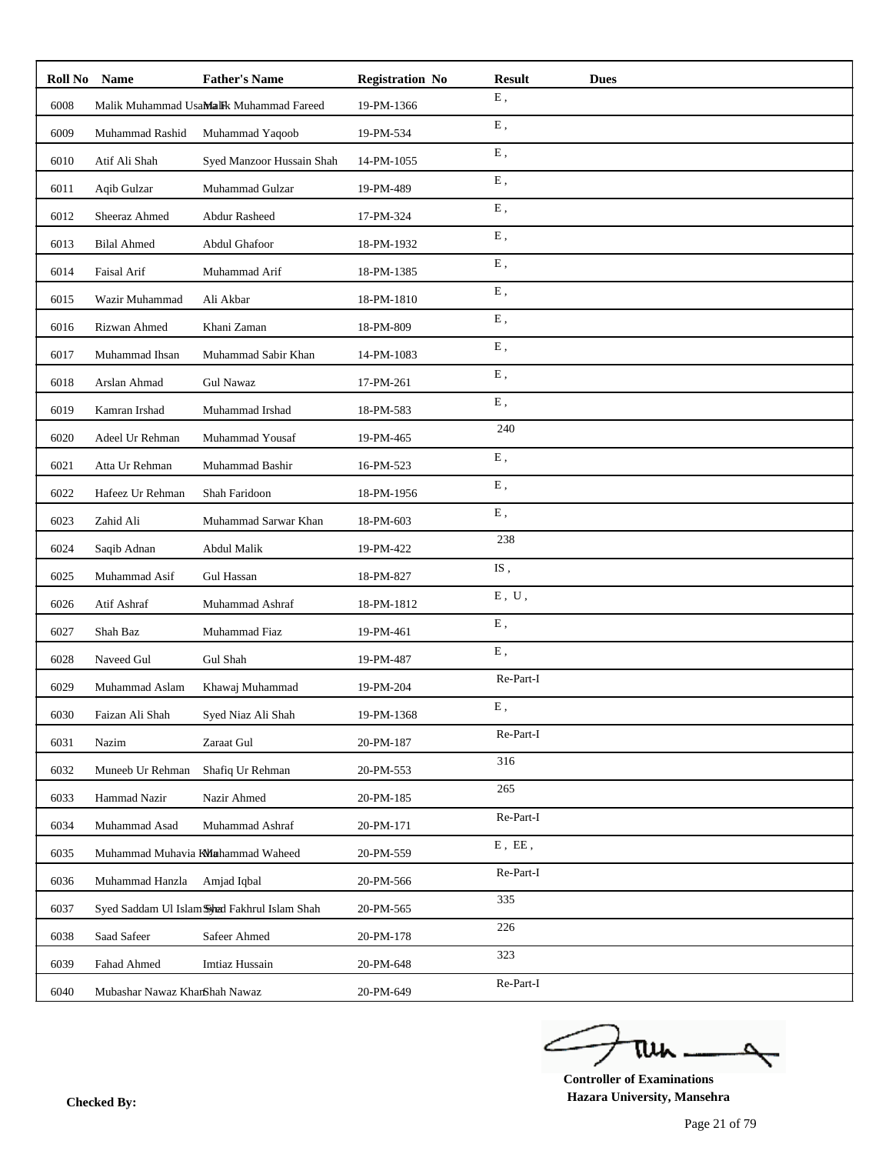| Roll No | <b>Name</b>                   | <b>Father's Name</b>                          | <b>Registration No</b> | <b>Result</b>             | <b>Dues</b> |
|---------|-------------------------------|-----------------------------------------------|------------------------|---------------------------|-------------|
| 6008    |                               | Malik Muhammad UsaMalik Muhammad Fareed       | 19-PM-1366             | Ε,                        |             |
| 6009    | Muhammad Rashid               | Muhammad Yaqoob                               | 19-PM-534              | ${\bf E}$ ,               |             |
| 6010    | Atif Ali Shah                 | Syed Manzoor Hussain Shah                     | 14-PM-1055             | E,                        |             |
| 6011    | Aqib Gulzar                   | Muhammad Gulzar                               | 19-PM-489              | E,                        |             |
| 6012    | Sheeraz Ahmed                 | <b>Abdur Rasheed</b>                          | 17-PM-324              | E,                        |             |
| 6013    | <b>Bilal Ahmed</b>            | Abdul Ghafoor                                 | 18-PM-1932             | E,                        |             |
| 6014    | Faisal Arif                   | Muhammad Arif                                 | 18-PM-1385             | ${\bf E}$ ,               |             |
| 6015    | Wazir Muhammad                | Ali Akbar                                     | 18-PM-1810             | E,                        |             |
| 6016    | Rizwan Ahmed                  | Khani Zaman                                   | 18-PM-809              | Ε,                        |             |
| 6017    | Muhammad Ihsan                | Muhammad Sabir Khan                           | 14-PM-1083             | ${\bf E}$ ,               |             |
| 6018    | Arslan Ahmad                  | <b>Gul Nawaz</b>                              | 17-PM-261              | E,                        |             |
| 6019    | Kamran Irshad                 | Muhammad Irshad                               | 18-PM-583              | ${\bf E}$ ,               |             |
| 6020    | Adeel Ur Rehman               | Muhammad Yousaf                               | 19-PM-465              | 240                       |             |
| 6021    | Atta Ur Rehman                | Muhammad Bashir                               | 16-PM-523              | ${\bf E}$ ,               |             |
| 6022    | Hafeez Ur Rehman              | Shah Faridoon                                 | 18-PM-1956             | E,                        |             |
| 6023    | Zahid Ali                     | Muhammad Sarwar Khan                          | 18-PM-603              | E,                        |             |
| 6024    | Saqib Adnan                   | Abdul Malik                                   | 19-PM-422              | 238                       |             |
| 6025    | Muhammad Asif                 | Gul Hassan                                    | 18-PM-827              | IS,                       |             |
| 6026    | Atif Ashraf                   | Muhammad Ashraf                               | 18-PM-1812             | ${\bf E}$ , $\;{\bf U}$ , |             |
| 6027    | Shah Baz                      | Muhammad Fiaz                                 | 19-PM-461              | ${\bf E}$ ,               |             |
| 6028    | Naveed Gul                    | Gul Shah                                      | 19-PM-487              | E,                        |             |
| 6029    | Muhammad Aslam                | Khawaj Muhammad                               | 19-PM-204              | Re-Part-I                 |             |
| 6030    | Faizan Ali Shah               | Syed Niaz Ali Shah                            | 19-PM-1368             | E,                        |             |
| 6031    | Nazim                         | Zaraat Gul                                    | 20-PM-187              | Re-Part-I                 |             |
| 6032    | Muneeb Ur Rehman              | Shafiq Ur Rehman                              | 20-PM-553              | 316                       |             |
| 6033    | Hammad Nazir                  | Nazir Ahmed                                   | 20-PM-185              | 265                       |             |
| 6034    | Muhammad Asad                 | Muhammad Ashraf                               | 20-PM-171              | Re-Part-I                 |             |
| 6035    |                               | Muhammad Muhavia KMahammad Waheed             | 20-PM-559              | $E$ , $E\bar{E}$ ,        |             |
| 6036    | Muhammad Hanzla               | Amjad Iqbal                                   | 20-PM-566              | Re-Part-I                 |             |
| 6037    |                               | Syed Saddam Ul Islam Strad Fakhrul Islam Shah | 20-PM-565              | 335                       |             |
| 6038    | Saad Safeer                   | Safeer Ahmed                                  | 20-PM-178              | 226                       |             |
| 6039    | Fahad Ahmed                   | Imtiaz Hussain                                | 20-PM-648              | 323                       |             |
| 6040    | Mubashar Nawaz KhanShah Nawaz |                                               | 20-PM-649              | Re-Part-I                 |             |

ے tui

**Controller of Examinations Hazara University, Mansehra Checked By:**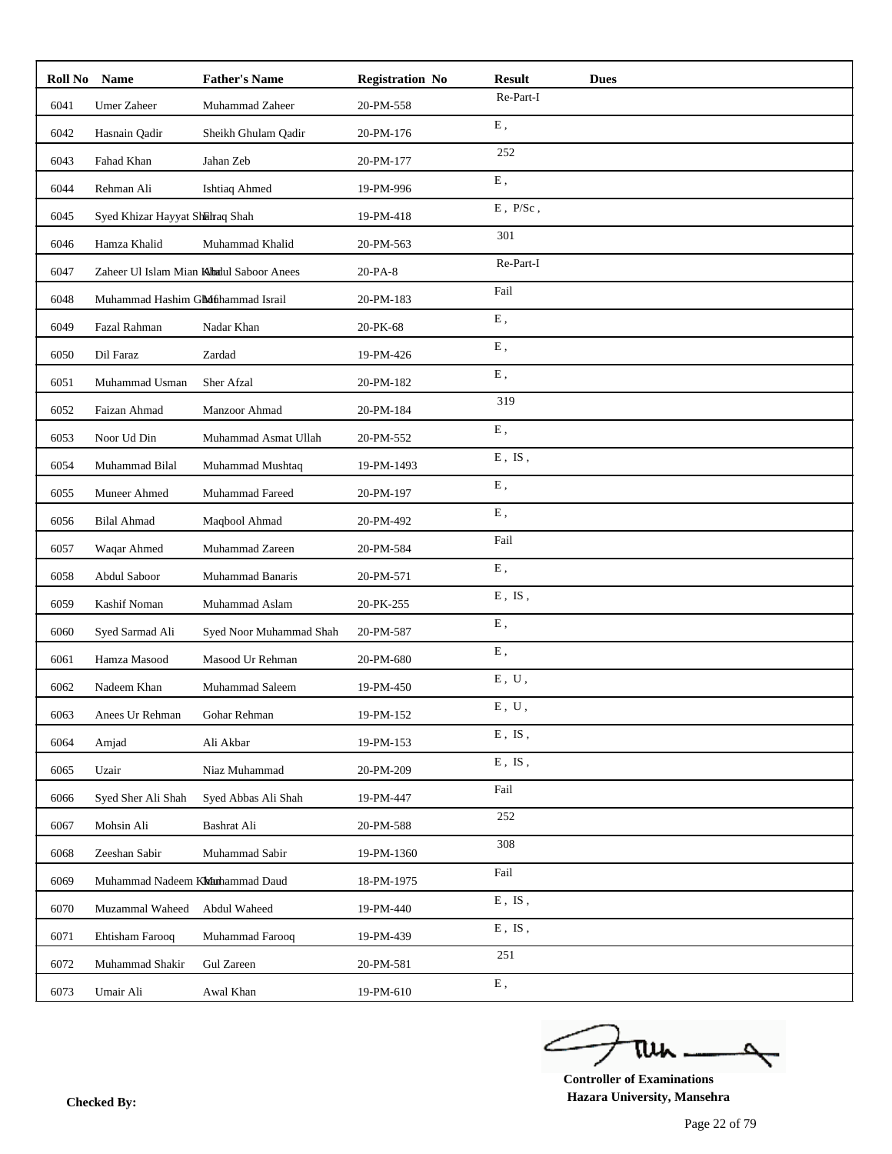| Roll No | Name                              | <b>Father's Name</b>                     | <b>Registration No</b> | <b>Result</b><br><b>Dues</b> |
|---------|-----------------------------------|------------------------------------------|------------------------|------------------------------|
| 6041    | <b>Umer Zaheer</b>                | Muhammad Zaheer                          | 20-PM-558              | Re-Part-I                    |
| 6042    | Hasnain Qadir                     | Sheikh Ghulam Qadir                      | 20-PM-176              | ${\bf E}$ ,                  |
| 6043    | Fahad Khan                        | Jahan Zeb                                | 20-PM-177              | 252                          |
| 6044    | Rehman Ali                        | <b>Ishtiaq Ahmed</b>                     | 19-PM-996              | ${\bf E}$ ,                  |
| 6045    | Syed Khizar Hayyat Shahraq Shah   |                                          | 19-PM-418              | $E$ , $P/Sc$ ,               |
| 6046    | Hamza Khalid                      | Muhammad Khalid                          | 20-PM-563              | 301                          |
| 6047    |                                   | Zaheer Ul Islam Mian Khadul Saboor Anees | 20-PA-8                | Re-Part-I                    |
| 6048    | Muhammad Hashim Gluthammad Israil |                                          | 20-PM-183              | Fail                         |
| 6049    | Fazal Rahman                      | Nadar Khan                               | 20-PK-68               | E,                           |
| 6050    | Dil Faraz                         | Zardad                                   | 19-PM-426              | ${\bf E}$ ,                  |
| 6051    | Muhammad Usman                    | Sher Afzal                               | 20-PM-182              | E,                           |
| 6052    | Faizan Ahmad                      | Manzoor Ahmad                            | 20-PM-184              | 319                          |
| 6053    | Noor Ud Din                       | Muhammad Asmat Ullah                     | 20-PM-552              | E,                           |
| 6054    | Muhammad Bilal                    | Muhammad Mushtaq                         | 19-PM-1493             | $E$ , IS,                    |
| 6055    | Muneer Ahmed                      | Muhammad Fareed                          | 20-PM-197              | E,                           |
| 6056    | <b>Bilal Ahmad</b>                | Maqbool Ahmad                            | 20-PM-492              | E,                           |
| 6057    | Waqar Ahmed                       | Muhammad Zareen                          | 20-PM-584              | Fail                         |
| 6058    | Abdul Saboor                      | Muhammad Banaris                         | 20-PM-571              | E,                           |
| 6059    | Kashif Noman                      | Muhammad Aslam                           | 20-PK-255              | $E$ , $IS$ ,                 |
| 6060    | Syed Sarmad Ali                   | Syed Noor Muhammad Shah                  | 20-PM-587              | ${\bf E}$ ,                  |
| 6061    | Hamza Masood                      | Masood Ur Rehman                         | 20-PM-680              | E,                           |
| 6062    | Nadeem Khan                       | Muhammad Saleem                          | 19-PM-450              | ${\bf E}$ , $\;{\bf U}$ ,    |
| 6063    | Anees Ur Rehman                   | Gohar Rehman                             | 19-PM-152              | ${\bf E}$ , $\;{\bf U}$ ,    |
| 6064    | Amjad                             | Ali Akbar                                | 19-PM-153              | $E$ , IS,                    |
| 6065    | Uzair                             | Niaz Muhammad                            | 20-PM-209              | $E$ , $IS$ ,                 |
| 6066    | Syed Sher Ali Shah                | Syed Abbas Ali Shah                      | 19-PM-447              | Fail                         |
| 6067    | Mohsin Ali                        | Bashrat Ali                              | 20-PM-588              | 252                          |
| 6068    | Zeeshan Sabir                     | Muhammad Sabir                           | 19-PM-1360             | 308                          |
| 6069    | Muhammad Nadeem Klahammad Daud    |                                          | 18-PM-1975             | Fail                         |
| 6070    | Muzammal Waheed                   | Abdul Waheed                             | 19-PM-440              | $E$ , IS,                    |
| 6071    | Ehtisham Farooq                   | Muhammad Farooq                          | 19-PM-439              | $E$ , IS,                    |
| 6072    | Muhammad Shakir                   | Gul Zareen                               | 20-PM-581              | 251                          |
| 6073    | Umair Ali                         | Awal Khan                                | 19-PM-610              | ${\bf E}$ ,                  |

ے tun 

**Controller of Examinations Hazara University, Mansehra Checked By:**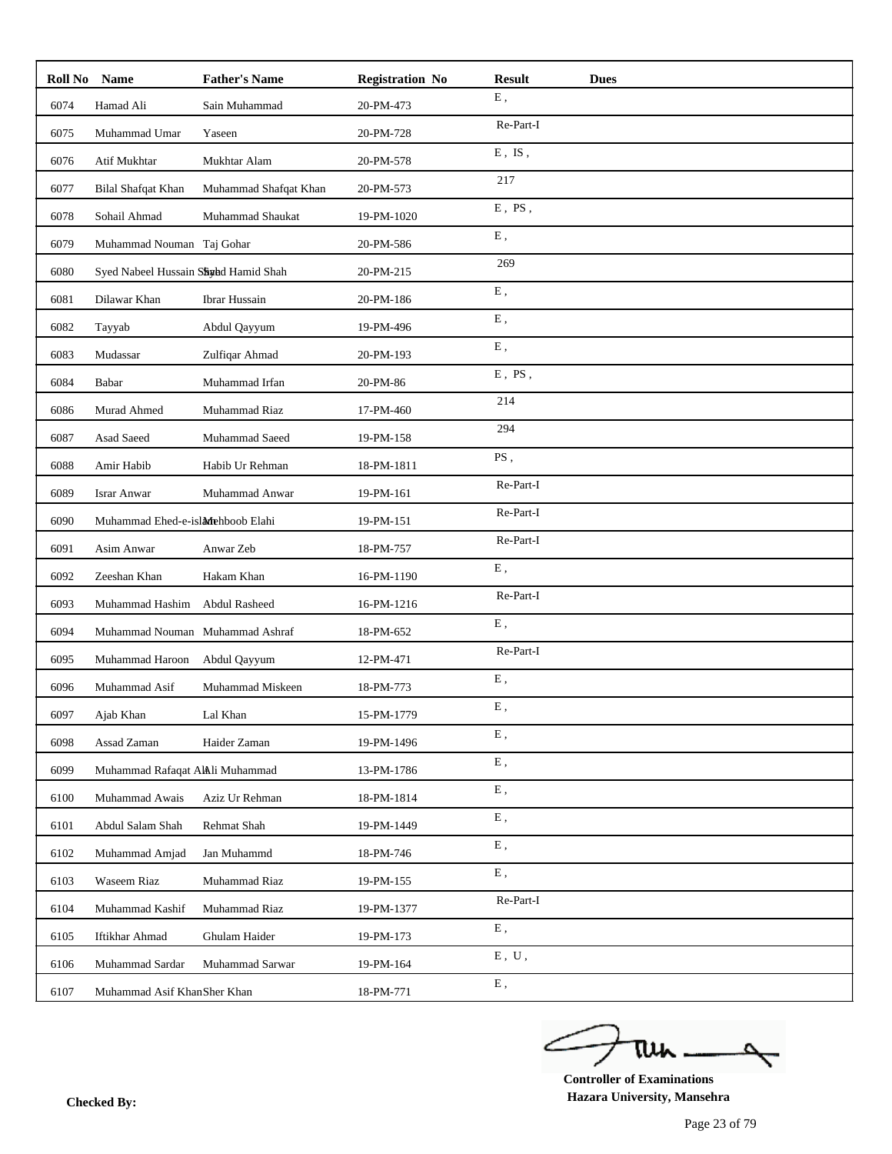| Roll No | <b>Name</b>                          | <b>Father's Name</b>  | <b>Registration No</b> | <b>Result</b><br><b>Dues</b> |
|---------|--------------------------------------|-----------------------|------------------------|------------------------------|
| 6074    | Hamad Ali                            | Sain Muhammad         | 20-PM-473              | ${\bf E}$ ,                  |
| 6075    | Muhammad Umar                        | Yaseen                | 20-PM-728              | Re-Part-I                    |
| 6076    | Atif Mukhtar                         | Mukhtar Alam          | 20-PM-578              | $E$ , IS,                    |
| 6077    | Bilal Shafqat Khan                   | Muhammad Shafqat Khan | 20-PM-573              | 217                          |
| 6078    | Sohail Ahmad                         | Muhammad Shaukat      | 19-PM-1020             | $E$ , PS,                    |
| 6079    | Muhammad Nouman Taj Gohar            |                       | 20-PM-586              | E,                           |
| 6080    | Syed Nabeel Hussain Shydd Hamid Shah |                       | 20-PM-215              | 269                          |
| 6081    | Dilawar Khan                         | Ibrar Hussain         | 20-PM-186              | E,                           |
| 6082    | Tayyab                               | Abdul Qayyum          | 19-PM-496              | E,                           |
| 6083    | Mudassar                             | Zulfiqar Ahmad        | 20-PM-193              | ${\bf E}$ ,                  |
| 6084    | Babar                                | Muhammad Irfan        | 20-PM-86               | $E$ , $PS$ ,                 |
| 6086    | Murad Ahmed                          | Muhammad Riaz         | 17-PM-460              | 214                          |
| 6087    | Asad Saeed                           | Muhammad Saeed        | 19-PM-158              | 294                          |
| 6088    | Amir Habib                           | Habib Ur Rehman       | 18-PM-1811             | PS,                          |
| 6089    | <b>Israr Anwar</b>                   | Muhammad Anwar        | 19-PM-161              | Re-Part-I                    |
| 6090    | Muhammad Ehed-e-islanehboob Elahi    |                       | 19-PM-151              | Re-Part-I                    |
| 6091    | Asim Anwar                           | Anwar Zeb             | 18-PM-757              | Re-Part-I                    |
| 6092    | Zeeshan Khan                         | Hakam Khan            | 16-PM-1190             | E,                           |
| 6093    | Muhammad Hashim                      | Abdul Rasheed         | 16-PM-1216             | Re-Part-I                    |
| 6094    | Muhammad Nouman Muhammad Ashraf      |                       | 18-PM-652              | ${\bf E}$ ,                  |
| 6095    | Muhammad Haroon                      | Abdul Qayyum          | 12-PM-471              | Re-Part-I                    |
| 6096    | Muhammad Asif                        | Muhammad Miskeen      | 18-PM-773              | ${\bf E}$ ,                  |
| 6097    | Ajab Khan                            | Lal Khan              | 15-PM-1779             | E,                           |
| 6098    | Assad Zaman                          | Haider Zaman          | 19-PM-1496             | E,                           |
| 6099    | Muhammad Rafaqat AlAli Muhammad      |                       | 13-PM-1786             | ${\bf E}$ ,                  |
| 6100    | Muhammad Awais                       | Aziz Ur Rehman        | 18-PM-1814             | ${\bf E}$ ,                  |
| 6101    | Abdul Salam Shah                     | Rehmat Shah           | 19-PM-1449             | E,                           |
| 6102    | Muhammad Amjad                       | Jan Muhammd           | 18-PM-746              | ${\bf E}$ ,                  |
| 6103    | Waseem Riaz                          | Muhammad Riaz         | 19-PM-155              | ${\bf E}$ ,                  |
| 6104    | Muhammad Kashif                      | Muhammad Riaz         | 19-PM-1377             | Re-Part-I                    |
| 6105    | Iftikhar Ahmad                       | Ghulam Haider         | 19-PM-173              | ${\bf E}$ ,                  |
| 6106    | Muhammad Sardar                      | Muhammad Sarwar       | 19-PM-164              | ${\bf E}$ , $\;{\bf U}$ ,    |
| 6107    | Muhammad Asif KhanSher Khan          |                       | 18-PM-771              | ${\bf E}$ ,                  |

ے tui

**Controller of Examinations Hazara University, Mansehra Checked By:**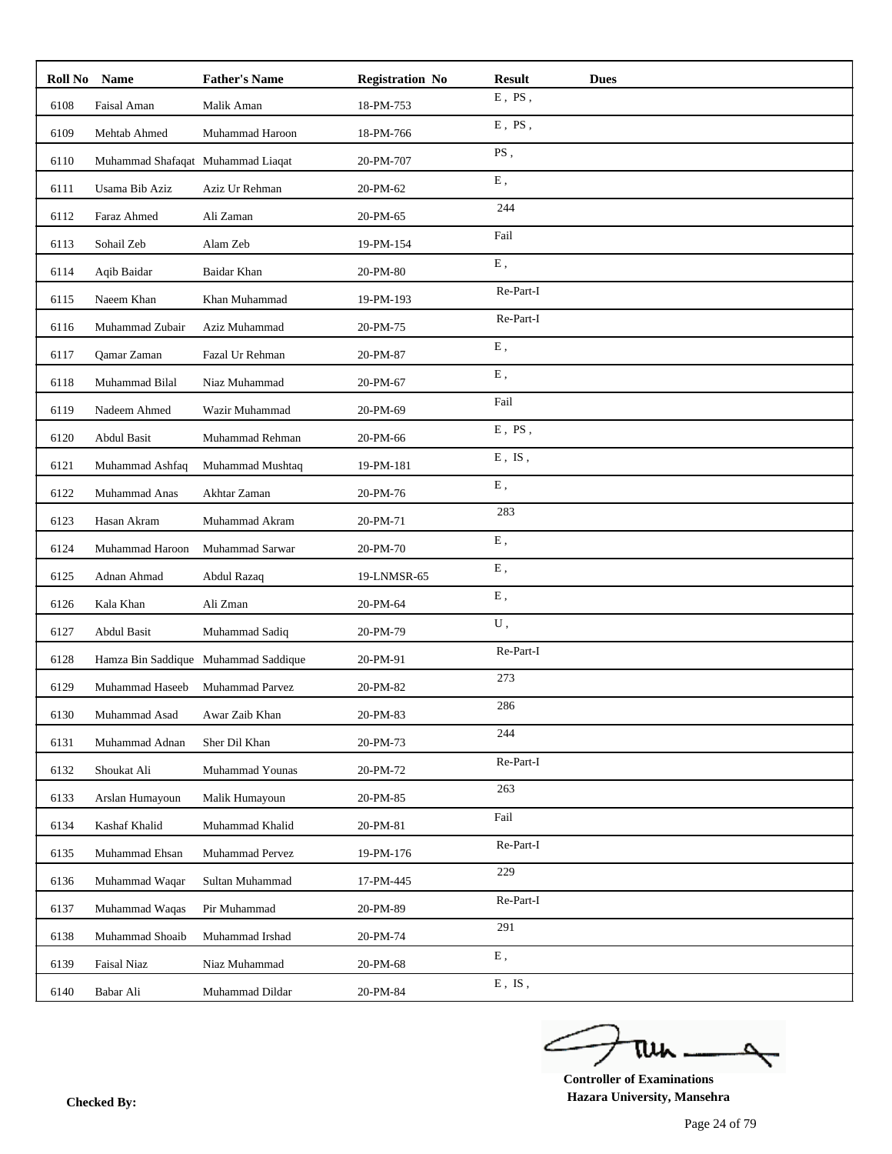| Roll No | <b>Name</b>                       | <b>Father's Name</b>                 | <b>Registration No</b> | <b>Result</b>            | <b>Dues</b> |
|---------|-----------------------------------|--------------------------------------|------------------------|--------------------------|-------------|
| 6108    | Faisal Aman                       | Malik Aman                           | 18-PM-753              | $E$ , PS,                |             |
| 6109    | Mehtab Ahmed                      | Muhammad Haroon                      | 18-PM-766              | $E$ , $PS$ ,             |             |
| 6110    | Muhammad Shafaqat Muhammad Liaqat |                                      | 20-PM-707              | PS,                      |             |
| 6111    | Usama Bib Aziz                    | Aziz Ur Rehman                       | 20-PM-62               | E,                       |             |
| 6112    | Faraz Ahmed                       | Ali Zaman                            | 20-PM-65               | 244                      |             |
| 6113    | Sohail Zeb                        | Alam Zeb                             | 19-PM-154              | Fail                     |             |
| 6114    | Aqib Baidar                       | Baidar Khan                          | 20-PM-80               | ${\bf E}$ ,              |             |
| 6115    | Naeem Khan                        | Khan Muhammad                        | 19-PM-193              | Re-Part-I                |             |
| 6116    | Muhammad Zubair                   | Aziz Muhammad                        | 20-PM-75               | Re-Part-I                |             |
| 6117    | Qamar Zaman                       | Fazal Ur Rehman                      | 20-PM-87               | ${\bf E}$ ,              |             |
| 6118    | Muhammad Bilal                    | Niaz Muhammad                        | 20-PM-67               | E,                       |             |
| 6119    | Nadeem Ahmed                      | Wazir Muhammad                       | 20-PM-69               | Fail                     |             |
| 6120    | Abdul Basit                       | Muhammad Rehman                      | 20-PM-66               | $E$ , $PS$ ,             |             |
| 6121    | Muhammad Ashfaq                   | Muhammad Mushtaq                     | 19-PM-181              | $E$ , $IS$ ,             |             |
| 6122    | Muhammad Anas                     | Akhtar Zaman                         | 20-PM-76               | E,                       |             |
| 6123    | Hasan Akram                       | Muhammad Akram                       | 20-PM-71               | 283                      |             |
| 6124    | Muhammad Haroon                   | Muhammad Sarwar                      | 20-PM-70               | ${\bf E}$ ,              |             |
| 6125    | Adnan Ahmad                       | Abdul Razaq                          | 19-LNMSR-65            | ${\bf E}$ ,              |             |
| 6126    | Kala Khan                         | Ali Zman                             | 20-PM-64               | ${\bf E}$ ,              |             |
| 6127    | Abdul Basit                       | Muhammad Sadiq                       | 20-PM-79               | ${\bf U}$ ,              |             |
| 6128    |                                   | Hamza Bin Saddique Muhammad Saddique | 20-PM-91               | Re-Part-I                |             |
| 6129    | Muhammad Haseeb                   | Muhammad Parvez                      | 20-PM-82               | 273                      |             |
| 6130    | Muhammad Asad                     | Awar Zaib Khan                       | 20-PM-83               | 286                      |             |
| 6131    | Muhammad Adnan                    | Sher Dil Khan                        | 20-PM-73               | 244                      |             |
| 6132    | Shoukat Ali                       | Muhammad Younas                      | 20-PM-72               | Re-Part-I                |             |
| 6133    | Arslan Humayoun                   | Malik Humayoun                       | 20-PM-85               | 263                      |             |
| 6134    | Kashaf Khalid                     | Muhammad Khalid                      | 20-PM-81               | Fail                     |             |
| 6135    | Muhammad Ehsan                    | Muhammad Pervez                      | 19-PM-176              | Re-Part-I                |             |
| 6136    | Muhammad Waqar                    | Sultan Muhammad                      | 17-PM-445              | 229                      |             |
| 6137    | Muhammad Waqas                    | Pir Muhammad                         | 20-PM-89               | Re-Part-I                |             |
| 6138    | Muhammad Shoaib                   | Muhammad Irshad                      | 20-PM-74               | 291                      |             |
| 6139    | Faisal Niaz                       | Niaz Muhammad                        | 20-PM-68               | ${\bf E}$ ,              |             |
| 6140    | Babar Ali                         | Muhammad Dildar                      | $20$ -PM-84 $\,$       | ${\bf E}$ , ${\bf IS}$ , |             |

ے tui

**Controller of Examinations Hazara University, Mansehra Checked By:**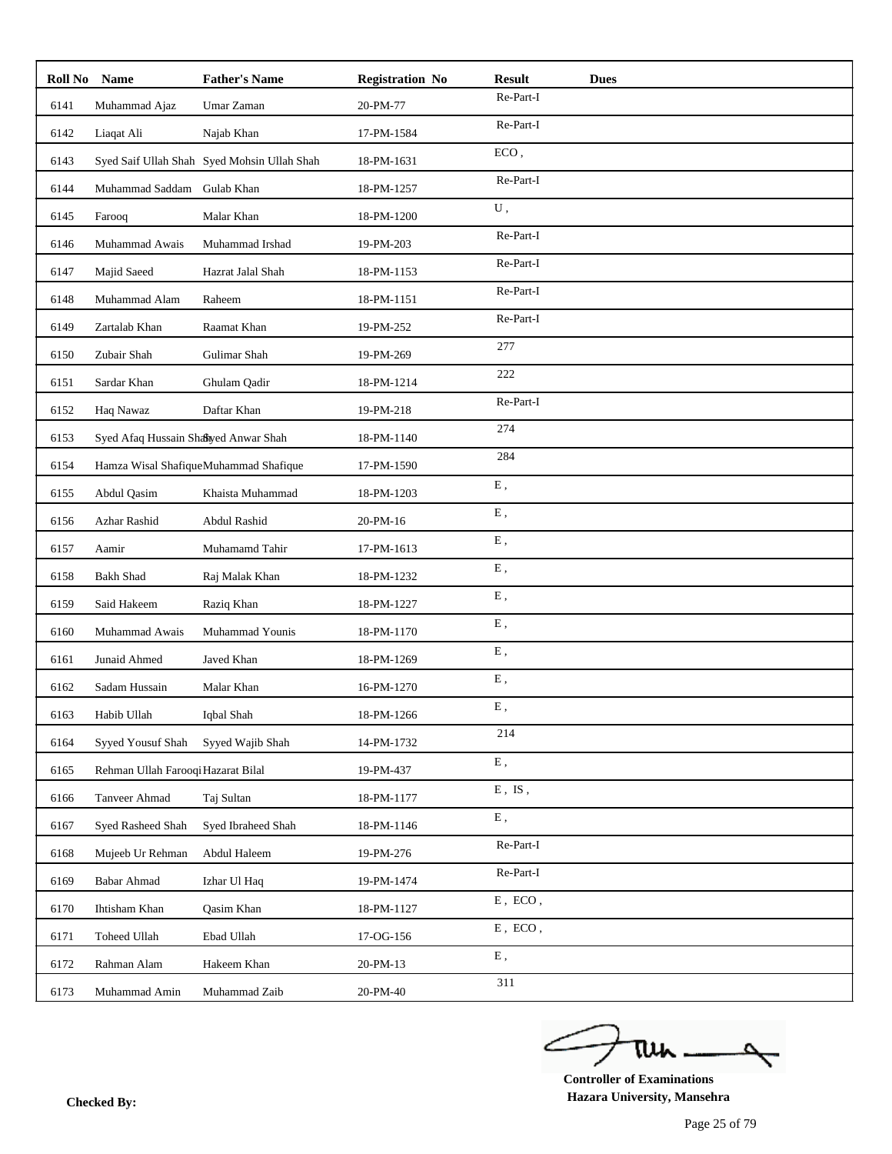| Roll No | <b>Name</b>                          | <b>Father's Name</b>                        | <b>Registration No</b> | <b>Result</b><br><b>Dues</b>                |
|---------|--------------------------------------|---------------------------------------------|------------------------|---------------------------------------------|
| 6141    | Muhammad Ajaz                        | Umar Zaman                                  | 20-PM-77               | Re-Part-I                                   |
| 6142    | Liaqat Ali                           | Najab Khan                                  | 17-PM-1584             | Re-Part-I                                   |
| 6143    |                                      | Syed Saif Ullah Shah Syed Mohsin Ullah Shah | 18-PM-1631             | ECO,                                        |
| 6144    | Muhammad Saddam                      | Gulab Khan                                  | 18-PM-1257             | Re-Part-I                                   |
| 6145    | Farooq                               | Malar Khan                                  | 18-PM-1200             | U,                                          |
| 6146    | Muhammad Awais                       | Muhammad Irshad                             | 19-PM-203              | Re-Part-I                                   |
| 6147    | Majid Saeed                          | Hazrat Jalal Shah                           | 18-PM-1153             | Re-Part-I                                   |
| 6148    | Muhammad Alam                        | Raheem                                      | 18-PM-1151             | Re-Part-I                                   |
| 6149    | Zartalab Khan                        | Raamat Khan                                 | 19-PM-252              | Re-Part-I                                   |
| 6150    | Zubair Shah                          | Gulimar Shah                                | 19-PM-269              | 277                                         |
| 6151    | Sardar Khan                          | Ghulam Qadir                                | 18-PM-1214             | 222                                         |
| 6152    | Haq Nawaz                            | Daftar Khan                                 | 19-PM-218              | Re-Part-I                                   |
| 6153    | Syed Afaq Hussain Shabyed Anwar Shah |                                             | 18-PM-1140             | 274                                         |
| 6154    |                                      | Hamza Wisal ShafiqueMuhammad Shafique       | 17-PM-1590             | 284                                         |
| 6155    | Abdul Qasim                          | Khaista Muhammad                            | 18-PM-1203             | E,                                          |
| 6156    | Azhar Rashid                         | Abdul Rashid                                | 20-PM-16               | ${\bf E}$ ,                                 |
| 6157    | Aamir                                | Muhamamd Tahir                              | 17-PM-1613             | ${\bf E}$ ,                                 |
| 6158    | <b>Bakh Shad</b>                     | Raj Malak Khan                              | 18-PM-1232             | E,                                          |
| 6159    | Said Hakeem                          | Raziq Khan                                  | 18-PM-1227             | ${\bf E}$ ,                                 |
| 6160    | Muhammad Awais                       | Muhammad Younis                             | 18-PM-1170             | ${\bf E}$ ,                                 |
| 6161    | Junaid Ahmed                         | Javed Khan                                  | 18-PM-1269             | E,                                          |
| 6162    | Sadam Hussain                        | Malar Khan                                  | 16-PM-1270             | ${\bf E}$ ,                                 |
| 6163    | Habib Ullah                          | Iqbal Shah                                  | 18-PM-1266             | E,                                          |
| 6164    | Syyed Yousuf Shah                    | Syyed Wajib Shah                            | 14-PM-1732             | 214                                         |
| 6165    | Rehman Ullah Farooqi Hazarat Bilal   |                                             | 19-PM-437              | ${\bf E}$ ,                                 |
| 6166    | Tanveer Ahmad                        | Taj Sultan                                  | 18-PM-1177             | ${\bf E}$ , $\;{\bf IS}$ ,                  |
| 6167    | Syed Rasheed Shah                    | Syed Ibraheed Shah                          | 18-PM-1146             | ${\bf E}$ ,                                 |
| 6168    | Mujeeb Ur Rehman                     | Abdul Haleem                                | 19-PM-276              | Re-Part-I                                   |
| 6169    | <b>Babar Ahmad</b>                   | Izhar Ul Haq                                | 19-PM-1474             | $\mbox{Re-Part-I}$                          |
| 6170    | Ihtisham Khan                        | Qasim Khan                                  | 18-PM-1127             | $E$ , $ECO$ , $\,$                          |
| 6171    | Toheed Ullah                         | Ebad Ullah                                  | 17-OG-156              | ${\bf E}$ , $\,\mathop{\rm ECO}\nolimits$ , |
| 6172    | Rahman Alam                          | Hakeem Khan                                 | 20-PM-13               | ${\bf E}$ ,                                 |
| 6173    | Muhammad Amin                        | Muhammad Zaib                               | 20-PM-40               | 311                                         |

ے tui

**Controller of Examinations Hazara University, Mansehra Checked By:**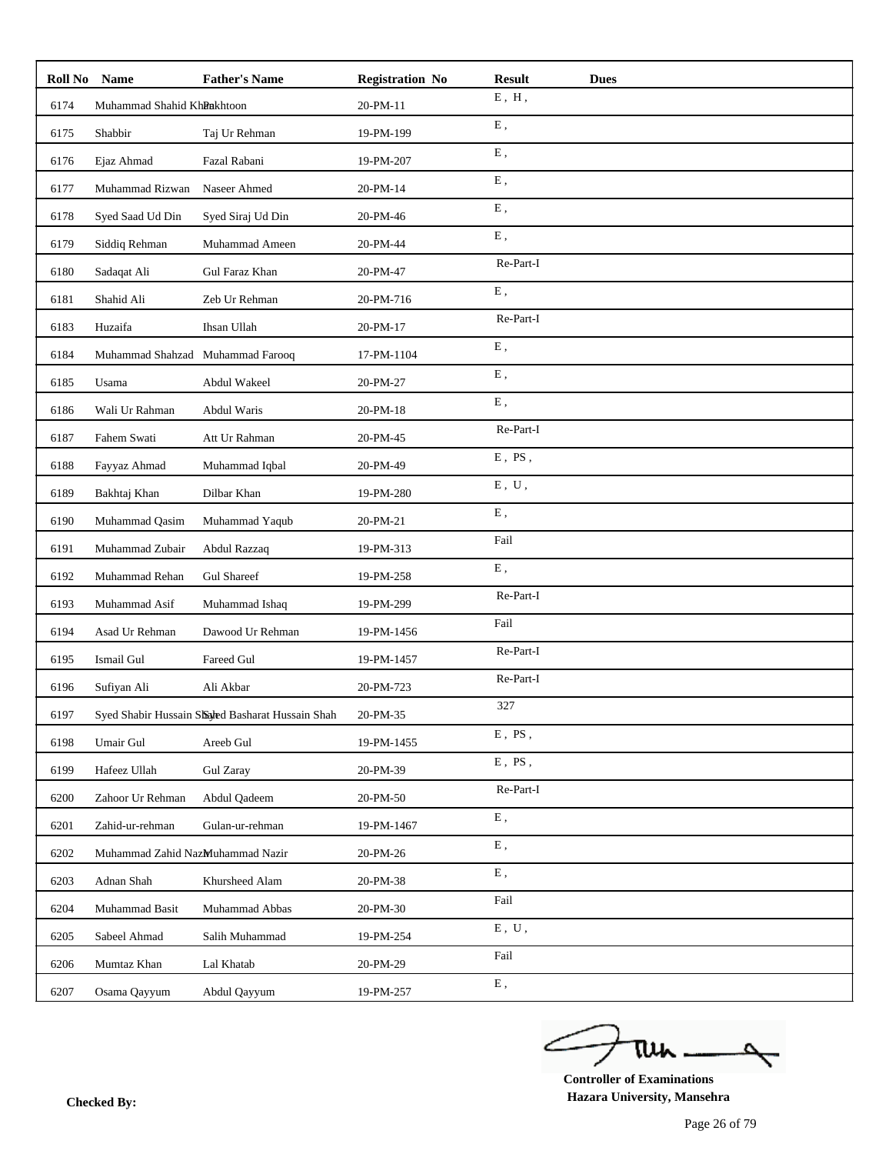| Roll No | <b>Name</b>                      | <b>Father's Name</b>                             | <b>Registration No</b> | <b>Result</b>             | <b>Dues</b> |
|---------|----------------------------------|--------------------------------------------------|------------------------|---------------------------|-------------|
| 6174    | Muhammad Shahid KhRakhtoon       |                                                  | 20-PM-11               | $E$ , $H$ ,               |             |
| 6175    | Shabbir                          | Taj Ur Rehman                                    | 19-PM-199              | ${\bf E}$ ,               |             |
| 6176    | Ejaz Ahmad                       | Fazal Rabani                                     | 19-PM-207              | ${\bf E}$ ,               |             |
| 6177    | Muhammad Rizwan                  | Naseer Ahmed                                     | 20-PM-14               | E,                        |             |
| 6178    | Syed Saad Ud Din                 | Syed Siraj Ud Din                                | 20-PM-46               | ${\bf E}$ ,               |             |
| 6179    | Siddiq Rehman                    | Muhammad Ameen                                   | 20-PM-44               | E,                        |             |
| 6180    | Sadaqat Ali                      | Gul Faraz Khan                                   | 20-PM-47               | Re-Part-I                 |             |
| 6181    | Shahid Ali                       | Zeb Ur Rehman                                    | 20-PM-716              | ${\bf E}$ ,               |             |
| 6183    | Huzaifa                          | Ihsan Ullah                                      | 20-PM-17               | Re-Part-I                 |             |
| 6184    | Muhammad Shahzad Muhammad Farooq |                                                  | 17-PM-1104             | E,                        |             |
| 6185    | Usama                            | Abdul Wakeel                                     | 20-PM-27               | E,                        |             |
| 6186    | Wali Ur Rahman                   | Abdul Waris                                      | 20-PM-18               | ${\bf E}$ ,               |             |
| 6187    | Fahem Swati                      | Att Ur Rahman                                    | 20-PM-45               | Re-Part-I                 |             |
| 6188    | Fayyaz Ahmad                     | Muhammad Iqbal                                   | 20-PM-49               | $E$ , PS,                 |             |
| 6189    | Bakhtaj Khan                     | Dilbar Khan                                      | 19-PM-280              | ${\bf E}$ , $\;{\bf U}$ , |             |
| 6190    | Muhammad Qasim                   | Muhammad Yaqub                                   | 20-PM-21               | E,                        |             |
| 6191    | Muhammad Zubair                  | Abdul Razzaq                                     | 19-PM-313              | Fail                      |             |
| 6192    | Muhammad Rehan                   | <b>Gul Shareef</b>                               | 19-PM-258              | ${\bf E}$ ,               |             |
| 6193    | Muhammad Asif                    | Muhammad Ishaq                                   | 19-PM-299              | Re-Part-I                 |             |
| 6194    | Asad Ur Rehman                   | Dawood Ur Rehman                                 | 19-PM-1456             | Fail                      |             |
| 6195    | Ismail Gul                       | Fareed Gul                                       | 19-PM-1457             | Re-Part-I                 |             |
| 6196    | Sufiyan Ali                      | Ali Akbar                                        | 20-PM-723              | Re-Part-I                 |             |
| 6197    |                                  | Syed Shabir Hussain Shaled Basharat Hussain Shah | 20-PM-35               | 327                       |             |
| 6198    | Umair Gul                        | Areeb Gul                                        | 19-PM-1455             | $E$ , PS,                 |             |
| 6199    | Hafeez Ullah                     | <b>Gul Zaray</b>                                 | 20-PM-39               | $E$ , $PS$ ,              |             |
| 6200    | Zahoor Ur Rehman                 | Abdul Qadeem                                     | 20-PM-50               | Re-Part-I                 |             |
| 6201    | Zahid-ur-rehman                  | Gulan-ur-rehman                                  | 19-PM-1467             | ${\bf E}$ ,               |             |
| 6202    | Muhammad Zahid NazMuhammad Nazir |                                                  | 20-PM-26               | ${\bf E}$ ,               |             |
| 6203    | Adnan Shah                       | Khursheed Alam                                   | 20-PM-38               | E,                        |             |
| 6204    | Muhammad Basit                   | Muhammad Abbas                                   | 20-PM-30               | Fail                      |             |
| 6205    | Sabeel Ahmad                     | Salih Muhammad                                   | 19-PM-254              | ${\bf E}$ , $\;{\bf U}$ , |             |
| 6206    | Mumtaz Khan                      | Lal Khatab                                       | 20-PM-29               | Fail                      |             |
| 6207    | Osama Qayyum                     | Abdul Qayyum                                     | 19-PM-257              | ${\bf E}$ ,               |             |

ے tui

**Controller of Examinations Hazara University, Mansehra Checked By:**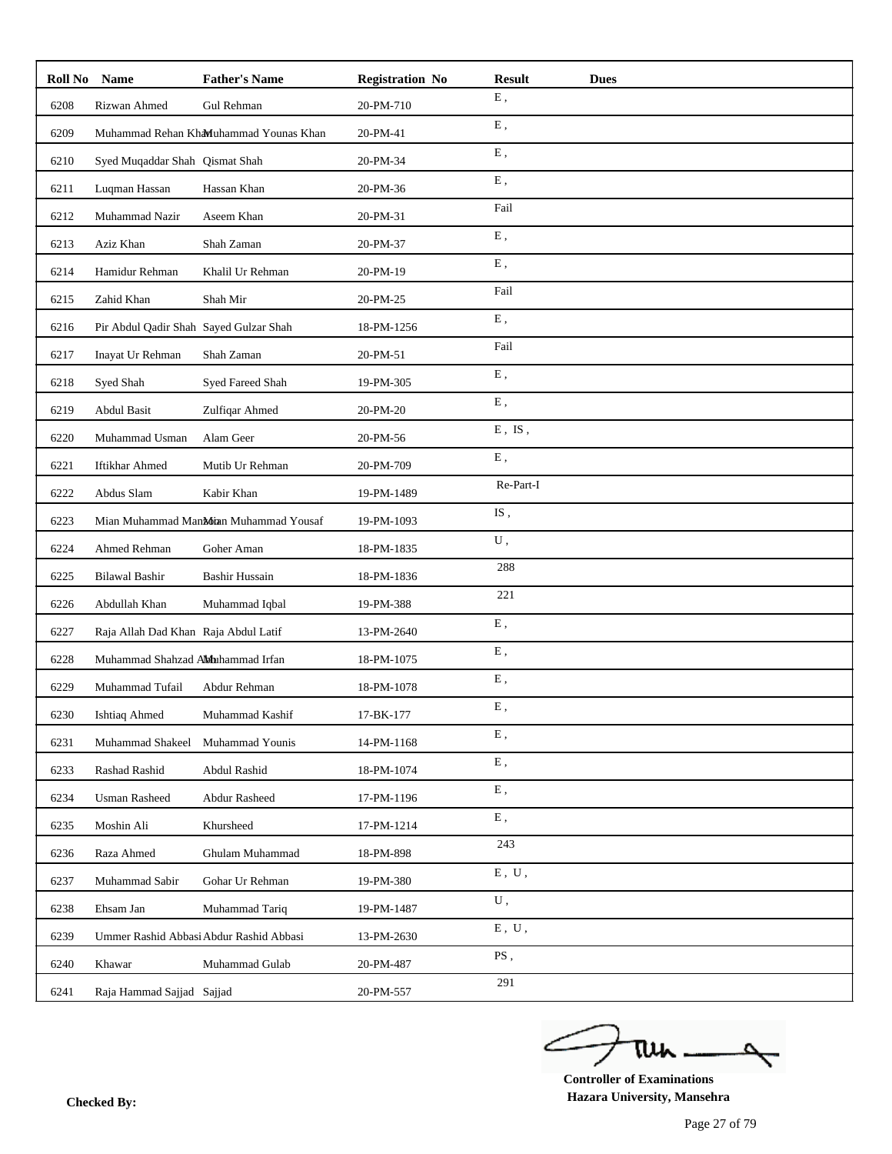| Roll No | <b>Name</b>                            | <b>Father's Name</b>                    | <b>Registration No</b> | <b>Result</b> | <b>Dues</b> |
|---------|----------------------------------------|-----------------------------------------|------------------------|---------------|-------------|
| 6208    | Rizwan Ahmed                           | Gul Rehman                              | 20-PM-710              | ${\bf E}$ ,   |             |
| 6209    |                                        | Muhammad Rehan KhaMuhammad Younas Khan  | 20-PM-41               | ${\bf E}$ ,   |             |
| 6210    | Syed Muqaddar Shah Qismat Shah         |                                         | 20-PM-34               | ${\bf E}$ ,   |             |
| 6211    | Luqman Hassan                          | Hassan Khan                             | 20-PM-36               | E,            |             |
| 6212    | Muhammad Nazir                         | Aseem Khan                              | 20-PM-31               | Fail          |             |
| 6213    | Aziz Khan                              | Shah Zaman                              | 20-PM-37               | ${\bf E}$ ,   |             |
| 6214    | Hamidur Rehman                         | Khalil Ur Rehman                        | 20-PM-19               | ${\bf E}$ ,   |             |
| 6215    | Zahid Khan                             | Shah Mir                                | 20-PM-25               | Fail          |             |
| 6216    | Pir Abdul Qadir Shah Sayed Gulzar Shah |                                         | 18-PM-1256             | ${\bf E}$ ,   |             |
| 6217    | Inayat Ur Rehman                       | Shah Zaman                              | 20-PM-51               | Fail          |             |
| 6218    | Syed Shah                              | Syed Fareed Shah                        | 19-PM-305              | E,            |             |
| 6219    | <b>Abdul Basit</b>                     | Zulfiqar Ahmed                          | 20-PM-20               | ${\bf E}$ ,   |             |
| 6220    | Muhammad Usman                         | Alam Geer                               | 20-PM-56               | $E$ , IS,     |             |
| 6221    | Iftikhar Ahmed                         | Mutib Ur Rehman                         | 20-PM-709              | ${\bf E}$ ,   |             |
| 6222    | Abdus Slam                             | Kabir Khan                              | 19-PM-1489             | Re-Part-I     |             |
| 6223    |                                        | Mian Muhammad Mankoran Muhammad Yousaf  | 19-PM-1093             | IS,           |             |
| 6224    | Ahmed Rehman                           | Goher Aman                              | 18-PM-1835             | U,            |             |
| 6225    | <b>Bilawal Bashir</b>                  | Bashir Hussain                          | 18-PM-1836             | 288           |             |
| 6226    | Abdullah Khan                          | Muhammad Iqbal                          | 19-PM-388              | 221           |             |
| 6227    | Raja Allah Dad Khan Raja Abdul Latif   |                                         | 13-PM-2640             | ${\bf E}$ ,   |             |
| 6228    | Muhammad Shahzad Aldhahammad Irfan     |                                         | 18-PM-1075             | ${\bf E}$ ,   |             |
| 6229    | Muhammad Tufail                        | Abdur Rehman                            | 18-PM-1078             | ${\bf E}$ ,   |             |
| 6230    | Ishtiaq Ahmed                          | Muhammad Kashif                         | 17-BK-177              | Ε,            |             |
| 6231    | Muhammad Shakeel                       | Muhammad Younis                         | 14-PM-1168             | E,            |             |
| 6233    | Rashad Rashid                          | Abdul Rashid                            | 18-PM-1074             | ${\bf E}$ ,   |             |
| 6234    | <b>Usman Rasheed</b>                   | Abdur Rasheed                           | 17-PM-1196             | E,            |             |
| 6235    | Moshin Ali                             | Khursheed                               | 17-PM-1214             | Ε,            |             |
| 6236    | Raza Ahmed                             | Ghulam Muhammad                         | 18-PM-898              | 243           |             |
| 6237    | Muhammad Sabir                         | Gohar Ur Rehman                         | 19-PM-380              | $E$ , $U$ ,   |             |
| 6238    | Ehsam Jan                              | Muhammad Tariq                          | 19-PM-1487             | U,            |             |
| 6239    |                                        | Ummer Rashid Abbasi Abdur Rashid Abbasi | 13-PM-2630             | $E$ , $U$ ,   |             |
| 6240    | Khawar                                 | Muhammad Gulab                          | 20-PM-487              | PS,           |             |
| 6241    | Raja Hammad Sajjad Sajjad              |                                         | 20-PM-557              | 291           |             |

ے tui

**Controller of Examinations Hazara University, Mansehra Checked By:**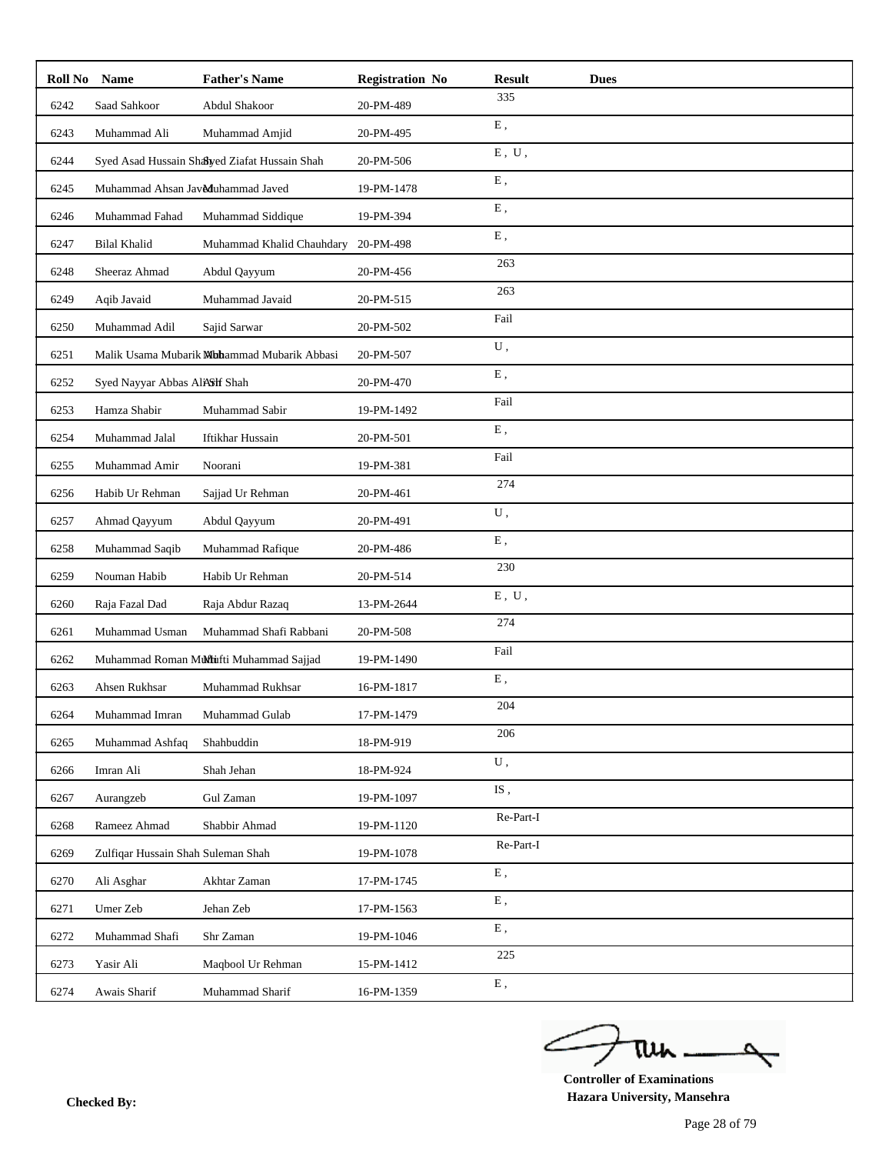| Roll No | <b>Name</b>                        | <b>Father's Name</b>                         | <b>Registration No</b> | <b>Result</b>                                                             | <b>Dues</b> |
|---------|------------------------------------|----------------------------------------------|------------------------|---------------------------------------------------------------------------|-------------|
| 6242    | Saad Sahkoor                       | Abdul Shakoor                                | 20-PM-489              | 335                                                                       |             |
| 6243    | Muhammad Ali                       | Muhammad Amjid                               | 20-PM-495              | ${\bf E}$ ,                                                               |             |
| 6244    |                                    | Syed Asad Hussain Shayed Ziafat Hussain Shah | 20-PM-506              | ${\rm E}$ , $\;{\rm U}$ ,                                                 |             |
| 6245    | Muhammad Ahsan Jav&duhammad Javed  |                                              | 19-PM-1478             | ${\bf E}$ ,                                                               |             |
| 6246    | Muhammad Fahad                     | Muhammad Siddique                            | 19-PM-394              | E,                                                                        |             |
| 6247    | <b>Bilal Khalid</b>                | Muhammad Khalid Chauhdary                    | 20-PM-498              | E,                                                                        |             |
| 6248    | Sheeraz Ahmad                      | Abdul Qayyum                                 | 20-PM-456              | 263                                                                       |             |
| 6249    | Aqib Javaid                        | Muhammad Javaid                              | 20-PM-515              | 263                                                                       |             |
| 6250    | Muhammad Adil                      | Sajid Sarwar                                 | 20-PM-502              | Fail                                                                      |             |
| 6251    |                                    | Malik Usama Mubarik Mhammad Mubarik Abbasi   | 20-PM-507              | U,                                                                        |             |
| 6252    | Syed Nayyar Abbas AliAShf Shah     |                                              | 20-PM-470              | E,                                                                        |             |
| 6253    | Hamza Shabir                       | Muhammad Sabir                               | 19-PM-1492             | Fail                                                                      |             |
| 6254    | Muhammad Jalal                     | Iftikhar Hussain                             | 20-PM-501              | E,                                                                        |             |
| 6255    | Muhammad Amir                      | Noorani                                      | 19-PM-381              | Fail                                                                      |             |
| 6256    | Habib Ur Rehman                    | Sajjad Ur Rehman                             | 20-PM-461              | 274                                                                       |             |
| 6257    | Ahmad Qayyum                       | Abdul Qayyum                                 | 20-PM-491              | U,                                                                        |             |
| 6258    | Muhammad Saqib                     | Muhammad Rafique                             | 20-PM-486              | ${\bf E}$ ,                                                               |             |
| 6259    | Nouman Habib                       | Habib Ur Rehman                              | 20-PM-514              | 230                                                                       |             |
| 6260    | Raja Fazal Dad                     | Raja Abdur Razaq                             | 13-PM-2644             | ${\bf E}$ , $\;{\bf U}$ ,                                                 |             |
| 6261    | Muhammad Usman                     | Muhammad Shafi Rabbani                       | 20-PM-508              | 274                                                                       |             |
| 6262    |                                    | Muhammad Roman Muftufti Muhammad Sajjad      | 19-PM-1490             | Fail                                                                      |             |
| 6263    | Ahsen Rukhsar                      | Muhammad Rukhsar                             | 16-PM-1817             | E,                                                                        |             |
| 6264    | Muhammad Imran                     | Muhammad Gulab                               | 17-PM-1479             | 204                                                                       |             |
| 6265    | Muhammad Ashfaq                    | Shahbuddin                                   | 18-PM-919              | 206                                                                       |             |
| 6266    | Imran Ali                          | Shah Jehan                                   | 18-PM-924              | ${\bf U}$ ,                                                               |             |
| 6267    | Aurangzeb                          | Gul Zaman                                    | 19-PM-1097             | $\mathrm{IS}% _{1}\left( t\right) \equiv\mathrm{IS}_{1}\left( t\right)$ , |             |
| 6268    | Rameez Ahmad                       | Shabbir Ahmad                                | 19-PM-1120             | $\mbox{Re-Part-I}$                                                        |             |
| 6269    | Zulfiqar Hussain Shah Suleman Shah |                                              | 19-PM-1078             | Re-Part-I                                                                 |             |
| 6270    | Ali Asghar                         | Akhtar Zaman                                 | 17-PM-1745             | ${\bf E}$ ,                                                               |             |
| 6271    | Umer Zeb                           | Jehan Zeb                                    | 17-PM-1563             | ${\bf E}$ ,                                                               |             |
| 6272    | Muhammad Shafi                     | Shr Zaman                                    | 19-PM-1046             | ${\bf E}$ ,                                                               |             |
| 6273    | Yasir Ali                          | Maqbool Ur Rehman                            | 15-PM-1412             | 225                                                                       |             |
| 6274    | Awais Sharif                       | Muhammad Sharif                              | 16-PM-1359             | ${\bf E}$ ,                                                               |             |

ے tui

**Controller of Examinations Hazara University, Mansehra Checked By:**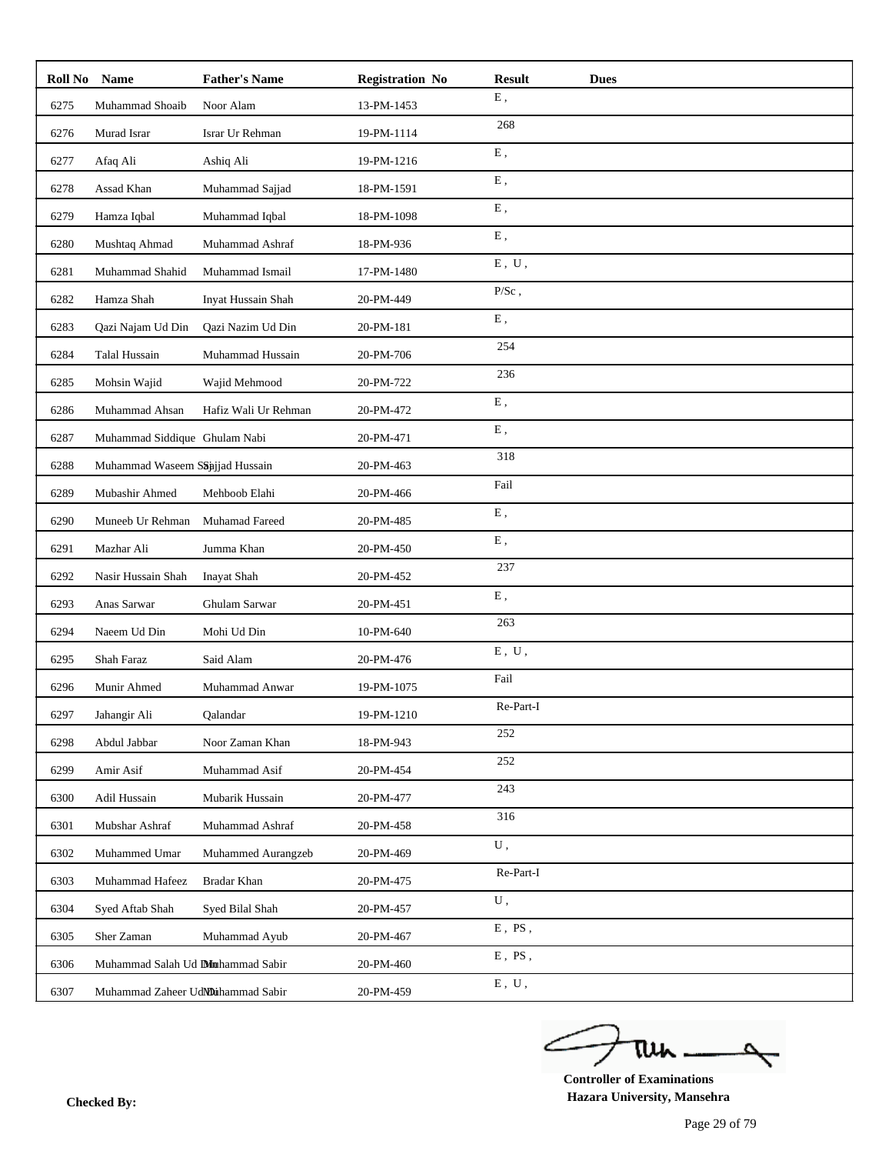| Roll No | <b>Name</b>                         | <b>Father's Name</b> | <b>Registration No</b> | <b>Result</b><br><b>Dues</b> |
|---------|-------------------------------------|----------------------|------------------------|------------------------------|
| 6275    | Muhammad Shoaib                     | Noor Alam            | 13-PM-1453             | ${\bf E}$ ,                  |
| 6276    | Murad Israr                         | Israr Ur Rehman      | 19-PM-1114             | 268                          |
| 6277    | Afaq Ali                            | Ashiq Ali            | 19-PM-1216             | ${\bf E}$ ,                  |
| 6278    | Assad Khan                          | Muhammad Sajjad      | 18-PM-1591             | ${\bf E}$ ,                  |
| 6279    | Hamza Iqbal                         | Muhammad Iqbal       | 18-PM-1098             | ${\bf E}$ ,                  |
| 6280    | Mushtaq Ahmad                       | Muhammad Ashraf      | 18-PM-936              | E,                           |
| 6281    | Muhammad Shahid                     | Muhammad Ismail      | 17-PM-1480             | ${\bf E}$ , $\;{\bf U}$ ,    |
| 6282    | Hamza Shah                          | Inyat Hussain Shah   | 20-PM-449              | $\rm P/Sc$ ,                 |
| 6283    | Qazi Najam Ud Din                   | Qazi Nazim Ud Din    | 20-PM-181              | E,                           |
| 6284    | Talal Hussain                       | Muhammad Hussain     | 20-PM-706              | 254                          |
| 6285    | Mohsin Wajid                        | Wajid Mehmood        | 20-PM-722              | 236                          |
| 6286    | Muhammad Ahsan                      | Hafiz Wali Ur Rehman | 20-PM-472              | ${\bf E}$ ,                  |
| 6287    | Muhammad Siddique Ghulam Nabi       |                      | 20-PM-471              | ${\bf E}$ ,                  |
| 6288    | Muhammad Waseem Saajjad Hussain     |                      | 20-PM-463              | 318                          |
| 6289    | Mubashir Ahmed                      | Mehboob Elahi        | 20-PM-466              | Fail                         |
| 6290    | Muneeb Ur Rehman                    | Muhamad Fareed       | 20-PM-485              | ${\bf E}$ ,                  |
| 6291    | Mazhar Ali                          | Jumma Khan           | 20-PM-450              | ${\bf E}$ ,                  |
| 6292    | Nasir Hussain Shah                  | Inayat Shah          | 20-PM-452              | 237                          |
| 6293    | Anas Sarwar                         | Ghulam Sarwar        | 20-PM-451              | ${\bf E}$ ,                  |
| 6294    | Naeem Ud Din                        | Mohi Ud Din          | 10-PM-640              | 263                          |
| 6295    | Shah Faraz                          | Said Alam            | 20-PM-476              | E, U,                        |
| 6296    | Munir Ahmed                         | Muhammad Anwar       | 19-PM-1075             | Fail                         |
| 6297    | Jahangir Ali                        | Qalandar             | 19-PM-1210             | Re-Part-I                    |
| 6298    | Abdul Jabbar                        | Noor Zaman Khan      | 18-PM-943              | 252                          |
| 6299    | Amir Asif                           | Muhammad Asif        | 20-PM-454              | 252                          |
| 6300    | Adil Hussain                        | Mubarik Hussain      | 20-PM-477              | 243                          |
| 6301    | Mubshar Ashraf                      | Muhammad Ashraf      | 20-PM-458              | 316                          |
| 6302    | Muhammed Umar                       | Muhammed Aurangzeb   | 20-PM-469              | U,                           |
| 6303    | Muhammad Hafeez                     | Bradar Khan          | 20-PM-475              | Re-Part-I                    |
| 6304    | Syed Aftab Shah                     | Syed Bilal Shah      | 20-PM-457              | U,                           |
| 6305    | Sher Zaman                          | Muhammad Ayub        | 20-PM-467              | $E$ , PS,                    |
| 6306    | Muhammad Salah Ud Dilmahammad Sabir |                      | 20-PM-460              | $E$ , $PS$ ,                 |
| 6307    | Muhammad Zaheer UdNDuhammad Sabir   |                      | 20-PM-459              | ${\bf E}$ , $\;{\bf U}$ ,    |

ے tui

**Controller of Examinations Hazara University, Mansehra Checked By:**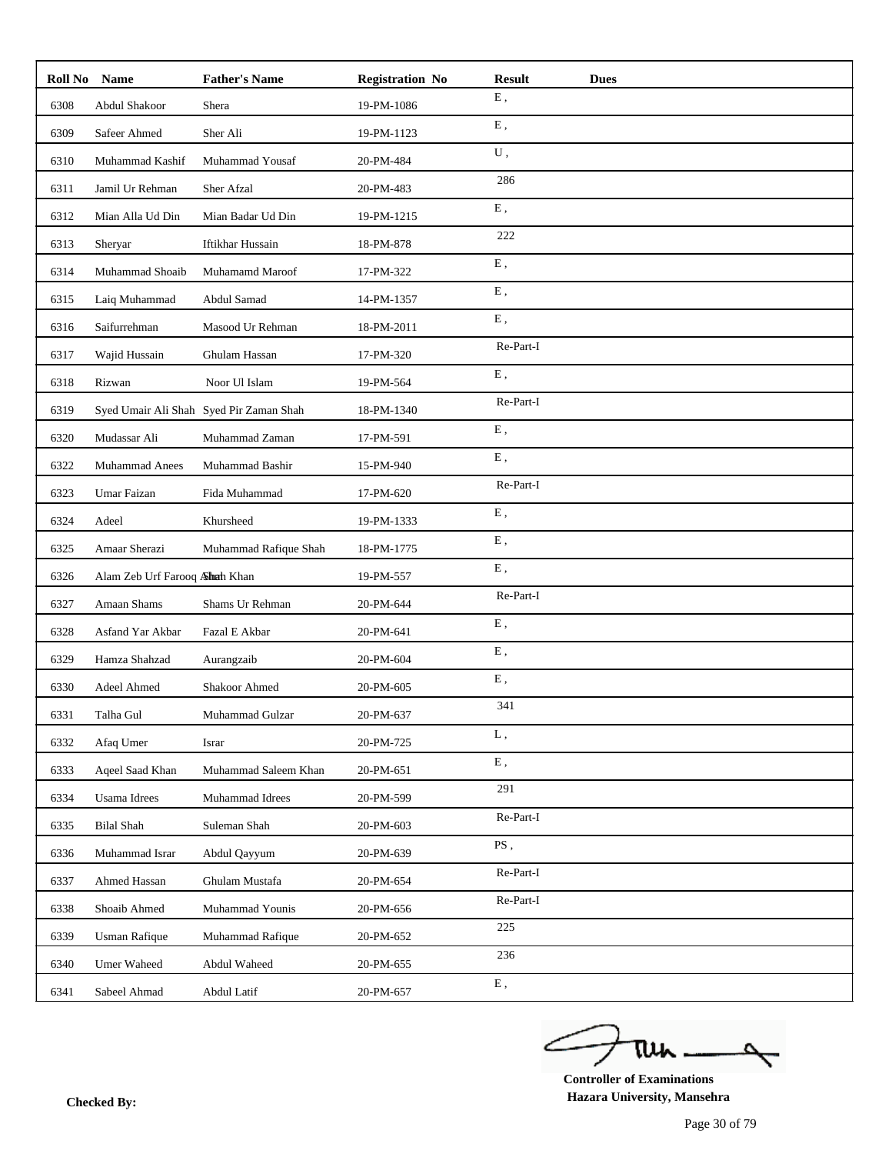| Roll No | <b>Name</b>                   | <b>Father's Name</b>                    | <b>Registration No</b> | <b>Result</b><br><b>Dues</b> |
|---------|-------------------------------|-----------------------------------------|------------------------|------------------------------|
| 6308    | Abdul Shakoor                 | Shera                                   | 19-PM-1086             | ${\bf E}$ ,                  |
| 6309    | Safeer Ahmed                  | Sher Ali                                | 19-PM-1123             | ${\bf E}$ ,                  |
| 6310    | Muhammad Kashif               | Muhammad Yousaf                         | 20-PM-484              | U,                           |
| 6311    | Jamil Ur Rehman               | Sher Afzal                              | 20-PM-483              | 286                          |
| 6312    | Mian Alla Ud Din              | Mian Badar Ud Din                       | 19-PM-1215             | E,                           |
| 6313    | Sheryar                       | Iftikhar Hussain                        | 18-PM-878              | 222                          |
| 6314    | Muhammad Shoaib               | Muhamamd Maroof                         | 17-PM-322              | ${\bf E}$ ,                  |
| 6315    | Laiq Muhammad                 | Abdul Samad                             | 14-PM-1357             | ${\bf E}$ ,                  |
| 6316    | Saifurrehman                  | Masood Ur Rehman                        | 18-PM-2011             | E,                           |
| 6317    | Wajid Hussain                 | Ghulam Hassan                           | 17-PM-320              | Re-Part-I                    |
| 6318    | Rizwan                        | Noor Ul Islam                           | 19-PM-564              | ${\bf E}$ ,                  |
| 6319    |                               | Syed Umair Ali Shah Syed Pir Zaman Shah | 18-PM-1340             | Re-Part-I                    |
| 6320    | Mudassar Ali                  | Muhammad Zaman                          | 17-PM-591              | ${\bf E}$ ,                  |
| 6322    | Muhammad Anees                | Muhammad Bashir                         | 15-PM-940              | ${\bf E}$ ,                  |
| 6323    | Umar Faizan                   | Fida Muhammad                           | 17-PM-620              | Re-Part-I                    |
| 6324    | Adeel                         | Khursheed                               | 19-PM-1333             | ${\bf E}$ ,                  |
| 6325    | Amaar Sherazi                 | Muhammad Rafique Shah                   | 18-PM-1775             | ${\bf E}$ ,                  |
| 6326    | Alam Zeb Urf Farooq Ahah Khan |                                         | 19-PM-557              | E,                           |
| 6327    | Amaan Shams                   | Shams Ur Rehman                         | 20-PM-644              | Re-Part-I                    |
| 6328    | Asfand Yar Akbar              | Fazal E Akbar                           | 20-PM-641              | ${\bf E}$ ,                  |
| 6329    | Hamza Shahzad                 | Aurangzaib                              | 20-PM-604              | E,                           |
| 6330    | Adeel Ahmed                   | Shakoor Ahmed                           | 20-PM-605              | ${\bf E}$ ,                  |
| 6331    | Talha Gul                     | Muhammad Gulzar                         | 20-PM-637              | 341                          |
| 6332    | Afaq Umer                     | Israr                                   | 20-PM-725              | L,                           |
| 6333    | Aqeel Saad Khan               | Muhammad Saleem Khan                    | 20-PM-651              | ${\bf E}$ ,                  |
| 6334    | <b>Usama</b> Idrees           | Muhammad Idrees                         | 20-PM-599              | 291                          |
| 6335    | <b>Bilal Shah</b>             | Suleman Shah                            | 20-PM-603              | Re-Part-I                    |
| 6336    | Muhammad Israr                | Abdul Qayyum                            | 20-PM-639              | $\overline{\mathrm{PS}}$ ,   |
| 6337    | Ahmed Hassan                  | Ghulam Mustafa                          | 20-PM-654              | Re-Part-I                    |
| 6338    | Shoaib Ahmed                  | Muhammad Younis                         | 20-PM-656              | Re-Part-I                    |
| 6339    | <b>Usman Rafique</b>          | Muhammad Rafique                        | 20-PM-652              | 225                          |
| 6340    | Umer Waheed                   | Abdul Waheed                            | 20-PM-655              | 236                          |
| 6341    | Sabeel Ahmad                  | Abdul Latif                             | 20-PM-657              | ${\bf E}$ ,                  |

ے tui 

**Controller of Examinations Hazara University, Mansehra Checked By:**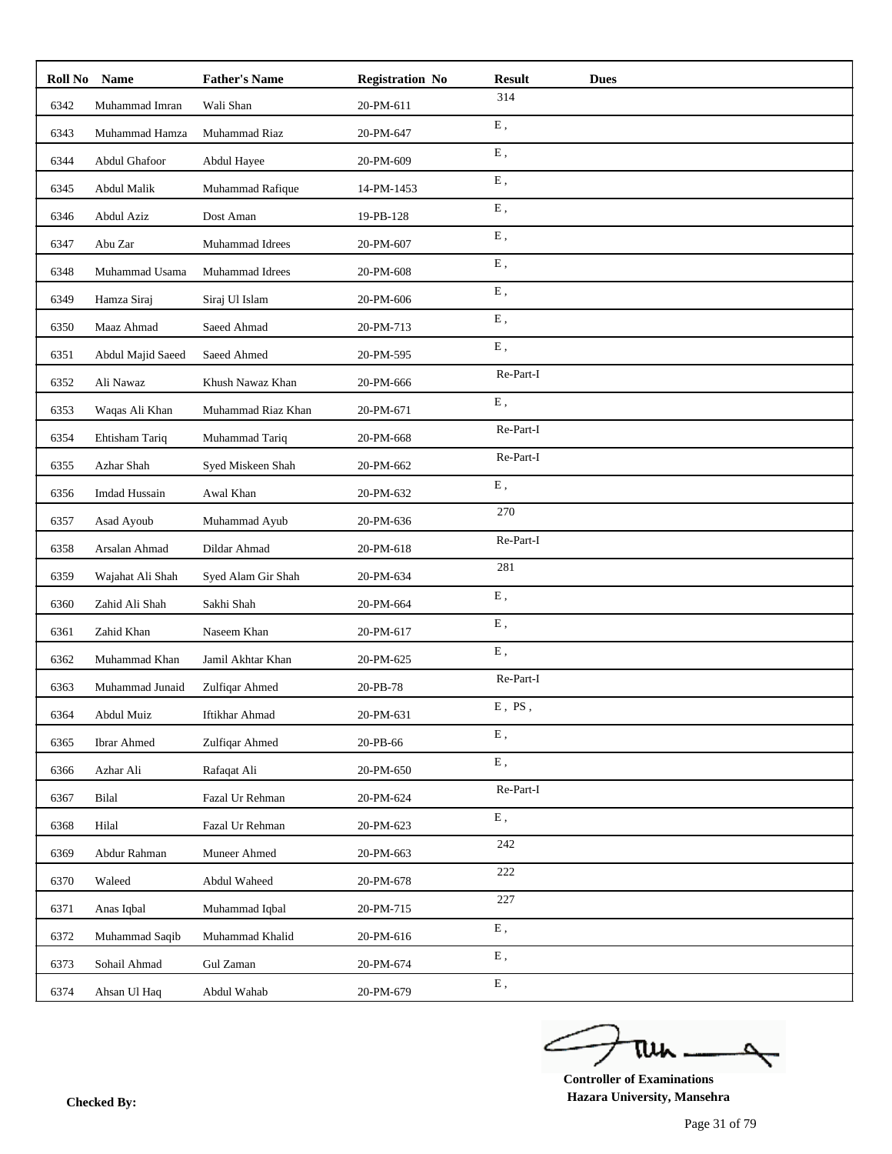| Roll No | <b>Name</b>        | <b>Father's Name</b> | <b>Registration No</b> | <b>Result</b><br><b>Dues</b> |  |
|---------|--------------------|----------------------|------------------------|------------------------------|--|
| 6342    | Muhammad Imran     | Wali Shan            | 20-PM-611              | 314                          |  |
| 6343    | Muhammad Hamza     | Muhammad Riaz        | 20-PM-647              | ${\bf E}$ ,                  |  |
| 6344    | Abdul Ghafoor      | Abdul Hayee          | 20-PM-609              | ${\bf E}$ ,                  |  |
| 6345    | Abdul Malik        | Muhammad Rafique     | 14-PM-1453             | E,                           |  |
| 6346    | Abdul Aziz         | Dost Aman            | 19-PB-128              | ${\bf E}$ ,                  |  |
| 6347    | Abu Zar            | Muhammad Idrees      | 20-PM-607              | ${\bf E}$ ,                  |  |
| 6348    | Muhammad Usama     | Muhammad Idrees      | 20-PM-608              | ${\bf E}$ ,                  |  |
| 6349    | Hamza Siraj        | Siraj Ul Islam       | 20-PM-606              | ${\bf E}$ ,                  |  |
| 6350    | Maaz Ahmad         | Saeed Ahmad          | 20-PM-713              | ${\bf E}$ ,                  |  |
| 6351    | Abdul Majid Saeed  | Saeed Ahmed          | 20-PM-595              | E,                           |  |
| 6352    | Ali Nawaz          | Khush Nawaz Khan     | 20-PM-666              | Re-Part-I                    |  |
| 6353    | Waqas Ali Khan     | Muhammad Riaz Khan   | 20-PM-671              | ${\bf E}$ ,                  |  |
| 6354    | Ehtisham Tariq     | Muhammad Tariq       | 20-PM-668              | Re-Part-I                    |  |
| 6355    | Azhar Shah         | Syed Miskeen Shah    | 20-PM-662              | Re-Part-I                    |  |
| 6356    | Imdad Hussain      | Awal Khan            | 20-PM-632              | ${\bf E}$ ,                  |  |
| 6357    | Asad Ayoub         | Muhammad Ayub        | 20-PM-636              | 270                          |  |
| 6358    | Arsalan Ahmad      | Dildar Ahmad         | 20-PM-618              | Re-Part-I                    |  |
| 6359    | Wajahat Ali Shah   | Syed Alam Gir Shah   | 20-PM-634              | 281                          |  |
| 6360    | Zahid Ali Shah     | Sakhi Shah           | 20-PM-664              | ${\bf E}$ ,                  |  |
| 6361    | Zahid Khan         | Naseem Khan          | 20-PM-617              | ${\bf E}$ ,                  |  |
| 6362    | Muhammad Khan      | Jamil Akhtar Khan    | 20-PM-625              | ${\bf E}$ ,                  |  |
| 6363    | Muhammad Junaid    | Zulfiqar Ahmed       | 20-PB-78               | Re-Part-I                    |  |
| 6364    | Abdul Muiz         | Iftikhar Ahmad       | 20-PM-631              | $E$ , $PS$ ,                 |  |
| 6365    | <b>Ibrar Ahmed</b> | Zulfiqar Ahmed       | 20-PB-66               | ${\bf E}$ ,                  |  |
| 6366    | Azhar Ali          | Rafaqat Ali          | 20-PM-650              | ${\bf E}$ ,                  |  |
| 6367    | Bilal              | Fazal Ur Rehman      | 20-PM-624              | Re-Part-I                    |  |
| 6368    | Hilal              | Fazal Ur Rehman      | 20-PM-623              | ${\bf E}$ ,                  |  |
| 6369    | Abdur Rahman       | Muneer Ahmed         | 20-PM-663              | 242                          |  |
| 6370    | Waleed             | Abdul Waheed         | 20-PM-678              | 222                          |  |
| 6371    | Anas Iqbal         | Muhammad Iqbal       | 20-PM-715              | 227                          |  |
| 6372    | Muhammad Saqib     | Muhammad Khalid      | 20-PM-616              | ${\bf E}$ ,                  |  |
| 6373    | Sohail Ahmad       | Gul Zaman            | 20-PM-674              | ${\bf E}$ ,                  |  |
| 6374    | Ahsan Ul Haq       | Abdul Wahab          | 20-PM-679              | ${\bf E}$ ,                  |  |

ے tui

**Controller of Examinations Hazara University, Mansehra Checked By:**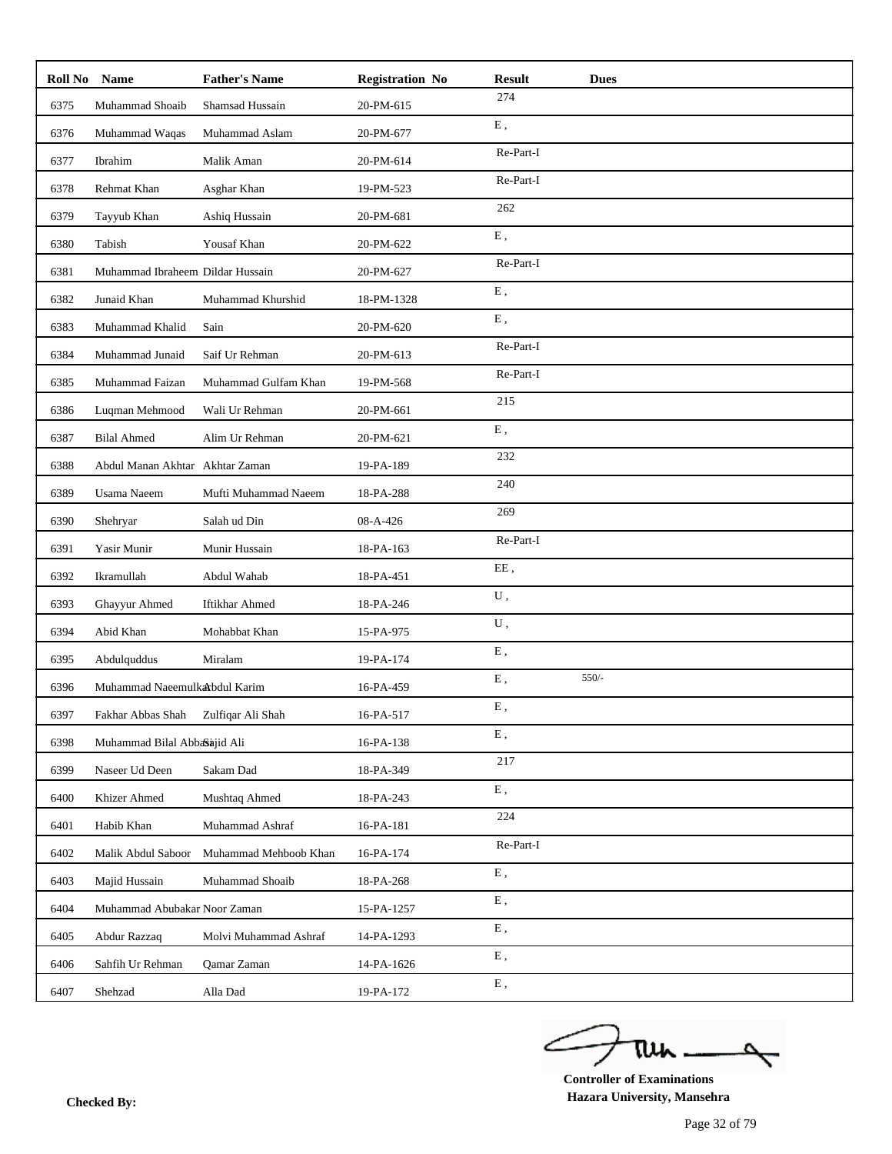| Roll No | <b>Name</b>                      | <b>Father's Name</b>  | <b>Registration No</b> | <b>Result</b> | <b>Dues</b> |
|---------|----------------------------------|-----------------------|------------------------|---------------|-------------|
| 6375    | Muhammad Shoaib                  | Shamsad Hussain       | 20-PM-615              | 274           |             |
| 6376    | Muhammad Waqas                   | Muhammad Aslam        | 20-PM-677              | E,            |             |
| 6377    | Ibrahim                          | Malik Aman            | 20-PM-614              | Re-Part-I     |             |
| 6378    | Rehmat Khan                      | Asghar Khan           | 19-PM-523              | Re-Part-I     |             |
| 6379    | Tayyub Khan                      | Ashiq Hussain         | 20-PM-681              | 262           |             |
| 6380    | Tabish                           | Yousaf Khan           | 20-PM-622              | E,            |             |
| 6381    | Muhammad Ibraheem Dildar Hussain |                       | 20-PM-627              | Re-Part-I     |             |
| 6382    | Junaid Khan                      | Muhammad Khurshid     | 18-PM-1328             | ${\bf E}$ ,   |             |
| 6383    | Muhammad Khalid                  | Sain                  | 20-PM-620              | E,            |             |
| 6384    | Muhammad Junaid                  | Saif Ur Rehman        | 20-PM-613              | Re-Part-I     |             |
| 6385    | Muhammad Faizan                  | Muhammad Gulfam Khan  | 19-PM-568              | Re-Part-I     |             |
| 6386    | Luqman Mehmood                   | Wali Ur Rehman        | 20-PM-661              | 215           |             |
| 6387    | <b>Bilal Ahmed</b>               | Alim Ur Rehman        | 20-PM-621              | E,            |             |
| 6388    | Abdul Manan Akhtar Akhtar Zaman  |                       | 19-PA-189              | 232           |             |
| 6389    | <b>Usama Naeem</b>               | Mufti Muhammad Naeem  | 18-PA-288              | 240           |             |
| 6390    | Shehryar                         | Salah ud Din          | 08-A-426               | 269           |             |
| 6391    | Yasir Munir                      | Munir Hussain         | 18-PA-163              | Re-Part-I     |             |
| 6392    | Ikramullah                       | Abdul Wahab           | 18-PA-451              | EE,           |             |
| 6393    | Ghayyur Ahmed                    | <b>Iftikhar Ahmed</b> | 18-PA-246              | U,            |             |
| 6394    | Abid Khan                        | Mohabbat Khan         | 15-PA-975              | ${\bf U}$ ,   |             |
| 6395    | Abdulquddus                      | Miralam               | 19-PA-174              | ${\bf E}$ ,   |             |
| 6396    | Muhammad Naeemulkarbdul Karim    |                       | 16-PA-459              | E,            | $550/-$     |
| 6397    | Fakhar Abbas Shah                | Zulfiqar Ali Shah     | 16-PA-517              | Ε,            |             |
| 6398    | Muhammad Bilal Abbasajid Ali     |                       | 16-PA-138              | ${\bf E}$ ,   |             |
| 6399    | Naseer Ud Deen                   | Sakam Dad             | 18-PA-349              | 217           |             |
| 6400    | Khizer Ahmed                     | Mushtaq Ahmed         | 18-PA-243              | ${\bf E}$ ,   |             |
| 6401    | Habib Khan                       | Muhammad Ashraf       | 16-PA-181              | 224           |             |
| 6402    | Malik Abdul Saboor               | Muhammad Mehboob Khan | 16-PA-174              | Re-Part-I     |             |
| 6403    | Majid Hussain                    | Muhammad Shoaib       | 18-PA-268              | E,            |             |
| 6404    | Muhammad Abubakar Noor Zaman     |                       | 15-PA-1257             | ${\bf E}$ ,   |             |
| 6405    | Abdur Razzaq                     | Molvi Muhammad Ashraf | 14-PA-1293             | ${\bf E}$ ,   |             |
| 6406    | Sahfih Ur Rehman                 | Qamar Zaman           | 14-PA-1626             | E,            |             |
| 6407    | Shehzad                          | Alla Dad              | 19-PA-172              | ${\bf E}$ ,   |             |

ے tui

**Controller of Examinations Hazara University, Mansehra Checked By:**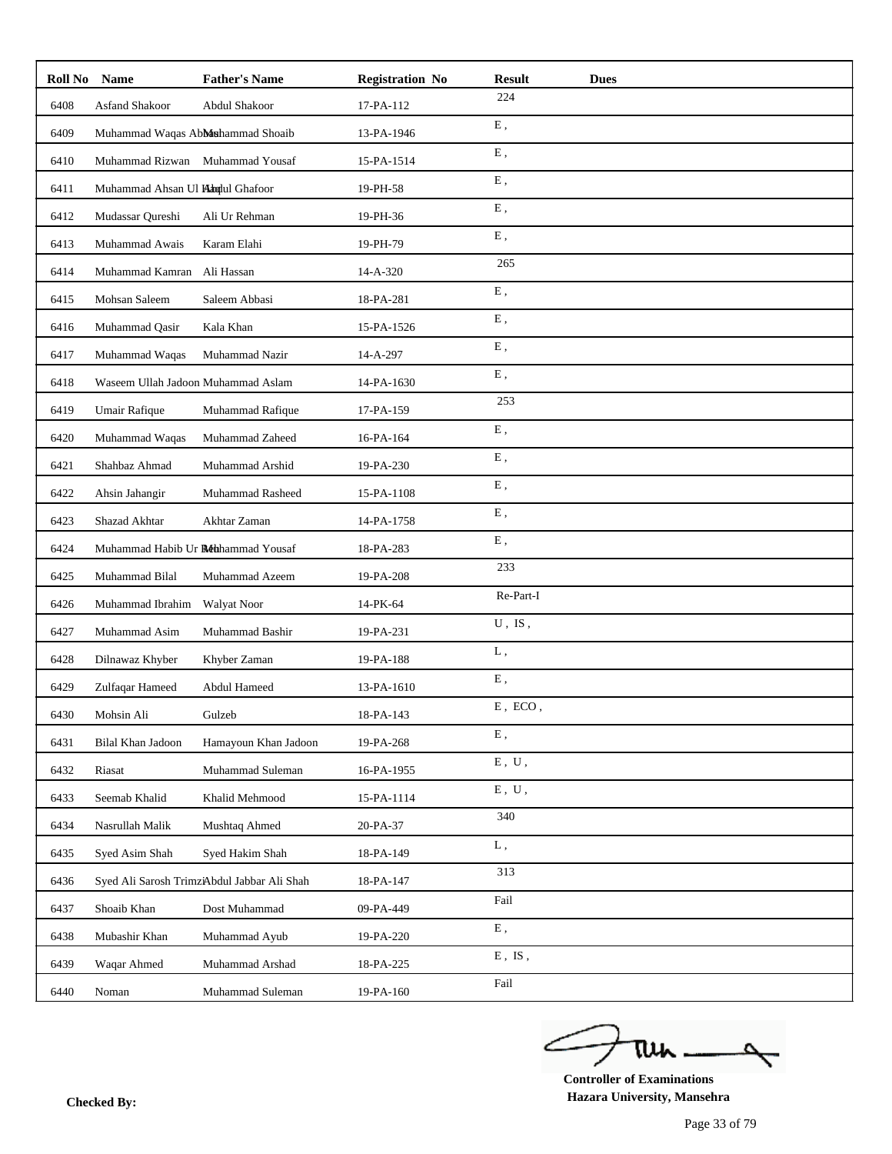| Roll No | <b>Name</b>                        | <b>Father's Name</b>                        | <b>Registration No</b> | <b>Result</b>             | <b>Dues</b> |
|---------|------------------------------------|---------------------------------------------|------------------------|---------------------------|-------------|
| 6408    | Asfand Shakoor                     | Abdul Shakoor                               | 17-PA-112              | 224                       |             |
| 6409    | Muhammad Waqas Abbashammad Shoaib  |                                             | 13-PA-1946             | ${\bf E}$ ,               |             |
| 6410    | Muhammad Rizwan Muhammad Yousaf    |                                             | 15-PA-1514             | ${\bf E}$ ,               |             |
| 6411    | Muhammad Ahsan Ul Handul Ghafoor   |                                             | 19-PH-58               | E,                        |             |
| 6412    | Mudassar Qureshi                   | Ali Ur Rehman                               | 19-PH-36               | ${\bf E}$ ,               |             |
| 6413    | Muhammad Awais                     | Karam Elahi                                 | 19-PH-79               | ${\bf E}$ ,               |             |
| 6414    | Muhammad Kamran                    | Ali Hassan                                  | 14-A-320               | 265                       |             |
| 6415    | Mohsan Saleem                      | Saleem Abbasi                               | 18-PA-281              | ${\bf E}$ ,               |             |
| 6416    | Muhammad Qasir                     | Kala Khan                                   | 15-PA-1526             | ${\bf E}$ ,               |             |
| 6417    | Muhammad Waqas                     | Muhammad Nazir                              | 14-A-297               | ${\bf E}$ ,               |             |
| 6418    | Waseem Ullah Jadoon Muhammad Aslam |                                             | 14-PA-1630             | E,                        |             |
| 6419    | Umair Rafique                      | Muhammad Rafique                            | 17-PA-159              | 253                       |             |
| 6420    | Muhammad Waqas                     | Muhammad Zaheed                             | 16-PA-164              | ${\bf E}$ ,               |             |
| 6421    | Shahbaz Ahmad                      | Muhammad Arshid                             | 19-PA-230              | ${\bf E}$ ,               |             |
| 6422    | Ahsin Jahangir                     | Muhammad Rasheed                            | 15-PA-1108             | ${\bf E}$ ,               |             |
| 6423    | Shazad Akhtar                      | Akhtar Zaman                                | 14-PA-1758             | E,                        |             |
| 6424    | Muhammad Habib Ur Réhhammad Yousaf |                                             | 18-PA-283              | ${\bf E}$ ,               |             |
| 6425    | Muhammad Bilal                     | Muhammad Azeem                              | 19-PA-208              | 233                       |             |
| 6426    | Muhammad Ibrahim                   | Walyat Noor                                 | 14-PK-64               | Re-Part-I                 |             |
| 6427    | Muhammad Asim                      | Muhammad Bashir                             | 19-PA-231              | $U$ , IS,                 |             |
| 6428    | Dilnawaz Khyber                    | Khyber Zaman                                | 19-PA-188              | L,                        |             |
| 6429    | Zulfaqar Hameed                    | Abdul Hameed                                | 13-PA-1610             | ${\bf E}$ ,               |             |
| 6430    | Mohsin Ali                         | Gulzeb                                      | 18-PA-143              | $E$ , $ECO$ ,             |             |
| 6431    | Bilal Khan Jadoon                  | Hamayoun Khan Jadoon                        | 19-PA-268              | ${\bf E}$ ,               |             |
| 6432    | Riasat                             | Muhammad Suleman                            | 16-PA-1955             | ${\bf E}$ , $\;{\bf U}$ , |             |
| 6433    | Seemab Khalid                      | Khalid Mehmood                              | 15-PA-1114             | ${\bf E}$ , $\;{\bf U}$ , |             |
| 6434    | Nasrullah Malik                    | Mushtaq Ahmed                               | 20-PA-37               | 340                       |             |
| 6435    | Syed Asim Shah                     | Syed Hakim Shah                             | 18-PA-149              | L,                        |             |
| 6436    |                                    | Syed Ali Sarosh TrimziAbdul Jabbar Ali Shah | 18-PA-147              | 313                       |             |
| 6437    | Shoaib Khan                        | Dost Muhammad                               | 09-PA-449              | Fail                      |             |
| 6438    | Mubashir Khan                      | Muhammad Ayub                               | 19-PA-220              | ${\bf E}$ ,               |             |
| 6439    | Waqar Ahmed                        | Muhammad Arshad                             | 18-PA-225              | $E$ , $IS$ ,              |             |
| 6440    | Noman                              | Muhammad Suleman                            | 19-PA-160              | Fail                      |             |

ے tui

**Controller of Examinations Hazara University, Mansehra Checked By:**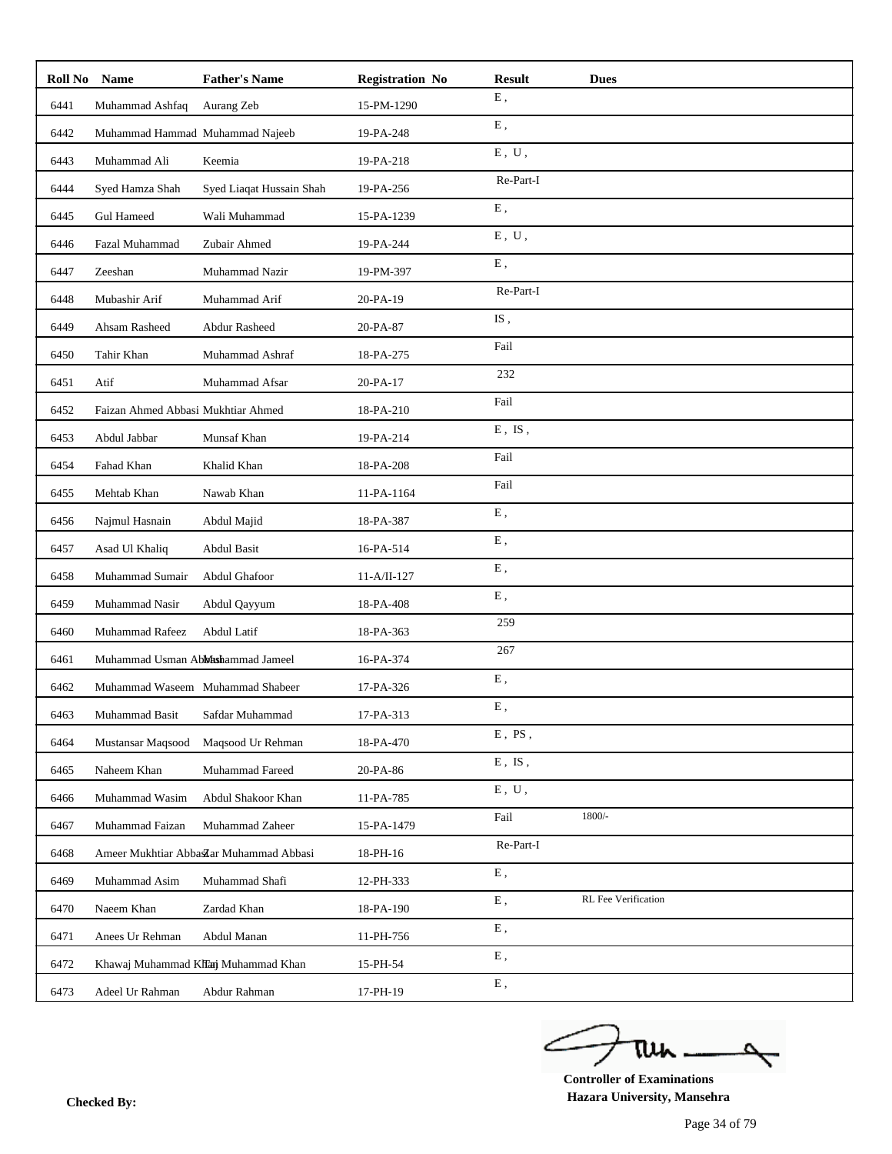| Roll No | <b>Name</b>                        | <b>Father's Name</b>                    | <b>Registration No</b> | <b>Result</b>             | <b>Dues</b>         |
|---------|------------------------------------|-----------------------------------------|------------------------|---------------------------|---------------------|
| 6441    | Muhammad Ashfaq                    | Aurang Zeb                              | 15-PM-1290             | E,                        |                     |
| 6442    | Muhammad Hammad Muhammad Najeeb    |                                         | 19-PA-248              | ${\bf E}$ ,               |                     |
| 6443    | Muhammad Ali                       | Keemia                                  | 19-PA-218              | ${\bf E}$ , $\;{\bf U}$ , |                     |
| 6444    | Syed Hamza Shah                    | Syed Liaqat Hussain Shah                | 19-PA-256              | Re-Part-I                 |                     |
| 6445    | <b>Gul Hameed</b>                  | Wali Muhammad                           | 15-PA-1239             | ${\bf E}$ ,               |                     |
| 6446    | Fazal Muhammad                     | Zubair Ahmed                            | 19-PA-244              | $E$ , $U$ ,               |                     |
| 6447    | Zeeshan                            | Muhammad Nazir                          | 19-PM-397              | E,                        |                     |
| 6448    | Mubashir Arif                      | Muhammad Arif                           | 20-PA-19               | Re-Part-I                 |                     |
| 6449    | Ahsam Rasheed                      | <b>Abdur Rasheed</b>                    | 20-PA-87               | IS,                       |                     |
| 6450    | Tahir Khan                         | Muhammad Ashraf                         | 18-PA-275              | Fail                      |                     |
| 6451    | Atif                               | Muhammad Afsar                          | 20-PA-17               | 232                       |                     |
| 6452    | Faizan Ahmed Abbasi Mukhtiar Ahmed |                                         | 18-PA-210              | Fail                      |                     |
| 6453    | Abdul Jabbar                       | Munsaf Khan                             | 19-PA-214              | $E$ , IS,                 |                     |
| 6454    | Fahad Khan                         | Khalid Khan                             | 18-PA-208              | Fail                      |                     |
| 6455    | Mehtab Khan                        | Nawab Khan                              | 11-PA-1164             | Fail                      |                     |
| 6456    | Najmul Hasnain                     | Abdul Majid                             | 18-PA-387              | E,                        |                     |
| 6457    | Asad Ul Khaliq                     | Abdul Basit                             | 16-PA-514              | ${\bf E}$ ,               |                     |
| 6458    | Muhammad Sumair                    | Abdul Ghafoor                           | $11-A/II-127$          | ${\bf E}$ ,               |                     |
| 6459    | Muhammad Nasir                     | Abdul Qayyum                            | 18-PA-408              | ${\bf E}$ ,               |                     |
| 6460    | Muhammad Rafeez                    | Abdul Latif                             | 18-PA-363              | 259                       |                     |
| 6461    | Muhammad Usman Abbhashammad Jameel |                                         | 16-PA-374              | 267                       |                     |
| 6462    | Muhammad Waseem Muhammad Shabeer   |                                         | 17-PA-326              | ${\bf E}$ ,               |                     |
| 6463    | Muhammad Basit                     | Safdar Muhammad                         | 17-PA-313              | Ε,                        |                     |
| 6464    | Mustansar Maqsood                  | Maqsood Ur Rehman                       | 18-PA-470              | $E$ , $PS$ ,              |                     |
| 6465    | Naheem Khan                        | Muhammad Fareed                         | 20-PA-86               | $E$ , $IS$ ,              |                     |
| 6466    | Muhammad Wasim                     | Abdul Shakoor Khan                      | 11-PA-785              | $E$ , $U$ ,               |                     |
| 6467    | Muhammad Faizan                    | Muhammad Zaheer                         | 15-PA-1479             | Fail                      | $1800/-$            |
| 6468    |                                    | Ameer Mukhtiar AbbasZar Muhammad Abbasi | 18-PH-16               | Re-Part-I                 |                     |
| 6469    | Muhammad Asim                      | Muhammad Shafi                          | 12-PH-333              | Ε,                        |                     |
| 6470    | Naeem Khan                         | Zardad Khan                             | 18-PA-190              | Ε,                        | RL Fee Verification |
| 6471    | Anees Ur Rehman                    | Abdul Manan                             | 11-PH-756              | Ε,                        |                     |
| 6472    |                                    | Khawaj Muhammad Khanj Muhammad Khan     | 15-PH-54               | Ε,                        |                     |
| 6473    | Adeel Ur Rahman                    | Abdur Rahman                            | 17-PH-19               | ${\bf E}$ ,               |                     |

ے tui

**Controller of Examinations Hazara University, Mansehra Checked By:**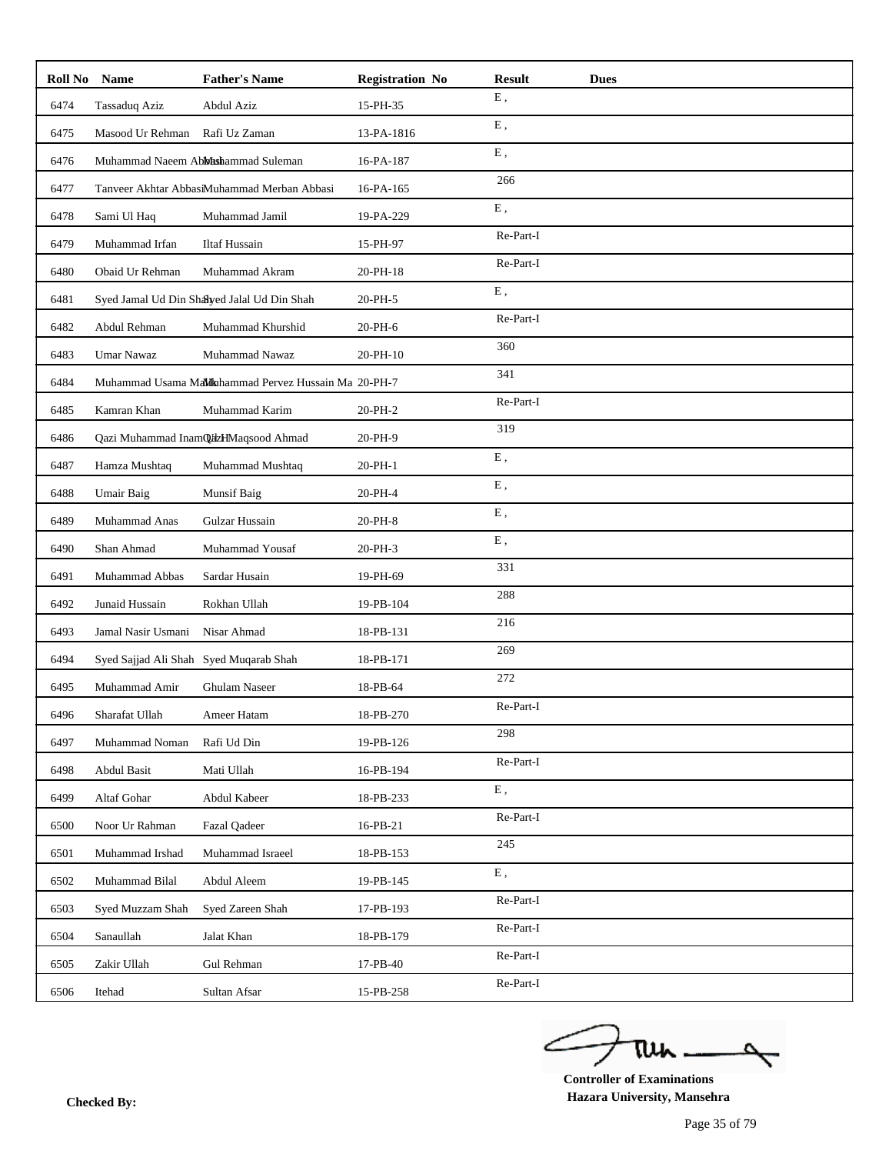| Roll No | <b>Name</b>                            | <b>Father's Name</b>                                 | <b>Registration No</b> | <b>Result</b> | <b>Dues</b> |
|---------|----------------------------------------|------------------------------------------------------|------------------------|---------------|-------------|
| 6474    | Tassaduq Aziz                          | Abdul Aziz                                           | 15-PH-35               | ${\bf E}$ ,   |             |
| 6475    | Masood Ur Rehman                       | Rafi Uz Zaman                                        | 13-PA-1816             | ${\bf E}$ ,   |             |
| 6476    |                                        | Muhammad Naeem Abbhashammad Suleman                  | 16-PA-187              | E,            |             |
| 6477    |                                        | Tanveer Akhtar AbbasiMuhammad Merban Abbasi          | 16-PA-165              | 266           |             |
| 6478    | Sami Ul Haq                            | Muhammad Jamil                                       | 19-PA-229              | ${\bf E}$ ,   |             |
| 6479    | Muhammad Irfan                         | <b>Iltaf Hussain</b>                                 | 15-PH-97               | Re-Part-I     |             |
| 6480    | Obaid Ur Rehman                        | Muhammad Akram                                       | 20-PH-18               | Re-Part-I     |             |
| 6481    |                                        | Syed Jamal Ud Din Shayed Jalal Ud Din Shah           | 20-PH-5                | E,            |             |
| 6482    | Abdul Rehman                           | Muhammad Khurshid                                    | 20-PH-6                | Re-Part-I     |             |
| 6483    | <b>Umar Nawaz</b>                      | Muhammad Nawaz                                       | 20-PH-10               | 360           |             |
| 6484    |                                        | Muhammad Usama MaMkahammad Pervez Hussain Ma 20-PH-7 |                        | 341           |             |
| 6485    | Kamran Khan                            | Muhammad Karim                                       | 20-PH-2                | Re-Part-I     |             |
| 6486    |                                        | Qazi Muhammad InamQazHMaqsood Ahmad                  | 20-PH-9                | 319           |             |
| 6487    | Hamza Mushtaq                          | Muhammad Mushtaq                                     | 20-PH-1                | ${\bf E}$ ,   |             |
| 6488    | Umair Baig                             | Munsif Baig                                          | 20-PH-4                | E,            |             |
| 6489    | Muhammad Anas                          | Gulzar Hussain                                       | 20-PH-8                | ${\bf E}$ ,   |             |
| 6490    | Shan Ahmad                             | Muhammad Yousaf                                      | 20-PH-3                | ${\bf E}$ ,   |             |
| 6491    | Muhammad Abbas                         | Sardar Husain                                        | 19-PH-69               | 331           |             |
| 6492    | Junaid Hussain                         | Rokhan Ullah                                         | 19-PB-104              | 288           |             |
| 6493    | Jamal Nasir Usmani                     | Nisar Ahmad                                          | 18-PB-131              | 216           |             |
| 6494    | Syed Sajjad Ali Shah Syed Muqarab Shah |                                                      | 18-PB-171              | 269           |             |
| 6495    | Muhammad Amir                          | Ghulam Naseer                                        | 18-PB-64               | 272           |             |
| 6496    | Sharafat Ullah                         | Ameer Hatam                                          | 18-PB-270              | Re-Part-I     |             |
| 6497    | Muhammad Noman                         | Rafi Ud Din                                          | 19-PB-126              | 298           |             |
| 6498    | Abdul Basit                            | Mati Ullah                                           | 16-PB-194              | Re-Part-I     |             |
| 6499    | Altaf Gohar                            | Abdul Kabeer                                         | 18-PB-233              | ${\bf E}$ ,   |             |
| 6500    | Noor Ur Rahman                         | <b>Fazal Qadeer</b>                                  | 16-PB-21               | Re-Part-I     |             |
| 6501    | Muhammad Irshad                        | Muhammad Israeel                                     | 18-PB-153              | 245           |             |
| 6502    | Muhammad Bilal                         | Abdul Aleem                                          | 19-PB-145              | ${\bf E}$ ,   |             |
| 6503    | Syed Muzzam Shah                       | Syed Zareen Shah                                     | 17-PB-193              | Re-Part-I     |             |
| 6504    | Sanaullah                              | Jalat Khan                                           | 18-PB-179              | Re-Part-I     |             |
| 6505    | Zakir Ullah                            | Gul Rehman                                           | 17-PB-40               | Re-Part-I     |             |
| 6506    | Itehad                                 | Sultan Afsar                                         | 15-PB-258              | Re-Part-I     |             |

ے tui

**Controller of Examinations Hazara University, Mansehra Checked By:**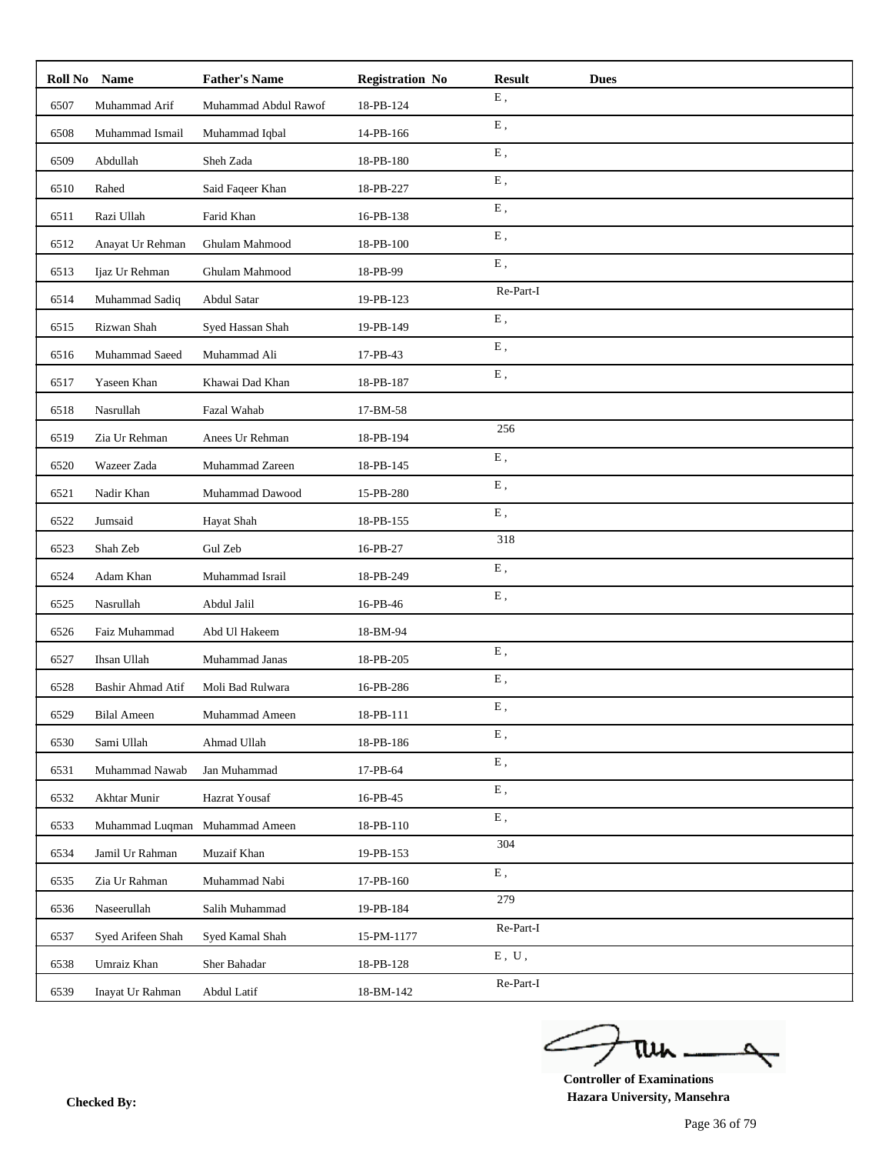| Roll No | Name                     | <b>Father's Name</b> | <b>Registration No</b> | <b>Result</b><br><b>Dues</b> |
|---------|--------------------------|----------------------|------------------------|------------------------------|
| 6507    | Muhammad Arif            | Muhammad Abdul Rawof | 18-PB-124              | ${\bf E}$ ,                  |
| 6508    | Muhammad Ismail          | Muhammad Iqbal       | 14-PB-166              | ${\bf E}$ ,                  |
| 6509    | Abdullah                 | Sheh Zada            | 18-PB-180              | E,                           |
| 6510    | Rahed                    | Said Faqeer Khan     | 18-PB-227              | ${\bf E}$ ,                  |
| 6511    | Razi Ullah               | Farid Khan           | 16-PB-138              | ${\bf E}$ ,                  |
| 6512    | Anayat Ur Rehman         | Ghulam Mahmood       | 18-PB-100              | E,                           |
| 6513    | Ijaz Ur Rehman           | Ghulam Mahmood       | 18-PB-99               | ${\bf E}$ ,                  |
| 6514    | Muhammad Sadiq           | Abdul Satar          | 19-PB-123              | Re-Part-I                    |
| 6515    | Rizwan Shah              | Syed Hassan Shah     | 19-PB-149              | E,                           |
| 6516    | Muhammad Saeed           | Muhammad Ali         | 17-PB-43               | ${\bf E}$ ,                  |
| 6517    | Yaseen Khan              | Khawai Dad Khan      | 18-PB-187              | E,                           |
| 6518    | Nasrullah                | Fazal Wahab          | 17-BM-58               |                              |
| 6519    | Zia Ur Rehman            | Anees Ur Rehman      | 18-PB-194              | 256                          |
| 6520    | Wazeer Zada              | Muhammad Zareen      | 18-PB-145              | ${\bf E}$ ,                  |
| 6521    | Nadir Khan               | Muhammad Dawood      | 15-PB-280              | E,                           |
| 6522    | Jumsaid                  | Hayat Shah           | 18-PB-155              | ${\bf E}$ ,                  |
| 6523    | Shah Zeb                 | Gul Zeb              | 16-PB-27               | 318                          |
| 6524    | Adam Khan                | Muhammad Israil      | 18-PB-249              | E,                           |
| 6525    | Nasrullah                | Abdul Jalil          | 16-PB-46               | ${\bf E}$ ,                  |
| 6526    | Faiz Muhammad            | Abd Ul Hakeem        | 18-BM-94               |                              |
| 6527    | Ihsan Ullah              | Muhammad Janas       | 18-PB-205              | E,                           |
| 6528    | <b>Bashir Ahmad Atif</b> | Moli Bad Rulwara     | 16-PB-286              | ${\bf E}$ ,                  |
| 6529    | <b>Bilal Ameen</b>       | Muhammad Ameen       | 18-PB-111              | E,                           |
| 6530    | Sami Ullah               | Ahmad Ullah          | 18-PB-186              | Ε,                           |
| 6531    | Muhammad Nawab           | Jan Muhammad         | 17-PB-64               | ${\bf E}$ ,                  |
| 6532    | Akhtar Munir             | Hazrat Yousaf        | 16-PB-45               | ${\bf E}$ ,                  |
| 6533    | Muhammad Luqman          | Muhammad Ameen       | 18-PB-110              | Ε,                           |
| 6534    | Jamil Ur Rahman          | Muzaif Khan          | 19-PB-153              | 304                          |
| 6535    | Zia Ur Rahman            | Muhammad Nabi        | 17-PB-160              | ${\bf E}$ ,                  |
| 6536    | Naseerullah              | Salih Muhammad       | 19-PB-184              | 279                          |
| 6537    | Syed Arifeen Shah        | Syed Kamal Shah      | 15-PM-1177             | Re-Part-I                    |
| 6538    | Umraiz Khan              | Sher Bahadar         | 18-PB-128              | E, U,                        |
| 6539    | Inayat Ur Rahman         | Abdul Latif          | 18-BM-142              | Re-Part-I                    |

ے tui 

**Controller of Examinations Hazara University, Mansehra Checked By:**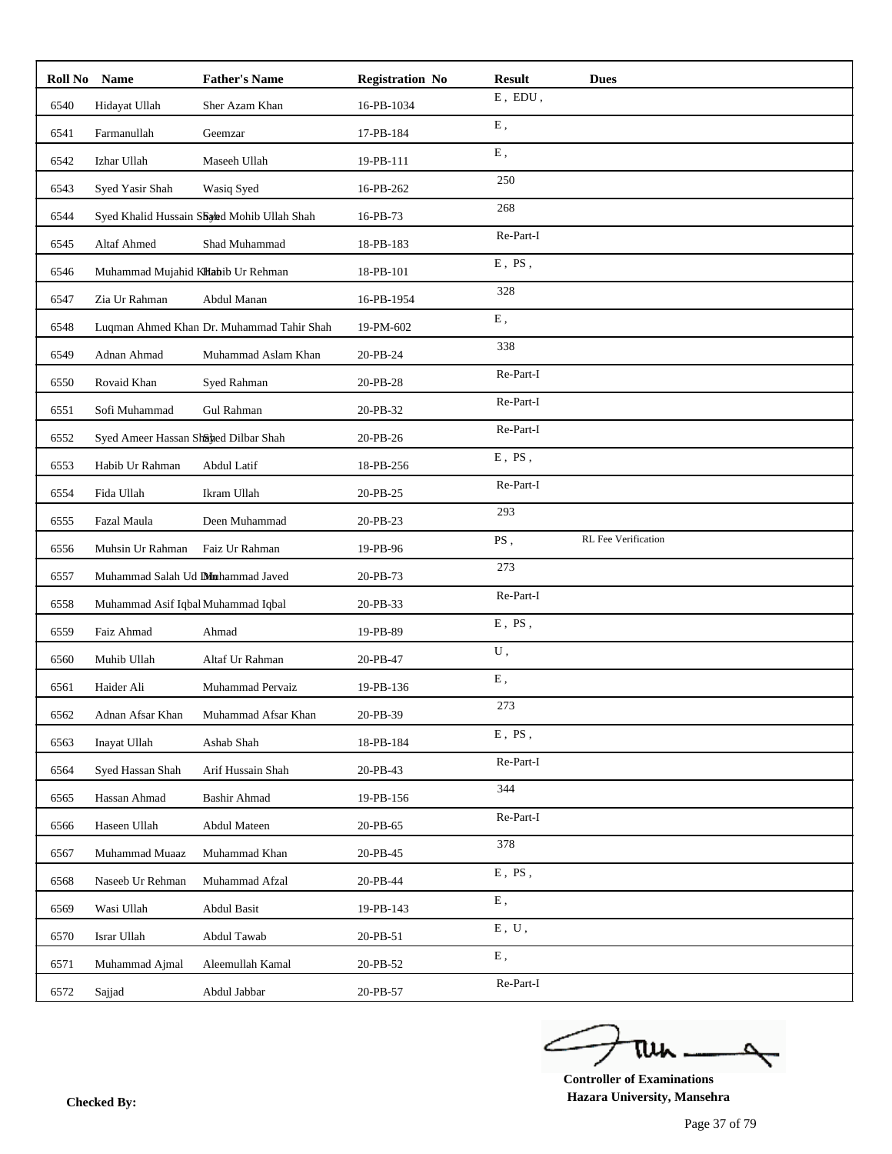| Roll No | <b>Name</b>                          | <b>Father's Name</b>                       | <b>Registration No</b> | <b>Result</b>                | <b>Dues</b>         |
|---------|--------------------------------------|--------------------------------------------|------------------------|------------------------------|---------------------|
| 6540    | Hidayat Ullah                        | Sher Azam Khan                             | 16-PB-1034             | ${\rm E}$ , $\, {\rm EDU}$ , |                     |
| 6541    | Farmanullah                          | Geemzar                                    | 17-PB-184              | ${\bf E}$ ,                  |                     |
| 6542    | Izhar Ullah                          | Maseeh Ullah                               | 19-PB-111              | E,                           |                     |
| 6543    | Syed Yasir Shah                      | Wasiq Syed                                 | 16-PB-262              | 250                          |                     |
| 6544    |                                      | Syed Khalid Hussain Shahd Mohib Ullah Shah | 16-PB-73               | 268                          |                     |
| 6545    | Altaf Ahmed                          | Shad Muhammad                              | 18-PB-183              | Re-Part-I                    |                     |
| 6546    | Muhammad Mujahid KHabib Ur Rehman    |                                            | 18-PB-101              | $E$ , $PS$ ,                 |                     |
| 6547    | Zia Ur Rahman                        | Abdul Manan                                | 16-PB-1954             | 328                          |                     |
| 6548    |                                      | Luqman Ahmed Khan Dr. Muhammad Tahir Shah  | 19-PM-602              | E,                           |                     |
| 6549    | Adnan Ahmad                          | Muhammad Aslam Khan                        | 20-PB-24               | 338                          |                     |
| 6550    | Rovaid Khan                          | Syed Rahman                                | 20-PB-28               | Re-Part-I                    |                     |
| 6551    | Sofi Muhammad                        | Gul Rahman                                 | 20-PB-32               | Re-Part-I                    |                     |
| 6552    | Syed Ameer Hassan Shahed Dilbar Shah |                                            | 20-PB-26               | Re-Part-I                    |                     |
| 6553    | Habib Ur Rahman                      | Abdul Latif                                | 18-PB-256              | $E$ , PS,                    |                     |
| 6554    | Fida Ullah                           | Ikram Ullah                                | 20-PB-25               | Re-Part-I                    |                     |
| 6555    | Fazal Maula                          | Deen Muhammad                              | 20-PB-23               | 293                          |                     |
| 6556    | Muhsin Ur Rahman                     | Faiz Ur Rahman                             | 19-PB-96               | $\overline{\mathrm{PS}}$ ,   | RL Fee Verification |
| 6557    | Muhammad Salah Ud Dimhammad Javed    |                                            | 20-PB-73               | 273                          |                     |
| 6558    | Muhammad Asif Iqbal Muhammad Iqbal   |                                            | 20-PB-33               | Re-Part-I                    |                     |
| 6559    | Faiz Ahmad                           | Ahmad                                      | 19-PB-89               | $E$ , $PS$ ,                 |                     |
| 6560    | Muhib Ullah                          | Altaf Ur Rahman                            | 20-PB-47               | U,                           |                     |
| 6561    | Haider Ali                           | Muhammad Pervaiz                           | 19-PB-136              | ${\bf E}$ ,                  |                     |
| 6562    | Adnan Afsar Khan                     | Muhammad Afsar Khan                        | 20-PB-39               | 273                          |                     |
| 6563    | Inayat Ullah                         | Ashab Shah                                 | 18-PB-184              | $E$ , PS,                    |                     |
| 6564    | Syed Hassan Shah                     | Arif Hussain Shah                          | 20-PB-43               | Re-Part-I                    |                     |
| 6565    | Hassan Ahmad                         | <b>Bashir Ahmad</b>                        | 19-PB-156              | 344                          |                     |
| 6566    | Haseen Ullah                         | Abdul Mateen                               | 20-PB-65               | Re-Part-I                    |                     |
| 6567    | Muhammad Muaaz                       | Muhammad Khan                              | 20-PB-45               | 378                          |                     |
| 6568    | Naseeb Ur Rehman                     | Muhammad Afzal                             | 20-PB-44               | $E$ , PS,                    |                     |
| 6569    | Wasi Ullah                           | Abdul Basit                                | 19-PB-143              | ${\bf E}$ ,                  |                     |
| 6570    | Israr Ullah                          | Abdul Tawab                                | 20-PB-51               | ${\bf E}$ , $\;{\bf U}$ ,    |                     |
| 6571    | Muhammad Ajmal                       | Aleemullah Kamal                           | 20-PB-52               | ${\bf E}$ ,                  |                     |
| 6572    | Sajjad                               | Abdul Jabbar                               | 20-PB-57               | Re-Part-I                    |                     |

ے tui

**Controller of Examinations Hazara University, Mansehra Checked By:**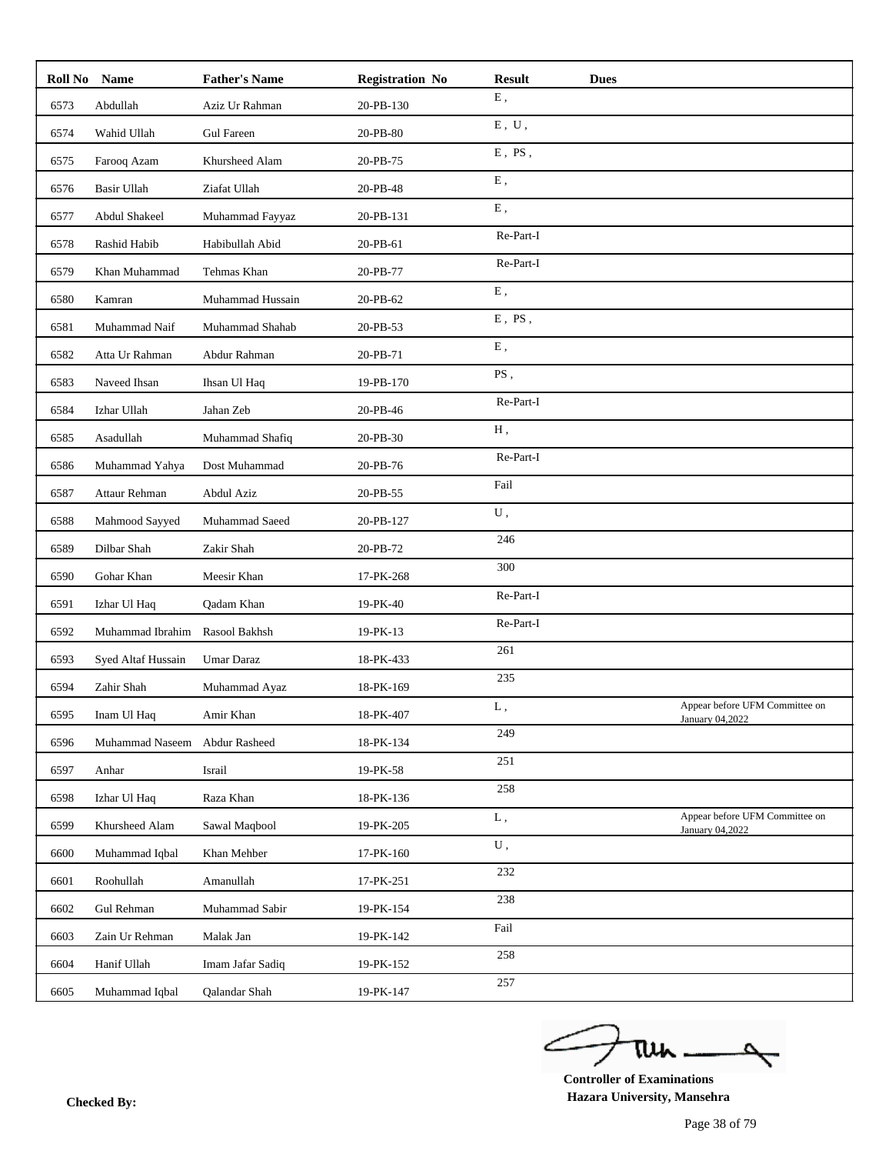|      | Roll No Name       | <b>Father's Name</b> | <b>Registration No</b> | <b>Result</b> | <b>Dues</b> |                                                   |
|------|--------------------|----------------------|------------------------|---------------|-------------|---------------------------------------------------|
| 6573 | Abdullah           | Aziz Ur Rahman       | 20-PB-130              | ${\bf E}$ ,   |             |                                                   |
| 6574 | Wahid Ullah        | <b>Gul Fareen</b>    | 20-PB-80               | E, U,         |             |                                                   |
| 6575 | Farooq Azam        | Khursheed Alam       | 20-PB-75               | $E$ , $PS$ ,  |             |                                                   |
| 6576 | Basir Ullah        | Ziafat Ullah         | 20-PB-48               | Ε,            |             |                                                   |
| 6577 | Abdul Shakeel      | Muhammad Fayyaz      | 20-PB-131              | Ε,            |             |                                                   |
| 6578 | Rashid Habib       | Habibullah Abid      | 20-PB-61               | Re-Part-I     |             |                                                   |
| 6579 | Khan Muhammad      | Tehmas Khan          | 20-PB-77               | Re-Part-I     |             |                                                   |
| 6580 | Kamran             | Muhammad Hussain     | 20-PB-62               | ${\bf E}$ ,   |             |                                                   |
| 6581 | Muhammad Naif      | Muhammad Shahab      | 20-PB-53               | $E$ , PS,     |             |                                                   |
| 6582 | Atta Ur Rahman     | Abdur Rahman         | 20-PB-71               | ${\bf E}$ ,   |             |                                                   |
| 6583 | Naveed Ihsan       | Ihsan Ul Haq         | 19-PB-170              | PS,           |             |                                                   |
| 6584 | Izhar Ullah        | Jahan Zeb            | 20-PB-46               | Re-Part-I     |             |                                                   |
| 6585 | Asadullah          | Muhammad Shafiq      | 20-PB-30               | H,            |             |                                                   |
| 6586 | Muhammad Yahya     | Dost Muhammad        | 20-PB-76               | Re-Part-I     |             |                                                   |
| 6587 | Attaur Rehman      | Abdul Aziz           | 20-PB-55               | Fail          |             |                                                   |
| 6588 | Mahmood Sayyed     | Muhammad Saeed       | 20-PB-127              | ${\bf U}$ ,   |             |                                                   |
| 6589 | Dilbar Shah        | Zakir Shah           | 20-PB-72               | 246           |             |                                                   |
| 6590 | Gohar Khan         | Meesir Khan          | 17-PK-268              | 300           |             |                                                   |
| 6591 | Izhar Ul Haq       | Qadam Khan           | 19-PK-40               | Re-Part-I     |             |                                                   |
| 6592 | Muhammad Ibrahim   | Rasool Bakhsh        | 19-PK-13               | Re-Part-I     |             |                                                   |
| 6593 | Syed Altaf Hussain | Umar Daraz           | 18-PK-433              | 261           |             |                                                   |
| 6594 | Zahir Shah         | Muhammad Ayaz        | 18-PK-169              | 235           |             |                                                   |
| 6595 | Inam Ul Haq        | Amir Khan            | 18-PK-407              | L,            |             | Appear before UFM Committee on<br>January 04,2022 |
| 6596 | Muhammad Naseem    | Abdur Rasheed        | 18-PK-134              | 249           |             |                                                   |
| 6597 | Anhar              | Israil               | 19-PK-58               | 251           |             |                                                   |
| 6598 | Izhar Ul Haq       | Raza Khan            | 18-PK-136              | 258           |             |                                                   |
| 6599 | Khursheed Alam     | Sawal Magbool        | 19-PK-205              | L,            |             | Appear before UFM Committee on<br>January 04,2022 |
| 6600 | Muhammad Iqbal     | Khan Mehber          | 17-PK-160              | ${\bf U}$ ,   |             |                                                   |
| 6601 | Roohullah          | Amanullah            | 17-PK-251              | 232           |             |                                                   |
| 6602 | Gul Rehman         | Muhammad Sabir       | 19-PK-154              | 238           |             |                                                   |
| 6603 | Zain Ur Rehman     | Malak Jan            | 19-PK-142              | Fail          |             |                                                   |
| 6604 | Hanif Ullah        | Imam Jafar Sadiq     | 19-PK-152              | 258           |             |                                                   |
| 6605 | Muhammad Iqbal     | Qalandar Shah        | 19-PK-147              | 257           |             |                                                   |

ے tui

**Controller of Examinations Hazara University, Mansehra Checked By:**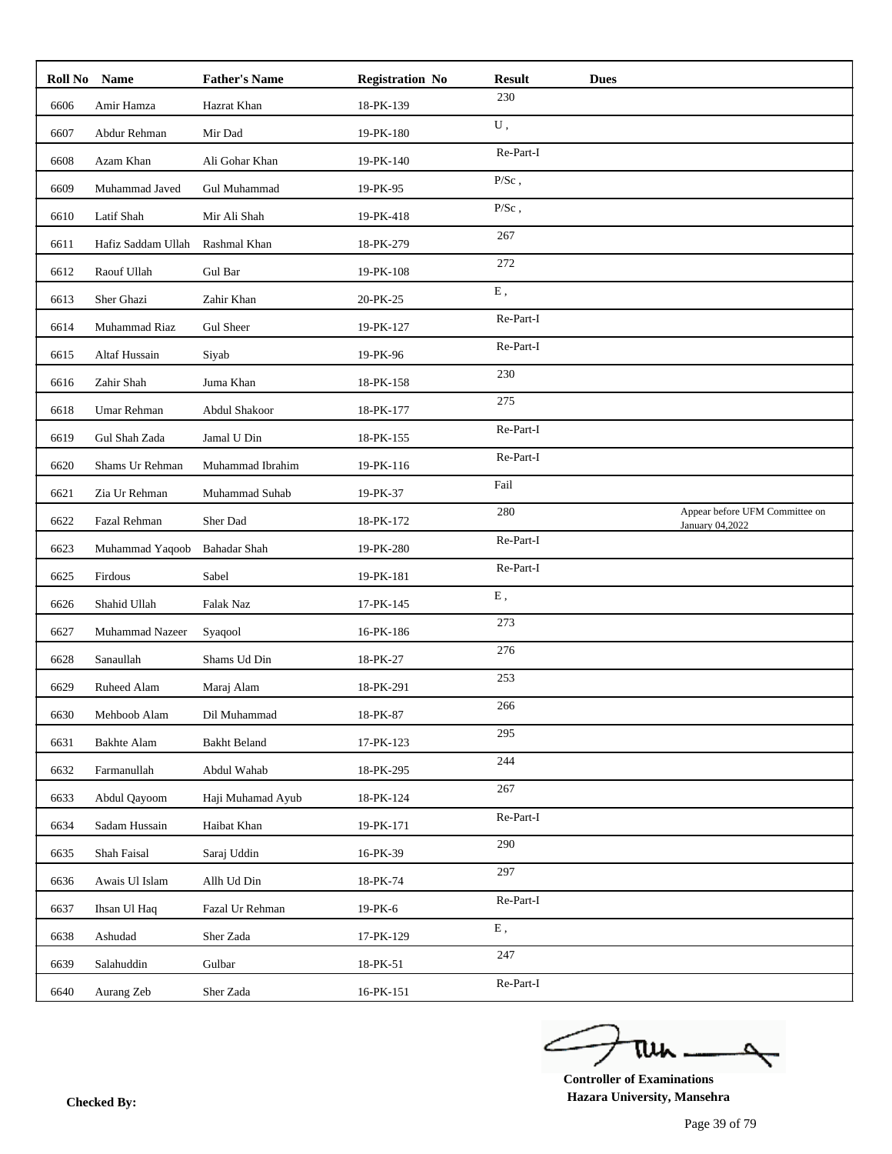|      | Roll No Name       | <b>Father's Name</b> | <b>Registration No</b> | <b>Result</b> | <b>Dues</b> |                                                   |
|------|--------------------|----------------------|------------------------|---------------|-------------|---------------------------------------------------|
| 6606 | Amir Hamza         | Hazrat Khan          | 18-PK-139              | 230           |             |                                                   |
| 6607 | Abdur Rehman       | Mir Dad              | 19-PK-180              | ${\bf U}$ ,   |             |                                                   |
| 6608 | Azam Khan          | Ali Gohar Khan       | 19-PK-140              | Re-Part-I     |             |                                                   |
| 6609 | Muhammad Javed     | Gul Muhammad         | 19-PK-95               | $P/Sc$ ,      |             |                                                   |
| 6610 | Latif Shah         | Mir Ali Shah         | 19-PK-418              | $P/Sc$ ,      |             |                                                   |
| 6611 | Hafiz Saddam Ullah | Rashmal Khan         | 18-PK-279              | 267           |             |                                                   |
| 6612 | Raouf Ullah        | Gul Bar              | 19-PK-108              | 272           |             |                                                   |
| 6613 | Sher Ghazi         | Zahir Khan           | 20-PK-25               | E,            |             |                                                   |
| 6614 | Muhammad Riaz      | <b>Gul Sheer</b>     | 19-PK-127              | Re-Part-I     |             |                                                   |
| 6615 | Altaf Hussain      | Siyab                | 19-PK-96               | Re-Part-I     |             |                                                   |
| 6616 | Zahir Shah         | Juma Khan            | 18-PK-158              | 230           |             |                                                   |
| 6618 | Umar Rehman        | Abdul Shakoor        | 18-PK-177              | 275           |             |                                                   |
| 6619 | Gul Shah Zada      | Jamal U Din          | 18-PK-155              | Re-Part-I     |             |                                                   |
| 6620 | Shams Ur Rehman    | Muhammad Ibrahim     | 19-PK-116              | Re-Part-I     |             |                                                   |
| 6621 | Zia Ur Rehman      | Muhammad Suhab       | 19-PK-37               | Fail          |             |                                                   |
| 6622 | Fazal Rehman       | Sher Dad             | 18-PK-172              | 280           |             | Appear before UFM Committee on<br>January 04,2022 |
| 6623 | Muhammad Yaqoob    | <b>Bahadar Shah</b>  | 19-PK-280              | Re-Part-I     |             |                                                   |
| 6625 | Firdous            | Sabel                | 19-PK-181              | Re-Part-I     |             |                                                   |
| 6626 | Shahid Ullah       | Falak Naz            | 17-PK-145              | ${\bf E}$ ,   |             |                                                   |
| 6627 | Muhammad Nazeer    | Syaqool              | 16-PK-186              | 273           |             |                                                   |
| 6628 | Sanaullah          | Shams Ud Din         | 18-PK-27               | 276           |             |                                                   |
| 6629 | Ruheed Alam        | Maraj Alam           | 18-PK-291              | 253           |             |                                                   |
| 6630 | Mehboob Alam       | Dil Muhammad         | 18-PK-87               | 266           |             |                                                   |
| 6631 | <b>Bakhte Alam</b> | <b>Bakht Beland</b>  | 17-PK-123              | 295           |             |                                                   |
| 6632 | Farmanullah        | Abdul Wahab          | 18-PK-295              | 244           |             |                                                   |
| 6633 | Abdul Qayoom       | Haji Muhamad Ayub    | 18-PK-124              | 267           |             |                                                   |
| 6634 | Sadam Hussain      | Haibat Khan          | 19-PK-171              | Re-Part-I     |             |                                                   |
| 6635 | Shah Faisal        | Saraj Uddin          | 16-PK-39               | 290           |             |                                                   |
| 6636 | Awais Ul Islam     | Allh Ud Din          | 18-PK-74               | 297           |             |                                                   |
| 6637 | Ihsan Ul Haq       | Fazal Ur Rehman      | 19-PK-6                | Re-Part-I     |             |                                                   |
| 6638 | Ashudad            | Sher Zada            | 17-PK-129              | ${\bf E}$ ,   |             |                                                   |
| 6639 | Salahuddin         | Gulbar               | 18-PK-51               | 247           |             |                                                   |
| 6640 | Aurang Zeb         | Sher Zada            | 16-PK-151              | Re-Part-I     |             |                                                   |

ے tui

**Controller of Examinations Hazara University, Mansehra Checked By:**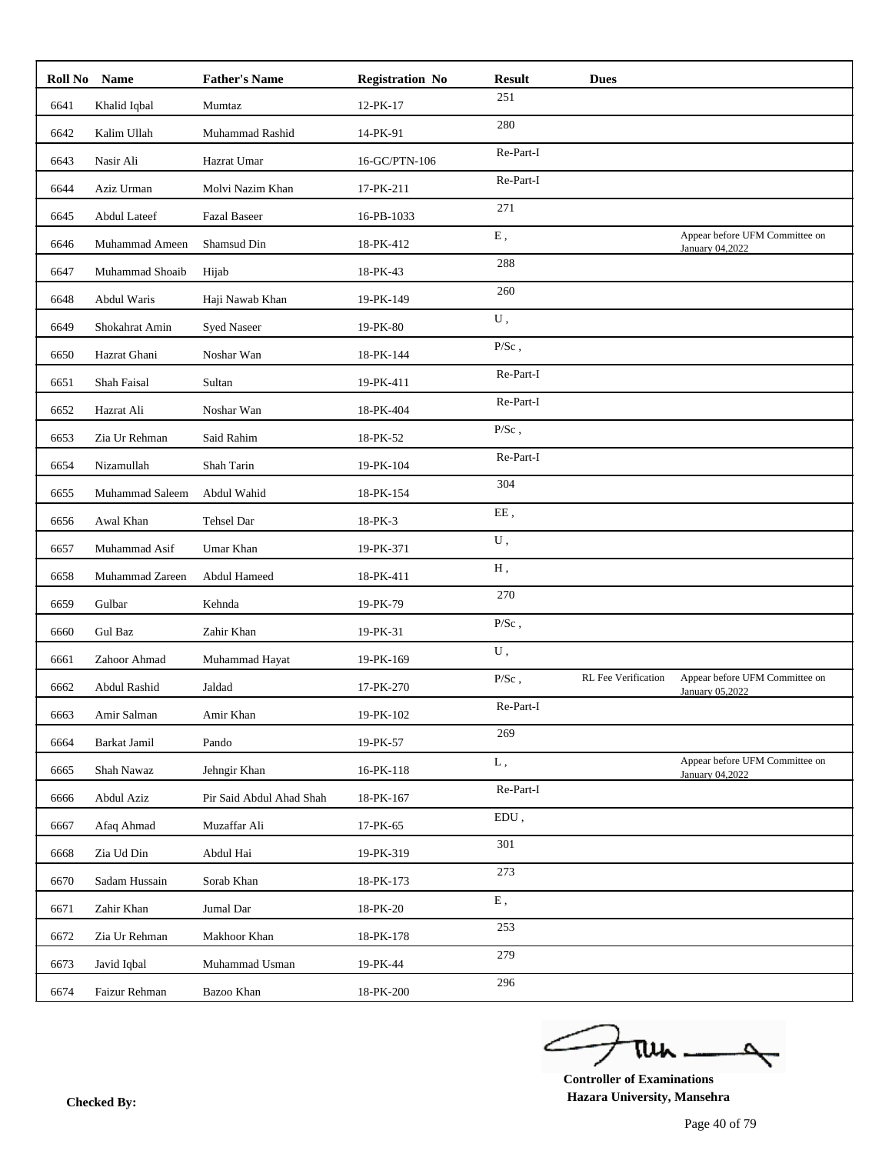|      | Roll No Name        | <b>Father's Name</b>     | <b>Registration No</b> | <b>Result</b> | <b>Dues</b>                |                                                   |
|------|---------------------|--------------------------|------------------------|---------------|----------------------------|---------------------------------------------------|
| 6641 | Khalid Iqbal        | Mumtaz                   | 12-PK-17               | 251           |                            |                                                   |
| 6642 | Kalim Ullah         | Muhammad Rashid          | 14-PK-91               | 280           |                            |                                                   |
| 6643 | Nasir Ali           | Hazrat Umar              | 16-GC/PTN-106          | Re-Part-I     |                            |                                                   |
| 6644 | Aziz Urman          | Molvi Nazim Khan         | 17-PK-211              | Re-Part-I     |                            |                                                   |
| 6645 | <b>Abdul Lateef</b> | <b>Fazal Baseer</b>      | 16-PB-1033             | 271           |                            |                                                   |
| 6646 | Muhammad Ameen      | Shamsud Din              | 18-PK-412              | ${\bf E}$ ,   |                            | Appear before UFM Committee on<br>January 04,2022 |
| 6647 | Muhammad Shoaib     | Hijab                    | 18-PK-43               | 288           |                            |                                                   |
| 6648 | Abdul Waris         | Haji Nawab Khan          | 19-PK-149              | 260           |                            |                                                   |
| 6649 | Shokahrat Amin      | <b>Syed Naseer</b>       | 19-PK-80               | ${\bf U}$ ,   |                            |                                                   |
| 6650 | Hazrat Ghani        | Noshar Wan               | 18-PK-144              | $P/Sc$ ,      |                            |                                                   |
| 6651 | Shah Faisal         | Sultan                   | 19-PK-411              | Re-Part-I     |                            |                                                   |
| 6652 | Hazrat Ali          | Noshar Wan               | 18-PK-404              | Re-Part-I     |                            |                                                   |
| 6653 | Zia Ur Rehman       | Said Rahim               | 18-PK-52               | $P/Sc$ ,      |                            |                                                   |
| 6654 | Nizamullah          | Shah Tarin               | 19-PK-104              | Re-Part-I     |                            |                                                   |
| 6655 | Muhammad Saleem     | Abdul Wahid              | 18-PK-154              | 304           |                            |                                                   |
| 6656 | Awal Khan           | Tehsel Dar               | 18-PK-3                | EE,           |                            |                                                   |
| 6657 | Muhammad Asif       | Umar Khan                | 19-PK-371              | U,            |                            |                                                   |
| 6658 | Muhammad Zareen     | Abdul Hameed             | 18-PK-411              | Н,            |                            |                                                   |
| 6659 | Gulbar              | Kehnda                   | 19-PK-79               | 270           |                            |                                                   |
| 6660 | Gul Baz             | Zahir Khan               | 19-PK-31               | $P/Sc$ ,      |                            |                                                   |
| 6661 | Zahoor Ahmad        | Muhammad Hayat           | 19-PK-169              | ${\bf U}$ ,   |                            |                                                   |
| 6662 | Abdul Rashid        | Jaldad                   | 17-PK-270              | $P/Sc$ ,      | <b>RL</b> Fee Verification | Appear before UFM Committee on                    |
| 6663 | Amir Salman         | Amir Khan                | 19-PK-102              | Re-Part-I     |                            | January 05,2022                                   |
| 6664 | Barkat Jamil        | Pando                    | 19-PK-57               | 269           |                            |                                                   |
| 6665 | Shah Nawaz          | Jehngir Khan             | 16-PK-118              | L,            |                            | Appear before UFM Committee on                    |
| 6666 | Abdul Aziz          | Pir Said Abdul Ahad Shah | 18-PK-167              | Re-Part-I     |                            | January 04,2022                                   |
| 6667 | Afaq Ahmad          | Muzaffar Ali             | 17-PK-65               | $EDU$ ,       |                            |                                                   |
| 6668 | Zia Ud Din          | Abdul Hai                | 19-PK-319              | 301           |                            |                                                   |
| 6670 | Sadam Hussain       | Sorab Khan               | 18-PK-173              | 273           |                            |                                                   |
|      |                     |                          |                        | ${\bf E}$ ,   |                            |                                                   |
| 6671 | Zahir Khan          | Jumal Dar                | 18-PK-20               | 253           |                            |                                                   |
| 6672 | Zia Ur Rehman       | Makhoor Khan             | 18-PK-178              | 279           |                            |                                                   |
| 6673 | Javid Iqbal         | Muhammad Usman           | 19-PK-44               | 296           |                            |                                                   |
| 6674 | Faizur Rehman       | Bazoo Khan               | 18-PK-200              |               |                            |                                                   |

ے tui

**Controller of Examinations Hazara University, Mansehra Checked By:**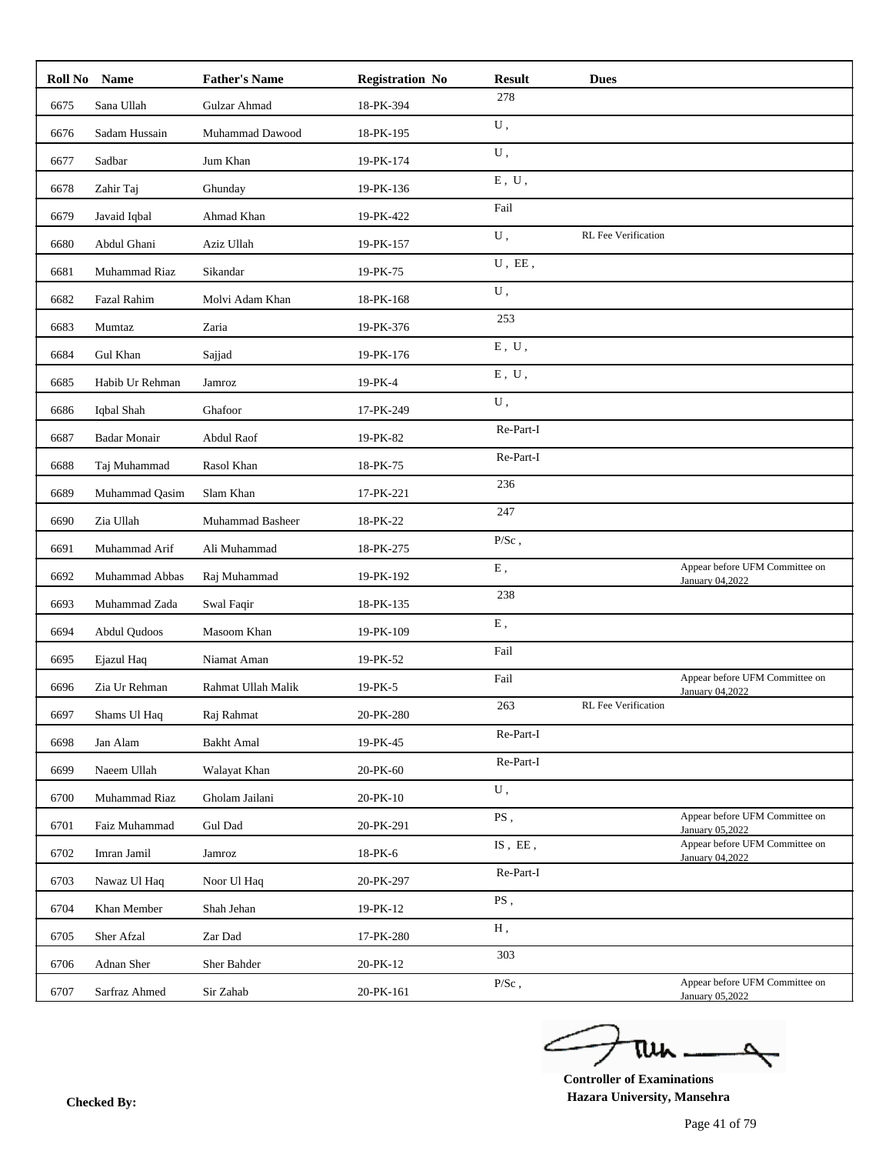|      | Roll No Name                | <b>Father's Name</b> | <b>Registration No</b> | <b>Result</b>             | <b>Dues</b>                |                                                   |
|------|-----------------------------|----------------------|------------------------|---------------------------|----------------------------|---------------------------------------------------|
| 6675 | Sana Ullah                  | Gulzar Ahmad         | 18-PK-394              | 278                       |                            |                                                   |
| 6676 | Sadam Hussain               | Muhammad Dawood      | 18-PK-195              | ${\bf U}$ ,               |                            |                                                   |
| 6677 | Sadbar                      | Jum Khan             | 19-PK-174              | U,                        |                            |                                                   |
| 6678 | Zahir Taj                   | Ghunday              | 19-PK-136              | ${\bf E}$ , $\;{\bf U}$ , |                            |                                                   |
| 6679 | Javaid Iqbal                | Ahmad Khan           | 19-PK-422              | Fail                      |                            |                                                   |
| 6680 | Abdul Ghani                 | Aziz Ullah           | 19-PK-157              | U,                        | <b>RL</b> Fee Verification |                                                   |
| 6681 | Muhammad Riaz               | Sikandar             | 19-PK-75               | $U$ , $E\boldsymbol{E}$ , |                            |                                                   |
| 6682 | <b>Fazal Rahim</b>          | Molvi Adam Khan      | 18-PK-168              | ${\bf U}$ ,               |                            |                                                   |
| 6683 | Mumtaz                      | Zaria                | 19-PK-376              | 253                       |                            |                                                   |
| 6684 | Gul Khan                    | Sajjad               | 19-PK-176              | ${\bf E}$ , $\;{\bf U}$ , |                            |                                                   |
| 6685 | Habib Ur Rehman             | Jamroz               | 19-PK-4                | ${\bf E}$ , $\;{\bf U}$ , |                            |                                                   |
| 6686 | Iqbal Shah                  | Ghafoor              | 17-PK-249              | ${\bf U}$ ,               |                            |                                                   |
| 6687 | <b>Badar Monair</b>         | Abdul Raof           | 19-PK-82               | Re-Part-I                 |                            |                                                   |
| 6688 | Taj Muhammad                | Rasol Khan           | 18-PK-75               | Re-Part-I                 |                            |                                                   |
| 6689 | Muhammad Qasim              | Slam Khan            | 17-PK-221              | 236                       |                            |                                                   |
| 6690 | Zia Ullah                   | Muhammad Basheer     | 18-PK-22               | 247                       |                            |                                                   |
| 6691 | Muhammad Arif               | Ali Muhammad         | 18-PK-275              | $P/Sc$ ,                  |                            |                                                   |
| 6692 | Muhammad Abbas              | Raj Muhammad         | 19-PK-192              | ${\bf E}$ ,               |                            | Appear before UFM Committee on                    |
| 6693 | Muhammad Zada               | Swal Faqir           | 18-PK-135              | 238                       |                            | January 04,2022                                   |
| 6694 | Abdul Qudoos                | Masoom Khan          | 19-PK-109              | ${\bf E}$ ,               |                            |                                                   |
| 6695 |                             |                      | 19-PK-52               | Fail                      |                            |                                                   |
|      | Ejazul Haq<br>Zia Ur Rehman | Niamat Aman          |                        | Fail                      |                            | Appear before UFM Committee on                    |
| 6696 |                             | Rahmat Ullah Malik   | 19-PK-5                | 263                       | <b>RL</b> Fee Verification | January 04,2022                                   |
| 6697 | Shams Ul Haq                | Raj Rahmat           | 20-PK-280              | Re-Part-I                 |                            |                                                   |
| 6698 | Jan Alam                    | <b>Bakht Amal</b>    | 19-PK-45               | Re-Part-I                 |                            |                                                   |
| 6699 | Naeem Ullah                 | Walayat Khan         | 20-PK-60               | ${\bf U}$ ,               |                            |                                                   |
| 6700 | Muhammad Riaz               | Gholam Jailani       | 20-PK-10               | PS,                       |                            | Appear before UFM Committee on                    |
| 6701 | Faiz Muhammad               | Gul Dad              | 20-PK-291              | $IS$ , $EE$ ,             |                            | January 05,2022<br>Appear before UFM Committee on |
| 6702 | Imran Jamil                 | Jamroz               | 18-PK-6                | Re-Part-I                 |                            | January 04,2022                                   |
| 6703 | Nawaz Ul Haq                | Noor Ul Haq          | 20-PK-297              | PS,                       |                            |                                                   |
| 6704 | Khan Member                 | Shah Jehan           | 19-PK-12               |                           |                            |                                                   |
| 6705 | Sher Afzal                  | Zar Dad              | 17-PK-280              | Н,                        |                            |                                                   |
| 6706 | Adnan Sher                  | Sher Bahder          | 20-PK-12               | 303                       |                            |                                                   |
| 6707 | Sarfraz Ahmed               | Sir Zahab            | 20-PK-161              | $P/Sc$ ,                  |                            | Appear before UFM Committee on<br>January 05,2022 |

ے tui

**Controller of Examinations Hazara University, Mansehra Checked By:**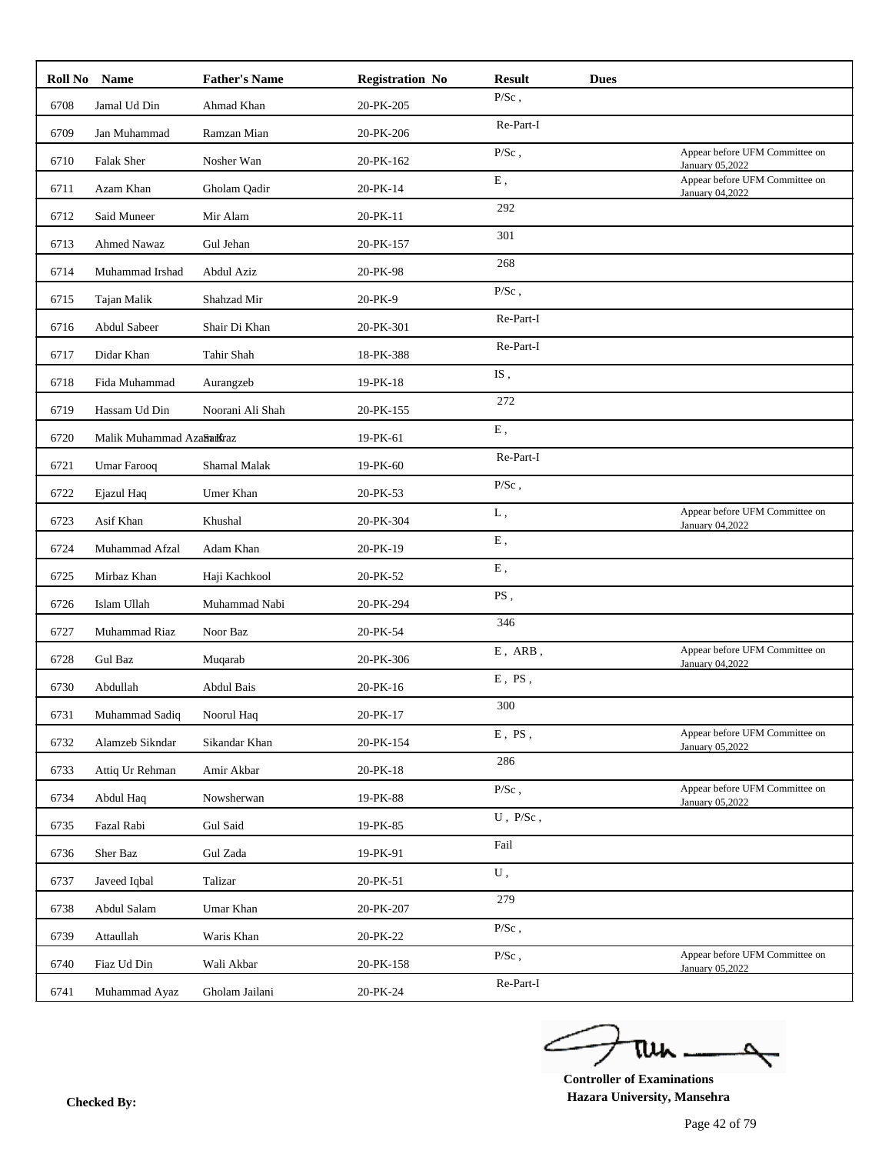| Roll No Name |                            | <b>Father's Name</b> | <b>Registration No</b> | <b>Result</b>      | <b>Dues</b> |                                                   |
|--------------|----------------------------|----------------------|------------------------|--------------------|-------------|---------------------------------------------------|
| 6708         | Jamal Ud Din               | Ahmad Khan           | 20-PK-205              | $P/Sc$ ,           |             |                                                   |
| 6709         | Jan Muhammad               | Ramzan Mian          | 20-PK-206              | Re-Part-I          |             |                                                   |
| 6710         | Falak Sher                 | Nosher Wan           | 20-PK-162              | $P/Sc$ ,           |             | Appear before UFM Committee on<br>January 05,2022 |
| 6711         | Azam Khan                  | Gholam Qadir         | 20-PK-14               | E,                 |             | Appear before UFM Committee on<br>January 04,2022 |
| 6712         | Said Muneer                | Mir Alam             | 20-PK-11               | 292                |             |                                                   |
| 6713         | Ahmed Nawaz                | Gul Jehan            | 20-PK-157              | 301                |             |                                                   |
| 6714         | Muhammad Irshad            | Abdul Aziz           | 20-PK-98               | 268                |             |                                                   |
| 6715         | Tajan Malik                | Shahzad Mir          | 20-PK-9                | $P/Sc$ ,           |             |                                                   |
| 6716         | Abdul Sabeer               | Shair Di Khan        | 20-PK-301              | Re-Part-I          |             |                                                   |
| 6717         | Didar Khan                 | Tahir Shah           | 18-PK-388              | Re-Part-I          |             |                                                   |
| 6718         | Fida Muhammad              | Aurangzeb            | 19-PK-18               | IS,                |             |                                                   |
| 6719         | Hassam Ud Din              | Noorani Ali Shah     | 20-PK-155              | 272                |             |                                                   |
| 6720         | Malik Muhammad AzaSharKraz |                      | 19-PK-61               | Ε,                 |             |                                                   |
| 6721         | <b>Umar Farooq</b>         | Shamal Malak         | 19-PK-60               | Re-Part-I          |             |                                                   |
| 6722         | Ejazul Haq                 | Umer Khan            | 20-PK-53               | $P/Sc$ ,           |             |                                                   |
| 6723         | Asif Khan                  | Khushal              | 20-PK-304              | ${\bf L}$ ,        |             | Appear before UFM Committee on<br>January 04,2022 |
| 6724         | Muhammad Afzal             | Adam Khan            | 20-PK-19               | Ε,                 |             |                                                   |
| 6725         | Mirbaz Khan                | Haji Kachkool        | 20-PK-52               | ${\bf E}$ ,        |             |                                                   |
| 6726         | Islam Ullah                | Muhammad Nabi        | 20-PK-294              | PS,                |             |                                                   |
| 6727         | Muhammad Riaz              | Noor Baz             | 20-PK-54               | 346                |             |                                                   |
| 6728         | Gul Baz                    | Muqarab              | 20-PK-306              | $E$ , $ARB$ , $\,$ |             | Appear before UFM Committee on<br>January 04,2022 |
| 6730         | Abdullah                   | <b>Abdul Bais</b>    | 20-PK-16               | $E$ , $PS$ ,       |             |                                                   |
| 6731         | Muhammad Sadiq             | Noorul Haq           | 20-PK-17               | 300                |             |                                                   |
| 6732         | Alamzeb Sikndar            | Sikandar Khan        | 20-PK-154              | $E$ , $PS$ .       |             | Appear before UFM Committee on<br>January 05,2022 |
| 6733         | Attiq Ur Rehman            | Amir Akbar           | 20-PK-18               | 286                |             |                                                   |
| 6734         | Abdul Haq                  | Nowsherwan           | 19-PK-88               | $P/Sc$ ,           |             | Appear before UFM Committee on<br>January 05,2022 |
| 6735         | Fazal Rabi                 | Gul Said             | 19-PK-85               | $U$ , $P/Sc$ ,     |             |                                                   |
| 6736         | Sher Baz                   | Gul Zada             | 19-PK-91               | Fail               |             |                                                   |
| 6737         | Javeed Iqbal               | Talizar              | 20-PK-51               | ${\bf U}$ ,        |             |                                                   |
| 6738         | Abdul Salam                | Umar Khan            | 20-PK-207              | 279                |             |                                                   |
| 6739         | Attaullah                  | Waris Khan           | 20-PK-22               | $P/Sc$ ,           |             |                                                   |
| 6740         | Fiaz Ud Din                | Wali Akbar           | 20-PK-158              | $P/Sc$ ,           |             | Appear before UFM Committee on                    |
| 6741         | Muhammad Ayaz              | Gholam Jailani       | 20-PK-24               | Re-Part-I          |             | January 05,2022                                   |

ے tui

**Controller of Examinations Hazara University, Mansehra Checked By:**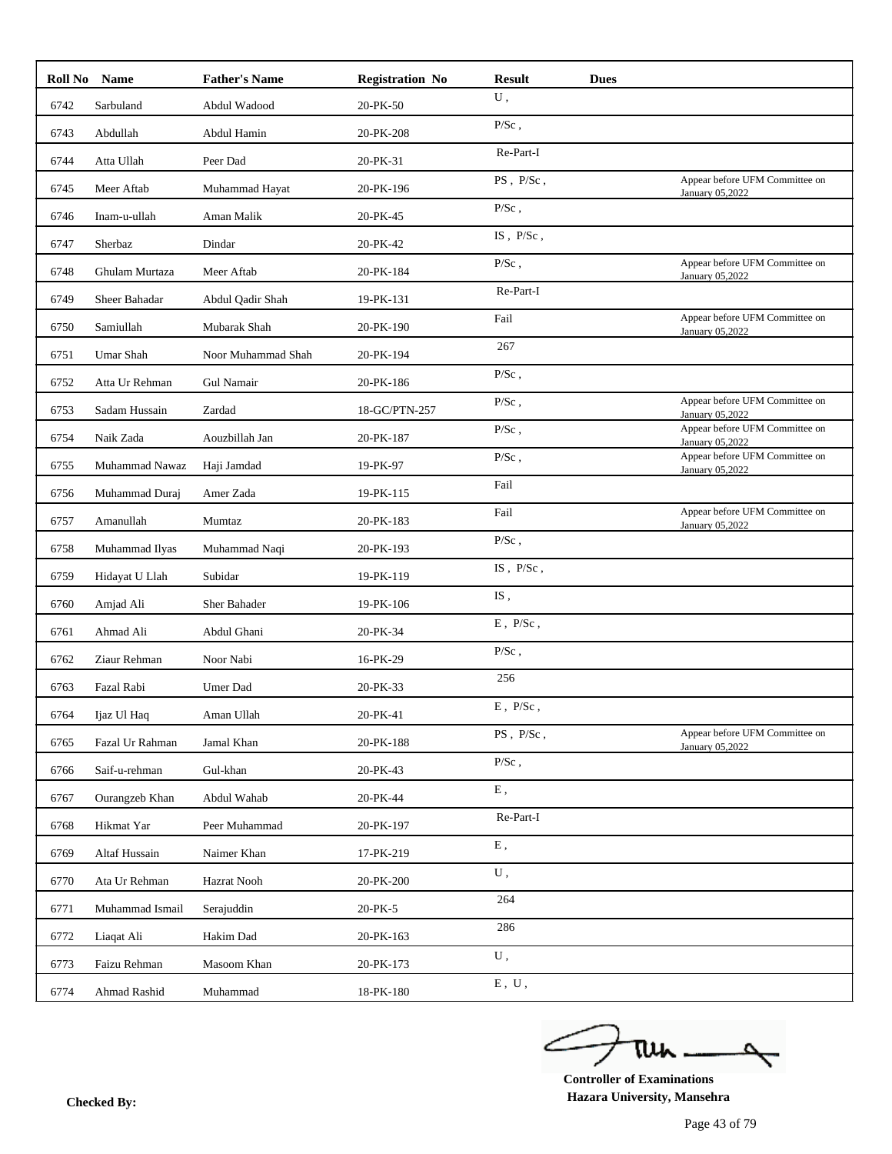|      | Roll No Name     | <b>Father's Name</b> | <b>Registration No</b> | <b>Result</b>             | <b>Dues</b> |                                                   |
|------|------------------|----------------------|------------------------|---------------------------|-------------|---------------------------------------------------|
| 6742 | Sarbuland        | Abdul Wadood         | 20-PK-50               | ${\bf U}$ ,               |             |                                                   |
| 6743 | Abdullah         | Abdul Hamin          | 20-PK-208              | $P/Sc$ ,                  |             |                                                   |
| 6744 | Atta Ullah       | Peer Dad             | 20-PK-31               | Re-Part-I                 |             |                                                   |
| 6745 | Meer Aftab       | Muhammad Hayat       | 20-PK-196              | PS, P/Sc,                 |             | Appear before UFM Committee on<br>January 05,2022 |
| 6746 | Inam-u-ullah     | Aman Malik           | 20-PK-45               | $P/Sc$ ,                  |             |                                                   |
| 6747 | Sherbaz          | Dindar               | 20-PK-42               | IS, P/Sc,                 |             |                                                   |
| 6748 | Ghulam Murtaza   | Meer Aftab           | 20-PK-184              | $P/Sc$ ,                  |             | Appear before UFM Committee on<br>January 05,2022 |
| 6749 | Sheer Bahadar    | Abdul Qadir Shah     | 19-PK-131              | Re-Part-I                 |             |                                                   |
| 6750 | Samiullah        | Mubarak Shah         | 20-PK-190              | Fail                      |             | Appear before UFM Committee on<br>January 05,2022 |
| 6751 | <b>Umar Shah</b> | Noor Muhammad Shah   | 20-PK-194              | 267                       |             |                                                   |
| 6752 | Atta Ur Rehman   | Gul Namair           | 20-PK-186              | $P/Sc$ ,                  |             |                                                   |
| 6753 | Sadam Hussain    | Zardad               | 18-GC/PTN-257          | $P/Sc$ ,                  |             | Appear before UFM Committee on<br>January 05,2022 |
| 6754 | Naik Zada        | Aouzbillah Jan       | 20-PK-187              | $P/Sc$ ,                  |             | Appear before UFM Committee on<br>January 05,2022 |
| 6755 | Muhammad Nawaz   | Haji Jamdad          | 19-PK-97               | $P/Sc$ ,                  |             | Appear before UFM Committee on<br>January 05,2022 |
| 6756 | Muhammad Duraj   | Amer Zada            | 19-PK-115              | Fail                      |             |                                                   |
| 6757 | Amanullah        | Mumtaz               | 20-PK-183              | Fail                      |             | Appear before UFM Committee on<br>January 05,2022 |
| 6758 | Muhammad Ilyas   | Muhammad Naqi        | 20-PK-193              | $P/Sc$ ,                  |             |                                                   |
| 6759 | Hidayat U Llah   | Subidar              | 19-PK-119              | IS, $P/Sc$ ,              |             |                                                   |
| 6760 | Amjad Ali        | Sher Bahader         | 19-PK-106              | IS,                       |             |                                                   |
| 6761 | Ahmad Ali        | Abdul Ghani          | 20-PK-34               | $E$ , $\rm \, P/Sc$ ,     |             |                                                   |
| 6762 | Ziaur Rehman     | Noor Nabi            | 16-PK-29               | $P/Sc$ ,                  |             |                                                   |
| 6763 | Fazal Rabi       | Umer Dad             | 20-PK-33               | 256                       |             |                                                   |
| 6764 | Ijaz Ul Haq      | Aman Ullah           | 20-PK-41               | $E$ , $P/Sc$ ,            |             |                                                   |
| 6765 | Fazal Ur Rahman  | Jamal Khan           | 20-PK-188              | PS, P/Sc,                 |             | Appear before UFM Committee on                    |
| 6766 | Saif-u-rehman    | Gul-khan             | 20-PK-43               | $P/Sc$ ,                  |             | January 05,2022                                   |
| 6767 | Ourangzeb Khan   | Abdul Wahab          | 20-PK-44               | ${\bf E}$ ,               |             |                                                   |
| 6768 | Hikmat Yar       | Peer Muhammad        | 20-PK-197              | Re-Part-I                 |             |                                                   |
| 6769 | Altaf Hussain    | Naimer Khan          | 17-PK-219              | ${\bf E}$ ,               |             |                                                   |
| 6770 | Ata Ur Rehman    | Hazrat Nooh          | 20-PK-200              | ${\bf U}$ ,               |             |                                                   |
| 6771 | Muhammad Ismail  | Serajuddin           | 20-PK-5                | 264                       |             |                                                   |
| 6772 | Liaqat Ali       | Hakim Dad            | 20-PK-163              | 286                       |             |                                                   |
| 6773 | Faizu Rehman     | Masoom Khan          | 20-PK-173              | ${\bf U}$ ,               |             |                                                   |
|      |                  |                      |                        | ${\bf E}$ , $\;{\bf U}$ , |             |                                                   |
| 6774 | Ahmad Rashid     | Muhammad             | 18-PK-180              |                           |             |                                                   |

ے tui

**Controller of Examinations Hazara University, Mansehra Checked By:**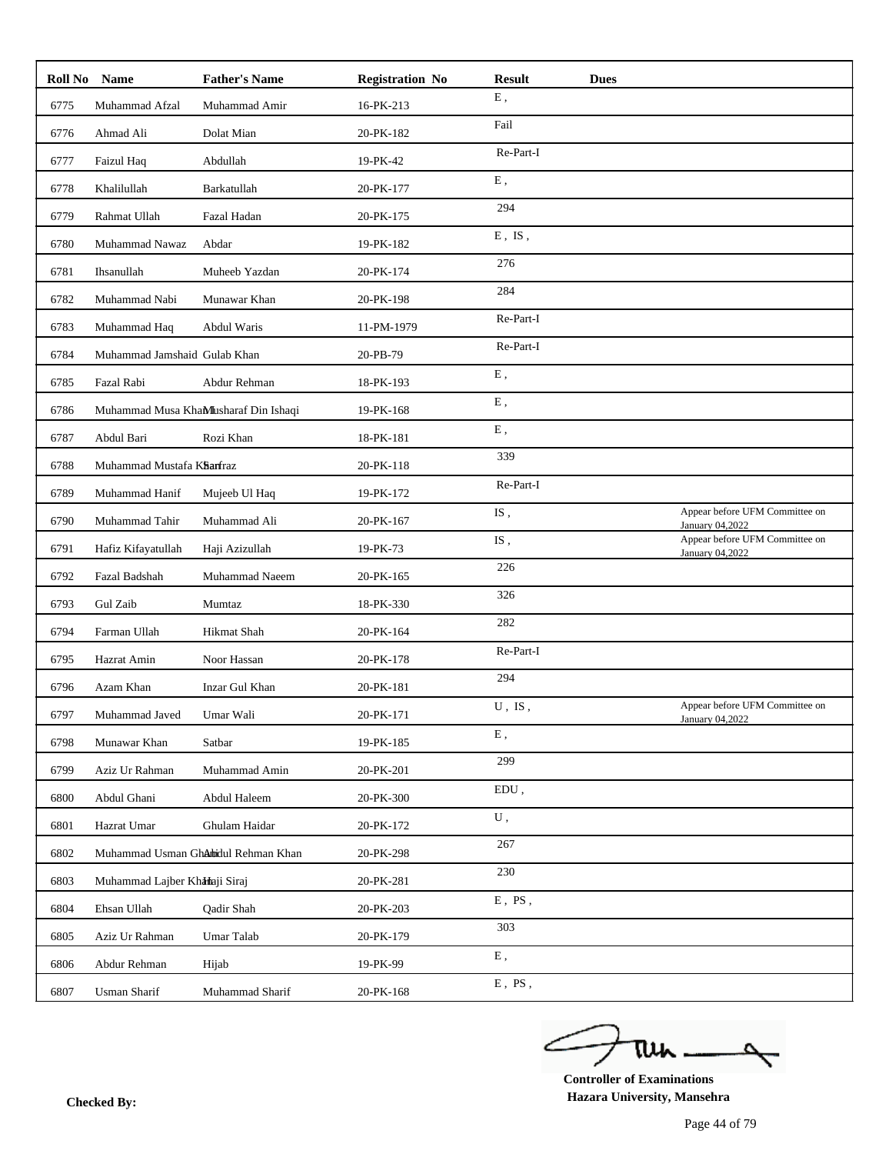|      | Roll No Name                  | <b>Father's Name</b>                 | <b>Registration No</b> | <b>Result</b> | <b>Dues</b> |                                                   |
|------|-------------------------------|--------------------------------------|------------------------|---------------|-------------|---------------------------------------------------|
| 6775 | Muhammad Afzal                | Muhammad Amir                        | 16-PK-213              | Ε,            |             |                                                   |
| 6776 | Ahmad Ali                     | Dolat Mian                           | 20-PK-182              | Fail          |             |                                                   |
| 6777 | Faizul Haq                    | Abdullah                             | 19-PK-42               | Re-Part-I     |             |                                                   |
| 6778 | Khalilullah                   | Barkatullah                          | 20-PK-177              | E,            |             |                                                   |
| 6779 | Rahmat Ullah                  | Fazal Hadan                          | 20-PK-175              | 294           |             |                                                   |
| 6780 | Muhammad Nawaz                | Abdar                                | 19-PK-182              | $E$ , IS,     |             |                                                   |
| 6781 | Ihsanullah                    | Muheeb Yazdan                        | 20-PK-174              | 276           |             |                                                   |
| 6782 | Muhammad Nabi                 | Munawar Khan                         | 20-PK-198              | 284           |             |                                                   |
| 6783 | Muhammad Haq                  | Abdul Waris                          | 11-PM-1979             | Re-Part-I     |             |                                                   |
| 6784 | Muhammad Jamshaid Gulab Khan  |                                      | 20-PB-79               | Re-Part-I     |             |                                                   |
| 6785 | Fazal Rabi                    | Abdur Rehman                         | 18-PK-193              | Ε,            |             |                                                   |
| 6786 |                               | Muhammad Musa KhaMusharaf Din Ishaqi | 19-PK-168              | E,            |             |                                                   |
| 6787 | Abdul Bari                    | Rozi Khan                            | 18-PK-181              | ${\bf E}$ ,   |             |                                                   |
| 6788 | Muhammad Mustafa KSanfraz     |                                      | 20-PK-118              | 339           |             |                                                   |
| 6789 | Muhammad Hanif                | Mujeeb Ul Haq                        | 19-PK-172              | Re-Part-I     |             |                                                   |
| 6790 | Muhammad Tahir                | Muhammad Ali                         | 20-PK-167              | IS,           |             | Appear before UFM Committee on<br>January 04,2022 |
| 6791 | Hafiz Kifayatullah            | Haji Azizullah                       | 19-PK-73               | IS,           |             | Appear before UFM Committee on<br>January 04,2022 |
| 6792 | Fazal Badshah                 | Muhammad Naeem                       | 20-PK-165              | 226           |             |                                                   |
| 6793 | Gul Zaib                      | Mumtaz                               | 18-PK-330              | 326           |             |                                                   |
| 6794 | Farman Ullah                  | Hikmat Shah                          | 20-PK-164              | 282           |             |                                                   |
| 6795 | Hazrat Amin                   | Noor Hassan                          | 20-PK-178              | Re-Part-I     |             |                                                   |
| 6796 | Azam Khan                     | Inzar Gul Khan                       | 20-PK-181              | 294           |             |                                                   |
| 6797 | Muhammad Javed                | Umar Wali                            | 20-PK-171              | $U$ , IS,     |             | Appear before UFM Committee on                    |
| 6798 | Munawar Khan                  | Satbar                               | 19-PK-185              | Ε,            |             | January 04,2022                                   |
| 6799 | Aziz Ur Rahman                | Muhammad Amin                        | 20-PK-201              | 299           |             |                                                   |
| 6800 | Abdul Ghani                   | Abdul Haleem                         | 20-PK-300              | EDU,          |             |                                                   |
| 6801 | Hazrat Umar                   | Ghulam Haidar                        | 20-PK-172              | U,            |             |                                                   |
| 6802 |                               | Muhammad Usman Ghabidul Rehman Khan  | 20-PK-298              | 267           |             |                                                   |
| 6803 | Muhammad Lajber Khahaji Siraj |                                      | 20-PK-281              | 230           |             |                                                   |
| 6804 | Ehsan Ullah                   | Qadir Shah                           | 20-PK-203              | $E$ , PS,     |             |                                                   |
| 6805 | Aziz Ur Rahman                | Umar Talab                           | 20-PK-179              | 303           |             |                                                   |
|      |                               |                                      |                        | ${\bf E}$ ,   |             |                                                   |
| 6806 | Abdur Rehman                  | Hijab                                | 19-PK-99               | $E$ , $PS$ ,  |             |                                                   |
| 6807 | <b>Usman Sharif</b>           | Muhammad Sharif                      | 20-PK-168              |               |             |                                                   |

ے tui

**Controller of Examinations Hazara University, Mansehra Checked By:**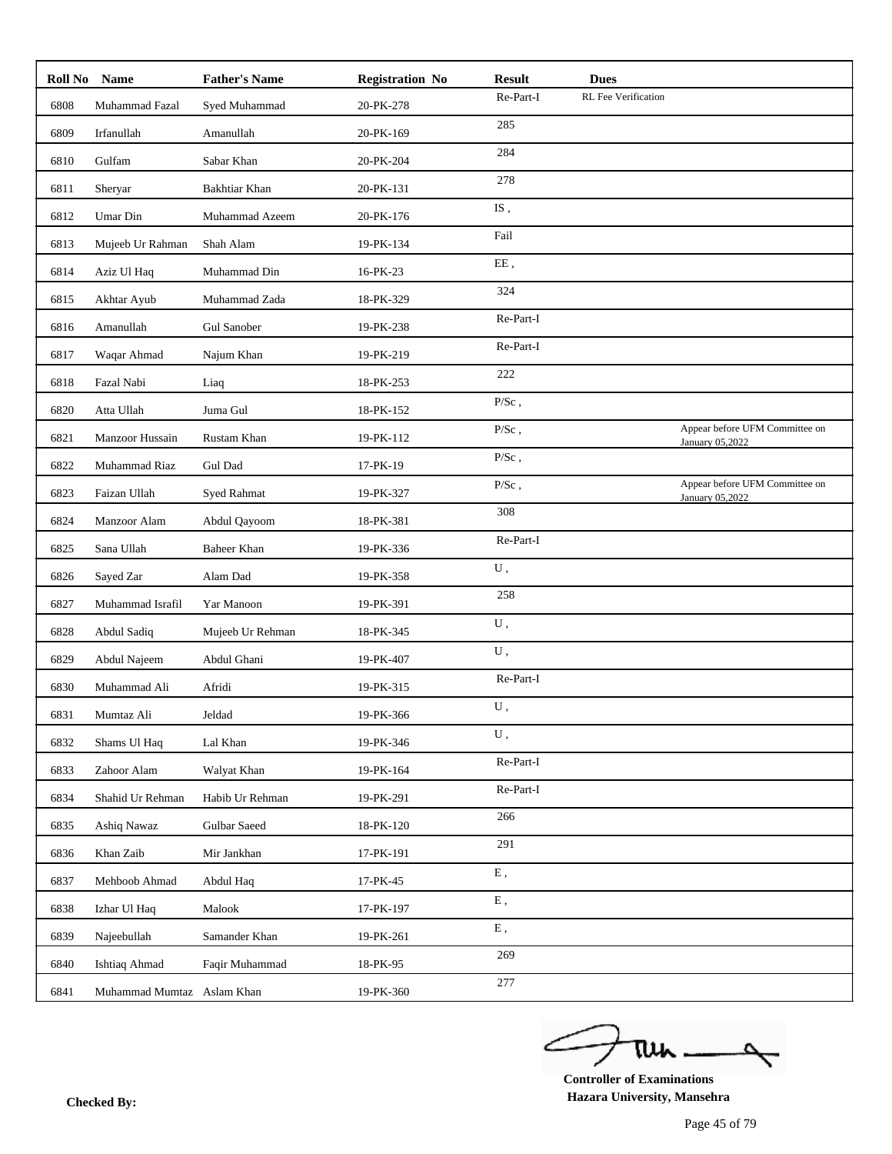| Roll No Name |                            | <b>Father's Name</b> | <b>Registration No</b> | <b>Result</b> | <b>Dues</b>         |                                                   |
|--------------|----------------------------|----------------------|------------------------|---------------|---------------------|---------------------------------------------------|
| 6808         | Muhammad Fazal             | Syed Muhammad        | 20-PK-278              | Re-Part-I     | RL Fee Verification |                                                   |
| 6809         | Irfanullah                 | Amanullah            | 20-PK-169              | 285           |                     |                                                   |
| 6810         | Gulfam                     | Sabar Khan           | 20-PK-204              | 284           |                     |                                                   |
| 6811         | Sheryar                    | Bakhtiar Khan        | 20-PK-131              | 278           |                     |                                                   |
| 6812         | Umar Din                   | Muhammad Azeem       | 20-PK-176              | IS,           |                     |                                                   |
| 6813         | Mujeeb Ur Rahman           | Shah Alam            | 19-PK-134              | Fail          |                     |                                                   |
| 6814         | Aziz Ul Haq                | Muhammad Din         | 16-PK-23               | $\rm EE$ ,    |                     |                                                   |
| 6815         | Akhtar Ayub                | Muhammad Zada        | 18-PK-329              | 324           |                     |                                                   |
| 6816         | Amanullah                  | <b>Gul Sanober</b>   | 19-PK-238              | Re-Part-I     |                     |                                                   |
| 6817         | Waqar Ahmad                | Najum Khan           | 19-PK-219              | Re-Part-I     |                     |                                                   |
| 6818         | Fazal Nabi                 | Liaq                 | 18-PK-253              | 222           |                     |                                                   |
| 6820         | Atta Ullah                 | Juma Gul             | 18-PK-152              | $P/Sc$ ,      |                     |                                                   |
| 6821         | Manzoor Hussain            | Rustam Khan          | 19-PK-112              | $P/Sc$ ,      |                     | Appear before UFM Committee on<br>January 05,2022 |
| 6822         | Muhammad Riaz              | Gul Dad              | 17-PK-19               | $\rm P/Sc$ ,  |                     |                                                   |
| 6823         | Faizan Ullah               | Syed Rahmat          | 19-PK-327              | $P/Sc$ ,      |                     | Appear before UFM Committee on<br>January 05,2022 |
| 6824         | Manzoor Alam               | Abdul Qayoom         | 18-PK-381              | 308           |                     |                                                   |
| 6825         | Sana Ullah                 | <b>Baheer Khan</b>   | 19-PK-336              | Re-Part-I     |                     |                                                   |
| 6826         | Sayed Zar                  | Alam Dad             | 19-PK-358              | U,            |                     |                                                   |
| 6827         | Muhammad Israfil           | Yar Manoon           | 19-PK-391              | 258           |                     |                                                   |
| 6828         | Abdul Sadiq                | Mujeeb Ur Rehman     | 18-PK-345              | ${\bf U}$ ,   |                     |                                                   |
| 6829         | Abdul Najeem               | Abdul Ghani          | 19-PK-407              | U,            |                     |                                                   |
| 6830         | Muhammad Ali               | Afridi               | 19-PK-315              | Re-Part-I     |                     |                                                   |
| 6831         | Mumtaz Ali                 | Jeldad               | 19-PK-366              | U,            |                     |                                                   |
| 6832         | Shams Ul Haq               | Lal Khan             | 19-PK-346              | U,            |                     |                                                   |
| 6833         | Zahoor Alam                | Walyat Khan          | 19-PK-164              | Re-Part-I     |                     |                                                   |
| 6834         | Shahid Ur Rehman           | Habib Ur Rehman      | 19-PK-291              | Re-Part-I     |                     |                                                   |
| 6835         | Ashiq Nawaz                | Gulbar Saeed         | 18-PK-120              | 266           |                     |                                                   |
| 6836         | Khan Zaib                  | Mir Jankhan          | 17-PK-191              | 291           |                     |                                                   |
| 6837         | Mehboob Ahmad              | Abdul Haq            | 17-PK-45               | ${\bf E}$ ,   |                     |                                                   |
| 6838         | Izhar Ul Haq               | Malook               | 17-PK-197              | ${\bf E}$ ,   |                     |                                                   |
| 6839         | Najeebullah                | Samander Khan        | 19-PK-261              | ${\bf E}$ ,   |                     |                                                   |
| 6840         | Ishtiaq Ahmad              | Faqir Muhammad       | 18-PK-95               | 269           |                     |                                                   |
| 6841         | Muhammad Mumtaz Aslam Khan |                      | 19-PK-360              | 277           |                     |                                                   |

ے tui

**Controller of Examinations Hazara University, Mansehra Checked By:**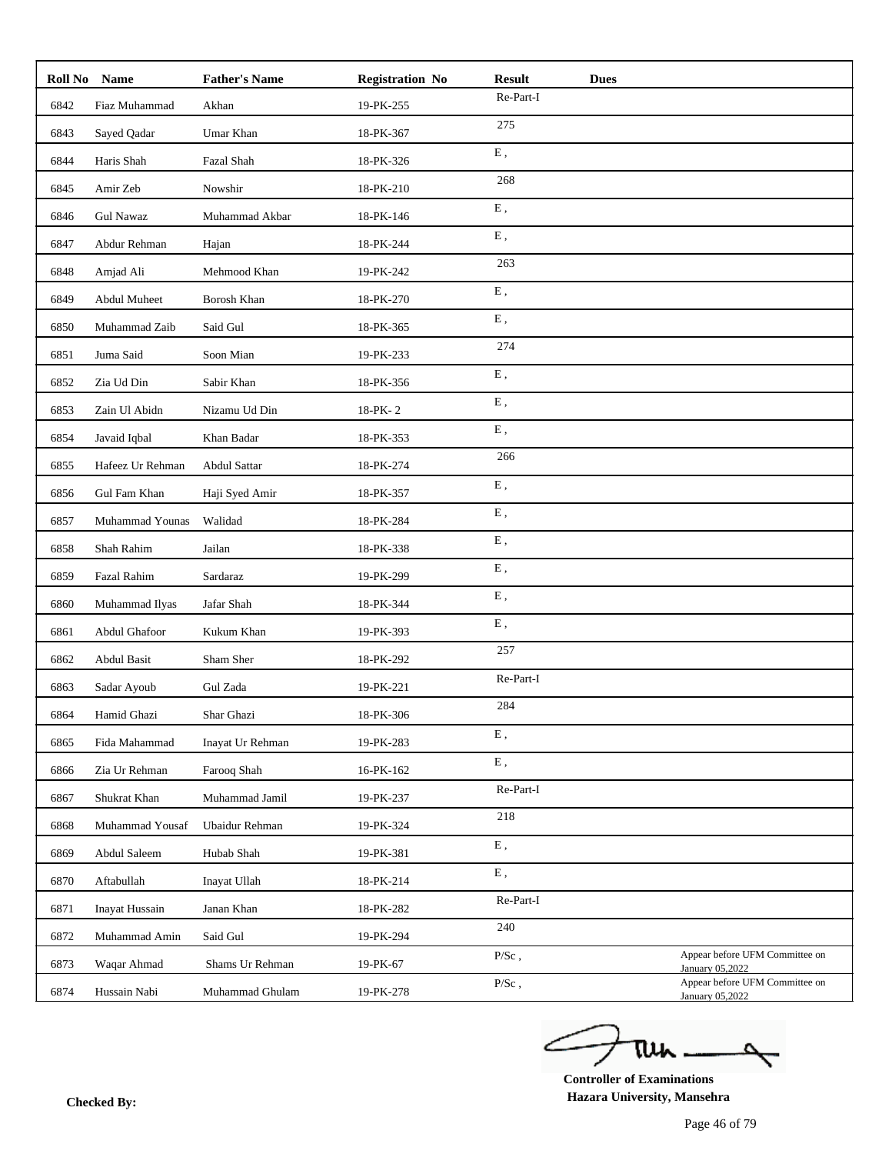| 6842<br>Fiaz Muhammad<br>Akhan<br>19-PK-255<br>275<br>6843<br>Sayed Qadar<br>Umar Khan<br>18-PK-367<br>${\bf E}$ ,<br>6844<br>Fazal Shah<br>Haris Shah<br>18-PK-326<br>268<br>6845<br>Amir Zeb<br>Nowshir<br>18-PK-210<br>${\bf E}$ ,<br>6846<br><b>Gul Nawaz</b><br>Muhammad Akbar<br>18-PK-146<br>${\bf E}$ ,<br>6847<br>Abdur Rehman<br>18-PK-244<br>Hajan<br>263<br>Amjad Ali<br>Mehmood Khan<br>19-PK-242<br>6848<br>${\bf E}$ ,<br>6849<br>Abdul Muheet<br>Borosh Khan<br>18-PK-270<br>${\bf E}$ ,<br>6850<br>Muhammad Zaib<br>Said Gul<br>18-PK-365<br>274<br>6851<br>Juma Said<br>Soon Mian<br>19-PK-233<br>${\bf E}$ ,<br>6852<br>Zia Ud Din<br>Sabir Khan<br>18-PK-356<br>${\bf E}$ ,<br>18-PK-2<br>6853<br>Zain Ul Abidn<br>Nizamu Ud Din<br>${\bf E}$ ,<br>Javaid Iqbal<br>Khan Badar<br>18-PK-353<br>6854<br>266<br>6855<br>Hafeez Ur Rehman<br>Abdul Sattar<br>18-PK-274<br>${\bf E}$ ,<br>6856<br>Gul Fam Khan<br>Haji Syed Amir<br>18-PK-357<br>${\bf E}$ ,<br>6857<br>Muhammad Younas<br>Walidad<br>18-PK-284<br>${\bf E}$ ,<br>Jailan<br>6858<br>Shah Rahim<br>18-PK-338<br>${\bf E}$ ,<br>6859<br>Fazal Rahim<br>19-PK-299<br>Sardaraz<br>${\bf E}$ ,<br>Jafar Shah<br>Muhammad Ilyas<br>18-PK-344<br>6860<br>${\bf E}$ ,<br>Abdul Ghafoor<br>6861<br>Kukum Khan<br>19-PK-393<br>257<br>6862<br><b>Abdul Basit</b><br>Sham Sher<br>18-PK-292<br>Re-Part-I<br>Gul Zada<br>19-PK-221<br>6863<br>Sadar Ayoub<br>284<br>6864<br>Shar Ghazi<br>18-PK-306<br>Hamid Ghazi<br>${\bf E}$ ,<br>19-PK-283<br>6865<br>Fida Mahammad<br>Inayat Ur Rehman<br>${\bf E}$ ,<br>Zia Ur Rehman<br>Farooq Shah<br>16-PK-162<br>6866<br>Re-Part-I<br>6867<br>Shukrat Khan<br>Muhammad Jamil<br>19-PK-237<br>218<br>6868<br>Muhammad Yousaf<br>Ubaidur Rehman<br>19-PK-324<br>${\bf E}$ ,<br>Abdul Saleem<br>Hubab Shah<br>19-PK-381<br>6869<br>Ε,<br>6870<br>Aftabullah<br>18-PK-214<br>Inayat Ullah<br>Re-Part-I<br>18-PK-282<br>6871<br>Inayat Hussain<br>Janan Khan<br>240<br>6872<br>Muhammad Amin<br>Said Gul<br>19-PK-294<br>$P/Sc$ ,<br>6873<br>Waqar Ahmad<br>Shams Ur Rehman<br>19-PK-67<br>January 05,2022<br>$P/Sc$ ,<br>6874<br>19-PK-278<br>Hussain Nabi<br>Muhammad Ghulam | Roll No Name | <b>Father's Name</b> | <b>Registration No</b> | <b>Result</b> | <b>Dues</b> |                                                   |  |
|----------------------------------------------------------------------------------------------------------------------------------------------------------------------------------------------------------------------------------------------------------------------------------------------------------------------------------------------------------------------------------------------------------------------------------------------------------------------------------------------------------------------------------------------------------------------------------------------------------------------------------------------------------------------------------------------------------------------------------------------------------------------------------------------------------------------------------------------------------------------------------------------------------------------------------------------------------------------------------------------------------------------------------------------------------------------------------------------------------------------------------------------------------------------------------------------------------------------------------------------------------------------------------------------------------------------------------------------------------------------------------------------------------------------------------------------------------------------------------------------------------------------------------------------------------------------------------------------------------------------------------------------------------------------------------------------------------------------------------------------------------------------------------------------------------------------------------------------------------------------------------------------------------------------------------------------------------------------------------------------------------------------------------------------------------------------------------------------------------------------------------------------------------------------------------------|--------------|----------------------|------------------------|---------------|-------------|---------------------------------------------------|--|
|                                                                                                                                                                                                                                                                                                                                                                                                                                                                                                                                                                                                                                                                                                                                                                                                                                                                                                                                                                                                                                                                                                                                                                                                                                                                                                                                                                                                                                                                                                                                                                                                                                                                                                                                                                                                                                                                                                                                                                                                                                                                                                                                                                                        |              |                      |                        | Re-Part-I     |             |                                                   |  |
|                                                                                                                                                                                                                                                                                                                                                                                                                                                                                                                                                                                                                                                                                                                                                                                                                                                                                                                                                                                                                                                                                                                                                                                                                                                                                                                                                                                                                                                                                                                                                                                                                                                                                                                                                                                                                                                                                                                                                                                                                                                                                                                                                                                        |              |                      |                        |               |             |                                                   |  |
|                                                                                                                                                                                                                                                                                                                                                                                                                                                                                                                                                                                                                                                                                                                                                                                                                                                                                                                                                                                                                                                                                                                                                                                                                                                                                                                                                                                                                                                                                                                                                                                                                                                                                                                                                                                                                                                                                                                                                                                                                                                                                                                                                                                        |              |                      |                        |               |             |                                                   |  |
|                                                                                                                                                                                                                                                                                                                                                                                                                                                                                                                                                                                                                                                                                                                                                                                                                                                                                                                                                                                                                                                                                                                                                                                                                                                                                                                                                                                                                                                                                                                                                                                                                                                                                                                                                                                                                                                                                                                                                                                                                                                                                                                                                                                        |              |                      |                        |               |             |                                                   |  |
|                                                                                                                                                                                                                                                                                                                                                                                                                                                                                                                                                                                                                                                                                                                                                                                                                                                                                                                                                                                                                                                                                                                                                                                                                                                                                                                                                                                                                                                                                                                                                                                                                                                                                                                                                                                                                                                                                                                                                                                                                                                                                                                                                                                        |              |                      |                        |               |             |                                                   |  |
|                                                                                                                                                                                                                                                                                                                                                                                                                                                                                                                                                                                                                                                                                                                                                                                                                                                                                                                                                                                                                                                                                                                                                                                                                                                                                                                                                                                                                                                                                                                                                                                                                                                                                                                                                                                                                                                                                                                                                                                                                                                                                                                                                                                        |              |                      |                        |               |             |                                                   |  |
|                                                                                                                                                                                                                                                                                                                                                                                                                                                                                                                                                                                                                                                                                                                                                                                                                                                                                                                                                                                                                                                                                                                                                                                                                                                                                                                                                                                                                                                                                                                                                                                                                                                                                                                                                                                                                                                                                                                                                                                                                                                                                                                                                                                        |              |                      |                        |               |             |                                                   |  |
|                                                                                                                                                                                                                                                                                                                                                                                                                                                                                                                                                                                                                                                                                                                                                                                                                                                                                                                                                                                                                                                                                                                                                                                                                                                                                                                                                                                                                                                                                                                                                                                                                                                                                                                                                                                                                                                                                                                                                                                                                                                                                                                                                                                        |              |                      |                        |               |             |                                                   |  |
|                                                                                                                                                                                                                                                                                                                                                                                                                                                                                                                                                                                                                                                                                                                                                                                                                                                                                                                                                                                                                                                                                                                                                                                                                                                                                                                                                                                                                                                                                                                                                                                                                                                                                                                                                                                                                                                                                                                                                                                                                                                                                                                                                                                        |              |                      |                        |               |             |                                                   |  |
|                                                                                                                                                                                                                                                                                                                                                                                                                                                                                                                                                                                                                                                                                                                                                                                                                                                                                                                                                                                                                                                                                                                                                                                                                                                                                                                                                                                                                                                                                                                                                                                                                                                                                                                                                                                                                                                                                                                                                                                                                                                                                                                                                                                        |              |                      |                        |               |             |                                                   |  |
|                                                                                                                                                                                                                                                                                                                                                                                                                                                                                                                                                                                                                                                                                                                                                                                                                                                                                                                                                                                                                                                                                                                                                                                                                                                                                                                                                                                                                                                                                                                                                                                                                                                                                                                                                                                                                                                                                                                                                                                                                                                                                                                                                                                        |              |                      |                        |               |             |                                                   |  |
|                                                                                                                                                                                                                                                                                                                                                                                                                                                                                                                                                                                                                                                                                                                                                                                                                                                                                                                                                                                                                                                                                                                                                                                                                                                                                                                                                                                                                                                                                                                                                                                                                                                                                                                                                                                                                                                                                                                                                                                                                                                                                                                                                                                        |              |                      |                        |               |             |                                                   |  |
|                                                                                                                                                                                                                                                                                                                                                                                                                                                                                                                                                                                                                                                                                                                                                                                                                                                                                                                                                                                                                                                                                                                                                                                                                                                                                                                                                                                                                                                                                                                                                                                                                                                                                                                                                                                                                                                                                                                                                                                                                                                                                                                                                                                        |              |                      |                        |               |             |                                                   |  |
|                                                                                                                                                                                                                                                                                                                                                                                                                                                                                                                                                                                                                                                                                                                                                                                                                                                                                                                                                                                                                                                                                                                                                                                                                                                                                                                                                                                                                                                                                                                                                                                                                                                                                                                                                                                                                                                                                                                                                                                                                                                                                                                                                                                        |              |                      |                        |               |             |                                                   |  |
|                                                                                                                                                                                                                                                                                                                                                                                                                                                                                                                                                                                                                                                                                                                                                                                                                                                                                                                                                                                                                                                                                                                                                                                                                                                                                                                                                                                                                                                                                                                                                                                                                                                                                                                                                                                                                                                                                                                                                                                                                                                                                                                                                                                        |              |                      |                        |               |             |                                                   |  |
|                                                                                                                                                                                                                                                                                                                                                                                                                                                                                                                                                                                                                                                                                                                                                                                                                                                                                                                                                                                                                                                                                                                                                                                                                                                                                                                                                                                                                                                                                                                                                                                                                                                                                                                                                                                                                                                                                                                                                                                                                                                                                                                                                                                        |              |                      |                        |               |             |                                                   |  |
|                                                                                                                                                                                                                                                                                                                                                                                                                                                                                                                                                                                                                                                                                                                                                                                                                                                                                                                                                                                                                                                                                                                                                                                                                                                                                                                                                                                                                                                                                                                                                                                                                                                                                                                                                                                                                                                                                                                                                                                                                                                                                                                                                                                        |              |                      |                        |               |             |                                                   |  |
|                                                                                                                                                                                                                                                                                                                                                                                                                                                                                                                                                                                                                                                                                                                                                                                                                                                                                                                                                                                                                                                                                                                                                                                                                                                                                                                                                                                                                                                                                                                                                                                                                                                                                                                                                                                                                                                                                                                                                                                                                                                                                                                                                                                        |              |                      |                        |               |             |                                                   |  |
|                                                                                                                                                                                                                                                                                                                                                                                                                                                                                                                                                                                                                                                                                                                                                                                                                                                                                                                                                                                                                                                                                                                                                                                                                                                                                                                                                                                                                                                                                                                                                                                                                                                                                                                                                                                                                                                                                                                                                                                                                                                                                                                                                                                        |              |                      |                        |               |             |                                                   |  |
|                                                                                                                                                                                                                                                                                                                                                                                                                                                                                                                                                                                                                                                                                                                                                                                                                                                                                                                                                                                                                                                                                                                                                                                                                                                                                                                                                                                                                                                                                                                                                                                                                                                                                                                                                                                                                                                                                                                                                                                                                                                                                                                                                                                        |              |                      |                        |               |             |                                                   |  |
|                                                                                                                                                                                                                                                                                                                                                                                                                                                                                                                                                                                                                                                                                                                                                                                                                                                                                                                                                                                                                                                                                                                                                                                                                                                                                                                                                                                                                                                                                                                                                                                                                                                                                                                                                                                                                                                                                                                                                                                                                                                                                                                                                                                        |              |                      |                        |               |             |                                                   |  |
|                                                                                                                                                                                                                                                                                                                                                                                                                                                                                                                                                                                                                                                                                                                                                                                                                                                                                                                                                                                                                                                                                                                                                                                                                                                                                                                                                                                                                                                                                                                                                                                                                                                                                                                                                                                                                                                                                                                                                                                                                                                                                                                                                                                        |              |                      |                        |               |             |                                                   |  |
|                                                                                                                                                                                                                                                                                                                                                                                                                                                                                                                                                                                                                                                                                                                                                                                                                                                                                                                                                                                                                                                                                                                                                                                                                                                                                                                                                                                                                                                                                                                                                                                                                                                                                                                                                                                                                                                                                                                                                                                                                                                                                                                                                                                        |              |                      |                        |               |             |                                                   |  |
|                                                                                                                                                                                                                                                                                                                                                                                                                                                                                                                                                                                                                                                                                                                                                                                                                                                                                                                                                                                                                                                                                                                                                                                                                                                                                                                                                                                                                                                                                                                                                                                                                                                                                                                                                                                                                                                                                                                                                                                                                                                                                                                                                                                        |              |                      |                        |               |             |                                                   |  |
|                                                                                                                                                                                                                                                                                                                                                                                                                                                                                                                                                                                                                                                                                                                                                                                                                                                                                                                                                                                                                                                                                                                                                                                                                                                                                                                                                                                                                                                                                                                                                                                                                                                                                                                                                                                                                                                                                                                                                                                                                                                                                                                                                                                        |              |                      |                        |               |             |                                                   |  |
|                                                                                                                                                                                                                                                                                                                                                                                                                                                                                                                                                                                                                                                                                                                                                                                                                                                                                                                                                                                                                                                                                                                                                                                                                                                                                                                                                                                                                                                                                                                                                                                                                                                                                                                                                                                                                                                                                                                                                                                                                                                                                                                                                                                        |              |                      |                        |               |             |                                                   |  |
|                                                                                                                                                                                                                                                                                                                                                                                                                                                                                                                                                                                                                                                                                                                                                                                                                                                                                                                                                                                                                                                                                                                                                                                                                                                                                                                                                                                                                                                                                                                                                                                                                                                                                                                                                                                                                                                                                                                                                                                                                                                                                                                                                                                        |              |                      |                        |               |             |                                                   |  |
|                                                                                                                                                                                                                                                                                                                                                                                                                                                                                                                                                                                                                                                                                                                                                                                                                                                                                                                                                                                                                                                                                                                                                                                                                                                                                                                                                                                                                                                                                                                                                                                                                                                                                                                                                                                                                                                                                                                                                                                                                                                                                                                                                                                        |              |                      |                        |               |             |                                                   |  |
|                                                                                                                                                                                                                                                                                                                                                                                                                                                                                                                                                                                                                                                                                                                                                                                                                                                                                                                                                                                                                                                                                                                                                                                                                                                                                                                                                                                                                                                                                                                                                                                                                                                                                                                                                                                                                                                                                                                                                                                                                                                                                                                                                                                        |              |                      |                        |               |             |                                                   |  |
|                                                                                                                                                                                                                                                                                                                                                                                                                                                                                                                                                                                                                                                                                                                                                                                                                                                                                                                                                                                                                                                                                                                                                                                                                                                                                                                                                                                                                                                                                                                                                                                                                                                                                                                                                                                                                                                                                                                                                                                                                                                                                                                                                                                        |              |                      |                        |               |             |                                                   |  |
|                                                                                                                                                                                                                                                                                                                                                                                                                                                                                                                                                                                                                                                                                                                                                                                                                                                                                                                                                                                                                                                                                                                                                                                                                                                                                                                                                                                                                                                                                                                                                                                                                                                                                                                                                                                                                                                                                                                                                                                                                                                                                                                                                                                        |              |                      |                        |               |             |                                                   |  |
|                                                                                                                                                                                                                                                                                                                                                                                                                                                                                                                                                                                                                                                                                                                                                                                                                                                                                                                                                                                                                                                                                                                                                                                                                                                                                                                                                                                                                                                                                                                                                                                                                                                                                                                                                                                                                                                                                                                                                                                                                                                                                                                                                                                        |              |                      |                        |               |             | Appear before UFM Committee on                    |  |
|                                                                                                                                                                                                                                                                                                                                                                                                                                                                                                                                                                                                                                                                                                                                                                                                                                                                                                                                                                                                                                                                                                                                                                                                                                                                                                                                                                                                                                                                                                                                                                                                                                                                                                                                                                                                                                                                                                                                                                                                                                                                                                                                                                                        |              |                      |                        |               |             | Appear before UFM Committee on<br>January 05,2022 |  |

ے tui

**Controller of Examinations Hazara University, Mansehra Checked By:**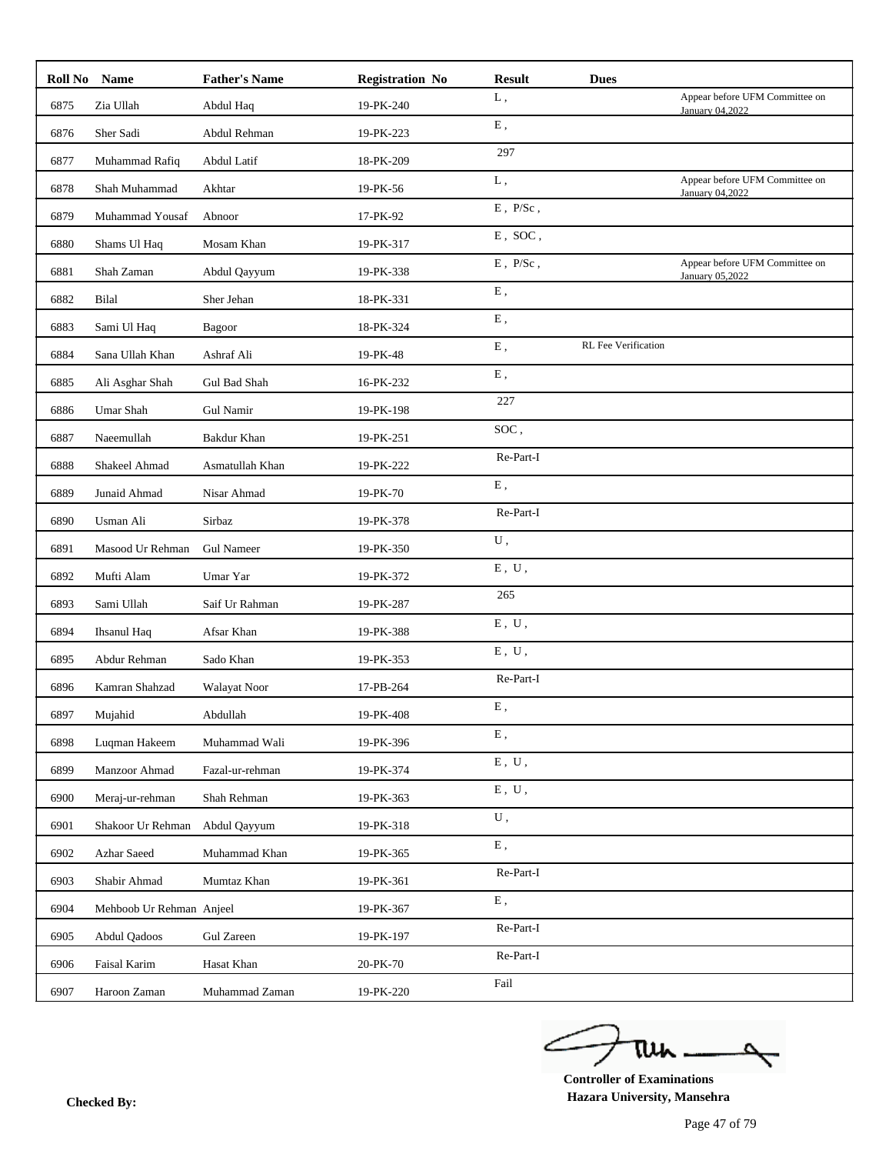|      | Roll No Name             | <b>Father's Name</b> | <b>Registration No</b> | <b>Result</b>             | <b>Dues</b>         |                                                   |
|------|--------------------------|----------------------|------------------------|---------------------------|---------------------|---------------------------------------------------|
| 6875 | Zia Ullah                | Abdul Haq            | 19-PK-240              | L,                        |                     | Appear before UFM Committee on<br>January 04,2022 |
| 6876 | Sher Sadi                | Abdul Rehman         | 19-PK-223              | ${\bf E}$ ,               |                     |                                                   |
| 6877 | Muhammad Rafiq           | Abdul Latif          | 18-PK-209              | 297                       |                     |                                                   |
| 6878 | Shah Muhammad            | Akhtar               | 19-PK-56               | L,                        |                     | Appear before UFM Committee on<br>January 04,2022 |
| 6879 | Muhammad Yousaf          | Abnoor               | 17-PK-92               | $\,E$ , $\,P/Sc$ ,        |                     |                                                   |
| 6880 | Shams Ul Haq             | Mosam Khan           | 19-PK-317              | $E$ , SOC,                |                     |                                                   |
| 6881 | Shah Zaman               | Abdul Qayyum         | 19-PK-338              | $\to$ , $\:\:$ P/Sc ,     |                     | Appear before UFM Committee on<br>January 05,2022 |
| 6882 | Bilal                    | Sher Jehan           | 18-PK-331              | ${\bf E}$ ,               |                     |                                                   |
| 6883 | Sami Ul Haq              | <b>Bagoor</b>        | 18-PK-324              | ${\bf E}$ ,               |                     |                                                   |
| 6884 | Sana Ullah Khan          | Ashraf Ali           | 19-PK-48               | Ε,                        | RL Fee Verification |                                                   |
| 6885 | Ali Asghar Shah          | Gul Bad Shah         | 16-PK-232              | Ε,                        |                     |                                                   |
| 6886 | Umar Shah                | Gul Namir            | 19-PK-198              | 227                       |                     |                                                   |
| 6887 | Naeemullah               | Bakdur Khan          | 19-PK-251              | SOC,                      |                     |                                                   |
| 6888 | Shakeel Ahmad            | Asmatullah Khan      | 19-PK-222              | Re-Part-I                 |                     |                                                   |
| 6889 | Junaid Ahmad             | Nisar Ahmad          | 19-PK-70               | E,                        |                     |                                                   |
| 6890 | Usman Ali                | Sirbaz               | 19-PK-378              | Re-Part-I                 |                     |                                                   |
| 6891 | Masood Ur Rehman         | <b>Gul Nameer</b>    | 19-PK-350              | ${\bf U}$ ,               |                     |                                                   |
| 6892 | Mufti Alam               | Umar Yar             | 19-PK-372              | $E$ , $U$ ,               |                     |                                                   |
| 6893 | Sami Ullah               | Saif Ur Rahman       | 19-PK-287              | 265                       |                     |                                                   |
| 6894 | <b>Ihsanul Haq</b>       | Afsar Khan           | 19-PK-388              | $E$ , $U$ ,               |                     |                                                   |
| 6895 | Abdur Rehman             | Sado Khan            | 19-PK-353              | ${\bf E}$ , $\;{\bf U}$ , |                     |                                                   |
| 6896 | Kamran Shahzad           | Walayat Noor         | 17-PB-264              | Re-Part-I                 |                     |                                                   |
| 6897 | Mujahid                  | Abdullah             | 19-PK-408              | E,                        |                     |                                                   |
| 6898 | Luqman Hakeem            | Muhammad Wali        | 19-PK-396              | Ε,                        |                     |                                                   |
| 6899 | Manzoor Ahmad            | Fazal-ur-rehman      | 19-PK-374              | ${\bf E}$ , $\;{\bf U}$ , |                     |                                                   |
| 6900 | Meraj-ur-rehman          | Shah Rehman          | 19-PK-363              | ${\bf E}$ , $\;{\bf U}$ , |                     |                                                   |
| 6901 | Shakoor Ur Rehman        | Abdul Qayyum         | 19-PK-318              | U,                        |                     |                                                   |
| 6902 | Azhar Saeed              | Muhammad Khan        | 19-PK-365              | ${\bf E}$ ,               |                     |                                                   |
| 6903 | Shabir Ahmad             | Mumtaz Khan          | 19-PK-361              | Re-Part-I                 |                     |                                                   |
| 6904 | Mehboob Ur Rehman Anjeel |                      | 19-PK-367              | ${\bf E}$ ,               |                     |                                                   |
| 6905 | Abdul Qadoos             | <b>Gul Zareen</b>    | 19-PK-197              | Re-Part-I                 |                     |                                                   |
| 6906 | Faisal Karim             | Hasat Khan           | 20-PK-70               | Re-Part-I                 |                     |                                                   |
| 6907 | Haroon Zaman             | Muhammad Zaman       | 19-PK-220              | Fail                      |                     |                                                   |
|      |                          |                      |                        |                           |                     |                                                   |

ے tui

**Controller of Examinations Hazara University, Mansehra Checked By:**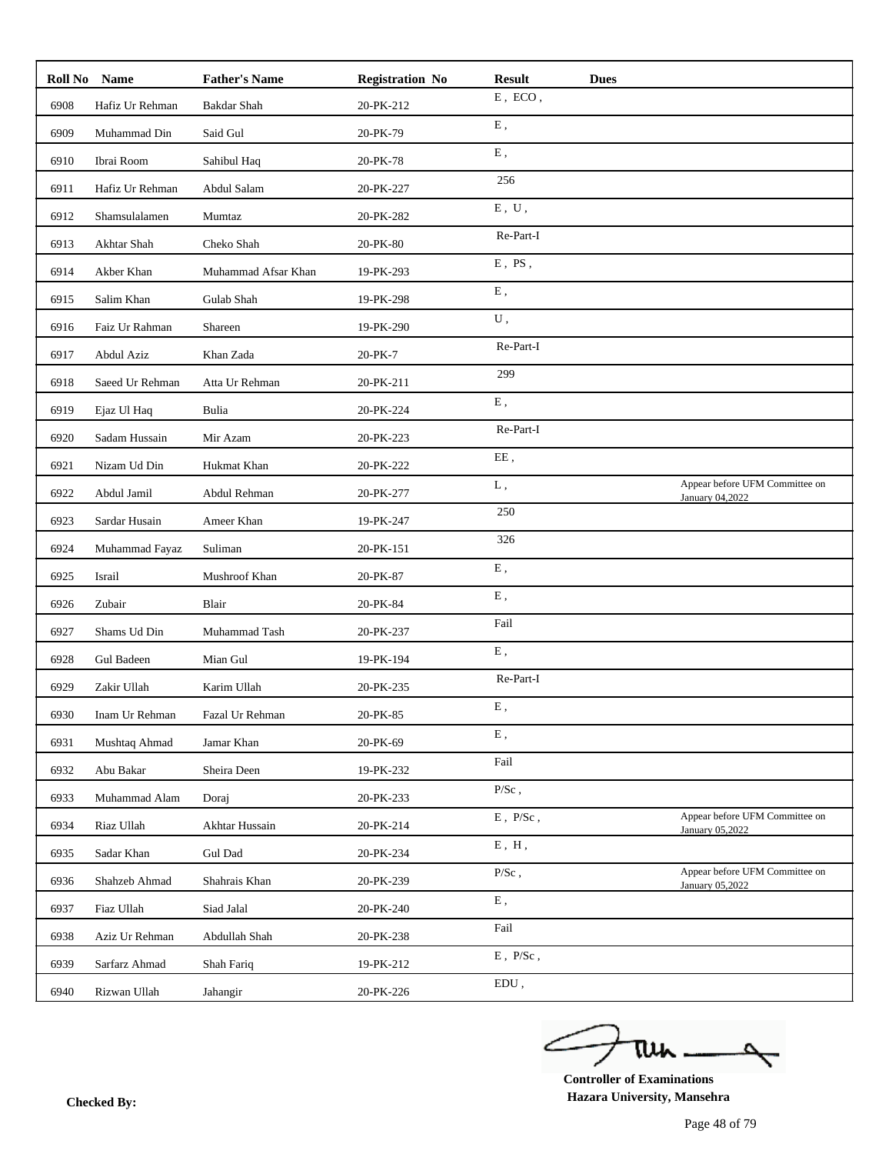|      | Roll No Name      | <b>Father's Name</b> | <b>Registration No</b> | <b>Result</b>               | <b>Dues</b> |                                                   |
|------|-------------------|----------------------|------------------------|-----------------------------|-------------|---------------------------------------------------|
| 6908 | Hafiz Ur Rehman   | Bakdar Shah          | 20-PK-212              | ${\bf E}$ , $\;{\rm ECO}$ , |             |                                                   |
| 6909 | Muhammad Din      | Said Gul             | 20-PK-79               | ${\bf E}$ ,                 |             |                                                   |
| 6910 | Ibrai Room        | Sahibul Haq          | 20-PK-78               | E,                          |             |                                                   |
| 6911 | Hafiz Ur Rehman   | Abdul Salam          | 20-PK-227              | 256                         |             |                                                   |
| 6912 | Shamsulalamen     | Mumtaz               | 20-PK-282              | ${\bf E}$ , $\;{\bf U}$ ,   |             |                                                   |
| 6913 | Akhtar Shah       | Cheko Shah           | 20-PK-80               | Re-Part-I                   |             |                                                   |
| 6914 | Akber Khan        | Muhammad Afsar Khan  | 19-PK-293              | $E$ , $PS$ ,                |             |                                                   |
| 6915 | Salim Khan        | Gulab Shah           | 19-PK-298              | ${\bf E}$ ,                 |             |                                                   |
| 6916 | Faiz Ur Rahman    | Shareen              | 19-PK-290              | U,                          |             |                                                   |
| 6917 | Abdul Aziz        | Khan Zada            | 20-PK-7                | Re-Part-I                   |             |                                                   |
| 6918 | Saeed Ur Rehman   | Atta Ur Rehman       | 20-PK-211              | 299                         |             |                                                   |
| 6919 | Ejaz Ul Haq       | Bulia                | 20-PK-224              | E,                          |             |                                                   |
| 6920 | Sadam Hussain     | Mir Azam             | 20-PK-223              | Re-Part-I                   |             |                                                   |
| 6921 | Nizam Ud Din      | Hukmat Khan          | 20-PK-222              | EE,                         |             |                                                   |
| 6922 | Abdul Jamil       | Abdul Rehman         | 20-PK-277              | L,                          |             | Appear before UFM Committee on<br>January 04,2022 |
| 6923 | Sardar Husain     | Ameer Khan           | 19-PK-247              | 250                         |             |                                                   |
| 6924 | Muhammad Fayaz    | Suliman              | 20-PK-151              | 326                         |             |                                                   |
| 6925 | Israil            | Mushroof Khan        | 20-PK-87               | E,                          |             |                                                   |
| 6926 | Zubair            | Blair                | 20-PK-84               | ${\bf E}$ ,                 |             |                                                   |
| 6927 | Shams Ud Din      | Muhammad Tash        | 20-PK-237              | Fail                        |             |                                                   |
| 6928 | <b>Gul Badeen</b> | Mian Gul             | 19-PK-194              | E,                          |             |                                                   |
| 6929 | Zakir Ullah       | Karim Ullah          | 20-PK-235              | Re-Part-I                   |             |                                                   |
| 6930 | Inam Ur Rehman    | Fazal Ur Rehman      | 20-PK-85               | E,                          |             |                                                   |
| 6931 | Mushtaq Ahmad     | Jamar Khan           | 20-PK-69               | E,                          |             |                                                   |
| 6932 | Abu Bakar         | Sheira Deen          | 19-PK-232              | Fail                        |             |                                                   |
| 6933 | Muhammad Alam     | Doraj                | 20-PK-233              | $\mathbf{P}/\mathbf{Sc}$ ,  |             |                                                   |
| 6934 | Riaz Ullah        | Akhtar Hussain       | 20-PK-214              | $E$ , $P/Sc$ ,              |             | Appear before UFM Committee on<br>January 05,2022 |
| 6935 | Sadar Khan        | Gul Dad              | 20-PK-234              | ${\bf E}$ , $\; {\bf H}$ ,  |             |                                                   |
| 6936 | Shahzeb Ahmad     | Shahrais Khan        | 20-PK-239              | $P/Sc$ ,                    |             | Appear before UFM Committee on<br>January 05,2022 |
| 6937 | Fiaz Ullah        | Siad Jalal           | 20-PK-240              | Ε,                          |             |                                                   |
| 6938 | Aziz Ur Rehman    | Abdullah Shah        | 20-PK-238              | Fail                        |             |                                                   |
| 6939 | Sarfarz Ahmad     | Shah Fariq           | 19-PK-212              | $\to$ , $\:\:$ P/Sc ,       |             |                                                   |
| 6940 | Rizwan Ullah      | Jahangir             | 20-PK-226              | EDU,                        |             |                                                   |

ے tui

**Controller of Examinations Hazara University, Mansehra Checked By:**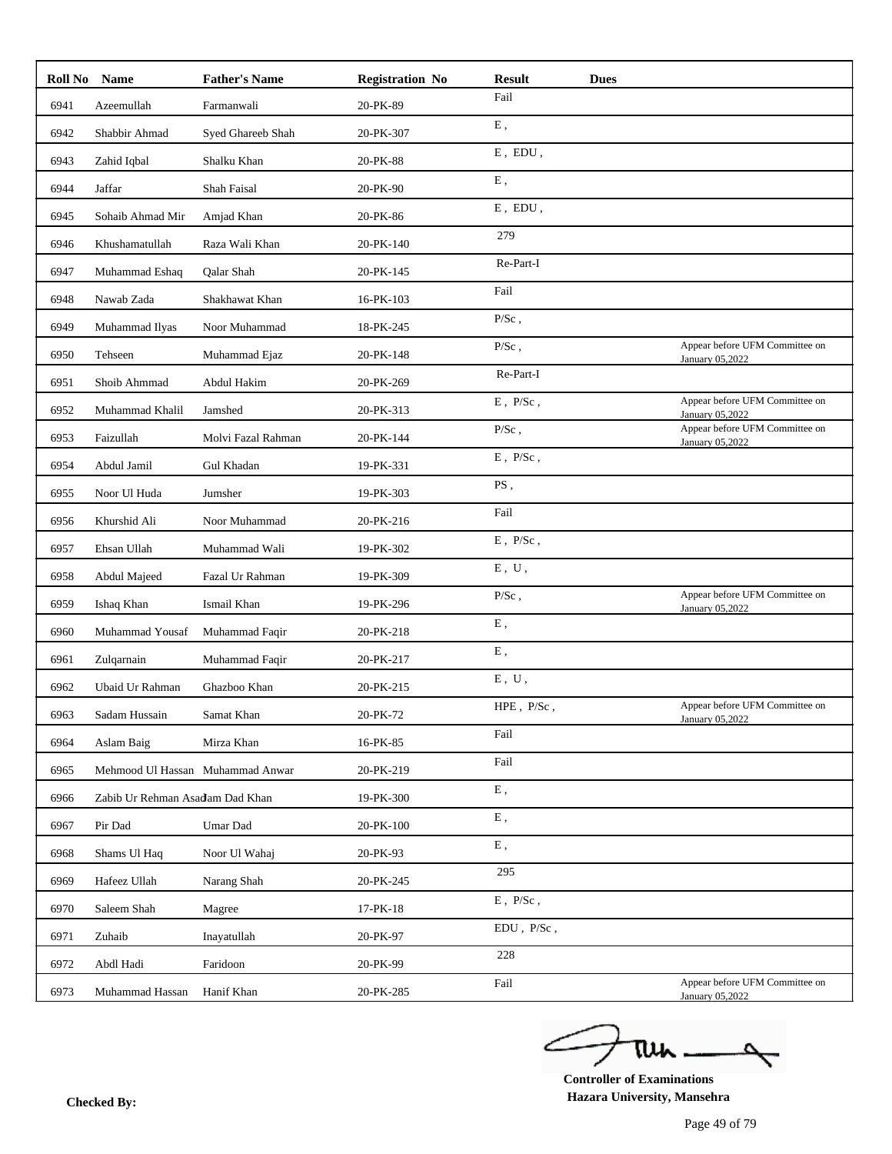|      | Roll No Name                    | <b>Father's Name</b>             | <b>Registration No</b> | <b>Result</b>                | <b>Dues</b> |                                                   |
|------|---------------------------------|----------------------------------|------------------------|------------------------------|-------------|---------------------------------------------------|
| 6941 | Azeemullah                      | Farmanwali                       | 20-PK-89               | Fail                         |             |                                                   |
| 6942 | Shabbir Ahmad                   | Syed Ghareeb Shah                | 20-PK-307              | ${\bf E}$ ,                  |             |                                                   |
| 6943 | Zahid Iqbal                     | Shalku Khan                      | 20-PK-88               | $E$ , $EDU$ ,                |             |                                                   |
| 6944 | Jaffar                          | Shah Faisal                      | 20-PK-90               | E,                           |             |                                                   |
| 6945 | Sohaib Ahmad Mir                | Amjad Khan                       | 20-PK-86               | ${\rm E}$ , $\, {\rm EDU}$ , |             |                                                   |
| 6946 | Khushamatullah                  | Raza Wali Khan                   | 20-PK-140              | 279                          |             |                                                   |
| 6947 | Muhammad Eshaq                  | <b>Oalar Shah</b>                | 20-PK-145              | Re-Part-I                    |             |                                                   |
| 6948 | Nawab Zada                      | Shakhawat Khan                   | 16-PK-103              | Fail                         |             |                                                   |
| 6949 | Muhammad Ilyas                  | Noor Muhammad                    | 18-PK-245              | $P/Sc$ ,                     |             |                                                   |
| 6950 | Tehseen                         | Muhammad Ejaz                    | 20-PK-148              | $P/Sc$ ,                     |             | Appear before UFM Committee on<br>January 05,2022 |
| 6951 | Shoib Ahmmad                    | Abdul Hakim                      | 20-PK-269              | Re-Part-I                    |             |                                                   |
| 6952 | Muhammad Khalil                 | Jamshed                          | 20-PK-313              | $E$ , $P/Sc$ ,               |             | Appear before UFM Committee on<br>January 05,2022 |
| 6953 | Faizullah                       | Molvi Fazal Rahman               | 20-PK-144              | $P/Sc$ ,                     |             | Appear before UFM Committee on<br>January 05,2022 |
| 6954 | Abdul Jamil                     | Gul Khadan                       | 19-PK-331              | $\to$ , $\:\:$ P/Sc ,        |             |                                                   |
| 6955 | Noor Ul Huda                    | Jumsher                          | 19-PK-303              | PS,                          |             |                                                   |
| 6956 | Khurshid Ali                    | Noor Muhammad                    | 20-PK-216              | Fail                         |             |                                                   |
| 6957 | Ehsan Ullah                     | Muhammad Wali                    | 19-PK-302              | $\,E$ , $\,P/Sc$ ,           |             |                                                   |
| 6958 | Abdul Majeed                    | Fazal Ur Rahman                  | 19-PK-309              | E, U,                        |             |                                                   |
| 6959 | Ishaq Khan                      | Ismail Khan                      | 19-PK-296              | $P/Sc$ ,                     |             | Appear before UFM Committee on<br>January 05,2022 |
| 6960 | Muhammad Yousaf                 | Muhammad Faqir                   | 20-PK-218              | ${\bf E}$ ,                  |             |                                                   |
| 6961 | Zulqarnain                      | Muhammad Faqir                   | 20-PK-217              | ${\bf E}$ ,                  |             |                                                   |
| 6962 | Ubaid Ur Rahman                 | Ghazboo Khan                     | 20-PK-215              | $E$ , $U$ ,                  |             |                                                   |
| 6963 | Sadam Hussain                   | Samat Khan                       | 20-PK-72               | HPE, P/Sc,                   |             | Appear before UFM Committee on                    |
| 6964 | Aslam Baig                      | Mirza Khan                       | 16-PK-85               | Fail                         |             | January 05,2022                                   |
| 6965 |                                 | Mehmood Ul Hassan Muhammad Anwar | 20-PK-219              | Fail                         |             |                                                   |
| 6966 | Zabib Ur Rehman Asadam Dad Khan |                                  | 19-PK-300              | ${\bf E}$ ,                  |             |                                                   |
| 6967 | Pir Dad                         | Umar Dad                         | 20-PK-100              | Ε,                           |             |                                                   |
| 6968 | Shams Ul Haq                    | Noor Ul Wahaj                    | 20-PK-93               | Ε,                           |             |                                                   |
| 6969 | Hafeez Ullah                    | Narang Shah                      | 20-PK-245              | 295                          |             |                                                   |
| 6970 | Saleem Shah                     | Magree                           | 17-PK-18               | $E$ , $P/Sc$ ,               |             |                                                   |
| 6971 | Zuhaib                          | Inayatullah                      | 20-PK-97               | EDU, P/Sc,                   |             |                                                   |
| 6972 | Abdl Hadi                       | Faridoon                         | 20-PK-99               | 228                          |             |                                                   |
| 6973 | Muhammad Hassan                 | Hanif Khan                       | 20-PK-285              | Fail                         |             | Appear before UFM Committee on                    |
|      |                                 |                                  |                        |                              |             | January 05,2022                                   |

ے tui

**Controller of Examinations Hazara University, Mansehra Checked By:**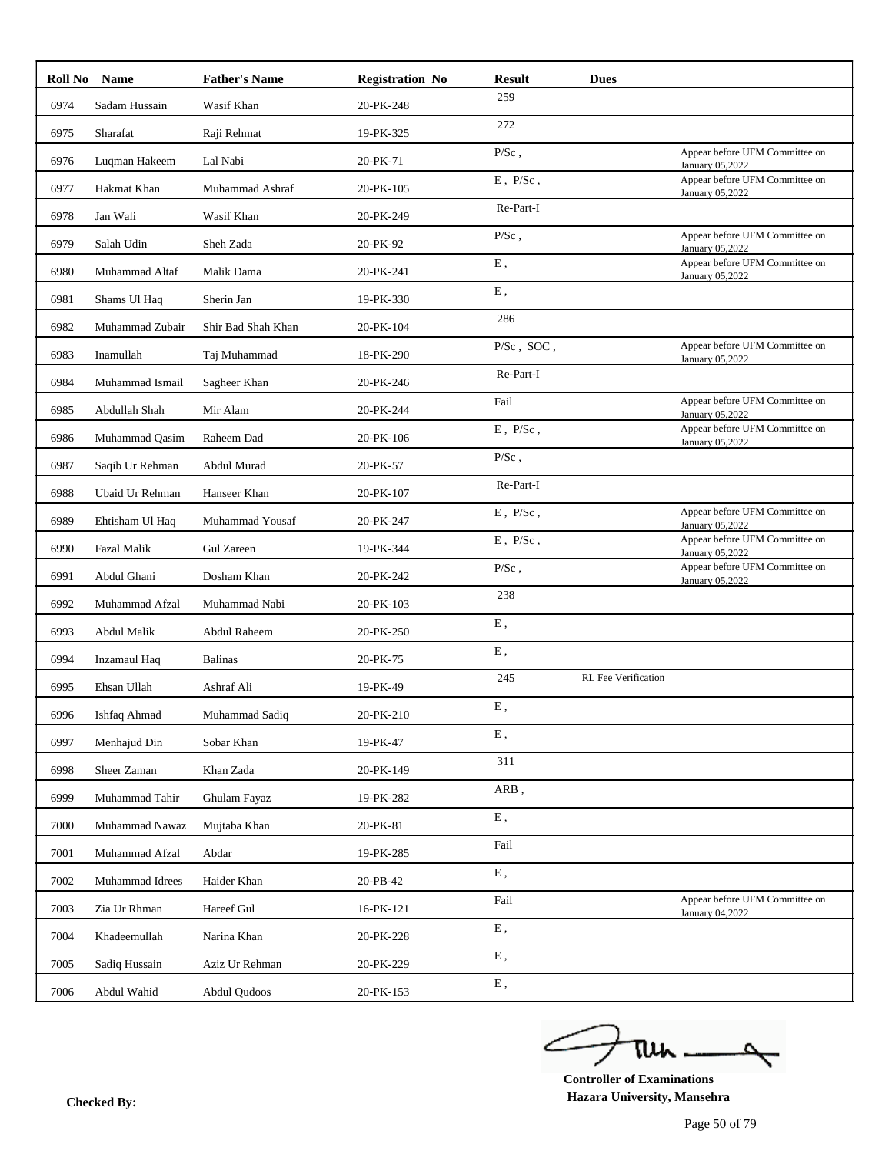|      | Roll No Name        | <b>Father's Name</b> | <b>Registration No</b> | <b>Result</b>      | <b>Dues</b>         |                                                   |
|------|---------------------|----------------------|------------------------|--------------------|---------------------|---------------------------------------------------|
| 6974 | Sadam Hussain       | Wasif Khan           | 20-PK-248              | 259                |                     |                                                   |
| 6975 | Sharafat            | Raji Rehmat          | 19-PK-325              | 272                |                     |                                                   |
| 6976 | Luqman Hakeem       | Lal Nabi             | 20-PK-71               | $P/Sc$ ,           |                     | Appear before UFM Committee on<br>January 05,2022 |
| 6977 | Hakmat Khan         | Muhammad Ashraf      | 20-PK-105              | $E$ , $P/Sc$ ,     |                     | Appear before UFM Committee on<br>January 05,2022 |
| 6978 | Jan Wali            | Wasif Khan           | 20-PK-249              | Re-Part-I          |                     |                                                   |
| 6979 | Salah Udin          | Sheh Zada            | 20-PK-92               | $P/Sc$ ,           |                     | Appear before UFM Committee on<br>January 05,2022 |
| 6980 | Muhammad Altaf      | Malik Dama           | 20-PK-241              | ${\bf E}$ ,        |                     | Appear before UFM Committee on<br>January 05,2022 |
| 6981 | Shams Ul Haq        | Sherin Jan           | 19-PK-330              | ${\bf E}$ ,        |                     |                                                   |
| 6982 | Muhammad Zubair     | Shir Bad Shah Khan   | 20-PK-104              | 286                |                     |                                                   |
| 6983 | Inamullah           | Taj Muhammad         | 18-PK-290              | P/Sc, SOC,         |                     | Appear before UFM Committee on<br>January 05,2022 |
| 6984 | Muhammad Ismail     | Sagheer Khan         | 20-PK-246              | Re-Part-I          |                     |                                                   |
| 6985 | Abdullah Shah       | Mir Alam             | 20-PK-244              | Fail               |                     | Appear before UFM Committee on<br>January 05,2022 |
| 6986 | Muhammad Qasim      | Raheem Dad           | 20-PK-106              | $E$ , $P/Sc$ ,     |                     | Appear before UFM Committee on<br>January 05,2022 |
| 6987 | Saqib Ur Rehman     | Abdul Murad          | 20-PK-57               | $P/Sc$ ,           |                     |                                                   |
| 6988 | Ubaid Ur Rehman     | Hanseer Khan         | 20-PK-107              | Re-Part-I          |                     |                                                   |
| 6989 | Ehtisham Ul Haq     | Muhammad Yousaf      | 20-PK-247              | $E$ , $P/Sc$ ,     |                     | Appear before UFM Committee on                    |
| 6990 | <b>Fazal Malik</b>  | Gul Zareen           | 19-PK-344              | $\,E$ , $\,P/Sc$ , |                     | January 05,2022<br>Appear before UFM Committee on |
| 6991 | Abdul Ghani         | Dosham Khan          | 20-PK-242              | $P/Sc$ ,           |                     | January 05,2022<br>Appear before UFM Committee on |
| 6992 | Muhammad Afzal      | Muhammad Nabi        | 20-PK-103              | 238                |                     | <b>January 05,2022</b>                            |
| 6993 | Abdul Malik         | Abdul Raheem         | 20-PK-250              | ${\bf E}$ ,        |                     |                                                   |
|      |                     |                      |                        | ${\bf E}$ ,        |                     |                                                   |
| 6994 | <b>Inzamaul</b> Haq | <b>Balinas</b>       | 20-PK-75               | 245                | RL Fee Verification |                                                   |
| 6995 | Ehsan Ullah         | Ashraf Ali           | 19-PK-49               | Ε.                 |                     |                                                   |
| 6996 | Ishfaq Ahmad        | Muhammad Sadiq       | 20-PK-210              | E,                 |                     |                                                   |
| 6997 | Menhajud Din        | Sobar Khan           | 19-PK-47               | 311                |                     |                                                   |
| 6998 | Sheer Zaman         | Khan Zada            | 20-PK-149              | ARB,               |                     |                                                   |
| 6999 | Muhammad Tahir      | Ghulam Fayaz         | 19-PK-282              | Ε,                 |                     |                                                   |
| 7000 | Muhammad Nawaz      | Mujtaba Khan         | 20-PK-81               | Fail               |                     |                                                   |
| 7001 | Muhammad Afzal      | Abdar                | 19-PK-285              |                    |                     |                                                   |
| 7002 | Muhammad Idrees     | Haider Khan          | 20-PB-42               | Ε,                 |                     |                                                   |
| 7003 | Zia Ur Rhman        | Hareef Gul           | 16-PK-121              | Fail               |                     | Appear before UFM Committee on<br>January 04,2022 |
| 7004 | Khadeemullah        | Narina Khan          | 20-PK-228              | ${\bf E}$ ,        |                     |                                                   |
| 7005 | Sadiq Hussain       | Aziz Ur Rehman       | 20-PK-229              | ${\bf E}$ ,        |                     |                                                   |
| 7006 | Abdul Wahid         | Abdul Qudoos         | 20-PK-153              | ${\bf E}$ ,        |                     |                                                   |

ے tui

**Controller of Examinations Hazara University, Mansehra Checked By:**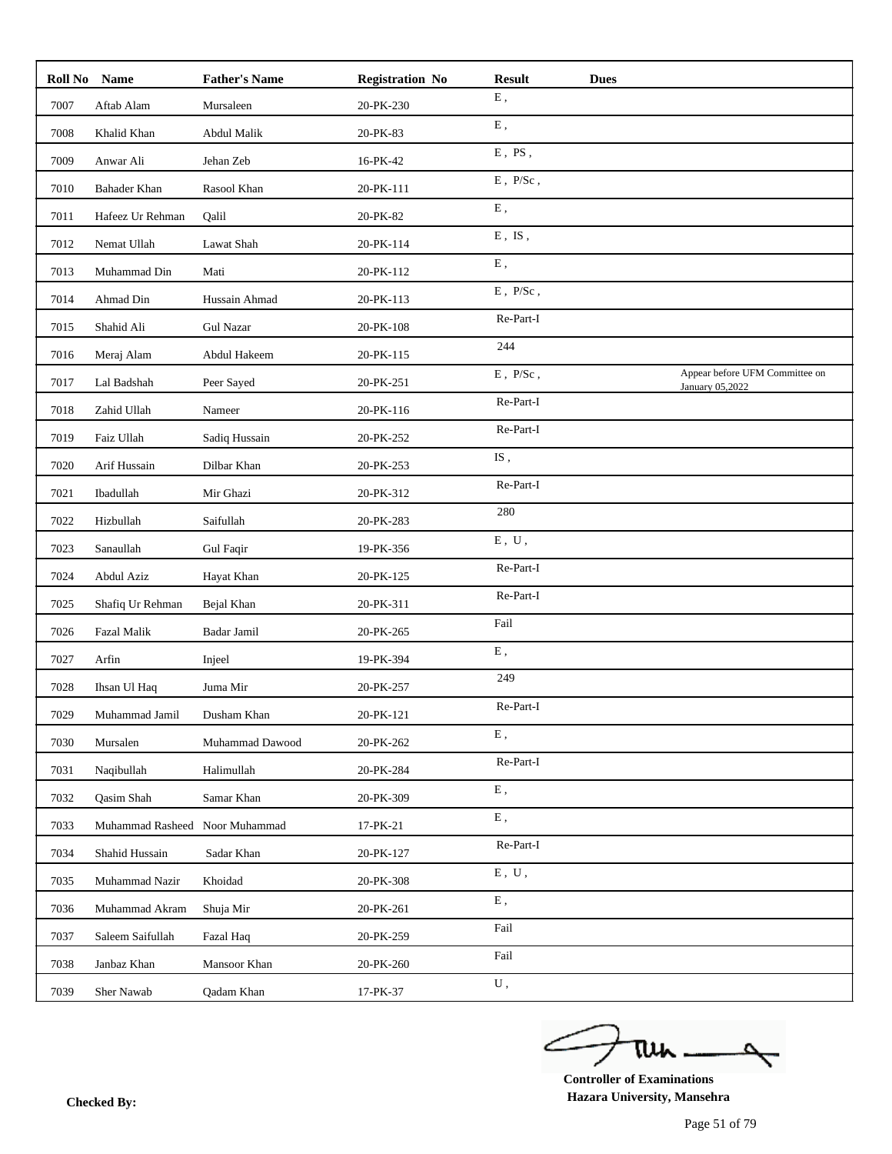|      | Roll No Name       | <b>Father's Name</b> | <b>Registration No</b> | <b>Result</b>                        | <b>Dues</b> |                                                   |
|------|--------------------|----------------------|------------------------|--------------------------------------|-------------|---------------------------------------------------|
| 7007 | Aftab Alam         | Mursaleen            | 20-PK-230              | ${\bf E}$ ,                          |             |                                                   |
| 7008 | Khalid Khan        | Abdul Malik          | 20-PK-83               | ${\bf E}$ ,                          |             |                                                   |
| 7009 | Anwar Ali          | Jehan Zeb            | 16-PK-42               | $E$ , $PS$ ,                         |             |                                                   |
| 7010 | Bahader Khan       | Rasool Khan          | 20-PK-111              | $\,E$ , $\,P/Sc$ ,                   |             |                                                   |
| 7011 | Hafeez Ur Rehman   | Qalil                | 20-PK-82               | E,                                   |             |                                                   |
| 7012 | Nemat Ullah        | Lawat Shah           | 20-PK-114              | ${\bf E}$ , ${\bf IS}$ ,             |             |                                                   |
| 7013 | Muhammad Din       | Mati                 | 20-PK-112              | ${\bf E}$ ,                          |             |                                                   |
| 7014 | Ahmad Din          | Hussain Ahmad        | 20-PK-113              | $\,E$ , $\,P/Sc$ ,                   |             |                                                   |
| 7015 | Shahid Ali         | <b>Gul Nazar</b>     | 20-PK-108              | Re-Part-I                            |             |                                                   |
| 7016 | Meraj Alam         | Abdul Hakeem         | 20-PK-115              | 244                                  |             |                                                   |
| 7017 | Lal Badshah        | Peer Sayed           | 20-PK-251              | $\to$ , $\:\:$ P/Sc ,                |             | Appear before UFM Committee on<br>January 05,2022 |
| 7018 | Zahid Ullah        | Nameer               | 20-PK-116              | Re-Part-I                            |             |                                                   |
| 7019 | Faiz Ullah         | Sadiq Hussain        | 20-PK-252              | Re-Part-I                            |             |                                                   |
| 7020 | Arif Hussain       | Dilbar Khan          | 20-PK-253              | $\mathrm{IS}% _{T}\left( t\right)$ , |             |                                                   |
| 7021 | Ibadullah          | Mir Ghazi            | 20-PK-312              | Re-Part-I                            |             |                                                   |
| 7022 | Hizbullah          | Saifullah            | 20-PK-283              | 280                                  |             |                                                   |
| 7023 | Sanaullah          | Gul Faqir            | 19-PK-356              | ${\bf E}$ , $\;{\bf U}$ ,            |             |                                                   |
| 7024 | Abdul Aziz         | Hayat Khan           | 20-PK-125              | Re-Part-I                            |             |                                                   |
| 7025 | Shafiq Ur Rehman   | Bejal Khan           | 20-PK-311              | Re-Part-I                            |             |                                                   |
| 7026 | <b>Fazal Malik</b> | Badar Jamil          | 20-PK-265              | Fail                                 |             |                                                   |
| 7027 | Arfin              | Injeel               | 19-PK-394              | ${\bf E}$ ,                          |             |                                                   |
| 7028 | Ihsan Ul Haq       | Juma Mir             | 20-PK-257              | 249                                  |             |                                                   |
| 7029 | Muhammad Jamil     | Dusham Khan          | 20-PK-121              | Re-Part-I                            |             |                                                   |
| 7030 | Mursalen           | Muhammad Dawood      | 20-PK-262              | E,                                   |             |                                                   |
| 7031 | Naqibullah         | Halimullah           | 20-PK-284              | Re-Part-I                            |             |                                                   |
| 7032 | Qasim Shah         | Samar Khan           | 20-PK-309              | ${\bf E}$ ,                          |             |                                                   |
| 7033 | Muhammad Rasheed   | Noor Muhammad        | 17-PK-21               | ${\bf E}$ ,                          |             |                                                   |
| 7034 | Shahid Hussain     | Sadar Khan           | 20-PK-127              | Re-Part-I                            |             |                                                   |
| 7035 | Muhammad Nazir     | Khoidad              | 20-PK-308              | $E$ , $U$ ,                          |             |                                                   |
| 7036 | Muhammad Akram     | Shuja Mir            | 20-PK-261              | ${\bf E}$ ,                          |             |                                                   |
| 7037 | Saleem Saifullah   | Fazal Haq            | 20-PK-259              | Fail                                 |             |                                                   |
| 7038 | Janbaz Khan        | Mansoor Khan         | 20-PK-260              | Fail                                 |             |                                                   |
| 7039 | Sher Nawab         | Qadam Khan           | 17-PK-37               | ${\bf U}$ ,                          |             |                                                   |

ے tui

**Controller of Examinations Hazara University, Mansehra Checked By:**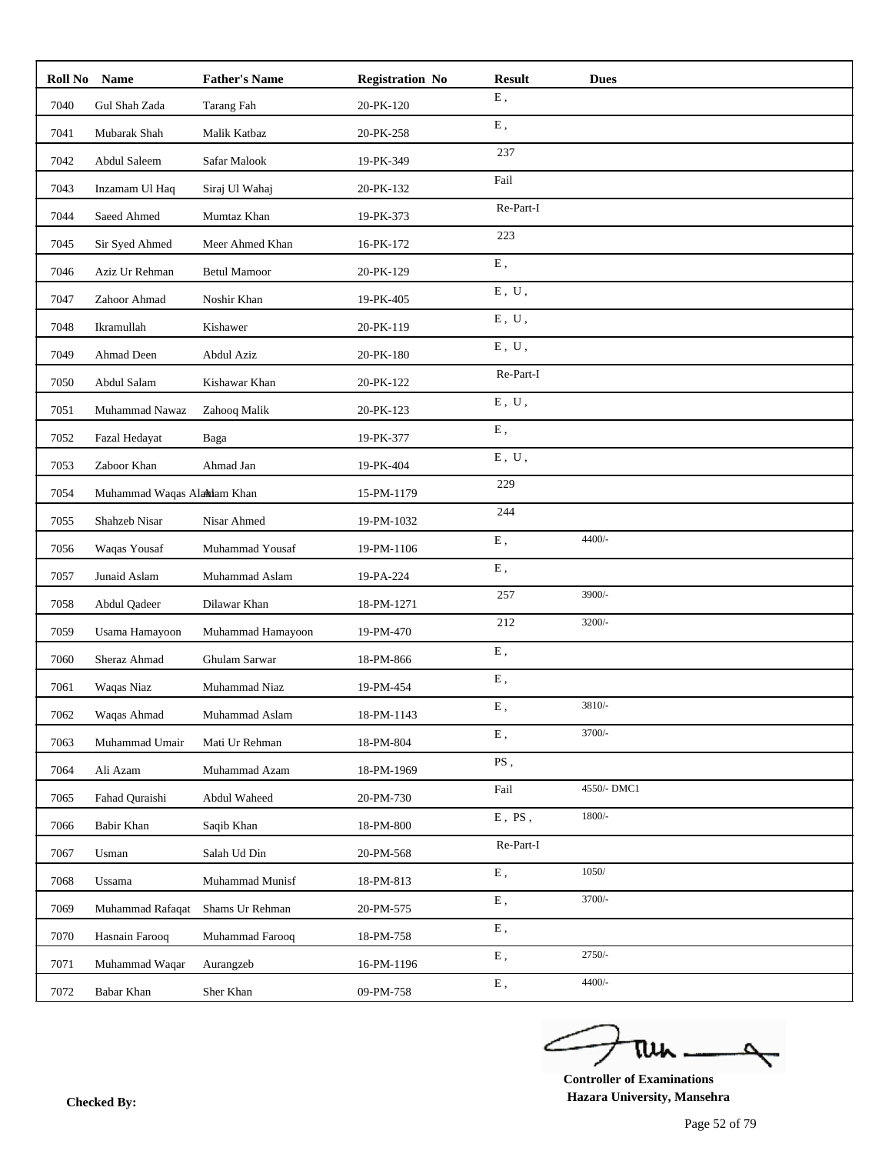| <b>Roll No</b> | <b>Name</b>                | <b>Father's Name</b> | <b>Registration No</b> | <b>Result</b>             | <b>Dues</b> |
|----------------|----------------------------|----------------------|------------------------|---------------------------|-------------|
| 7040           | Gul Shah Zada              | Tarang Fah           | 20-PK-120              | Ε,                        |             |
| 7041           | Mubarak Shah               | Malik Katbaz         | 20-PK-258              | ${\bf E}$ ,               |             |
| 7042           | Abdul Saleem               | Safar Malook         | 19-PK-349              | 237                       |             |
| 7043           | Inzamam Ul Haq             | Siraj Ul Wahaj       | 20-PK-132              | Fail                      |             |
| 7044           | Saeed Ahmed                | Mumtaz Khan          | 19-PK-373              | Re-Part-I                 |             |
| 7045           | Sir Syed Ahmed             | Meer Ahmed Khan      | 16-PK-172              | 223                       |             |
| 7046           | Aziz Ur Rehman             | <b>Betul Mamoor</b>  | 20-PK-129              | ${\bf E}$ ,               |             |
| 7047           | Zahoor Ahmad               | Noshir Khan          | 19-PK-405              | E, U,                     |             |
| 7048           | Ikramullah                 | Kishawer             | 20-PK-119              | E, U,                     |             |
| 7049           | Ahmad Deen                 | Abdul Aziz           | 20-PK-180              | E, U,                     |             |
| 7050           | Abdul Salam                | Kishawar Khan        | 20-PK-122              | Re-Part-I                 |             |
| 7051           | Muhammad Nawaz             | Zahooq Malik         | 20-PK-123              | ${\bf E}$ , $\;{\bf U}$ , |             |
| 7052           | Fazal Hedayat              | Baga                 | 19-PK-377              | ${\bf E}$ ,               |             |
| 7053           | Zaboor Khan                | Ahmad Jan            | 19-PK-404              | E, U,                     |             |
| 7054           | Muhammad Waqas Alamam Khan |                      | 15-PM-1179             | 229                       |             |
| 7055           | Shahzeb Nisar              | Nisar Ahmed          | 19-PM-1032             | 244                       |             |
| 7056           | Waqas Yousaf               | Muhammad Yousaf      | 19-PM-1106             | ${\bf E}$ ,               | $4400/-$    |
| 7057           | Junaid Aslam               | Muhammad Aslam       | 19-PA-224              | ${\bf E}$ ,               |             |
| 7058           | Abdul Qadeer               | Dilawar Khan         | 18-PM-1271             | 257                       | 3900/-      |
| 7059           | Usama Hamayoon             | Muhammad Hamayoon    | 19-PM-470              | 212                       | $3200/-$    |
| 7060           | Sheraz Ahmad               | Ghulam Sarwar        | 18-PM-866              | E,                        |             |
| 7061           | Waqas Niaz                 | Muhammad Niaz        | 19-PM-454              | ${\bf E}$ ,               |             |
| 7062           | Waqas Ahmad                | Muhammad Aslam       | 18-PM-1143             | E,                        | 3810/-      |
| 7063           | Muhammad Umair             | Mati Ur Rehman       | 18-PM-804              | E,                        | 3700/-      |
| 7064           | Ali Azam                   | Muhammad Azam        | 18-PM-1969             | PS,                       |             |
| 7065           | Fahad Quraishi             | Abdul Waheed         | 20-PM-730              | Fail                      | 4550/- DMC1 |
| 7066           | Babir Khan                 | Saqib Khan           | 18-PM-800              | $E$ , PS,                 | $1800/-$    |
| 7067           | Usman                      | Salah Ud Din         | 20-PM-568              | Re-Part-I                 |             |
| 7068           | Ussama                     | Muhammad Munisf      | 18-PM-813              | Ε,                        | 1050/       |
| 7069           | Muhammad Rafaqat           | Shams Ur Rehman      | 20-PM-575              | Ε,                        | 3700/-      |
| 7070           | Hasnain Farooq             | Muhammad Farooq      | 18-PM-758              | ${\bf E}$ ,               |             |
| 7071           | Muhammad Waqar             | Aurangzeb            | 16-PM-1196             | Ε,                        | $2750/-$    |
| 7072           | Babar Khan                 | Sher Khan            | 09-PM-758              | ${\bf E}$ ,               | $4400/-$    |

ے tui

**Controller of Examinations Hazara University, Mansehra Checked By:**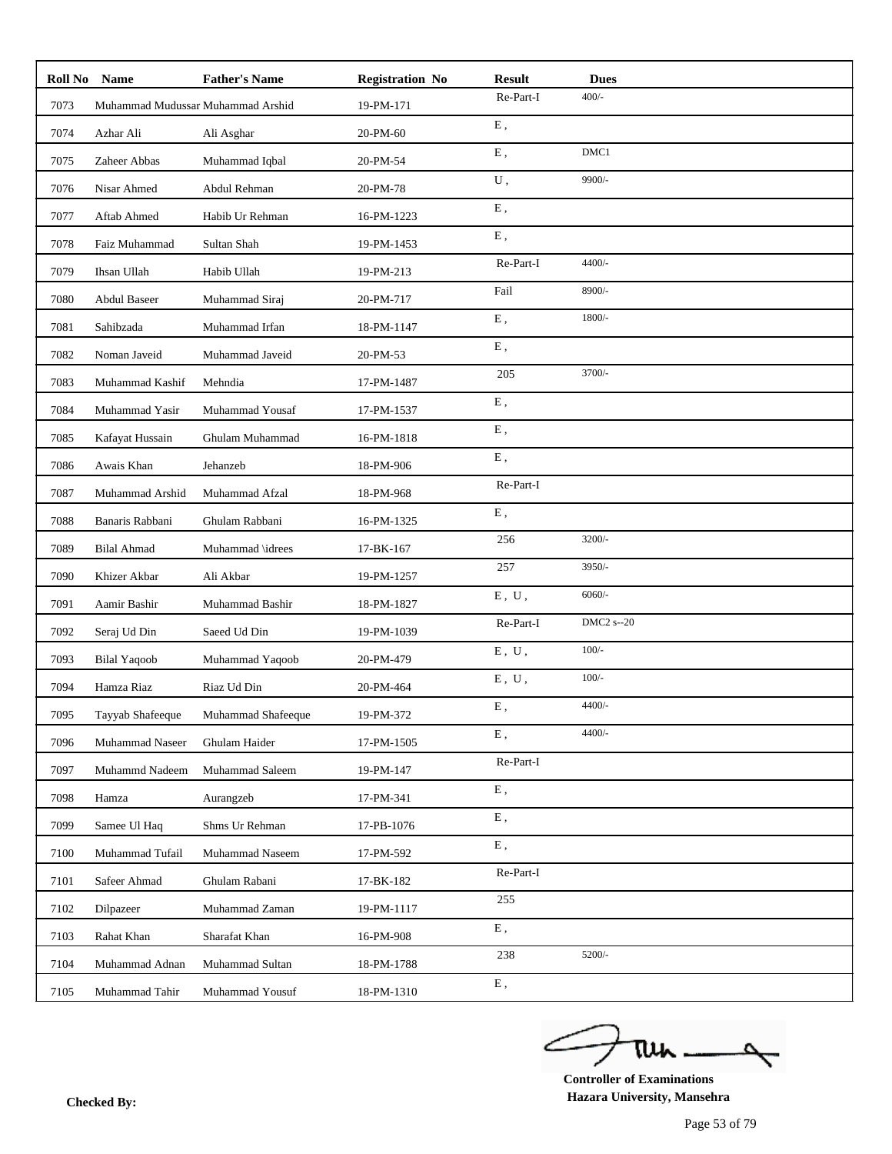| Roll No | <b>Name</b>                       | <b>Father's Name</b> | <b>Registration No</b> | <b>Result</b>             | <b>Dues</b>       |
|---------|-----------------------------------|----------------------|------------------------|---------------------------|-------------------|
| 7073    | Muhammad Mudussar Muhammad Arshid |                      | 19-PM-171              | Re-Part-I                 | $400/-$           |
| 7074    | Azhar Ali                         | Ali Asghar           | 20-PM-60               | ${\bf E}$ ,               |                   |
| 7075    | Zaheer Abbas                      | Muhammad Iqbal       | 20-PM-54               | E,                        | DMC1              |
| 7076    | Nisar Ahmed                       | Abdul Rehman         | 20-PM-78               | U,                        | 9900/-            |
| 7077    | Aftab Ahmed                       | Habib Ur Rehman      | 16-PM-1223             | ${\bf E}$ ,               |                   |
| 7078    | Faiz Muhammad                     | Sultan Shah          | 19-PM-1453             | E,                        |                   |
| 7079    | Ihsan Ullah                       | Habib Ullah          | 19-PM-213              | Re-Part-I                 | 4400/-            |
| 7080    | Abdul Baseer                      | Muhammad Siraj       | 20-PM-717              | Fail                      | 8900/-            |
| 7081    | Sahibzada                         | Muhammad Irfan       | 18-PM-1147             | E,                        | $1800/-$          |
| 7082    | Noman Javeid                      | Muhammad Javeid      | 20-PM-53               | ${\bf E}$ ,               |                   |
| 7083    | Muhammad Kashif                   | Mehndia              | 17-PM-1487             | 205                       | 3700/-            |
| 7084    | Muhammad Yasir                    | Muhammad Yousaf      | 17-PM-1537             | Ε,                        |                   |
| 7085    | Kafayat Hussain                   | Ghulam Muhammad      | 16-PM-1818             | ${\bf E}$ ,               |                   |
| 7086    | Awais Khan                        | Jehanzeb             | 18-PM-906              | ${\bf E}$ ,               |                   |
| 7087    | Muhammad Arshid                   | Muhammad Afzal       | 18-PM-968              | Re-Part-I                 |                   |
| 7088    | Banaris Rabbani                   | Ghulam Rabbani       | 16-PM-1325             | ${\bf E}$ ,               |                   |
| 7089    | <b>Bilal Ahmad</b>                | Muhammad \idrees     | 17-BK-167              | 256                       | 3200/-            |
| 7090    | Khizer Akbar                      | Ali Akbar            | 19-PM-1257             | 257                       | 3950/-            |
| 7091    | Aamir Bashir                      | Muhammad Bashir      | 18-PM-1827             | ${\bf E}$ , $\;{\bf U}$ , | $6060/-$          |
| 7092    | Seraj Ud Din                      | Saeed Ud Din         | 19-PM-1039             | Re-Part-I                 | <b>DMC2</b> s--20 |
| 7093    | <b>Bilal Yaqoob</b>               | Muhammad Yaqoob      | 20-PM-479              | E, U,                     | $100/-$           |
| 7094    | Hamza Riaz                        | Riaz Ud Din          | 20-PM-464              | ${\bf E}$ , $\;{\bf U}$ , | $100/-$           |
| 7095    | Tayyab Shafeeque                  | Muhammad Shafeeque   | 19-PM-372              | E,                        | $4400/-$          |
| 7096    | Muhammad Naseer                   | Ghulam Haider        | 17-PM-1505             | E,                        | $4400/-$          |
| 7097    | Muhammd Nadeem                    | Muhammad Saleem      | 19-PM-147              | Re-Part-I                 |                   |
| 7098    | Hamza                             | Aurangzeb            | 17-PM-341              | ${\bf E}$ ,               |                   |
| 7099    | Samee Ul Haq                      | Shms Ur Rehman       | 17-PB-1076             | E,                        |                   |
| 7100    | Muhammad Tufail                   | Muhammad Naseem      | 17-PM-592              | ${\bf E}$ ,               |                   |
| 7101    | Safeer Ahmad                      | Ghulam Rabani        | 17-BK-182              | Re-Part-I                 |                   |
| 7102    | Dilpazeer                         | Muhammad Zaman       | 19-PM-1117             | 255                       |                   |
| 7103    | Rahat Khan                        | Sharafat Khan        | 16-PM-908              | ${\bf E}$ ,               |                   |
| 7104    | Muhammad Adnan                    | Muhammad Sultan      | 18-PM-1788             | 238                       | 5200/-            |
| 7105    | Muhammad Tahir                    | Muhammad Yousuf      | 18-PM-1310             | ${\bf E}$ ,               |                   |

ے tui

**Controller of Examinations Hazara University, Mansehra Checked By:**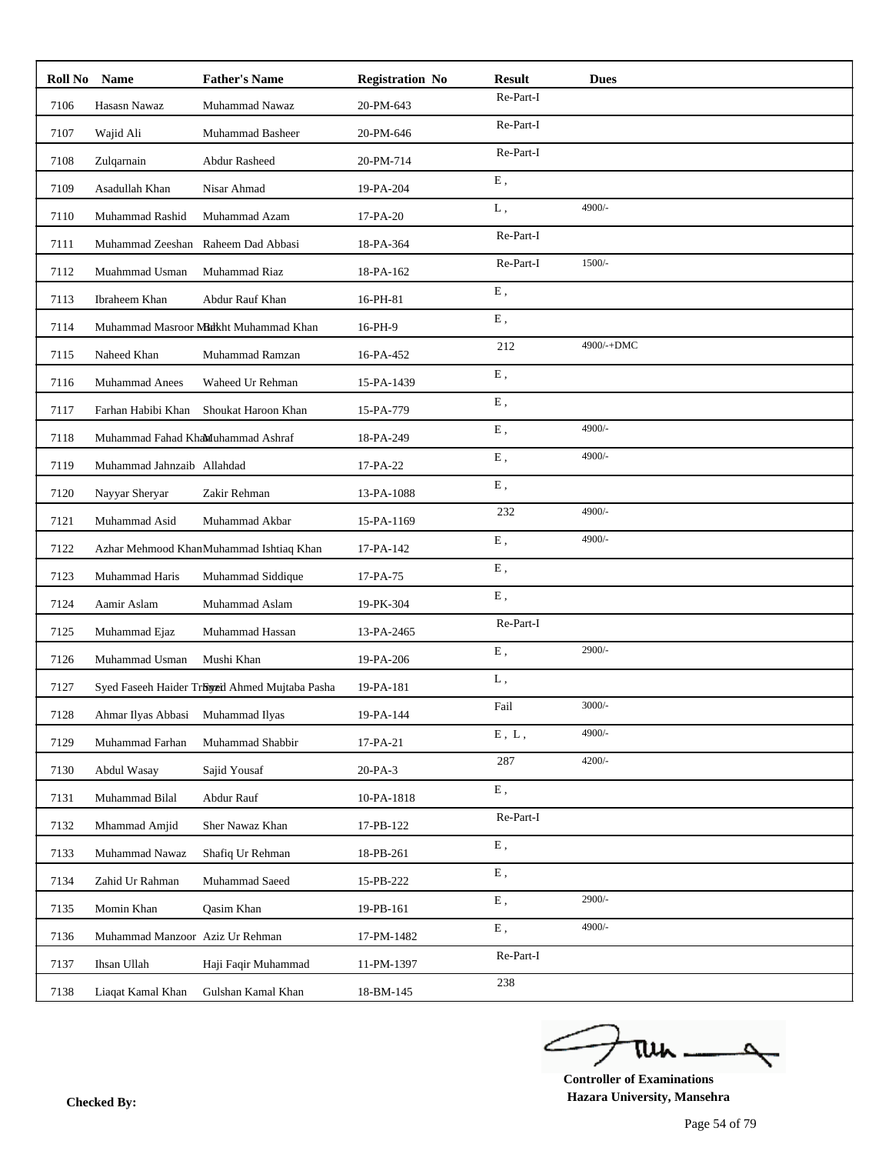| Roll No | <b>Name</b>                       | <b>Father's Name</b>                           | <b>Registration No</b> | <b>Result</b>      | <b>Dues</b> |
|---------|-----------------------------------|------------------------------------------------|------------------------|--------------------|-------------|
| 7106    | Hasasn Nawaz                      | Muhammad Nawaz                                 | 20-PM-643              | Re-Part-I          |             |
| 7107    | Wajid Ali                         | Muhammad Basheer                               | 20-PM-646              | Re-Part-I          |             |
| 7108    | Zulqarnain                        | Abdur Rasheed                                  | 20-PM-714              | Re-Part-I          |             |
| 7109    | Asadullah Khan                    | Nisar Ahmad                                    | 19-PA-204              | ${\bf E}$ ,        |             |
| 7110    | Muhammad Rashid                   | Muhammad Azam                                  | 17-PA-20               | L,                 | 4900/-      |
| 7111    | Muhammad Zeeshan                  | Raheem Dad Abbasi                              | 18-PA-364              | Re-Part-I          |             |
| 7112    | Muahmmad Usman                    | Muhammad Riaz                                  | 18-PA-162              | Re-Part-I          | $1500/-$    |
| 7113    | Ibraheem Khan                     | Abdur Rauf Khan                                | 16-PH-81               | E,                 |             |
| 7114    |                                   | Muhammad Masroor Muhkht Muhammad Khan          | 16-PH-9                | E,                 |             |
| 7115    | Naheed Khan                       | Muhammad Ramzan                                | 16-PA-452              | 212                | 4900/-+DMC  |
| 7116    | <b>Muhammad Anees</b>             | Waheed Ur Rehman                               | 15-PA-1439             | E,                 |             |
| 7117    | Farhan Habibi Khan                | Shoukat Haroon Khan                            | 15-PA-779              | E,                 |             |
| 7118    | Muhammad Fahad KhaMuhammad Ashraf |                                                | 18-PA-249              | E,                 | 4900/-      |
| 7119    | Muhammad Jahnzaib Allahdad        |                                                | 17-PA-22               | E,                 | 4900/-      |
| 7120    | Nayyar Sheryar                    | Zakir Rehman                                   | 13-PA-1088             | E,                 |             |
| 7121    | Muhammad Asid                     | Muhammad Akbar                                 | 15-PA-1169             | 232                | 4900/-      |
| 7122    |                                   | Azhar Mehmood KhanMuhammad Ishtiaq Khan        | 17-PA-142              | ${\bf E}$ ,        | 4900/-      |
| 7123    | Muhammad Haris                    | Muhammad Siddique                              | 17-PA-75               | E,                 |             |
| 7124    | Aamir Aslam                       | Muhammad Aslam                                 | 19-PK-304              | ${\bf E}$ ,        |             |
| 7125    | Muhammad Ejaz                     | Muhammad Hassan                                | 13-PA-2465             | Re-Part-I          |             |
| 7126    | Muhammad Usman                    | Mushi Khan                                     | 19-PA-206              | E,                 | 2900/-      |
| 7127    |                                   | Syed Faseeh Haider Tröyeil Ahmed Mujtaba Pasha | 19-PA-181              | L,                 |             |
| 7128    | Ahmar Ilyas Abbasi Muhammad Ilyas |                                                | 19-PA-144              | Fail               | $3000/-$    |
| 7129    | Muhammad Farhan                   | Muhammad Shabbir                               | 17-PA-21               | $E$ , $L$ ,        | 4900/-      |
| 7130    | Abdul Wasay                       | Sajid Yousaf                                   | 20-PA-3                | 287                | $4200/-$    |
| 7131    | Muhammad Bilal                    | Abdur Rauf                                     | 10-PA-1818             | ${\bf E}$ ,        |             |
| 7132    | Mhammad Amjid                     | Sher Nawaz Khan                                | 17-PB-122              | $\mbox{Re-Part-I}$ |             |
| 7133    | Muhammad Nawaz                    | Shafiq Ur Rehman                               | 18-PB-261              | ${\bf E}$ ,        |             |
| 7134    | Zahid Ur Rahman                   | Muhammad Saeed                                 | 15-PB-222              | ${\bf E}$ ,        |             |
| 7135    | Momin Khan                        | Qasim Khan                                     | 19-PB-161              | ${\bf E}$ ,        | 2900/-      |
| 7136    | Muhammad Manzoor Aziz Ur Rehman   |                                                | 17-PM-1482             | ${\bf E}$ ,        | 4900/-      |
| 7137    | Ihsan Ullah                       | Haji Faqir Muhammad                            | 11-PM-1397             | $\mbox{Re-Part-I}$ |             |
| 7138    | Liaqat Kamal Khan                 | Gulshan Kamal Khan                             | 18-BM-145              | 238                |             |

ے Δ tui

**Controller of Examinations Hazara University, Mansehra Checked By:**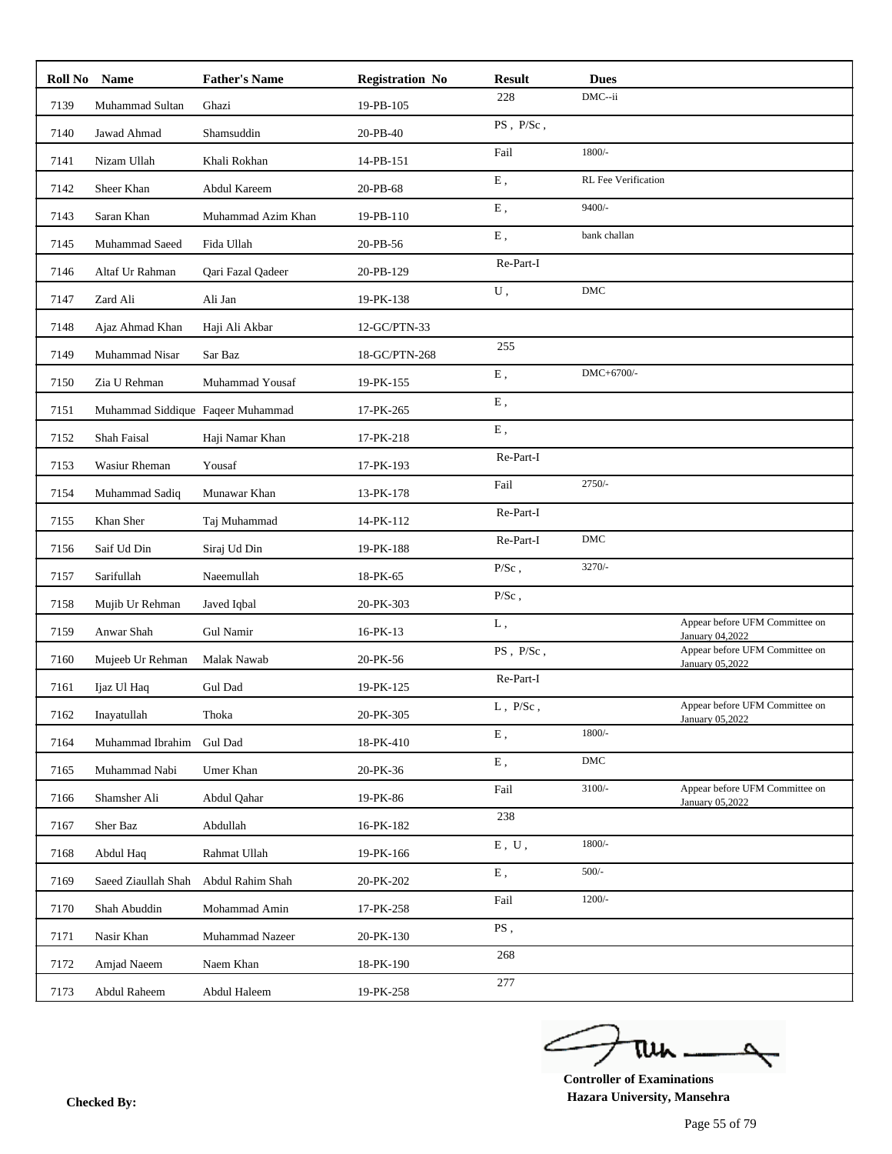| Roll No Name |                                   | <b>Father's Name</b>     | <b>Registration No</b> | <b>Result</b>   | <b>Dues</b>                |                                                   |
|--------------|-----------------------------------|--------------------------|------------------------|-----------------|----------------------------|---------------------------------------------------|
| 7139         | Muhammad Sultan                   | Ghazi                    | 19-PB-105              | 228             | DMC--ii                    |                                                   |
| 7140         | Jawad Ahmad                       | Shamsuddin               | 20-PB-40               | $PS$ , $P/Sc$ , |                            |                                                   |
| 7141         | Nizam Ullah                       | Khali Rokhan             | 14-PB-151              | Fail            | $1800/-$                   |                                                   |
| 7142         | Sheer Khan                        | Abdul Kareem             | 20-PB-68               | E,              | <b>RL</b> Fee Verification |                                                   |
| 7143         | Saran Khan                        | Muhammad Azim Khan       | 19-PB-110              | ${\bf E}$ ,     | $9400/-$                   |                                                   |
| 7145         | Muhammad Saeed                    | Fida Ullah               | 20-PB-56               | E,              | bank challan               |                                                   |
| 7146         | Altaf Ur Rahman                   | <b>Oari Fazal Oadeer</b> | 20-PB-129              | Re-Part-I       |                            |                                                   |
| 7147         | Zard Ali                          | Ali Jan                  | 19-PK-138              | ${\bf U}$ ,     | $DMC$                      |                                                   |
| 7148         | Ajaz Ahmad Khan                   | Haji Ali Akbar           | 12-GC/PTN-33           |                 |                            |                                                   |
| 7149         | Muhammad Nisar                    | Sar Baz                  | 18-GC/PTN-268          | 255             |                            |                                                   |
| 7150         | Zia U Rehman                      | Muhammad Yousaf          | 19-PK-155              | ${\bf E}$ ,     | DMC+6700/-                 |                                                   |
| 7151         | Muhammad Siddique Faqeer Muhammad |                          | 17-PK-265              | ${\bf E}$ ,     |                            |                                                   |
| 7152         | Shah Faisal                       | Haji Namar Khan          | 17-PK-218              | ${\bf E}$ ,     |                            |                                                   |
| 7153         | Wasiur Rheman                     | Yousaf                   | 17-PK-193              | Re-Part-I       |                            |                                                   |
| 7154         | Muhammad Sadiq                    | Munawar Khan             | 13-PK-178              | Fail            | $2750/-$                   |                                                   |
| 7155         | Khan Sher                         | Taj Muhammad             | 14-PK-112              | Re-Part-I       |                            |                                                   |
| 7156         | Saif Ud Din                       | Siraj Ud Din             | 19-PK-188              | Re-Part-I       | DMC                        |                                                   |
| 7157         | Sarifullah                        | Naeemullah               | 18-PK-65               | $P/Sc$ ,        | $3270/-$                   |                                                   |
| 7158         | Mujib Ur Rehman                   | Javed Iqbal              | 20-PK-303              | $\rm P/Sc$ ,    |                            |                                                   |
| 7159         | Anwar Shah                        | Gul Namir                | 16-PK-13               | L,              |                            | Appear before UFM Committee on<br>January 04,2022 |
| 7160         | Mujeeb Ur Rehman                  | Malak Nawab              | 20-PK-56               | $PS$ , $P/Sc$ , |                            | Appear before UFM Committee on                    |
| 7161         | Ijaz Ul Haq                       | Gul Dad                  | 19-PK-125              | Re-Part-I       |                            | January 05,2022                                   |
| 7162         | Inayatullah                       | Thoka                    | 20-PK-305              | $L$ , $P/Sc$ ,  |                            | Appear before UFM Committee on                    |
| 7164         | Muhammad Ibrahim                  | <b>Gul Dad</b>           | 18-PK-410              | ${\bf E}$ ,     | $1800/-$                   | January 05,2022                                   |
| 7165         | Muhammad Nabi                     | Umer Khan                | 20-PK-36               | ${\bf E}$ ,     | DMC                        |                                                   |
| 7166         | Shamsher Ali                      | Abdul Qahar              | 19-PK-86               | Fail            | $3100/-$                   | Appear before UFM Committee on                    |
| 7167         | Sher Baz                          | Abdullah                 | 16-PK-182              | 238             |                            | January 05,2022                                   |
| 7168         | Abdul Haq                         | Rahmat Ullah             | 19-PK-166              | $E$ , $U$ ,     | $1800/-$                   |                                                   |
| 7169         | Saeed Ziaullah Shah               | Abdul Rahim Shah         | 20-PK-202              | ${\bf E}$ ,     | $500/-$                    |                                                   |
|              |                                   |                          |                        | Fail            | $1200/-$                   |                                                   |
| 7170         | Shah Abuddin                      | Mohammad Amin            | 17-PK-258              | PS,             |                            |                                                   |
| 7171         | Nasir Khan                        | Muhammad Nazeer          | 20-PK-130              | 268             |                            |                                                   |
| 7172         | Amjad Naeem                       | Naem Khan                | 18-PK-190              | 277             |                            |                                                   |
| 7173         | Abdul Raheem                      | Abdul Haleem             | 19-PK-258              |                 |                            |                                                   |

ے tui

**Controller of Examinations Hazara University, Mansehra Checked By:**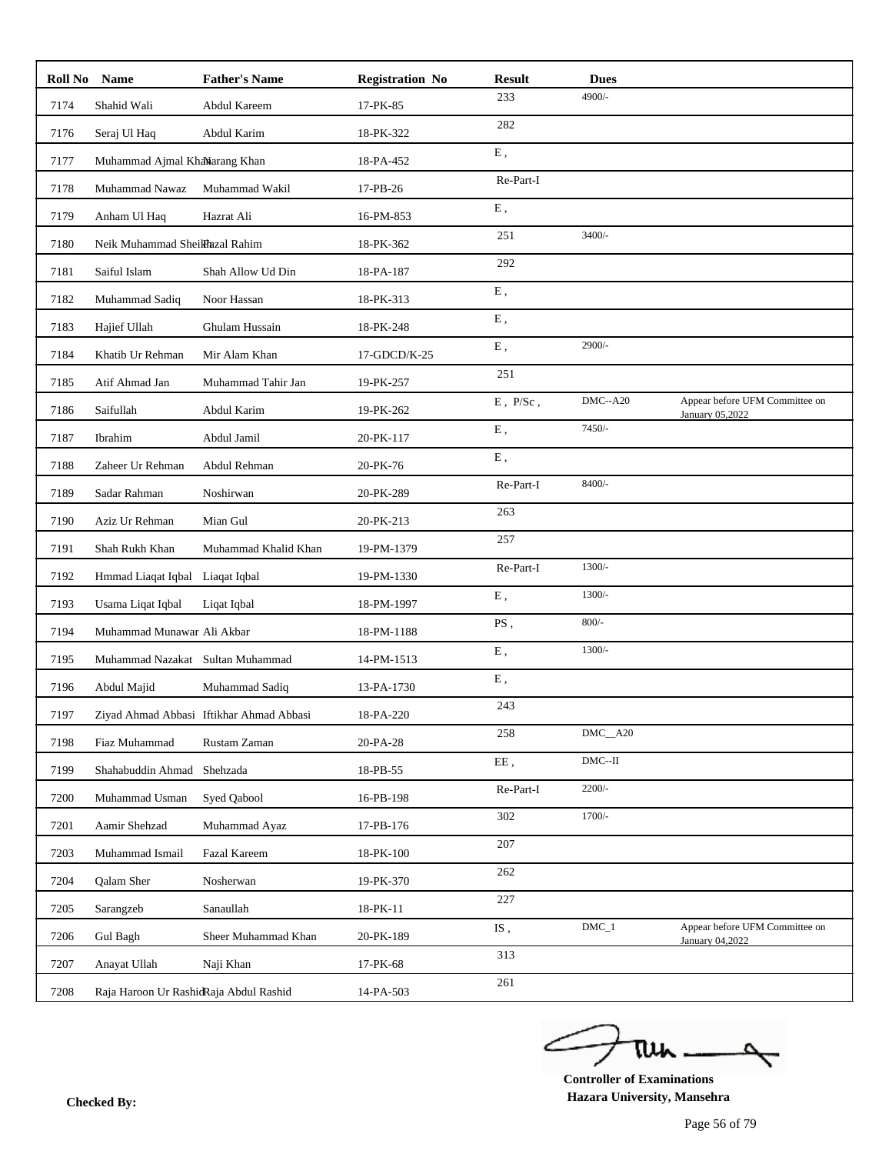| Roll No | <b>Name</b>                            | <b>Father's Name</b>                     | <b>Registration No</b> | <b>Result</b>                | <b>Dues</b>                        |                                                   |
|---------|----------------------------------------|------------------------------------------|------------------------|------------------------------|------------------------------------|---------------------------------------------------|
| 7174    | Shahid Wali                            | Abdul Kareem                             | 17-PK-85               | 233                          | 4900/-                             |                                                   |
| 7176    | Seraj Ul Haq                           | Abdul Karim                              | 18-PK-322              | 282                          |                                    |                                                   |
| 7177    | Muhammad Ajmal KhaNarang Khan          |                                          | 18-PA-452              | ${\bf E}$ ,                  |                                    |                                                   |
| 7178    | Muhammad Nawaz                         | Muhammad Wakil                           | 17-PB-26               | Re-Part-I                    |                                    |                                                   |
| 7179    | Anham Ul Haq                           | Hazrat Ali                               | 16-PM-853              | ${\bf E}$ ,                  |                                    |                                                   |
| 7180    | Neik Muhammad SheilHazal Rahim         |                                          | 18-PK-362              | 251                          | $3400/-$                           |                                                   |
| 7181    | Saiful Islam                           | Shah Allow Ud Din                        | 18-PA-187              | 292                          |                                    |                                                   |
| 7182    | Muhammad Sadiq                         | Noor Hassan                              | 18-PK-313              | ${\bf E}$ ,                  |                                    |                                                   |
| 7183    | Hajief Ullah                           | Ghulam Hussain                           | 18-PK-248              | E,                           |                                    |                                                   |
| 7184    | Khatib Ur Rehman                       | Mir Alam Khan                            | 17-GDCD/K-25           | ${\bf E}$ ,                  | 2900/-                             |                                                   |
| 7185    | Atif Ahmad Jan                         | Muhammad Tahir Jan                       | 19-PK-257              | 251                          |                                    |                                                   |
| 7186    | Saifullah                              | Abdul Karim                              | 19-PK-262              | $\to$ , $\:\:$ P/Sc ,        | $DMC - A20$                        | Appear before UFM Committee on<br>January 05,2022 |
| 7187    | Ibrahim                                | Abdul Jamil                              | 20-PK-117              | ${\bf E}$ ,                  | $7450/-$                           |                                                   |
| 7188    | Zaheer Ur Rehman                       | Abdul Rehman                             | 20-PK-76               | ${\bf E}$ ,                  |                                    |                                                   |
| 7189    | Sadar Rahman                           | Noshirwan                                | 20-PK-289              | Re-Part-I                    | $8400/-$                           |                                                   |
| 7190    | Aziz Ur Rehman                         | Mian Gul                                 | 20-PK-213              | 263                          |                                    |                                                   |
| 7191    | Shah Rukh Khan                         | Muhammad Khalid Khan                     | 19-PM-1379             | 257                          |                                    |                                                   |
| 7192    | Hmmad Liaqat Iqbal Liaqat Iqbal        |                                          | 19-PM-1330             | Re-Part-I                    | $1300/-$                           |                                                   |
| 7193    | Usama Liqat Iqbal                      | Liqat Iqbal                              | 18-PM-1997             | ${\bf E}$ ,                  | $1300/-$                           |                                                   |
| 7194    | Muhammad Munawar Ali Akbar             |                                          | 18-PM-1188             | PS,                          | $800/-$                            |                                                   |
| 7195    | Muhammad Nazakat Sultan Muhammad       |                                          | 14-PM-1513             | E,                           | $1300/-$                           |                                                   |
| 7196    | Abdul Majid                            | Muhammad Sadiq                           | 13-PA-1730             | ${\bf E}$ ,                  |                                    |                                                   |
| 7197    |                                        | Ziyad Ahmad Abbasi Iftikhar Ahmad Abbasi | 18-PA-220              | 243                          |                                    |                                                   |
| 7198    | Fiaz Muhammad                          | Rustam Zaman                             | 20-PA-28               | 258                          | $DMC$ <sub><math>-</math>A20</sub> |                                                   |
| 7199    | Shahabuddin Ahmad Shehzada             |                                          | 18-PB-55               | $\rm EE$ ,                   | $DMC-H$                            |                                                   |
| 7200    | Muhammad Usman                         | Syed Qabool                              | 16-PB-198              | Re-Part-I                    | $2200/-$                           |                                                   |
| 7201    | Aamir Shehzad                          | Muhammad Ayaz                            | 17-PB-176              | 302                          | $1700/-$                           |                                                   |
| 7203    | Muhammad Ismail                        | Fazal Kareem                             | 18-PK-100              | 207                          |                                    |                                                   |
| 7204    | Qalam Sher                             | Nosherwan                                | 19-PK-370              | 262                          |                                    |                                                   |
| 7205    | Sarangzeb                              | Sanaullah                                | 18-PK-11               | 227                          |                                    |                                                   |
| 7206    | Gul Bagh                               | Sheer Muhammad Khan                      | 20-PK-189              | $\ensuremath{\mathrm{IS}}$ , | $DMC_1$                            | Appear before UFM Committee on                    |
| 7207    | Anayat Ullah                           | Naji Khan                                | 17-PK-68               | 313                          |                                    | January 04,2022                                   |
| 7208    | Raja Haroon Ur RashidRaja Abdul Rashid |                                          | 14-PA-503              | 261                          |                                    |                                                   |

ے tui

**Controller of Examinations Hazara University, Mansehra Checked By:**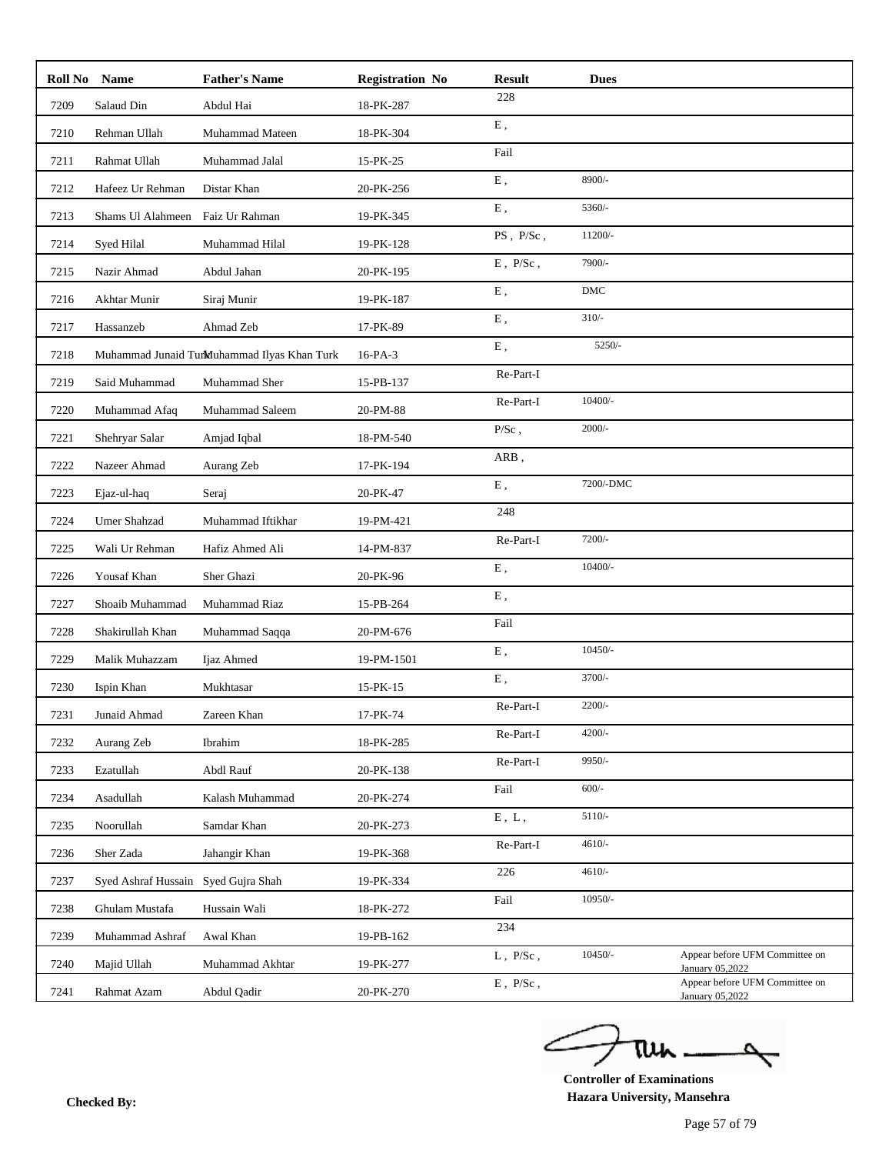| Roll No | <b>Name</b>                         | <b>Father's Name</b>                        | <b>Registration No</b> | <b>Result</b>             | <b>Dues</b>    |                                                   |
|---------|-------------------------------------|---------------------------------------------|------------------------|---------------------------|----------------|---------------------------------------------------|
| 7209    | Salaud Din                          | Abdul Hai                                   | 18-PK-287              | 228                       |                |                                                   |
| 7210    | Rehman Ullah                        | Muhammad Mateen                             | 18-PK-304              | ${\bf E}$ ,               |                |                                                   |
| 7211    | Rahmat Ullah                        | Muhammad Jalal                              | 15-PK-25               | Fail                      |                |                                                   |
| 7212    | Hafeez Ur Rehman                    | Distar Khan                                 | 20-PK-256              | ${\bf E}$ ,               | 8900/-         |                                                   |
| 7213    | Shams Ul Alahmeen                   | Faiz Ur Rahman                              | 19-PK-345              | ${\bf E}$ ,               | 5360/-         |                                                   |
| 7214    | Syed Hilal                          | Muhammad Hilal                              | 19-PK-128              | PS, P/Sc,                 | 11200/-        |                                                   |
| 7215    | Nazir Ahmad                         | Abdul Jahan                                 | 20-PK-195              | $E$ , $\rm \,P/Sc$ ,      | 7900/-         |                                                   |
| 7216    | Akhtar Munir                        | Siraj Munir                                 | 19-PK-187              | ${\bf E}$ ,               | $\mathbf{DMC}$ |                                                   |
| 7217    | Hassanzeb                           | Ahmad Zeb                                   | 17-PK-89               | E,                        | $310/-$        |                                                   |
| 7218    |                                     | Muhammad Junaid TurMuhammad Ilyas Khan Turk | 16-PA-3                | ${\bf E}$ ,               | $5250/-$       |                                                   |
| 7219    | Said Muhammad                       | Muhammad Sher                               | 15-PB-137              | Re-Part-I                 |                |                                                   |
| 7220    | Muhammad Afaq                       | Muhammad Saleem                             | 20-PM-88               | Re-Part-I                 | 10400/-        |                                                   |
| 7221    | Shehryar Salar                      | Amjad Iqbal                                 | 18-PM-540              | $\rm P/Sc$ ,              | $2000/-$       |                                                   |
| 7222    | Nazeer Ahmad                        | Aurang Zeb                                  | 17-PK-194              | ARB,                      |                |                                                   |
| 7223    | Ejaz-ul-haq                         | Seraj                                       | 20-PK-47               | E,                        | 7200/-DMC      |                                                   |
| 7224    | Umer Shahzad                        | Muhammad Iftikhar                           | 19-PM-421              | 248                       |                |                                                   |
| 7225    | Wali Ur Rehman                      | Hafiz Ahmed Ali                             | 14-PM-837              | Re-Part-I                 | 7200/-         |                                                   |
| 7226    | Yousaf Khan                         | Sher Ghazi                                  | 20-PK-96               | E,                        | 10400/-        |                                                   |
| 7227    | Shoaib Muhammad                     | Muhammad Riaz                               | 15-PB-264              | ${\bf E}$ ,               |                |                                                   |
| 7228    | Shakirullah Khan                    | Muhammad Saqqa                              | 20-PM-676              | Fail                      |                |                                                   |
| 7229    | Malik Muhazzam                      | Ijaz Ahmed                                  | 19-PM-1501             | ${\bf E}$ ,               | $10450/-$      |                                                   |
| 7230    | Ispin Khan                          | Mukhtasar                                   | 15-PK-15               | ${\bf E}$ ,               | 3700/-         |                                                   |
| 7231    | Junaid Ahmad                        | Zareen Khan                                 | 17-PK-74               | Re-Part-I                 | $2200/-$       |                                                   |
| 7232    | Aurang Zeb                          | Ibrahim                                     | 18-PK-285              | Re-Part-I                 | $4200/-$       |                                                   |
| 7233    | Ezatullah                           | Abdl Rauf                                   | 20-PK-138              | Re-Part-I                 | 9950/-         |                                                   |
| 7234    | Asadullah                           | Kalash Muhammad                             | 20-PK-274              | Fail                      | $600/-$        |                                                   |
| 7235    | Noorullah                           | Samdar Khan                                 | 20-PK-273              | ${\bf E}$ , $\;{\bf L}$ , | 5110/-         |                                                   |
| 7236    | Sher Zada                           | Jahangir Khan                               | 19-PK-368              | Re-Part-I                 | $4610/-$       |                                                   |
| 7237    | Syed Ashraf Hussain Syed Gujra Shah |                                             | 19-PK-334              | 226                       | $4610/-$       |                                                   |
| 7238    | Ghulam Mustafa                      | Hussain Wali                                | 18-PK-272              | Fail                      | 10950/-        |                                                   |
| 7239    | Muhammad Ashraf                     | Awal Khan                                   | 19-PB-162              | 234                       |                |                                                   |
| 7240    | Majid Ullah                         | Muhammad Akhtar                             | 19-PK-277              | $L$ , $P/Sc$ ,            | $10450/-$      | Appear before UFM Committee on<br>January 05,2022 |
| 7241    | Rahmat Azam                         | Abdul Qadir                                 | 20-PK-270              | $\to$ , $\:\:$ P/Sc ,     |                | Appear before UFM Committee on                    |
|         |                                     |                                             |                        |                           |                | January 05,2022                                   |

ے tui

**Controller of Examinations Hazara University, Mansehra Checked By:**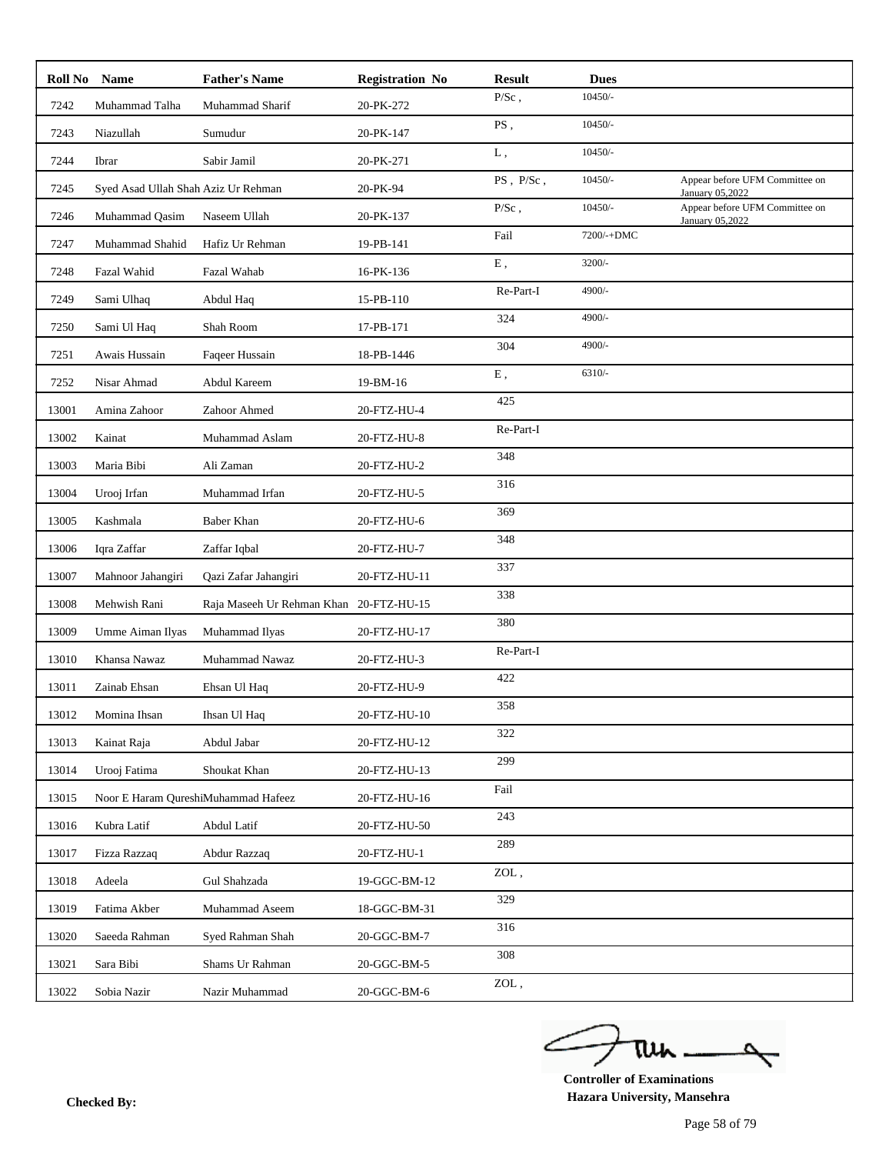|       | Roll No Name                        | <b>Father's Name</b>                    | <b>Registration No</b> | <b>Result</b> | <b>Dues</b> |                                                   |
|-------|-------------------------------------|-----------------------------------------|------------------------|---------------|-------------|---------------------------------------------------|
| 7242  | Muhammad Talha                      | Muhammad Sharif                         | 20-PK-272              | $P/Sc$ ,      | $10450/-$   |                                                   |
| 7243  | Niazullah                           | Sumudur                                 | 20-PK-147              | PS,           | $10450/-$   |                                                   |
| 7244  | Ibrar                               | Sabir Jamil                             | 20-PK-271              | L,            | $10450/-$   |                                                   |
| 7245  | Syed Asad Ullah Shah Aziz Ur Rehman |                                         | 20-PK-94               | PS, P/Sc,     | $10450/-$   | Appear before UFM Committee on<br>January 05,2022 |
| 7246  | Muhammad Qasim                      | Naseem Ullah                            | 20-PK-137              | $\rm P/Sc$ ,  | $10450/-$   | Appear before UFM Committee on<br>January 05,2022 |
| 7247  | Muhammad Shahid                     | Hafiz Ur Rehman                         | 19-PB-141              | Fail          | 7200/-+DMC  |                                                   |
| 7248  | Fazal Wahid                         | Fazal Wahab                             | 16-PK-136              | ${\bf E}$ ,   | $3200/-$    |                                                   |
| 7249  | Sami Ulhaq                          | Abdul Haq                               | 15-PB-110              | Re-Part-I     | 4900/-      |                                                   |
| 7250  | Sami Ul Haq                         | Shah Room                               | 17-PB-171              | 324           | 4900/-      |                                                   |
| 7251  | Awais Hussain                       | Faqeer Hussain                          | 18-PB-1446             | 304           | 4900/-      |                                                   |
| 7252  | Nisar Ahmad                         | Abdul Kareem                            | 19-BM-16               | ${\bf E}$ ,   | $6310/-$    |                                                   |
| 13001 | Amina Zahoor                        | Zahoor Ahmed                            | 20-FTZ-HU-4            | 425           |             |                                                   |
| 13002 | Kainat                              | Muhammad Aslam                          | 20-FTZ-HU-8            | Re-Part-I     |             |                                                   |
| 13003 | Maria Bibi                          | Ali Zaman                               | 20-FTZ-HU-2            | 348           |             |                                                   |
| 13004 | Urooj Irfan                         | Muhammad Irfan                          | 20-FTZ-HU-5            | 316           |             |                                                   |
| 13005 | Kashmala                            | Baber Khan                              | 20-FTZ-HU-6            | 369           |             |                                                   |
| 13006 | Iqra Zaffar                         | Zaffar Iqbal                            | 20-FTZ-HU-7            | 348           |             |                                                   |
| 13007 | Mahnoor Jahangiri                   | Qazi Zafar Jahangiri                    | 20-FTZ-HU-11           | 337           |             |                                                   |
| 13008 | Mehwish Rani                        | Raja Maseeh Ur Rehman Khan 20-FTZ-HU-15 |                        | 338           |             |                                                   |
| 13009 | Umme Aiman Ilyas                    | Muhammad Ilyas                          | 20-FTZ-HU-17           | 380           |             |                                                   |
| 13010 | Khansa Nawaz                        | Muhammad Nawaz                          | 20-FTZ-HU-3            | Re-Part-I     |             |                                                   |
| 13011 | Zainab Ehsan                        | Ehsan Ul Haq                            | 20-FTZ-HU-9            | 422           |             |                                                   |
| 13012 | Momina Ihsan                        | Ihsan Ul Haq                            | 20-FTZ-HU-10           | 358           |             |                                                   |
| 13013 | Kainat Raja                         | Abdul Jabar                             | 20-FTZ-HU-12           | 322           |             |                                                   |
| 13014 | Urooj Fatima                        | Shoukat Khan                            | 20-FTZ-HU-13           | 299           |             |                                                   |
| 13015 | Noor E Haram QureshiMuhammad Hafeez |                                         | 20-FTZ-HU-16           | Fail          |             |                                                   |
| 13016 | Kubra Latif                         | Abdul Latif                             | 20-FTZ-HU-50           | 243           |             |                                                   |
| 13017 | Fizza Razzaq                        | Abdur Razzaq                            | 20-FTZ-HU-1            | 289           |             |                                                   |
| 13018 | Adeela                              | Gul Shahzada                            | 19-GGC-BM-12           | ZOL,          |             |                                                   |
| 13019 | Fatima Akber                        | Muhammad Aseem                          | 18-GGC-BM-31           | 329           |             |                                                   |
| 13020 | Saeeda Rahman                       | Syed Rahman Shah                        | 20-GGC-BM-7            | 316           |             |                                                   |
| 13021 | Sara Bibi                           | Shams Ur Rahman                         | 20-GGC-BM-5            | 308           |             |                                                   |
| 13022 | Sobia Nazir                         | Nazir Muhammad                          | 20-GGC-BM-6            | ZOL,          |             |                                                   |

ے tui

**Controller of Examinations Hazara University, Mansehra Checked By:**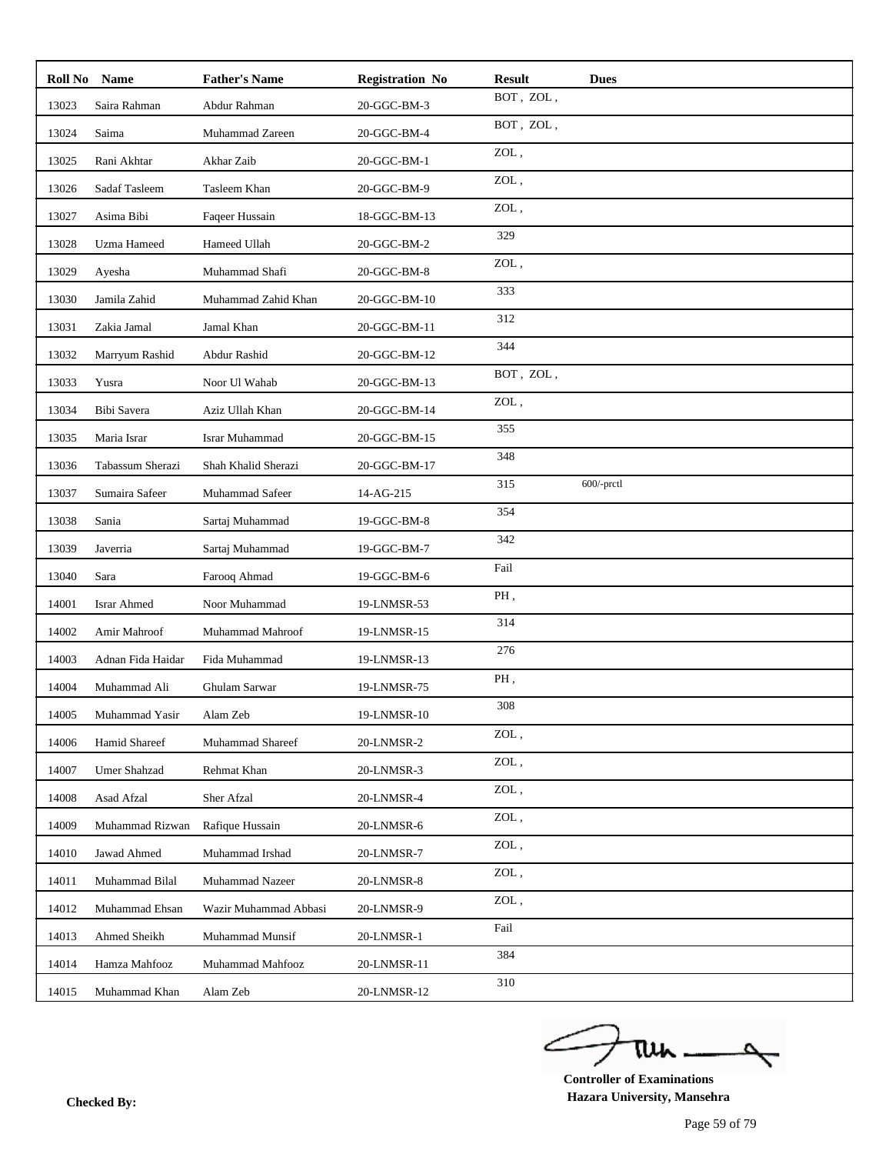| Roll No | Name               | <b>Father's Name</b>  | <b>Registration No</b> | <b>Result</b>                 | <b>Dues</b>   |
|---------|--------------------|-----------------------|------------------------|-------------------------------|---------------|
| 13023   | Saira Rahman       | Abdur Rahman          | 20-GGC-BM-3            | BOT, ZOL,                     |               |
| 13024   | Saima              | Muhammad Zareen       | 20-GGC-BM-4            | BOT, ZOL,                     |               |
| 13025   | Rani Akhtar        | Akhar Zaib            | 20-GGC-BM-1            | ZOL,                          |               |
| 13026   | Sadaf Tasleem      | Tasleem Khan          | 20-GGC-BM-9            | ZOL,                          |               |
| 13027   | Asima Bibi         | Faqeer Hussain        | 18-GGC-BM-13           | ZOL,                          |               |
| 13028   | Uzma Hameed        | Hameed Ullah          | 20-GGC-BM-2            | 329                           |               |
| 13029   | Ayesha             | Muhammad Shafi        | 20-GGC-BM-8            | ZOL,                          |               |
| 13030   | Jamila Zahid       | Muhammad Zahid Khan   | 20-GGC-BM-10           | 333                           |               |
| 13031   | Zakia Jamal        | Jamal Khan            | 20-GGC-BM-11           | 312                           |               |
| 13032   | Marryum Rashid     | Abdur Rashid          | 20-GGC-BM-12           | 344                           |               |
| 13033   | Yusra              | Noor Ul Wahab         | 20-GGC-BM-13           | BOT, ZOL,                     |               |
| 13034   | Bibi Savera        | Aziz Ullah Khan       | 20-GGC-BM-14           | ZOL,                          |               |
| 13035   | Maria Israr        | <b>Israr Muhammad</b> | 20-GGC-BM-15           | 355                           |               |
| 13036   | Tabassum Sherazi   | Shah Khalid Sherazi   | 20-GGC-BM-17           | 348                           |               |
| 13037   | Sumaira Safeer     | Muhammad Safeer       | 14-AG-215              | 315                           | $600$ /-prctl |
| 13038   | Sania              | Sartaj Muhammad       | 19-GGC-BM-8            | 354                           |               |
| 13039   | Javerria           | Sartaj Muhammad       | 19-GGC-BM-7            | 342                           |               |
| 13040   | Sara               | Farooq Ahmad          | 19-GGC-BM-6            | Fail                          |               |
| 14001   | <b>Israr Ahmed</b> | Noor Muhammad         | 19-LNMSR-53            | PH,                           |               |
| 14002   | Amir Mahroof       | Muhammad Mahroof      | 19-LNMSR-15            | 314                           |               |
| 14003   | Adnan Fida Haidar  | Fida Muhammad         | 19-LNMSR-13            | 276                           |               |
| 14004   | Muhammad Ali       | Ghulam Sarwar         | 19-LNMSR-75            | PH,                           |               |
| 14005   | Muhammad Yasir     | Alam Zeb              | 19-LNMSR-10            | 308                           |               |
| 14006   | Hamid Shareef      | Muhammad Shareef      | 20-LNMSR-2             | ZOL,                          |               |
| 14007   | Umer Shahzad       | Rehmat Khan           | 20-LNMSR-3             | ZOL,                          |               |
| 14008   | Asad Afzal         | Sher Afzal            | 20-LNMSR-4             | $\ensuremath{\mathrm{ZOL}}$ , |               |
| 14009   | Muhammad Rizwan    | Rafique Hussain       | 20-LNMSR-6             | ZOL,                          |               |
| 14010   | Jawad Ahmed        | Muhammad Irshad       | 20-LNMSR-7             | ZOL,                          |               |
| 14011   | Muhammad Bilal     | Muhammad Nazeer       | 20-LNMSR-8             | $\ensuremath{\mathrm{ZOL}}$ , |               |
| 14012   | Muhammad Ehsan     | Wazir Muhammad Abbasi | 20-LNMSR-9             | ZOL,                          |               |
| 14013   | Ahmed Sheikh       | Muhammad Munsif       | 20-LNMSR-1             | Fail                          |               |
| 14014   | Hamza Mahfooz      | Muhammad Mahfooz      | 20-LNMSR-11            | 384                           |               |
| 14015   | Muhammad Khan      | Alam Zeb              | 20-LNMSR-12            | 310                           |               |

ے tui

**Controller of Examinations Hazara University, Mansehra Checked By:**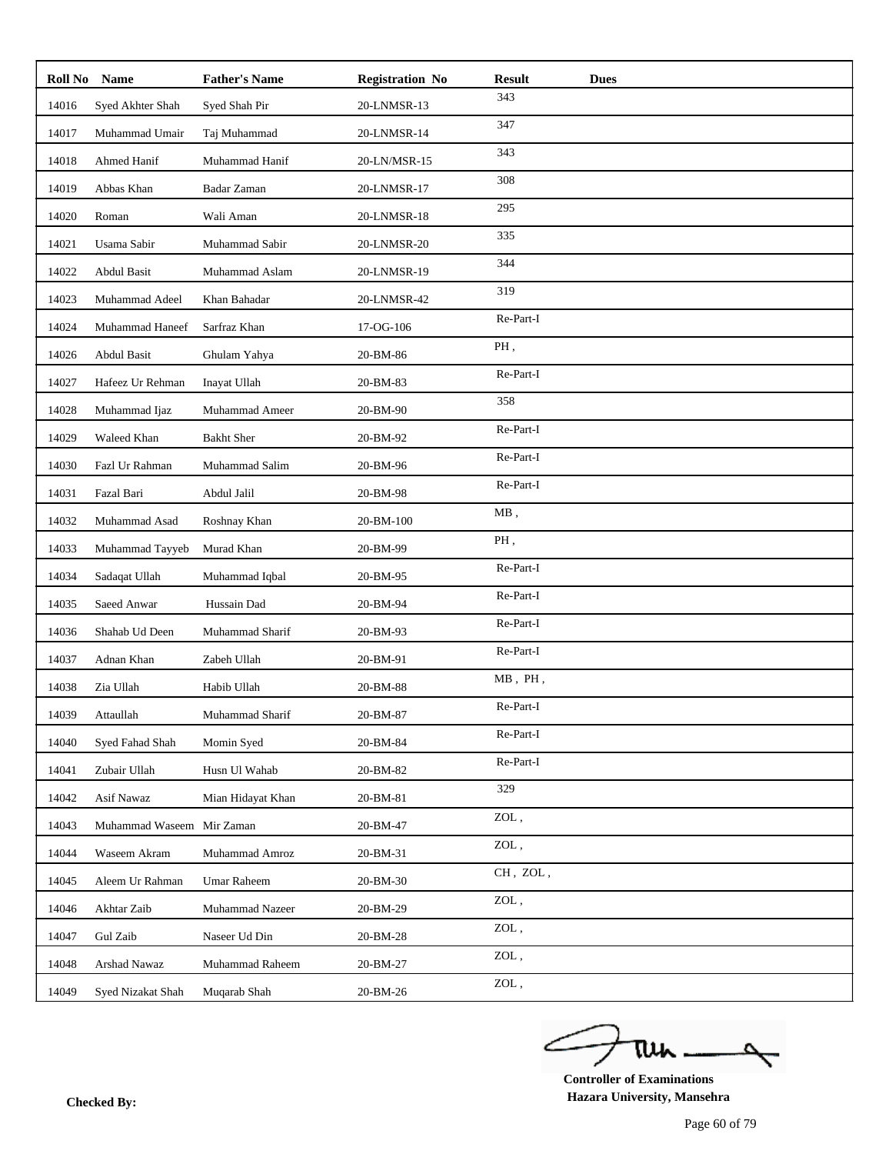| Roll No | <b>Name</b>       | <b>Father's Name</b> | <b>Registration No</b> | <b>Result</b>                 | <b>Dues</b> |
|---------|-------------------|----------------------|------------------------|-------------------------------|-------------|
| 14016   | Syed Akhter Shah  | Syed Shah Pir        | 20-LNMSR-13            | 343                           |             |
| 14017   | Muhammad Umair    | Taj Muhammad         | 20-LNMSR-14            | 347                           |             |
| 14018   | Ahmed Hanif       | Muhammad Hanif       | 20-LN/MSR-15           | 343                           |             |
| 14019   | Abbas Khan        | Badar Zaman          | 20-LNMSR-17            | 308                           |             |
| 14020   | Roman             | Wali Aman            | 20-LNMSR-18            | 295                           |             |
| 14021   | Usama Sabir       | Muhammad Sabir       | 20-LNMSR-20            | 335                           |             |
| 14022   | Abdul Basit       | Muhammad Aslam       | 20-LNMSR-19            | 344                           |             |
| 14023   | Muhammad Adeel    | Khan Bahadar         | 20-LNMSR-42            | 319                           |             |
| 14024   | Muhammad Haneef   | Sarfraz Khan         | 17-OG-106              | Re-Part-I                     |             |
| 14026   | Abdul Basit       | Ghulam Yahya         | 20-BM-86               | PH,                           |             |
| 14027   | Hafeez Ur Rehman  | Inayat Ullah         | 20-BM-83               | Re-Part-I                     |             |
| 14028   | Muhammad Ijaz     | Muhammad Ameer       | 20-BM-90               | 358                           |             |
| 14029   | Waleed Khan       | <b>Bakht Sher</b>    | 20-BM-92               | Re-Part-I                     |             |
| 14030   | Fazl Ur Rahman    | Muhammad Salim       | 20-BM-96               | Re-Part-I                     |             |
| 14031   | Fazal Bari        | Abdul Jalil          | 20-BM-98               | Re-Part-I                     |             |
| 14032   | Muhammad Asad     | Roshnay Khan         | 20-BM-100              | $MB$ ,                        |             |
| 14033   | Muhammad Tayyeb   | Murad Khan           | 20-BM-99               | PH,                           |             |
| 14034   | Sadaqat Ullah     | Muhammad Iqbal       | 20-BM-95               | Re-Part-I                     |             |
| 14035   | Saeed Anwar       | Hussain Dad          | 20-BM-94               | Re-Part-I                     |             |
| 14036   | Shahab Ud Deen    | Muhammad Sharif      | 20-BM-93               | Re-Part-I                     |             |
| 14037   | Adnan Khan        | Zabeh Ullah          | 20-BM-91               | Re-Part-I                     |             |
| 14038   | Zia Ullah         | Habib Ullah          | 20-BM-88               | $MB$ , $PH$ ,                 |             |
| 14039   | Attaullah         | Muhammad Sharif      | 20-BM-87               | Re-Part-I                     |             |
| 14040   | Syed Fahad Shah   | Momin Syed           | 20-BM-84               | Re-Part-I                     |             |
| 14041   | Zubair Ullah      | Husn Ul Wahab        | 20-BM-82               | Re-Part-I                     |             |
| 14042   | Asif Nawaz        | Mian Hidayat Khan    | 20-BM-81               | 329                           |             |
| 14043   | Muhammad Waseem   | Mir Zaman            | 20-BM-47               | ZOL,                          |             |
| 14044   | Waseem Akram      | Muhammad Amroz       | 20-BM-31               | ZOL,                          |             |
| 14045   | Aleem Ur Rahman   | Umar Raheem          | 20-BM-30               | CH, ZOL,                      |             |
| 14046   | Akhtar Zaib       | Muhammad Nazeer      | 20-BM-29               | ZOL,                          |             |
| 14047   | Gul Zaib          | Naseer Ud Din        | 20-BM-28               | $\ensuremath{\mathrm{ZOL}}$ , |             |
| 14048   | Arshad Nawaz      | Muhammad Raheem      | 20-BM-27               | $\ensuremath{\mathrm{ZOL}}$ , |             |
| 14049   | Syed Nizakat Shah | Muqarab Shah         | 20-BM-26               | $\ensuremath{\mathrm{ZOL}}$ , |             |

ے tui

**Controller of Examinations Hazara University, Mansehra Checked By:**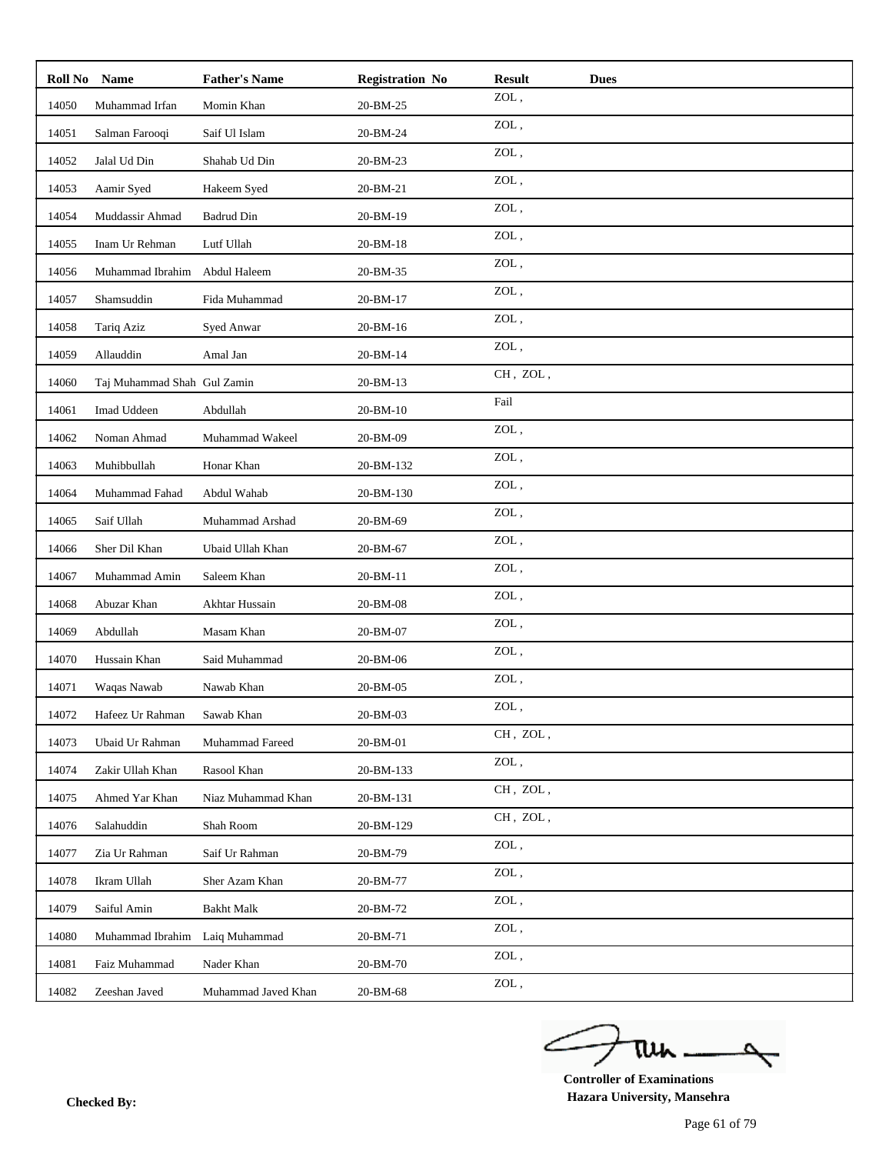| Roll No | <b>Name</b>                 | <b>Father's Name</b>   | <b>Registration No</b> | <b>Result</b>                 | <b>Dues</b> |
|---------|-----------------------------|------------------------|------------------------|-------------------------------|-------------|
| 14050   | Muhammad Irfan              | Momin Khan             | 20-BM-25               | ZOL,                          |             |
| 14051   | Salman Farooqi              | Saif Ul Islam          | 20-BM-24               | ZOL,                          |             |
| 14052   | Jalal Ud Din                | Shahab Ud Din          | 20-BM-23               | $\ensuremath{\mathrm{ZOL}}$ , |             |
| 14053   | Aamir Syed                  | Hakeem Syed            | 20-BM-21               | $\mathop{\rm ZOL}\nolimits$ , |             |
| 14054   | Muddassir Ahmad             | <b>Badrud Din</b>      | 20-BM-19               | ZOL,                          |             |
| 14055   | Inam Ur Rehman              | Lutf Ullah             | 20-BM-18               | $\ensuremath{\mathrm{ZOL}}$ , |             |
| 14056   | Muhammad Ibrahim            | Abdul Haleem           | 20-BM-35               | ZOL,                          |             |
| 14057   | Shamsuddin                  | Fida Muhammad          | 20-BM-17               | $\mathop{\rm ZOL}\nolimits$ , |             |
| 14058   | Tariq Aziz                  | Syed Anwar             | 20-BM-16               | ZOL,                          |             |
| 14059   | Allauddin                   | Amal Jan               | 20-BM-14               | $\mathsf{ZOL}\xspace$ ,       |             |
| 14060   | Taj Muhammad Shah Gul Zamin |                        | 20-BM-13               | CH, ZOL,                      |             |
| 14061   | Imad Uddeen                 | Abdullah               | 20-BM-10               | Fail                          |             |
| 14062   | Noman Ahmad                 | Muhammad Wakeel        | 20-BM-09               | ZOL,                          |             |
| 14063   | Muhibbullah                 | Honar Khan             | 20-BM-132              | ZOL,                          |             |
| 14064   | Muhammad Fahad              | Abdul Wahab            | 20-BM-130              | $\mathop{\rm ZOL}\nolimits$ , |             |
| 14065   | Saif Ullah                  | Muhammad Arshad        | 20-BM-69               | $\mathsf{ZOL}\xspace$ ,       |             |
| 14066   | Sher Dil Khan               | Ubaid Ullah Khan       | 20-BM-67               | ZOL,                          |             |
| 14067   | Muhammad Amin               | Saleem Khan            | 20-BM-11               | ZOL,                          |             |
| 14068   | Abuzar Khan                 | Akhtar Hussain         | 20-BM-08               | ZOL,                          |             |
| 14069   | Abdullah                    | Masam Khan             | 20-BM-07               | ZOL,                          |             |
| 14070   | Hussain Khan                | Said Muhammad          | 20-BM-06               | $\mathop{\rm ZOL}\nolimits$ , |             |
| 14071   | Waqas Nawab                 | Nawab Khan             | 20-BM-05               | $\mathsf{ZOL}\xspace$ ,       |             |
| 14072   | Hafeez Ur Rahman            | Sawab Khan             | $20$ -BM-03            | ZOL,                          |             |
| 14073   | Ubaid Ur Rahman             | <b>Muhammad Fareed</b> | 20-BM-01               | CH, ZOL,                      |             |
| 14074   | Zakir Ullah Khan            | Rasool Khan            | 20-BM-133              | $\mathop{\rm ZOL}\nolimits$ , |             |
| 14075   | Ahmed Yar Khan              | Niaz Muhammad Khan     | 20-BM-131              | CH, ZOL,                      |             |
| 14076   | Salahuddin                  | Shah Room              | 20-BM-129              | CH, ZOL,                      |             |
| 14077   | Zia Ur Rahman               | Saif Ur Rahman         | 20-BM-79               | $\mathop{\rm ZOL}\nolimits$ , |             |
| 14078   | Ikram Ullah                 | Sher Azam Khan         | 20-BM-77               | ZOL,                          |             |
| 14079   | Saiful Amin                 | <b>Bakht Malk</b>      | 20-BM-72               | ZOL,                          |             |
| 14080   | Muhammad Ibrahim            | Laiq Muhammad          | 20-BM-71               | ZOL,                          |             |
| 14081   | Faiz Muhammad               | Nader Khan             | 20-BM-70               | $\mathop{\rm ZOL}\nolimits$ , |             |
| 14082   | Zeeshan Javed               | Muhammad Javed Khan    | 20-BM-68               | ZOL,                          |             |

ے tui

**Controller of Examinations Hazara University, Mansehra Checked By:**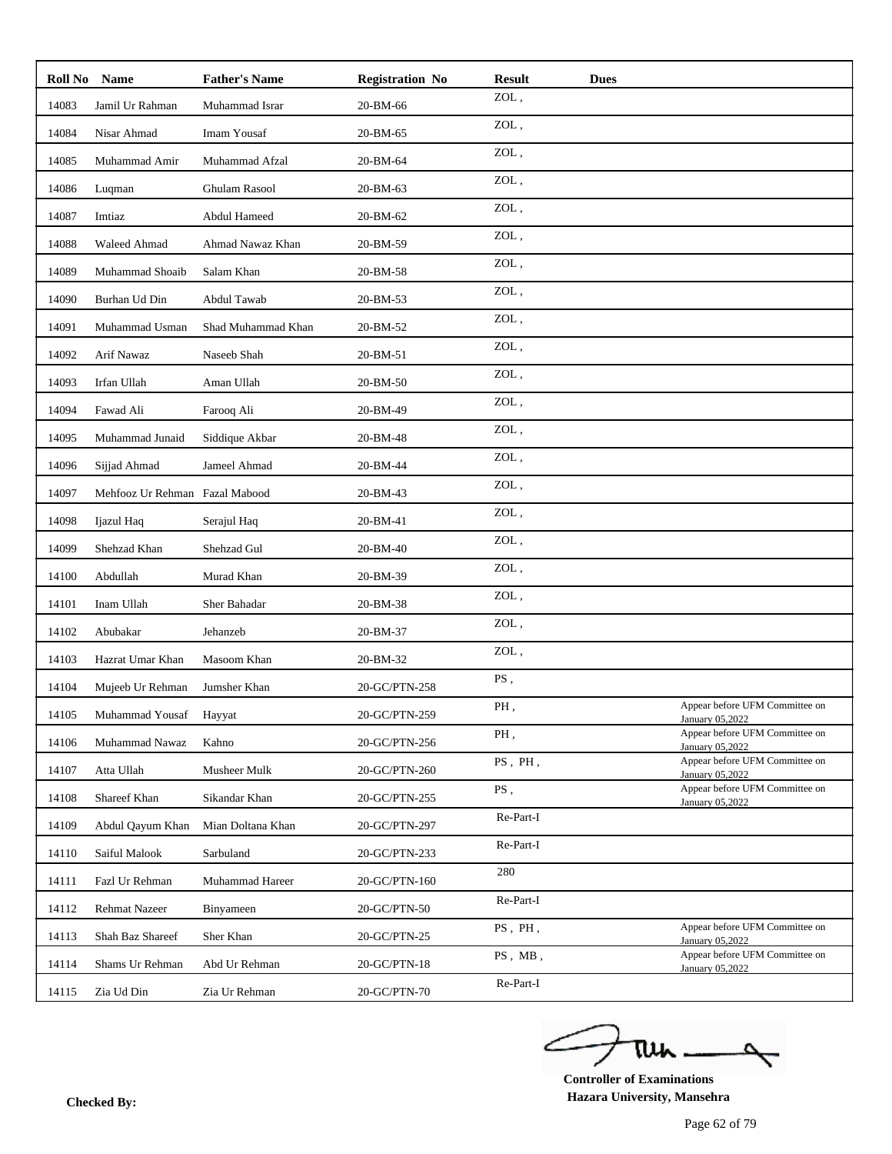| Roll No | <b>Name</b>                    | <b>Father's Name</b> | <b>Registration No</b> | <b>Result</b> | <b>Dues</b> |                                                   |
|---------|--------------------------------|----------------------|------------------------|---------------|-------------|---------------------------------------------------|
| 14083   | Jamil Ur Rahman                | Muhammad Israr       | 20-BM-66               | ZOL,          |             |                                                   |
| 14084   | Nisar Ahmad                    | Imam Yousaf          | 20-BM-65               | ZOL,          |             |                                                   |
| 14085   | Muhammad Amir                  | Muhammad Afzal       | 20-BM-64               | ZOL,          |             |                                                   |
| 14086   | Luqman                         | <b>Ghulam Rasool</b> | 20-BM-63               | ZOL,          |             |                                                   |
| 14087   | Imtiaz                         | Abdul Hameed         | 20-BM-62               | ZOL,          |             |                                                   |
| 14088   | Waleed Ahmad                   | Ahmad Nawaz Khan     | 20-BM-59               | ZOL,          |             |                                                   |
| 14089   | Muhammad Shoaib                | Salam Khan           | 20-BM-58               | ZOL,          |             |                                                   |
| 14090   | Burhan Ud Din                  | Abdul Tawab          | 20-BM-53               | ZOL,          |             |                                                   |
| 14091   | Muhammad Usman                 | Shad Muhammad Khan   | 20-BM-52               | ZOL,          |             |                                                   |
| 14092   | Arif Nawaz                     | Naseeb Shah          | 20-BM-51               | ZOL,          |             |                                                   |
| 14093   | Irfan Ullah                    | Aman Ullah           | 20-BM-50               | ZOL,          |             |                                                   |
| 14094   | Fawad Ali                      | Farooq Ali           | 20-BM-49               | ZOL,          |             |                                                   |
| 14095   | Muhammad Junaid                | Siddique Akbar       | 20-BM-48               | ZOL,          |             |                                                   |
| 14096   | Sijjad Ahmad                   | Jameel Ahmad         | 20-BM-44               | ZOL,          |             |                                                   |
| 14097   | Mehfooz Ur Rehman Fazal Mabood |                      | 20-BM-43               | ZOL,          |             |                                                   |
| 14098   | Ijazul Haq                     | Serajul Haq          | 20-BM-41               | ZOL,          |             |                                                   |
| 14099   | Shehzad Khan                   | Shehzad Gul          | 20-BM-40               | ZOL,          |             |                                                   |
| 14100   | Abdullah                       | Murad Khan           | 20-BM-39               | ZOL,          |             |                                                   |
| 14101   | Inam Ullah                     | Sher Bahadar         | 20-BM-38               | ZOL,          |             |                                                   |
| 14102   | Abubakar                       | Jehanzeb             | 20-BM-37               | ZOL,          |             |                                                   |
| 14103   | Hazrat Umar Khan               | Masoom Khan          | 20-BM-32               | ZOL,          |             |                                                   |
| 14104   | Mujeeb Ur Rehman               | Jumsher Khan         | 20-GC/PTN-258          | PS,           |             |                                                   |
| 14105   | Muhammad Yousaf                | Hayyat               | 20-GC/PTN-259          | PH,           |             | Appear before UFM Committee on<br>January 05,2022 |
| 14106   | Muhammad Nawaz                 | Kahno                | 20-GC/PTN-256          | PH,           |             | Appear before UFM Committee on<br>January 05,2022 |
| 14107   | Atta Ullah                     | Musheer Mulk         | 20-GC/PTN-260          | PS, PH,       |             | Appear before UFM Committee on<br>January 05,2022 |
| 14108   | Shareef Khan                   | Sikandar Khan        | 20-GC/PTN-255          | PS,           |             | Appear before UFM Committee on<br>January 05,2022 |
| 14109   | Abdul Qayum Khan               | Mian Doltana Khan    | 20-GC/PTN-297          | Re-Part-I     |             |                                                   |
| 14110   | Saiful Malook                  | Sarbuland            | 20-GC/PTN-233          | Re-Part-I     |             |                                                   |
| 14111   | Fazl Ur Rehman                 | Muhammad Hareer      | 20-GC/PTN-160          | 280           |             |                                                   |
| 14112   | Rehmat Nazeer                  | Binyameen            | 20-GC/PTN-50           | Re-Part-I     |             |                                                   |
| 14113   | Shah Baz Shareef               | Sher Khan            | 20-GC/PTN-25           | PS, PH,       |             | Appear before UFM Committee on<br>January 05,2022 |
| 14114   | Shams Ur Rehman                | Abd Ur Rehman        | 20-GC/PTN-18           | $PS$ , $MB$ , |             | Appear before UFM Committee on<br>January 05,2022 |
| 14115   | Zia Ud Din                     | Zia Ur Rehman        | 20-GC/PTN-70           | Re-Part-I     |             |                                                   |

ے tui

**Controller of Examinations Hazara University, Mansehra Checked By:**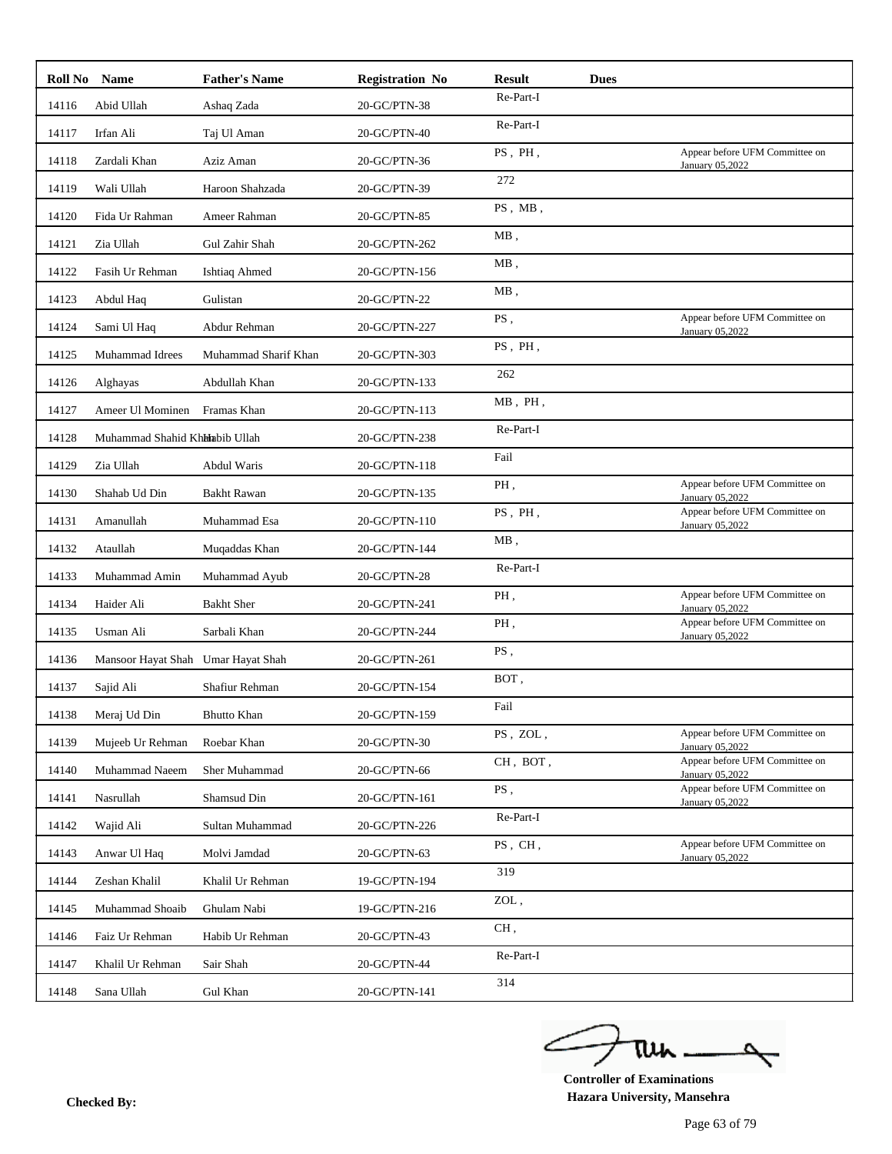| Roll No Name |                                    | <b>Father's Name</b> | <b>Registration No</b> | <b>Result</b> | <b>Dues</b> |                                                   |
|--------------|------------------------------------|----------------------|------------------------|---------------|-------------|---------------------------------------------------|
| 14116        | Abid Ullah                         | Ashaq Zada           | 20-GC/PTN-38           | Re-Part-I     |             |                                                   |
| 14117        | Irfan Ali                          | Taj Ul Aman          | 20-GC/PTN-40           | Re-Part-I     |             |                                                   |
| 14118        | Zardali Khan                       | Aziz Aman            | 20-GC/PTN-36           | PS, PH,       |             | Appear before UFM Committee on<br>January 05,2022 |
| 14119        | Wali Ullah                         | Haroon Shahzada      | 20-GC/PTN-39           | 272           |             |                                                   |
| 14120        | Fida Ur Rahman                     | Ameer Rahman         | 20-GC/PTN-85           | PS, MB,       |             |                                                   |
| 14121        | Zia Ullah                          | Gul Zahir Shah       | 20-GC/PTN-262          | $MB$ ,        |             |                                                   |
| 14122        | Fasih Ur Rehman                    | Ishtiaq Ahmed        | 20-GC/PTN-156          | $MB$ ,        |             |                                                   |
| 14123        | Abdul Haq                          | Gulistan             | 20-GC/PTN-22           | $MB$ ,        |             |                                                   |
| 14124        | Sami Ul Haq                        | Abdur Rehman         | 20-GC/PTN-227          | PS.           |             | Appear before UFM Committee on<br>January 05,2022 |
| 14125        | <b>Muhammad Idrees</b>             | Muhammad Sharif Khan | 20-GC/PTN-303          | PS, PH,       |             |                                                   |
| 14126        | Alghayas                           | Abdullah Khan        | 20-GC/PTN-133          | 262           |             |                                                   |
| 14127        | Ameer Ul Mominen                   | Framas Khan          | 20-GC/PTN-113          | $MB$ , $PH$ , |             |                                                   |
| 14128        | Muhammad Shahid Khhhabib Ullah     |                      | 20-GC/PTN-238          | Re-Part-I     |             |                                                   |
| 14129        | Zia Ullah                          | Abdul Waris          | 20-GC/PTN-118          | Fail          |             |                                                   |
| 14130        | Shahab Ud Din                      | <b>Bakht Rawan</b>   | 20-GC/PTN-135          | PH.           |             | Appear before UFM Committee on<br>January 05,2022 |
| 14131        | Amanullah                          | Muhammad Esa         | 20-GC/PTN-110          | PS, PH,       |             | Appear before UFM Committee on<br>January 05,2022 |
| 14132        | Ataullah                           | Muqaddas Khan        | 20-GC/PTN-144          | $MB$ ,        |             |                                                   |
| 14133        | Muhammad Amin                      | Muhammad Ayub        | 20-GC/PTN-28           | Re-Part-I     |             |                                                   |
| 14134        | Haider Ali                         | <b>Bakht Sher</b>    | 20-GC/PTN-241          | PH.           |             | Appear before UFM Committee on<br>January 05,2022 |
| 14135        | Usman Ali                          | Sarbali Khan         | 20-GC/PTN-244          | PH,           |             | Appear before UFM Committee on<br>January 05,2022 |
| 14136        | Mansoor Hayat Shah Umar Hayat Shah |                      | 20-GC/PTN-261          | PS,           |             |                                                   |
| 14137        | Sajid Ali                          | Shafiur Rehman       | 20-GC/PTN-154          | BOT,          |             |                                                   |
| 14138        | Meraj Ud Din                       | <b>Bhutto Khan</b>   | 20-GC/PTN-159          | Fail          |             |                                                   |
| 14139        | Mujeeb Ur Rehman                   | Roebar Khan          | 20-GC/PTN-30           | PS, ZOL,      |             | Appear before UFM Committee on<br>January 05.2022 |
| 14140        | Muhammad Naeem                     | Sher Muhammad        | 20-GC/PTN-66           | CH, BOT,      |             | Appear before UFM Committee on<br>January 05,2022 |
| 14141        | Nasrullah                          | Shamsud Din          | 20-GC/PTN-161          | PS,           |             | Appear before UFM Committee on<br>January 05,2022 |
| 14142        | Wajid Ali                          | Sultan Muhammad      | 20-GC/PTN-226          | Re-Part-I     |             |                                                   |
| 14143        | Anwar Ul Haq                       | Molvi Jamdad         | 20-GC/PTN-63           | PS, CH,       |             | Appear before UFM Committee on<br>January 05,2022 |
| 14144        | Zeshan Khalil                      | Khalil Ur Rehman     | 19-GC/PTN-194          | 319           |             |                                                   |
| 14145        | Muhammad Shoaib                    | Ghulam Nabi          | 19-GC/PTN-216          | ZOL,          |             |                                                   |
| 14146        | Faiz Ur Rehman                     | Habib Ur Rehman      | 20-GC/PTN-43           | CH,           |             |                                                   |
| 14147        | Khalil Ur Rehman                   | Sair Shah            | 20-GC/PTN-44           | Re-Part-I     |             |                                                   |
| 14148        | Sana Ullah                         | Gul Khan             | 20-GC/PTN-141          | 314           |             |                                                   |
|              |                                    |                      |                        |               |             |                                                   |

ے tui

**Controller of Examinations Hazara University, Mansehra Checked By:**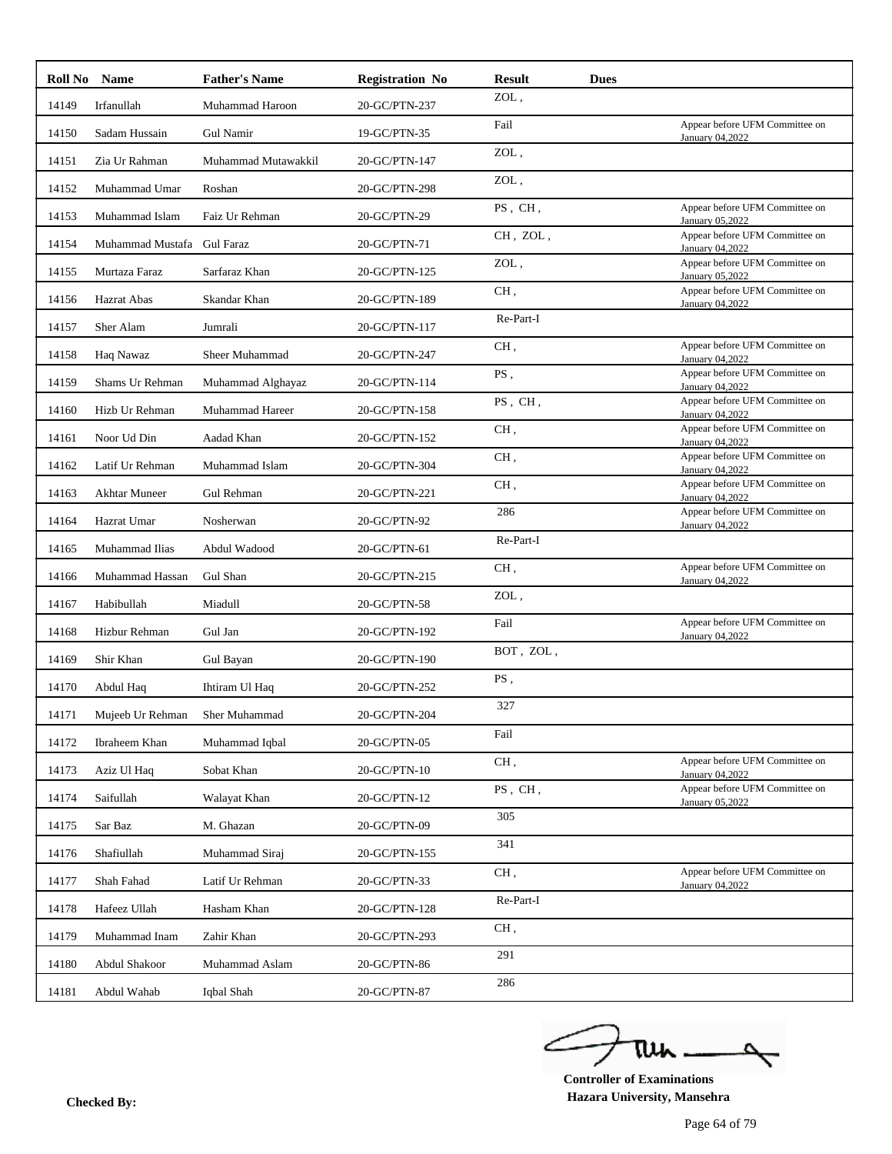|       | Roll No Name                                             | <b>Father's Name</b> | <b>Registration No</b> | <b>Result</b> | <b>Dues</b> |                                                          |
|-------|----------------------------------------------------------|----------------------|------------------------|---------------|-------------|----------------------------------------------------------|
| 14149 | Irfanullah                                               | Muhammad Haroon      | 20-GC/PTN-237          | ZOL,          |             |                                                          |
| 14150 | Sadam Hussain                                            | Gul Namir            | 19-GC/PTN-35           | Fail          |             | Appear before UFM Committee on<br>January 04,2022        |
| 14151 | Zia Ur Rahman                                            | Muhammad Mutawakkil  | 20-GC/PTN-147          | ZOL,          |             |                                                          |
| 14152 | Muhammad Umar                                            | Roshan               | 20-GC/PTN-298          | ZOL,          |             |                                                          |
| 14153 | Muhammad Islam                                           | Faiz Ur Rehman       | 20-GC/PTN-29           | PS, CH,       |             | Appear before UFM Committee on<br><b>January 05,2022</b> |
| 14154 | Muhammad Mustafa                                         | <b>Gul Faraz</b>     | 20-GC/PTN-71           | CH, ZOL,      |             | Appear before UFM Committee on<br>January 04,2022        |
| 14155 | Murtaza Faraz                                            | Sarfaraz Khan        | 20-GC/PTN-125          | ZOL,          |             | Appear before UFM Committee on<br>January 05,2022        |
| 14156 | Hazrat Abas                                              | Skandar Khan         | 20-GC/PTN-189          | CH,           |             | Appear before UFM Committee on<br>January 04,2022        |
| 14157 | Sher Alam                                                | Jumrali              | 20-GC/PTN-117          | Re-Part-I     |             |                                                          |
| 14158 | Haq Nawaz                                                | Sheer Muhammad       | 20-GC/PTN-247          | CH,           |             | Appear before UFM Committee on<br>January 04,2022        |
| 14159 | Shams Ur Rehman                                          | Muhammad Alghayaz    | 20-GC/PTN-114          | PS,           |             | Appear before UFM Committee on<br>January 04,2022        |
| 14160 | Hizb Ur Rehman                                           | Muhammad Hareer      | 20-GC/PTN-158          | PS, CH,       |             | Appear before UFM Committee on<br>January 04,2022        |
| 14161 | Noor Ud Din                                              | Aadad Khan           | 20-GC/PTN-152          | CH,           |             | Appear before UFM Committee on<br>January 04,2022        |
| 14162 | Latif Ur Rehman                                          | Muhammad Islam       | 20-GC/PTN-304          | CH,           |             | Appear before UFM Committee on<br>January 04,2022        |
| 14163 | <b>Akhtar Muneer</b>                                     | Gul Rehman           | 20-GC/PTN-221          | CH,           |             | Appear before UFM Committee on<br>January 04,2022        |
| 14164 | Hazrat Umar                                              | Nosherwan            | 20-GC/PTN-92           | 286           |             | Appear before UFM Committee on<br>January 04,2022        |
| 14165 | Muhammad Ilias                                           | Abdul Wadood         | 20-GC/PTN-61           | Re-Part-I     |             |                                                          |
| 14166 | Muhammad Hassan                                          | Gul Shan             | 20-GC/PTN-215          | CH,           |             | Appear before UFM Committee on<br>January 04,2022        |
| 14167 | Habibullah                                               | Miadull              | 20-GC/PTN-58           | ZOL,          |             |                                                          |
| 14168 | Hizbur Rehman                                            | Gul Jan              | 20-GC/PTN-192          | Fail          |             | Appear before UFM Committee on<br>January 04,2022        |
| 14169 | Shir Khan                                                | Gul Bayan            | 20-GC/PTN-190          | BOT, ZOL,     |             |                                                          |
| 14170 | Abdul Haq                                                | Ihtiram Ul Haq       | 20-GC/PTN-252          | PS,           |             |                                                          |
|       | 14171 Mujeeb Ur Rehman                                   | Sher Muhammad        | 20-GC/PTN-204          | 327           |             |                                                          |
| 14172 | Ibraheem Khan                                            | Muhammad Iqbal       | 20-GC/PTN-05           | Fail          |             |                                                          |
| 14173 | Aziz Ul Haq                                              | Sobat Khan           | 20-GC/PTN-10           | CH,           |             | Appear before UFM Committee on<br>January 04,2022        |
| 14174 | Saifullah                                                | Walayat Khan         | 20-GC/PTN-12           | PS. CH.       |             | Appear before UFM Committee on<br>January 05,2022        |
| 14175 | $\operatorname{Sar}\nolimits\operatorname{Baz}\nolimits$ | M. Ghazan            | 20-GC/PTN-09           | 305           |             |                                                          |
| 14176 | Shafiullah                                               | Muhammad Siraj       | 20-GC/PTN-155          | 341           |             |                                                          |
| 14177 | Shah Fahad                                               | Latif Ur Rehman      | 20-GC/PTN-33           | CH,           |             | Appear before UFM Committee on<br>January 04,2022        |
| 14178 | Hafeez Ullah                                             | Hasham Khan          | 20-GC/PTN-128          | Re-Part-I     |             |                                                          |
| 14179 | Muhammad Inam                                            | Zahir Khan           | 20-GC/PTN-293          | CH,           |             |                                                          |
| 14180 | Abdul Shakoor                                            | Muhammad Aslam       | 20-GC/PTN-86           | 291           |             |                                                          |
| 14181 | Abdul Wahab                                              | Iqbal Shah           | 20-GC/PTN-87           | 286           |             |                                                          |

ے ۵ tui

**Controller of Examinations Hazara University, Mansehra Checked By:**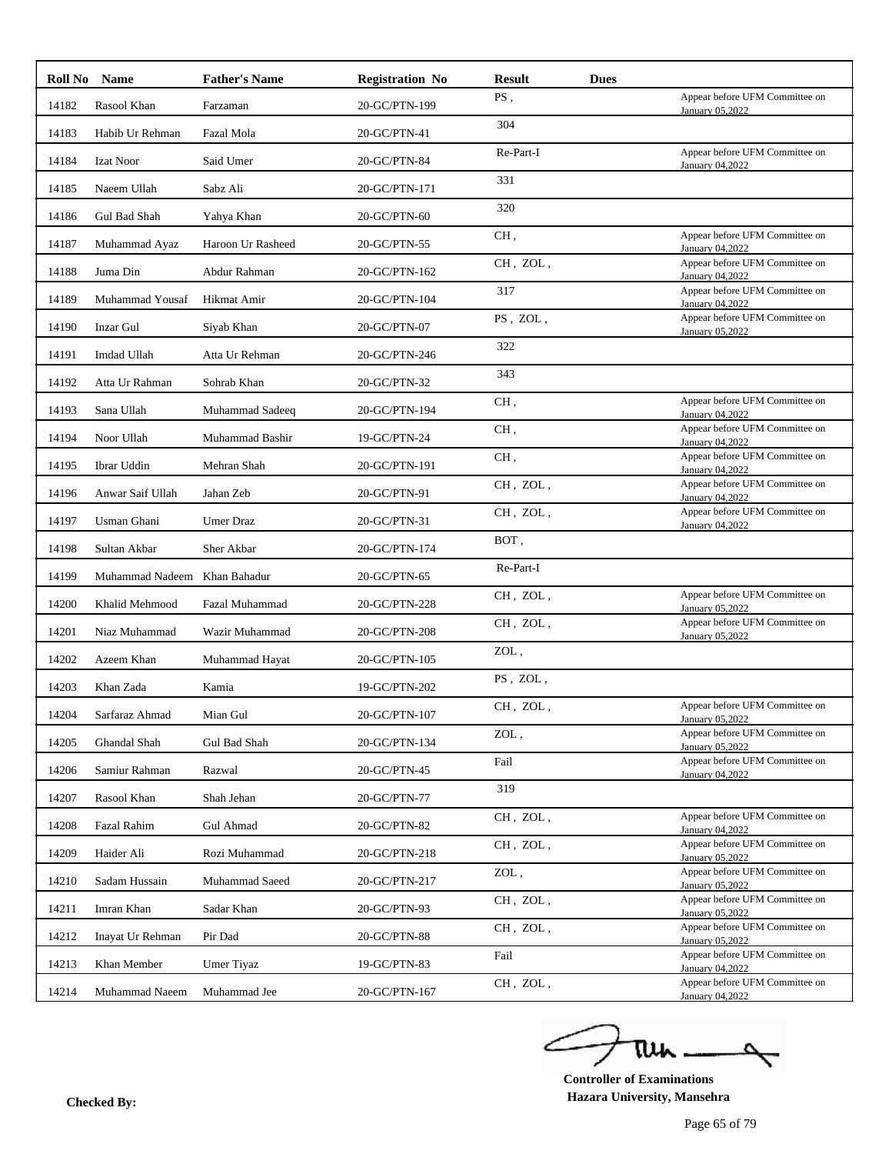| Roll No | <b>Name</b>                  | <b>Father's Name</b> | <b>Registration No</b> | <b>Result</b>                 | <b>Dues</b> |                                                   |
|---------|------------------------------|----------------------|------------------------|-------------------------------|-------------|---------------------------------------------------|
| 14182   | Rasool Khan                  | Farzaman             | 20-GC/PTN-199          | PS,                           |             | Appear before UFM Committee on<br>January 05,2022 |
| 14183   | Habib Ur Rehman              | Fazal Mola           | 20-GC/PTN-41           | 304                           |             |                                                   |
| 14184   | <b>Izat Noor</b>             | Said Umer            | 20-GC/PTN-84           | Re-Part-I                     |             | Appear before UFM Committee on<br>January 04,2022 |
| 14185   | Naeem Ullah                  | Sabz Ali             | 20-GC/PTN-171          | 331                           |             |                                                   |
| 14186   | Gul Bad Shah                 | Yahya Khan           | 20-GC/PTN-60           | 320                           |             |                                                   |
| 14187   | Muhammad Ayaz                | Haroon Ur Rasheed    | 20-GC/PTN-55           | CH,                           |             | Appear before UFM Committee on<br>January 04,2022 |
| 14188   | Juma Din                     | Abdur Rahman         | 20-GC/PTN-162          | CH, ZOL,                      |             | Appear before UFM Committee on<br>January 04,2022 |
| 14189   | Muhammad Yousaf              | Hikmat Amir          | 20-GC/PTN-104          | 317                           |             | Appear before UFM Committee on<br>January 04,2022 |
| 14190   | <b>Inzar Gul</b>             | Siyab Khan           | 20-GC/PTN-07           | PS, ZOL,                      |             | Appear before UFM Committee on<br>January 05,2022 |
| 14191   | Imdad Ullah                  | Atta Ur Rehman       | 20-GC/PTN-246          | 322                           |             |                                                   |
| 14192   | Atta Ur Rahman               | Sohrab Khan          | 20-GC/PTN-32           | 343                           |             |                                                   |
| 14193   | Sana Ullah                   | Muhammad Sadeeq      | 20-GC/PTN-194          | CH,                           |             | Appear before UFM Committee on<br>January 04,2022 |
| 14194   | Noor Ullah                   | Muhammad Bashir      | 19-GC/PTN-24           | CH,                           |             | Appear before UFM Committee on<br>January 04,2022 |
| 14195   | Ibrar Uddin                  | Mehran Shah          | 20-GC/PTN-191          | CH,                           |             | Appear before UFM Committee on<br>January 04,2022 |
| 14196   | Anwar Saif Ullah             | Jahan Zeb            | 20-GC/PTN-91           | CH, ZOL,                      |             | Appear before UFM Committee on<br>January 04,2022 |
| 14197   | Usman Ghani                  | Umer Draz            | 20-GC/PTN-31           | CH, ZOL,                      |             | Appear before UFM Committee on<br>January 04,2022 |
| 14198   | Sultan Akbar                 | Sher Akbar           | 20-GC/PTN-174          | BOT,                          |             |                                                   |
| 14199   | Muhammad Nadeem Khan Bahadur |                      | 20-GC/PTN-65           | Re-Part-I                     |             |                                                   |
| 14200   | Khalid Mehmood               | Fazal Muhammad       | 20-GC/PTN-228          | CH, ZOL,                      |             | Appear before UFM Committee on<br>January 05,2022 |
| 14201   | Niaz Muhammad                | Wazir Muhammad       | 20-GC/PTN-208          | CH, ZOL,                      |             | Appear before UFM Committee on<br>January 05,2022 |
| 14202   | Azeem Khan                   | Muhammad Hayat       | 20-GC/PTN-105          | ZOL,                          |             |                                                   |
| 14203   | Khan Zada                    | Kamia                | 19-GC/PTN-202          | PS, ZOL,                      |             |                                                   |
| 14204   | Sarfaraz Ahmad               | Mian Gul             | 20-GC/PTN-107          | CH, ZOL,                      |             | Appear before UFM Committee on<br>January 05,2022 |
| 14205   | Ghandal Shah                 | Gul Bad Shah         | 20-GC/PTN-134          | ZOL,                          |             | Appear before UFM Committee on<br>January 05,2022 |
| 14206   | Samiur Rahman                | Razwal               | 20-GC/PTN-45           | Fail                          |             | Appear before UFM Committee on<br>January 04,2022 |
| 14207   | Rasool Khan                  | Shah Jehan           | 20-GC/PTN-77           | 319                           |             |                                                   |
| 14208   | Fazal Rahim                  | Gul Ahmad            | 20-GC/PTN-82           | CH, ZOL,                      |             | Appear before UFM Committee on<br>January 04,2022 |
| 14209   | Haider Ali                   | Rozi Muhammad        | 20-GC/PTN-218          | CH, ZOL,                      |             | Appear before UFM Committee on<br>January 05,2022 |
| 14210   | Sadam Hussain                | Muhammad Saeed       | 20-GC/PTN-217          | $\mathop{\rm ZOL}\nolimits$ , |             | Appear before UFM Committee on<br>January 05,2022 |
| 14211   | Imran Khan                   | Sadar Khan           | 20-GC/PTN-93           | CH, ZOL,                      |             | Appear before UFM Committee on<br>January 05,2022 |
| 14212   | Inayat Ur Rehman             | Pir Dad              | 20-GC/PTN-88           | CH, ZOL,                      |             | Appear before UFM Committee on<br>January 05,2022 |
| 14213   | Khan Member                  | Umer Tiyaz           | 19-GC/PTN-83           | Fail                          |             | Appear before UFM Committee on<br>January 04,2022 |
| 14214   | Muhammad Naeem               | Muhammad Jee         | 20-GC/PTN-167          | CH, ZOL,                      |             | Appear before UFM Committee on<br>January 04,2022 |
|         |                              |                      |                        |                               |             |                                                   |

ے ٥ tui

**Controller of Examinations Hazara University, Mansehra Checked By:**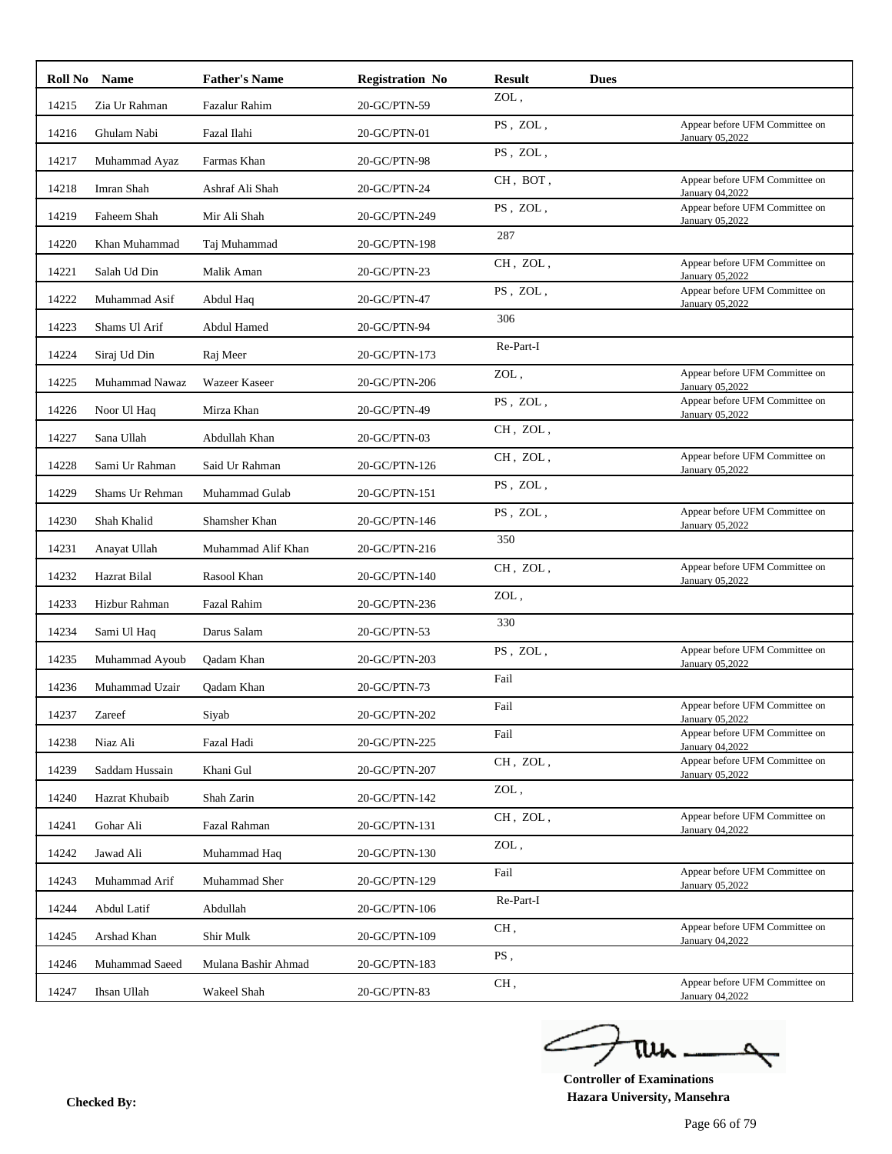|       | <b>Roll No</b> Name | <b>Father's Name</b> | <b>Registration No</b> | <b>Result</b>                               | <b>Dues</b> |                                                   |
|-------|---------------------|----------------------|------------------------|---------------------------------------------|-------------|---------------------------------------------------|
| 14215 | Zia Ur Rahman       | Fazalur Rahim        | 20-GC/PTN-59           | ZOL,                                        |             |                                                   |
| 14216 | Ghulam Nabi         | Fazal Ilahi          | 20-GC/PTN-01           | $\overline{\mathrm{PS}}$ , $\mathrm{ZOL}$ , |             | Appear before UFM Committee on<br>January 05,2022 |
| 14217 | Muhammad Ayaz       | Farmas Khan          | 20-GC/PTN-98           | PS, ZOL,                                    |             |                                                   |
| 14218 | Imran Shah          | Ashraf Ali Shah      | 20-GC/PTN-24           | CH, BOT,                                    |             | Appear before UFM Committee on<br>January 04,2022 |
| 14219 | Faheem Shah         | Mir Ali Shah         | 20-GC/PTN-249          | PS, ZOL,                                    |             | Appear before UFM Committee on<br>January 05,2022 |
| 14220 | Khan Muhammad       | Taj Muhammad         | 20-GC/PTN-198          | 287                                         |             |                                                   |
| 14221 | Salah Ud Din        | Malik Aman           | 20-GC/PTN-23           | CH, ZOL,                                    |             | Appear before UFM Committee on<br>January 05,2022 |
| 14222 | Muhammad Asif       | Abdul Haq            | 20-GC/PTN-47           | PS, ZOL,                                    |             | Appear before UFM Committee on<br>January 05,2022 |
| 14223 | Shams Ul Arif       | Abdul Hamed          | 20-GC/PTN-94           | 306                                         |             |                                                   |
| 14224 | Siraj Ud Din        | Raj Meer             | 20-GC/PTN-173          | Re-Part-I                                   |             |                                                   |
| 14225 | Muhammad Nawaz      | Wazeer Kaseer        | 20-GC/PTN-206          | ZOL,                                        |             | Appear before UFM Committee on<br>January 05,2022 |
| 14226 | Noor Ul Haq         | Mirza Khan           | 20-GC/PTN-49           | PS, ZOL,                                    |             | Appear before UFM Committee on<br>January 05,2022 |
| 14227 | Sana Ullah          | Abdullah Khan        | 20-GC/PTN-03           | CH, ZOL,                                    |             |                                                   |
| 14228 | Sami Ur Rahman      | Said Ur Rahman       | 20-GC/PTN-126          | CH, ZOL,                                    |             | Appear before UFM Committee on<br>January 05,2022 |
| 14229 | Shams Ur Rehman     | Muhammad Gulab       | 20-GC/PTN-151          | PS, ZOL,                                    |             |                                                   |
| 14230 | Shah Khalid         | Shamsher Khan        | 20-GC/PTN-146          | PS, ZOL,                                    |             | Appear before UFM Committee on<br>January 05,2022 |
| 14231 | Anayat Ullah        | Muhammad Alif Khan   | 20-GC/PTN-216          | 350                                         |             |                                                   |
| 14232 | Hazrat Bilal        | Rasool Khan          | 20-GC/PTN-140          | CH, ZOL,                                    |             | Appear before UFM Committee on<br>January 05,2022 |
| 14233 | Hizbur Rahman       | <b>Fazal Rahim</b>   | 20-GC/PTN-236          | ZOL,                                        |             |                                                   |
| 14234 | Sami Ul Haq         | Darus Salam          | 20-GC/PTN-53           | 330                                         |             |                                                   |
| 14235 | Muhammad Ayoub      | Qadam Khan           | 20-GC/PTN-203          | PS, ZOL,                                    |             | Appear before UFM Committee on<br>January 05,2022 |
| 14236 | Muhammad Uzair      | Qadam Khan           | 20-GC/PTN-73           | Fail                                        |             |                                                   |
|       | 14237 Zareef        | Siyab                | 20-GC/PTN-202          | Fail                                        |             | Appear before UFM Committee on<br>January 05,2022 |
| 14238 | Niaz Ali            | Fazal Hadi           | 20-GC/PTN-225          | Fail                                        |             | Appear before UFM Committee on<br>January 04,2022 |
| 14239 | Saddam Hussain      | Khani Gul            | 20-GC/PTN-207          | CH, ZOL,                                    |             | Appear before UFM Committee on<br>January 05,2022 |
| 14240 | Hazrat Khubaib      | Shah Zarin           | 20-GC/PTN-142          | ZOL,                                        |             |                                                   |
| 14241 | Gohar Ali           | Fazal Rahman         | 20-GC/PTN-131          | CH, ZOL,                                    |             | Appear before UFM Committee on<br>January 04,2022 |
| 14242 | Jawad Ali           | Muhammad Haq         | 20-GC/PTN-130          | ZOL,                                        |             |                                                   |
| 14243 | Muhammad Arif       | Muhammad Sher        | 20-GC/PTN-129          | Fail                                        |             | Appear before UFM Committee on<br>January 05,2022 |
| 14244 | Abdul Latif         | Abdullah             | 20-GC/PTN-106          | Re-Part-I                                   |             |                                                   |
| 14245 | Arshad Khan         | Shir Mulk            | 20-GC/PTN-109          | CH,                                         |             | Appear before UFM Committee on<br>January 04,2022 |
| 14246 | Muhammad Saeed      | Mulana Bashir Ahmad  | 20-GC/PTN-183          | PS,                                         |             |                                                   |
| 14247 | Ihsan Ullah         | Wakeel Shah          | 20-GC/PTN-83           | CH,                                         |             | Appear before UFM Committee on<br>January 04,2022 |
|       |                     |                      |                        |                                             |             |                                                   |

ے ٥ tui

**Controller of Examinations Hazara University, Mansehra Checked By:**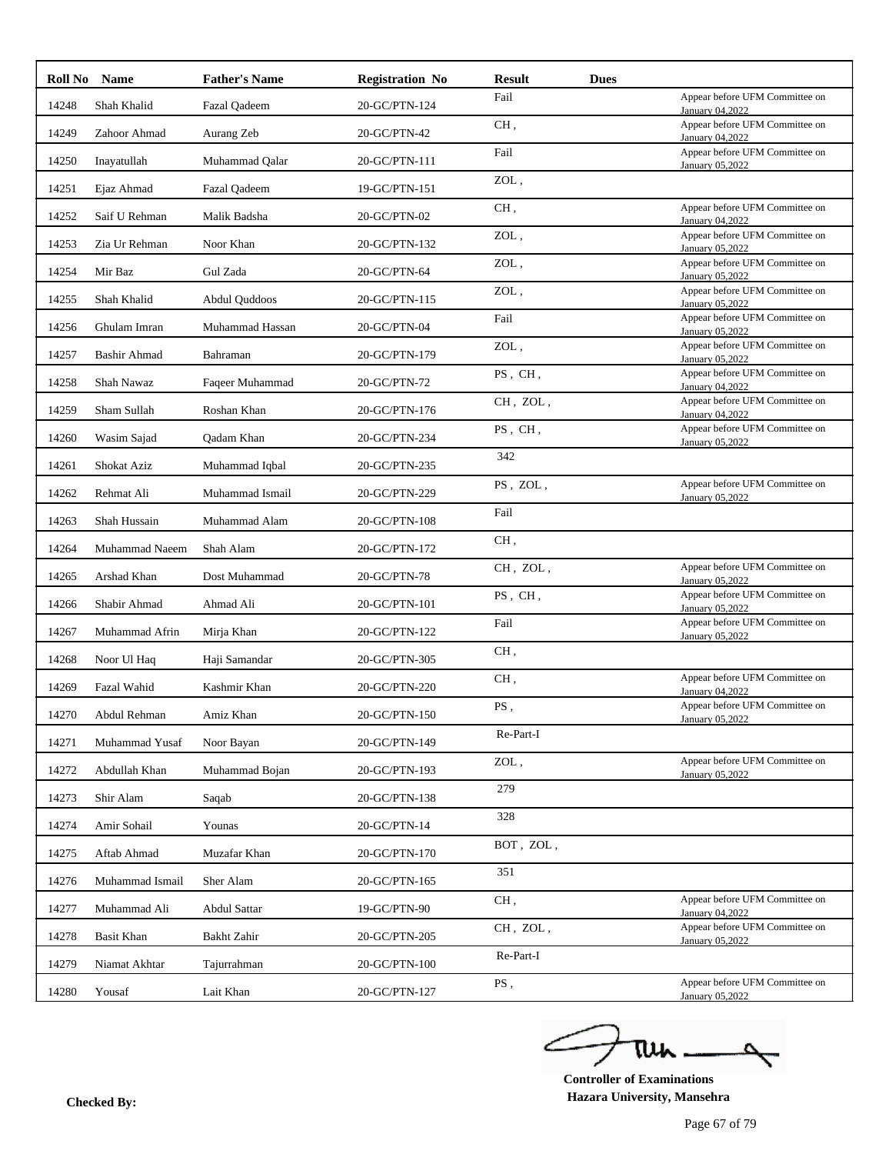| Roll No | <b>Name</b>         | <b>Father's Name</b> | <b>Registration No</b> | <b>Result</b> | <b>Dues</b> |                                                   |
|---------|---------------------|----------------------|------------------------|---------------|-------------|---------------------------------------------------|
| 14248   | Shah Khalid         | Fazal Qadeem         | 20-GC/PTN-124          | Fail          |             | Appear before UFM Committee on<br>January 04,2022 |
| 14249   | Zahoor Ahmad        | Aurang Zeb           | 20-GC/PTN-42           | CH,           |             | Appear before UFM Committee on<br>January 04,2022 |
| 14250   | Inayatullah         | Muhammad Qalar       | 20-GC/PTN-111          | Fail          |             | Appear before UFM Committee on<br>January 05,2022 |
| 14251   | Ejaz Ahmad          | <b>Fazal Qadeem</b>  | 19-GC/PTN-151          | ZOL,          |             |                                                   |
| 14252   | Saif U Rehman       | Malik Badsha         | 20-GC/PTN-02           | CH,           |             | Appear before UFM Committee on<br>January 04,2022 |
| 14253   | Zia Ur Rehman       | Noor Khan            | 20-GC/PTN-132          | ZOL,          |             | Appear before UFM Committee on<br>January 05,2022 |
| 14254   | Mir Baz             | Gul Zada             | 20-GC/PTN-64           | ZOL,          |             | Appear before UFM Committee on<br>January 05,2022 |
| 14255   | Shah Khalid         | Abdul Quddoos        | 20-GC/PTN-115          | ZOL,          |             | Appear before UFM Committee on<br>January 05,2022 |
| 14256   | Ghulam Imran        | Muhammad Hassan      | 20-GC/PTN-04           | Fail          |             | Appear before UFM Committee on<br>January 05,2022 |
| 14257   | <b>Bashir Ahmad</b> | Bahraman             | 20-GC/PTN-179          | ZOL,          |             | Appear before UFM Committee on<br>January 05,2022 |
| 14258   | Shah Nawaz          | Faqeer Muhammad      | 20-GC/PTN-72           | PS, CH,       |             | Appear before UFM Committee on<br>January 04,2022 |
| 14259   | Sham Sullah         | Roshan Khan          | 20-GC/PTN-176          | CH, ZOL,      |             | Appear before UFM Committee on<br>January 04,2022 |
| 14260   | Wasim Sajad         | Qadam Khan           | 20-GC/PTN-234          | PS, CH,       |             | Appear before UFM Committee on<br>January 05,2022 |
| 14261   | Shokat Aziz         | Muhammad Iqbal       | 20-GC/PTN-235          | 342           |             |                                                   |
| 14262   | Rehmat Ali          | Muhammad Ismail      | 20-GC/PTN-229          | PS, ZOL,      |             | Appear before UFM Committee on<br>January 05,2022 |
| 14263   | Shah Hussain        | Muhammad Alam        | 20-GC/PTN-108          | Fail          |             |                                                   |
| 14264   | Muhammad Naeem      | Shah Alam            | 20-GC/PTN-172          | CH,           |             |                                                   |
| 14265   | Arshad Khan         | Dost Muhammad        | 20-GC/PTN-78           | CH, ZOL,      |             | Appear before UFM Committee on<br>January 05,2022 |
| 14266   | Shabir Ahmad        | Ahmad Ali            | 20-GC/PTN-101          | PS, CH,       |             | Appear before UFM Committee on<br>January 05,2022 |
| 14267   | Muhammad Afrin      | Mirja Khan           | 20-GC/PTN-122          | Fail          |             | Appear before UFM Committee on<br>January 05,2022 |
| 14268   | Noor Ul Haq         | Haji Samandar        | 20-GC/PTN-305          | CH,           |             |                                                   |
| 14269   | Fazal Wahid         | Kashmir Khan         | 20-GC/PTN-220          | CH,           |             | Appear before UFM Committee on<br>January 04,2022 |
| 14270   | Abdul Rehman        | Amiz Khan            | 20-GC/PTN-150          | PS,           |             | Appear before UFM Committee on<br>January 05,2022 |
| 14271   | Muhammad Yusaf      | Noor Bayan           | 20-GC/PTN-149          | Re-Part-I     |             |                                                   |
| 14272   | Abdullah Khan       | Muhammad Bojan       | 20-GC/PTN-193          | ZOL,          |             | Appear before UFM Committee on<br>January 05,2022 |
| 14273   | Shir Alam           | Saqab                | 20-GC/PTN-138          | 279           |             |                                                   |
| 14274   | Amir Sohail         | Younas               | 20-GC/PTN-14           | 328           |             |                                                   |
| 14275   | Aftab Ahmad         | Muzafar Khan         | 20-GC/PTN-170          | BOT, ZOL,     |             |                                                   |
| 14276   | Muhammad Ismail     | Sher Alam            | 20-GC/PTN-165          | 351           |             |                                                   |
| 14277   | Muhammad Ali        | <b>Abdul Sattar</b>  | 19-GC/PTN-90           | CH,           |             | Appear before UFM Committee on<br>January 04,2022 |
| 14278   | <b>Basit Khan</b>   | Bakht Zahir          | 20-GC/PTN-205          | CH, ZOL,      |             | Appear before UFM Committee on<br>January 05,2022 |
| 14279   | Niamat Akhtar       | Tajurrahman          | 20-GC/PTN-100          | Re-Part-I     |             |                                                   |
| 14280   | Yousaf              | Lait Khan            | 20-GC/PTN-127          | PS,           |             | Appear before UFM Committee on<br>January 05,2022 |
|         |                     |                      |                        |               |             |                                                   |

ے ٥ tui

**Controller of Examinations Hazara University, Mansehra Checked By:**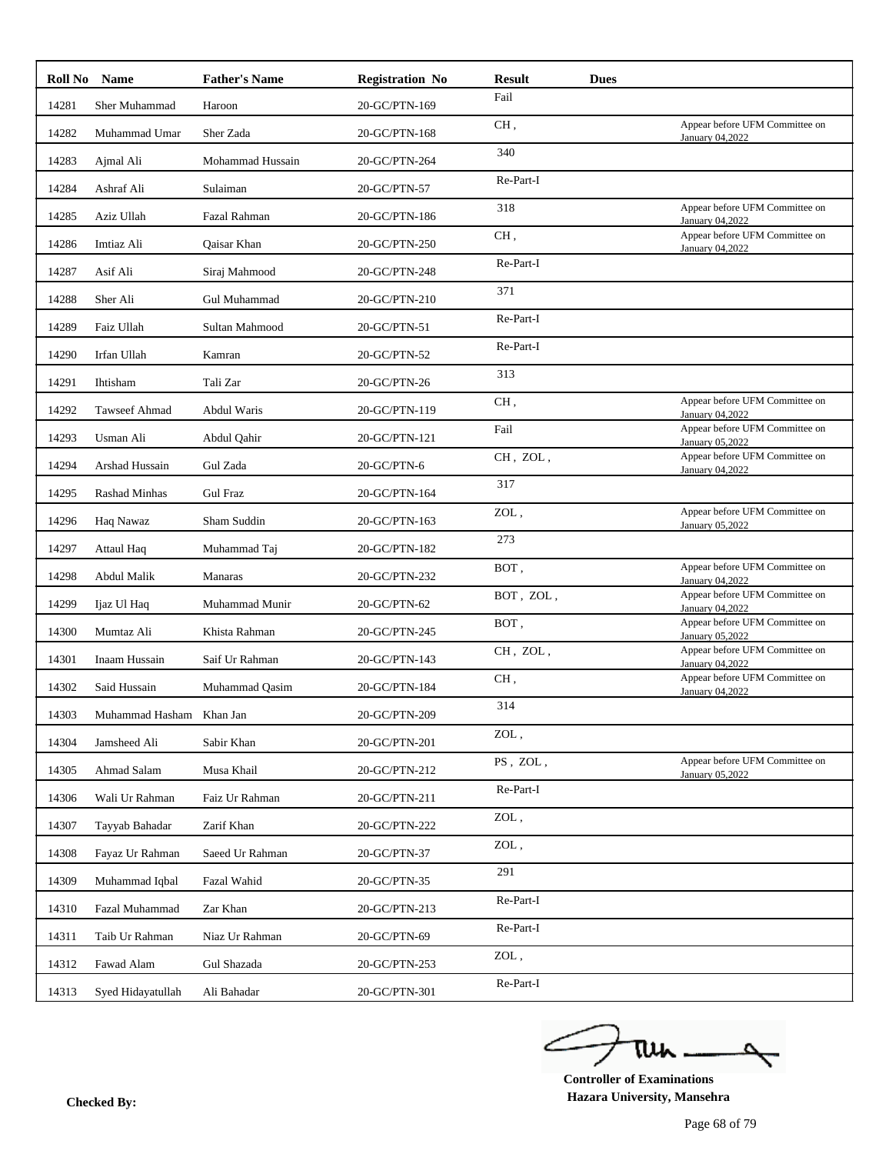| Roll No | <b>Name</b>              | <b>Father's Name</b> | <b>Registration No</b> | <b>Result</b> | <b>Dues</b> |                                                   |
|---------|--------------------------|----------------------|------------------------|---------------|-------------|---------------------------------------------------|
| 14281   | Sher Muhammad            | Haroon               | 20-GC/PTN-169          | Fail          |             |                                                   |
| 14282   | Muhammad Umar            | Sher Zada            | 20-GC/PTN-168          | CH,           |             | Appear before UFM Committee on<br>January 04,2022 |
| 14283   | Ajmal Ali                | Mohammad Hussain     | 20-GC/PTN-264          | 340           |             |                                                   |
| 14284   | Ashraf Ali               | Sulaiman             | 20-GC/PTN-57           | Re-Part-I     |             |                                                   |
| 14285   | Aziz Ullah               | Fazal Rahman         | 20-GC/PTN-186          | 318           |             | Appear before UFM Committee on<br>January 04,2022 |
| 14286   | Imtiaz Ali               | Qaisar Khan          | 20-GC/PTN-250          | CH,           |             | Appear before UFM Committee on<br>January 04,2022 |
| 14287   | Asif Ali                 | Siraj Mahmood        | 20-GC/PTN-248          | Re-Part-I     |             |                                                   |
| 14288   | Sher Ali                 | Gul Muhammad         | 20-GC/PTN-210          | 371           |             |                                                   |
| 14289   | Faiz Ullah               | Sultan Mahmood       | 20-GC/PTN-51           | Re-Part-I     |             |                                                   |
| 14290   | Irfan Ullah              | Kamran               | 20-GC/PTN-52           | Re-Part-I     |             |                                                   |
| 14291   | Ihtisham                 | Tali Zar             | 20-GC/PTN-26           | 313           |             |                                                   |
| 14292   | Tawseef Ahmad            | Abdul Waris          | 20-GC/PTN-119          | CH,           |             | Appear before UFM Committee on<br>January 04,2022 |
| 14293   | Usman Ali                | Abdul Qahir          | 20-GC/PTN-121          | Fail          |             | Appear before UFM Committee on<br>January 05,2022 |
| 14294   | Arshad Hussain           | Gul Zada             | 20-GC/PTN-6            | CH, ZOL,      |             | Appear before UFM Committee on<br>January 04,2022 |
| 14295   | <b>Rashad Minhas</b>     | <b>Gul Fraz</b>      | 20-GC/PTN-164          | 317           |             |                                                   |
| 14296   | Haq Nawaz                | Sham Suddin          | 20-GC/PTN-163          | ZOL,          |             | Appear before UFM Committee on<br>January 05,2022 |
| 14297   | Attaul Haq               | Muhammad Taj         | 20-GC/PTN-182          | 273           |             |                                                   |
| 14298   | Abdul Malik              | Manaras              | 20-GC/PTN-232          | BOT,          |             | Appear before UFM Committee on<br>January 04,2022 |
| 14299   | Ijaz Ul Haq              | Muhammad Munir       | 20-GC/PTN-62           | BOT, ZOL,     |             | Appear before UFM Committee on<br>January 04,2022 |
| 14300   | Mumtaz Ali               | Khista Rahman        | 20-GC/PTN-245          | BOT,          |             | Appear before UFM Committee on<br>January 05,2022 |
| 14301   | Inaam Hussain            | Saif Ur Rahman       | 20-GC/PTN-143          | CH, ZOL,      |             | Appear before UFM Committee on<br>January 04,2022 |
| 14302   | Said Hussain             | Muhammad Qasim       | 20-GC/PTN-184          | CH,           |             | Appear before UFM Committee on<br>January 04,2022 |
| 14303   | Muhammad Hasham Khan Jan |                      | 20-GC/PTN-209          | 314           |             |                                                   |
| 14304   | Jamsheed Ali             | Sabir Khan           | 20-GC/PTN-201          | ZOL,          |             |                                                   |
| 14305   | Ahmad Salam              | Musa Khail           | 20-GC/PTN-212          | PS, ZOL,      |             | Appear before UFM Committee on<br>January 05,2022 |
| 14306   | Wali Ur Rahman           | Faiz Ur Rahman       | 20-GC/PTN-211          | Re-Part-I     |             |                                                   |
| 14307   | Tayyab Bahadar           | Zarif Khan           | 20-GC/PTN-222          | ZOL,          |             |                                                   |
| 14308   | Fayaz Ur Rahman          | Saeed Ur Rahman      | 20-GC/PTN-37           | ZOL,          |             |                                                   |
| 14309   | Muhammad Iqbal           | Fazal Wahid          | 20-GC/PTN-35           | 291           |             |                                                   |
| 14310   | Fazal Muhammad           | Zar Khan             | 20-GC/PTN-213          | Re-Part-I     |             |                                                   |
| 14311   | Taib Ur Rahman           | Niaz Ur Rahman       | 20-GC/PTN-69           | Re-Part-I     |             |                                                   |
| 14312   | Fawad Alam               | Gul Shazada          | 20-GC/PTN-253          | ZOL,          |             |                                                   |
| 14313   | Syed Hidayatullah        | Ali Bahadar          | 20-GC/PTN-301          | Re-Part-I     |             |                                                   |

ے ٥ tui

**Controller of Examinations Hazara University, Mansehra Checked By:**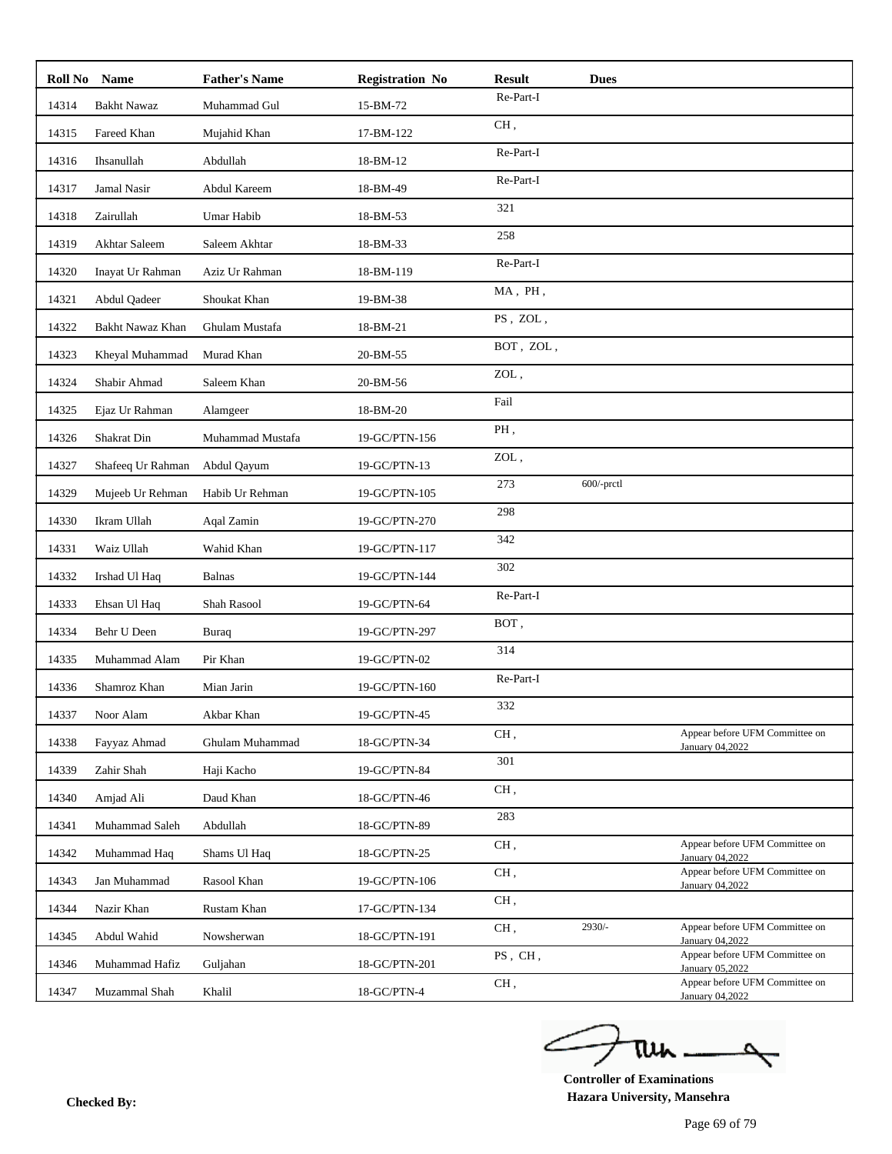|       | Roll No Name       | <b>Father's Name</b> | <b>Registration No</b> | <b>Result</b> | <b>Dues</b>   |                                                   |
|-------|--------------------|----------------------|------------------------|---------------|---------------|---------------------------------------------------|
| 14314 | <b>Bakht Nawaz</b> | Muhammad Gul         | 15-BM-72               | Re-Part-I     |               |                                                   |
| 14315 | Fareed Khan        | Mujahid Khan         | 17-BM-122              | CH,           |               |                                                   |
| 14316 | Ihsanullah         | Abdullah             | 18-BM-12               | Re-Part-I     |               |                                                   |
| 14317 | Jamal Nasir        | Abdul Kareem         | 18-BM-49               | Re-Part-I     |               |                                                   |
| 14318 | Zairullah          | Umar Habib           | 18-BM-53               | 321           |               |                                                   |
| 14319 | Akhtar Saleem      | Saleem Akhtar        | 18-BM-33               | 258           |               |                                                   |
| 14320 | Inayat Ur Rahman   | Aziz Ur Rahman       | 18-BM-119              | Re-Part-I     |               |                                                   |
| 14321 | Abdul Qadeer       | Shoukat Khan         | 19-BM-38               | MA, PH,       |               |                                                   |
| 14322 | Bakht Nawaz Khan   | Ghulam Mustafa       | 18-BM-21               | PS, ZOL,      |               |                                                   |
| 14323 | Kheyal Muhammad    | Murad Khan           | 20-BM-55               | BOT, ZOL,     |               |                                                   |
| 14324 | Shabir Ahmad       | Saleem Khan          | 20-BM-56               | ZOL,          |               |                                                   |
| 14325 | Ejaz Ur Rahman     | Alamgeer             | 18-BM-20               | Fail          |               |                                                   |
| 14326 | Shakrat Din        | Muhammad Mustafa     | 19-GC/PTN-156          | PH.           |               |                                                   |
| 14327 | Shafeeq Ur Rahman  | Abdul Qayum          | 19-GC/PTN-13           | ZOL,          |               |                                                   |
| 14329 | Mujeeb Ur Rehman   | Habib Ur Rehman      | 19-GC/PTN-105          | 273           | $600$ /-prctl |                                                   |
| 14330 | Ikram Ullah        | Aqal Zamin           | 19-GC/PTN-270          | 298           |               |                                                   |
| 14331 | Waiz Ullah         | Wahid Khan           | 19-GC/PTN-117          | 342           |               |                                                   |
| 14332 | Irshad Ul Haq      | <b>Balnas</b>        | 19-GC/PTN-144          | 302           |               |                                                   |
| 14333 | Ehsan Ul Haq       | Shah Rasool          | 19-GC/PTN-64           | Re-Part-I     |               |                                                   |
| 14334 | Behr U Deen        | Buraq                | 19-GC/PTN-297          | BOT,          |               |                                                   |
| 14335 | Muhammad Alam      | Pir Khan             | 19-GC/PTN-02           | 314           |               |                                                   |
| 14336 | Shamroz Khan       | Mian Jarin           | 19-GC/PTN-160          | Re-Part-I     |               |                                                   |
| 14337 | Noor Alam          | Akbar Khan           | 19-GC/PTN-45           | 332           |               |                                                   |
| 14338 | Fayyaz Ahmad       | Ghulam Muhammad      | 18-GC/PTN-34           | CH,           |               | Appear before UFM Committee on<br>January 04,2022 |
| 14339 | Zahir Shah         | Haji Kacho           | 19-GC/PTN-84           | 301           |               |                                                   |
| 14340 | Amjad Ali          | Daud Khan            | 18-GC/PTN-46           | CH,           |               |                                                   |
| 14341 | Muhammad Saleh     | Abdullah             | 18-GC/PTN-89           | 283           |               |                                                   |
| 14342 | Muhammad Haq       | Shams Ul Haq         | 18-GC/PTN-25           | CH,           |               | Appear before UFM Committee on<br>January 04,2022 |
| 14343 | Jan Muhammad       | Rasool Khan          | 19-GC/PTN-106          | CH,           |               | Appear before UFM Committee on<br>January 04,2022 |
| 14344 | Nazir Khan         | Rustam Khan          | 17-GC/PTN-134          | CH,           |               |                                                   |
| 14345 | Abdul Wahid        | Nowsherwan           | 18-GC/PTN-191          | CH,           | 2930/-        | Appear before UFM Committee on<br>January 04,2022 |
| 14346 | Muhammad Hafiz     | Guljahan             | 18-GC/PTN-201          | PS, CH,       |               | Appear before UFM Committee on<br>January 05,2022 |
| 14347 | Muzammal Shah      | Khalil               | 18-GC/PTN-4            | CH,           |               | Appear before UFM Committee on<br>January 04,2022 |
|       |                    |                      |                        |               |               |                                                   |

ے tui

**Controller of Examinations Hazara University, Mansehra Checked By:**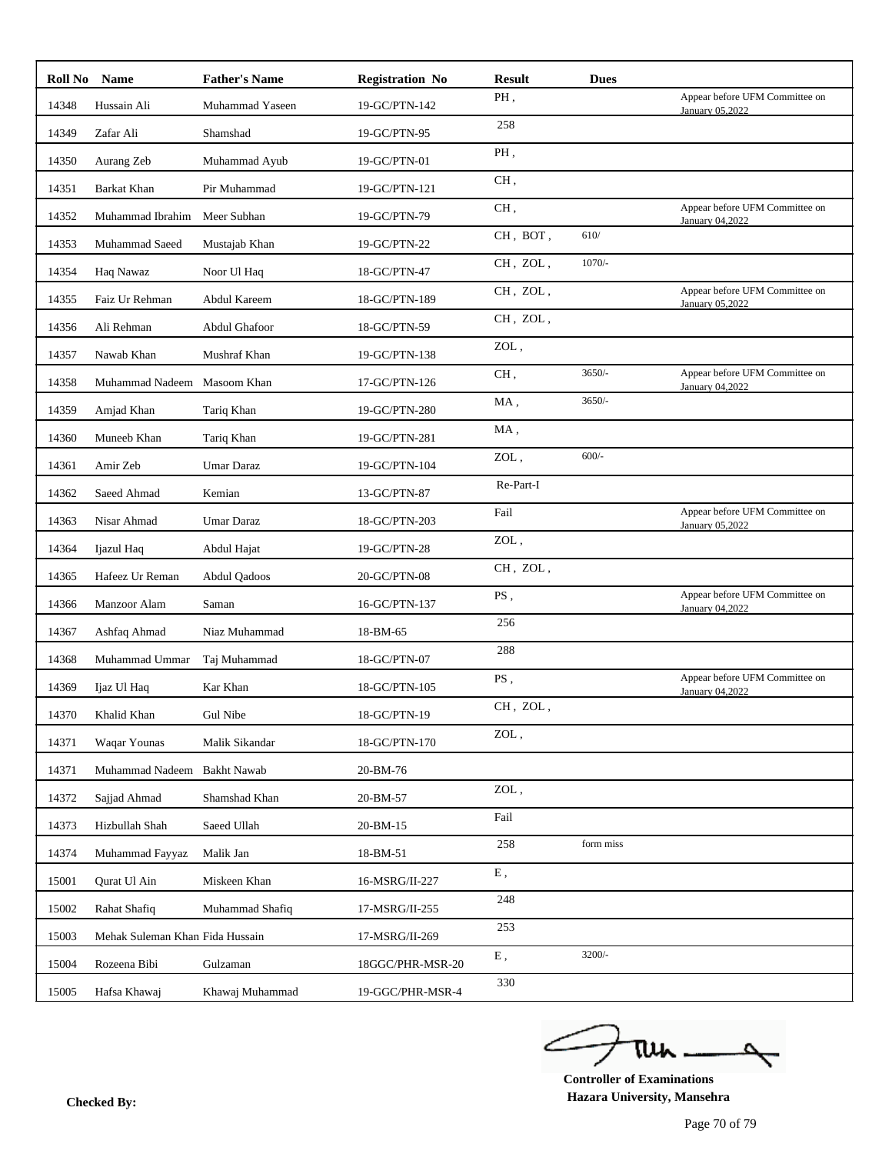|       | Roll No Name                    | <b>Father's Name</b> | <b>Registration No</b> | <b>Result</b>                 | <b>Dues</b> |                                                   |
|-------|---------------------------------|----------------------|------------------------|-------------------------------|-------------|---------------------------------------------------|
| 14348 | Hussain Ali                     | Muhammad Yaseen      | 19-GC/PTN-142          | PH.                           |             | Appear before UFM Committee on<br>January 05,2022 |
| 14349 | Zafar Ali                       | Shamshad             | 19-GC/PTN-95           | 258                           |             |                                                   |
| 14350 | Aurang Zeb                      | Muhammad Ayub        | 19-GC/PTN-01           | PH.                           |             |                                                   |
| 14351 | Barkat Khan                     | Pir Muhammad         | 19-GC/PTN-121          | CH,                           |             |                                                   |
| 14352 | Muhammad Ibrahim                | Meer Subhan          | 19-GC/PTN-79           | CH,                           |             | Appear before UFM Committee on<br>January 04,2022 |
| 14353 | Muhammad Saeed                  | Mustajab Khan        | 19-GC/PTN-22           | CH, BOT,                      | 610/        |                                                   |
| 14354 | Haq Nawaz                       | Noor Ul Haq          | 18-GC/PTN-47           | CH, ZOL,                      | $1070/-$    |                                                   |
| 14355 | Faiz Ur Rehman                  | Abdul Kareem         | 18-GC/PTN-189          | CH, ZOL,                      |             | Appear before UFM Committee on<br>January 05,2022 |
| 14356 | Ali Rehman                      | Abdul Ghafoor        | 18-GC/PTN-59           | CH, ZOL,                      |             |                                                   |
| 14357 | Nawab Khan                      | Mushraf Khan         | 19-GC/PTN-138          | $\ensuremath{\mathrm{ZOL}}$ , |             |                                                   |
| 14358 | Muhammad Nadeem Masoom Khan     |                      | 17-GC/PTN-126          | CH,                           | $3650/-$    | Appear before UFM Committee on<br>January 04,2022 |
| 14359 | Amjad Khan                      | Tariq Khan           | 19-GC/PTN-280          | MA,                           | $3650/-$    |                                                   |
| 14360 | Muneeb Khan                     | Tariq Khan           | 19-GC/PTN-281          | MA,                           |             |                                                   |
| 14361 | Amir Zeb                        | <b>Umar Daraz</b>    | 19-GC/PTN-104          | ZOL,                          | $600/-$     |                                                   |
| 14362 | Saeed Ahmad                     | Kemian               | 13-GC/PTN-87           | Re-Part-I                     |             |                                                   |
| 14363 | Nisar Ahmad                     | Umar Daraz           | 18-GC/PTN-203          | Fail                          |             | Appear before UFM Committee on<br>January 05,2022 |
| 14364 | Ijazul Haq                      | Abdul Hajat          | 19-GC/PTN-28           | ZOL,                          |             |                                                   |
| 14365 | Hafeez Ur Reman                 | <b>Abdul Qadoos</b>  | 20-GC/PTN-08           | CH, ZOL,                      |             |                                                   |
| 14366 | Manzoor Alam                    | Saman                | 16-GC/PTN-137          | PS,                           |             | Appear before UFM Committee on<br>January 04,2022 |
| 14367 | Ashfaq Ahmad                    | Niaz Muhammad        | 18-BM-65               | 256                           |             |                                                   |
| 14368 | Muhammad Ummar                  | Taj Muhammad         | 18-GC/PTN-07           | 288                           |             |                                                   |
| 14369 | Ijaz Ul Haq                     | Kar Khan             | 18-GC/PTN-105          | PS,                           |             | Appear before UFM Committee on<br>January 04,2022 |
| 14370 | Khalid Khan                     | Gul Nibe             | 18-GC/PTN-19           | $CH$ , $ZOL$ ,                |             |                                                   |
| 14371 | Waqar Younas                    | Malik Sikandar       | 18-GC/PTN-170          | ZOL,                          |             |                                                   |
| 14371 | Muhammad Nadeem Bakht Nawab     |                      | 20-BM-76               |                               |             |                                                   |
| 14372 | Sajjad Ahmad                    | Shamshad Khan        | 20-BM-57               | ZOL,                          |             |                                                   |
| 14373 | Hizbullah Shah                  | Saeed Ullah          | 20-BM-15               | Fail                          |             |                                                   |
| 14374 | Muhammad Fayyaz                 | Malik Jan            | 18-BM-51               | 258                           | form miss   |                                                   |
| 15001 | Qurat Ul Ain                    | Miskeen Khan         | 16-MSRG/II-227         | ${\bf E}$ ,                   |             |                                                   |
| 15002 | Rahat Shafiq                    | Muhammad Shafiq      | 17-MSRG/II-255         | 248                           |             |                                                   |
| 15003 | Mehak Suleman Khan Fida Hussain |                      | 17-MSRG/II-269         | 253                           |             |                                                   |
| 15004 | Rozeena Bibi                    | Gulzaman             | 18GGC/PHR-MSR-20       | ${\bf E}$ ,                   | $3200/-$    |                                                   |
|       | Hafsa Khawaj                    | Khawaj Muhammad      | 19-GGC/PHR-MSR-4       | 330                           |             |                                                   |

ے tui 

**Controller of Examinations Hazara University, Mansehra Checked By:**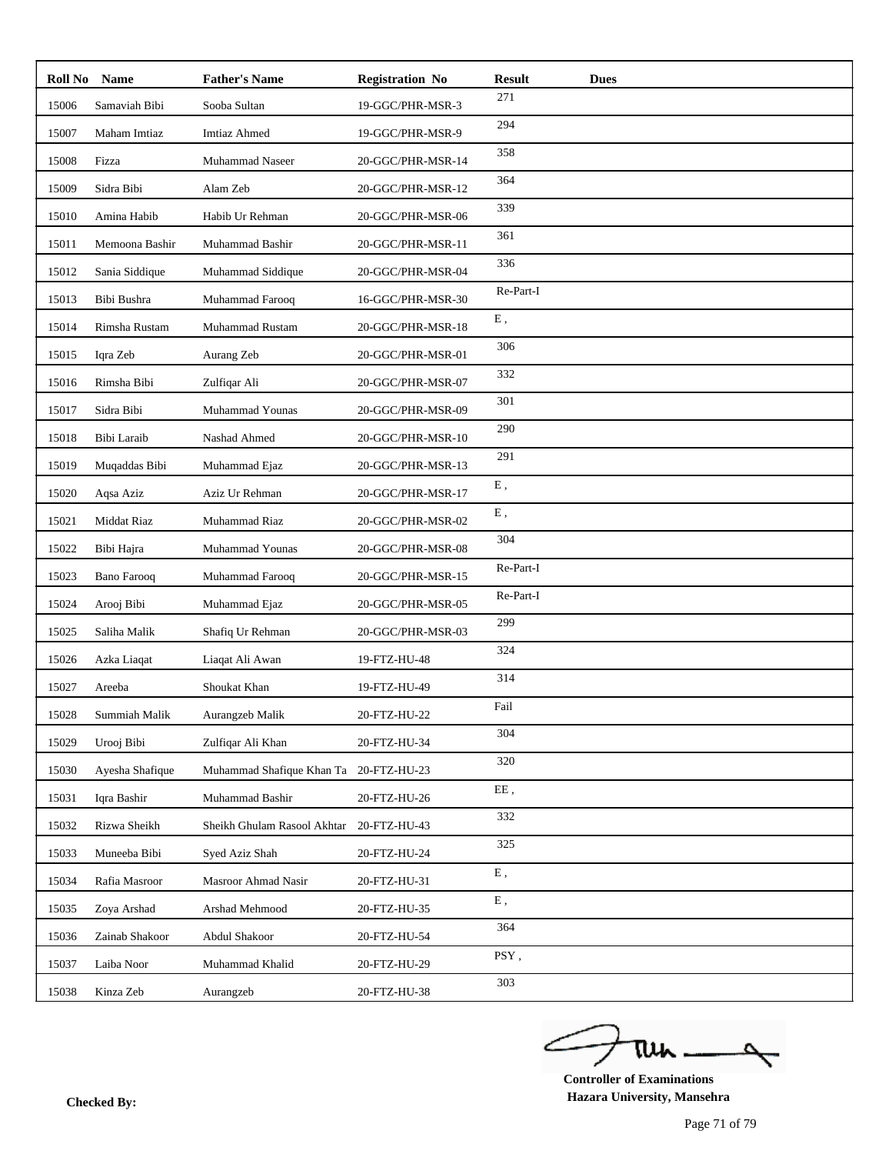| Roll No | <b>Name</b>        | <b>Father's Name</b>                   | <b>Registration No</b> | <b>Result</b> | <b>Dues</b> |
|---------|--------------------|----------------------------------------|------------------------|---------------|-------------|
| 15006   | Samaviah Bibi      | Sooba Sultan                           | 19-GGC/PHR-MSR-3       | 271           |             |
| 15007   | Maham Imtiaz       | <b>Imtiaz Ahmed</b>                    | 19-GGC/PHR-MSR-9       | 294           |             |
| 15008   | Fizza              | Muhammad Naseer                        | 20-GGC/PHR-MSR-14      | 358           |             |
| 15009   | Sidra Bibi         | Alam Zeb                               | 20-GGC/PHR-MSR-12      | 364           |             |
| 15010   | Amina Habib        | Habib Ur Rehman                        | 20-GGC/PHR-MSR-06      | 339           |             |
| 15011   | Memoona Bashir     | Muhammad Bashir                        | 20-GGC/PHR-MSR-11      | 361           |             |
| 15012   | Sania Siddique     | Muhammad Siddique                      | 20-GGC/PHR-MSR-04      | 336           |             |
| 15013   | Bibi Bushra        | Muhammad Farooq                        | 16-GGC/PHR-MSR-30      | Re-Part-I     |             |
| 15014   | Rimsha Rustam      | Muhammad Rustam                        | 20-GGC/PHR-MSR-18      | E,            |             |
| 15015   | Iqra Zeb           | Aurang Zeb                             | 20-GGC/PHR-MSR-01      | 306           |             |
| 15016   | Rimsha Bibi        | Zulfiqar Ali                           | 20-GGC/PHR-MSR-07      | 332           |             |
| 15017   | Sidra Bibi         | Muhammad Younas                        | 20-GGC/PHR-MSR-09      | 301           |             |
| 15018   | Bibi Laraib        | Nashad Ahmed                           | 20-GGC/PHR-MSR-10      | 290           |             |
| 15019   | Muqaddas Bibi      | Muhammad Ejaz                          | 20-GGC/PHR-MSR-13      | 291           |             |
| 15020   | Aqsa Aziz          | Aziz Ur Rehman                         | 20-GGC/PHR-MSR-17      | ${\bf E}$ ,   |             |
| 15021   | Middat Riaz        | Muhammad Riaz                          | 20-GGC/PHR-MSR-02      | E,            |             |
| 15022   | Bibi Hajra         | Muhammad Younas                        | 20-GGC/PHR-MSR-08      | 304           |             |
| 15023   | <b>Bano Farooq</b> | Muhammad Farooq                        | 20-GGC/PHR-MSR-15      | Re-Part-I     |             |
| 15024   | Arooj Bibi         | Muhammad Ejaz                          | 20-GGC/PHR-MSR-05      | Re-Part-I     |             |
| 15025   | Saliha Malik       | Shafiq Ur Rehman                       | 20-GGC/PHR-MSR-03      | 299           |             |
| 15026   | Azka Liaqat        | Liaqat Ali Awan                        | 19-FTZ-HU-48           | 324           |             |
| 15027   | Areeba             | Shoukat Khan                           | 19-FTZ-HU-49           | 314           |             |
| 15028   | Summiah Malik      | Aurangzeb Malik                        | 20-FTZ-HU-22           | Fail          |             |
| 15029   | Urooj Bibi         | Zulfiqar Ali Khan                      | 20-FTZ-HU-34           | 304           |             |
| 15030   | Ayesha Shafique    | Muhammad Shafique Khan Ta 20-FTZ-HU-23 |                        | 320           |             |
| 15031   | Iqra Bashir        | Muhammad Bashir                        | 20-FTZ-HU-26           | $\rm EE$ ,    |             |
| 15032   | Rizwa Sheikh       | Sheikh Ghulam Rasool Akhtar            | 20-FTZ-HU-43           | 332           |             |
| 15033   | Muneeba Bibi       | Syed Aziz Shah                         | 20-FTZ-HU-24           | 325           |             |
| 15034   | Rafia Masroor      | Masroor Ahmad Nasir                    | 20-FTZ-HU-31           | ${\bf E}$ ,   |             |
| 15035   | Zoya Arshad        | Arshad Mehmood                         | 20-FTZ-HU-35           | ${\bf E}$ ,   |             |
| 15036   | Zainab Shakoor     | Abdul Shakoor                          | 20-FTZ-HU-54           | 364           |             |
| 15037   | Laiba Noor         | Muhammad Khalid                        | 20-FTZ-HU-29           | PSY,          |             |
| 15038   | Kinza Zeb          | Aurangzeb                              | 20-FTZ-HU-38           | 303           |             |

ے tui

**Controller of Examinations Hazara University, Mansehra Checked By:**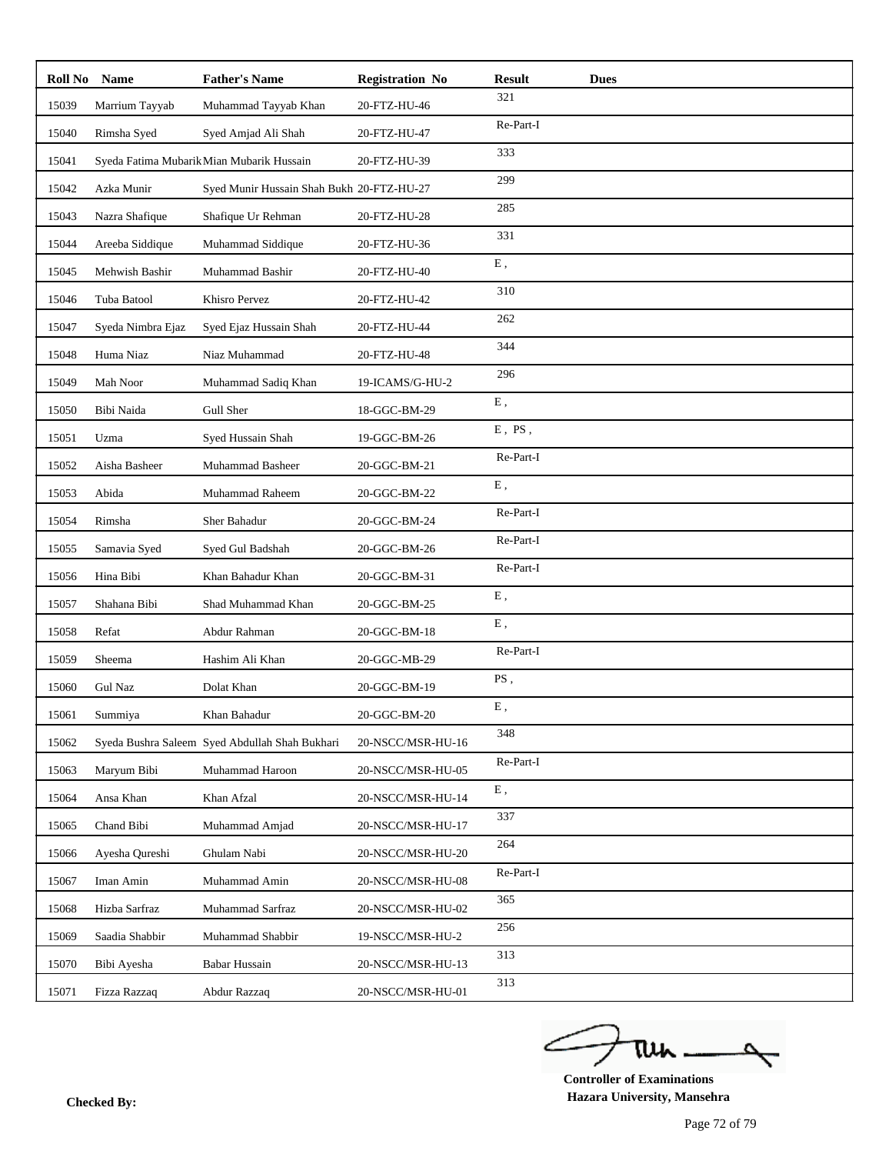| Roll No | <b>Name</b>       | <b>Father's Name</b>                           | <b>Registration No</b> | <b>Result</b> | <b>Dues</b> |
|---------|-------------------|------------------------------------------------|------------------------|---------------|-------------|
| 15039   | Marrium Tayyab    | Muhammad Tayyab Khan                           | 20-FTZ-HU-46           | 321           |             |
| 15040   | Rimsha Syed       | Syed Amjad Ali Shah                            | 20-FTZ-HU-47           | Re-Part-I     |             |
| 15041   |                   | Syeda Fatima Mubarik Mian Mubarik Hussain      | 20-FTZ-HU-39           | 333           |             |
| 15042   | Azka Munir        | Syed Munir Hussain Shah Bukh 20-FTZ-HU-27      |                        | 299           |             |
| 15043   | Nazra Shafique    | Shafique Ur Rehman                             | 20-FTZ-HU-28           | 285           |             |
| 15044   | Areeba Siddique   | Muhammad Siddique                              | 20-FTZ-HU-36           | 331           |             |
| 15045   | Mehwish Bashir    | Muhammad Bashir                                | 20-FTZ-HU-40           | ${\bf E}$ ,   |             |
| 15046   | Tuba Batool       | Khisro Pervez                                  | 20-FTZ-HU-42           | 310           |             |
| 15047   | Syeda Nimbra Ejaz | Syed Ejaz Hussain Shah                         | 20-FTZ-HU-44           | 262           |             |
| 15048   | Huma Niaz         | Niaz Muhammad                                  | 20-FTZ-HU-48           | 344           |             |
| 15049   | Mah Noor          | Muhammad Sadiq Khan                            | 19-ICAMS/G-HU-2        | 296           |             |
| 15050   | Bibi Naida        | Gull Sher                                      | 18-GGC-BM-29           | ${\bf E}$ ,   |             |
| 15051   | Uzma              | Syed Hussain Shah                              | 19-GGC-BM-26           | $E$ , PS,     |             |
| 15052   | Aisha Basheer     | Muhammad Basheer                               | 20-GGC-BM-21           | Re-Part-I     |             |
| 15053   | Abida             | Muhammad Raheem                                | 20-GGC-BM-22           | E,            |             |
| 15054   | Rimsha            | Sher Bahadur                                   | 20-GGC-BM-24           | Re-Part-I     |             |
| 15055   | Samavia Syed      | Syed Gul Badshah                               | 20-GGC-BM-26           | Re-Part-I     |             |
| 15056   | Hina Bibi         | Khan Bahadur Khan                              | 20-GGC-BM-31           | Re-Part-I     |             |
| 15057   | Shahana Bibi      | Shad Muhammad Khan                             | 20-GGC-BM-25           | ${\bf E}$ ,   |             |
| 15058   | Refat             | Abdur Rahman                                   | 20-GGC-BM-18           | E,            |             |
| 15059   | Sheema            | Hashim Ali Khan                                | 20-GGC-MB-29           | Re-Part-I     |             |
| 15060   | <b>Gul Naz</b>    | Dolat Khan                                     | 20-GGC-BM-19           | PS,           |             |
| 15061   | Summiya           | Khan Bahadur                                   | 20-GGC-BM-20           | E,            |             |
| 15062   |                   | Syeda Bushra Saleem Syed Abdullah Shah Bukhari | 20-NSCC/MSR-HU-16      | 348           |             |
| 15063   | Maryum Bibi       | Muhammad Haroon                                | 20-NSCC/MSR-HU-05      | Re-Part-I     |             |
| 15064   | Ansa Khan         | Khan Afzal                                     | 20-NSCC/MSR-HU-14      | ${\bf E}$ ,   |             |
| 15065   | Chand Bibi        | Muhammad Amjad                                 | 20-NSCC/MSR-HU-17      | 337           |             |
| 15066   | Ayesha Qureshi    | Ghulam Nabi                                    | 20-NSCC/MSR-HU-20      | 264           |             |
| 15067   | Iman Amin         | Muhammad Amin                                  | 20-NSCC/MSR-HU-08      | Re-Part-I     |             |
| 15068   | Hizba Sarfraz     | Muhammad Sarfraz                               | 20-NSCC/MSR-HU-02      | 365           |             |
| 15069   | Saadia Shabbir    | Muhammad Shabbir                               | 19-NSCC/MSR-HU-2       | 256           |             |
| 15070   | Bibi Ayesha       | <b>Babar Hussain</b>                           | 20-NSCC/MSR-HU-13      | 313           |             |
| 15071   | Fizza Razzaq      | Abdur Razzaq                                   | 20-NSCC/MSR-HU-01      | 313           |             |

ے Δ tui

**Controller of Examinations Hazara University, Mansehra Checked By:**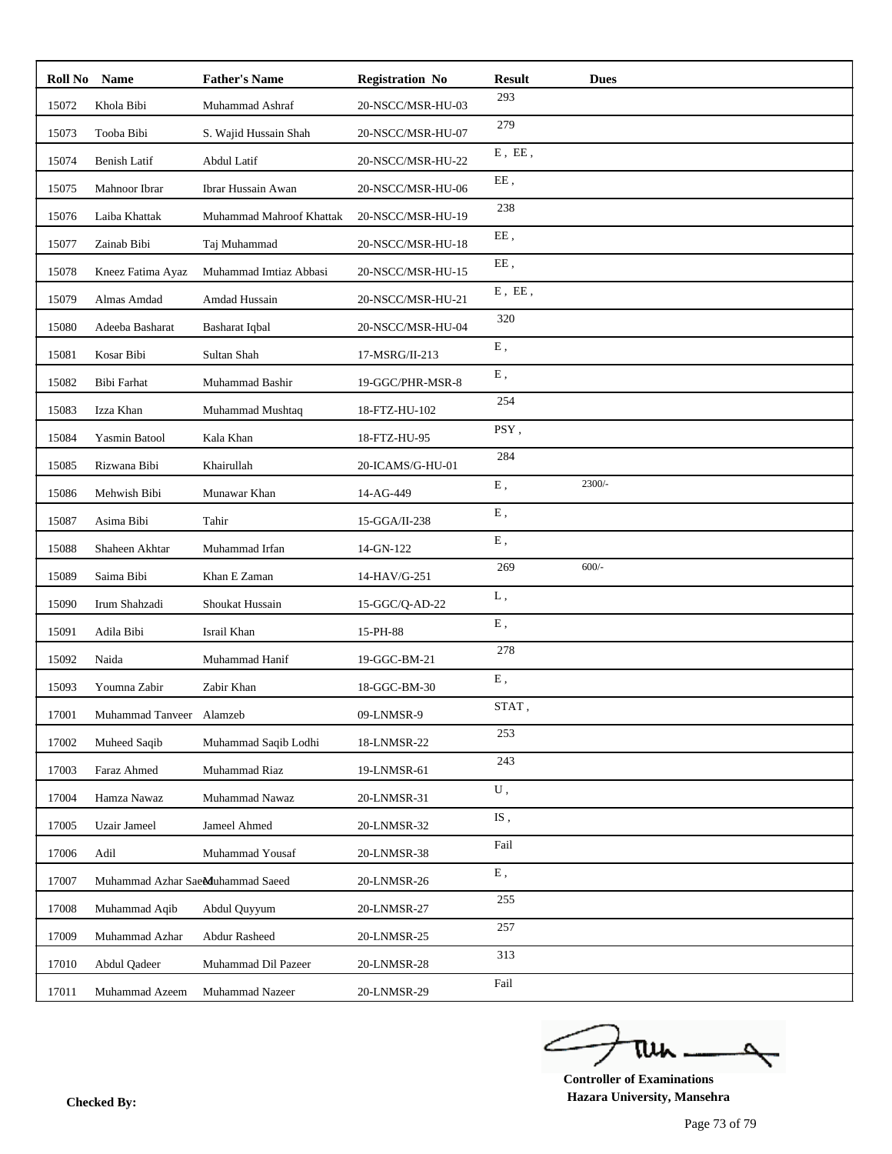| Roll No | <b>Name</b>                      | <b>Father's Name</b>     | <b>Registration No</b> | Result       | <b>Dues</b> |
|---------|----------------------------------|--------------------------|------------------------|--------------|-------------|
| 15072   | Khola Bibi                       | Muhammad Ashraf          | 20-NSCC/MSR-HU-03      | 293          |             |
| 15073   | Tooba Bibi                       | S. Wajid Hussain Shah    | 20-NSCC/MSR-HU-07      | 279          |             |
| 15074   | <b>Benish Latif</b>              | Abdul Latif              | 20-NSCC/MSR-HU-22      | $E$ , $EE$ , |             |
| 15075   | Mahnoor Ibrar                    | Ibrar Hussain Awan       | 20-NSCC/MSR-HU-06      | EE,          |             |
| 15076   | Laiba Khattak                    | Muhammad Mahroof Khattak | 20-NSCC/MSR-HU-19      | 238          |             |
| 15077   | Zainab Bibi                      | Taj Muhammad             | 20-NSCC/MSR-HU-18      | EE,          |             |
| 15078   | Kneez Fatima Ayaz                | Muhammad Imtiaz Abbasi   | 20-NSCC/MSR-HU-15      | EE,          |             |
| 15079   | Almas Amdad                      | Amdad Hussain            | 20-NSCC/MSR-HU-21      | $E$ , $EE$ , |             |
| 15080   | Adeeba Basharat                  | Basharat Iqbal           | 20-NSCC/MSR-HU-04      | 320          |             |
| 15081   | Kosar Bibi                       | Sultan Shah              | 17-MSRG/II-213         | ${\bf E}$ ,  |             |
| 15082   | Bibi Farhat                      | Muhammad Bashir          | 19-GGC/PHR-MSR-8       | E,           |             |
| 15083   | Izza Khan                        | Muhammad Mushtaq         | 18-FTZ-HU-102          | 254          |             |
| 15084   | <b>Yasmin Batool</b>             | Kala Khan                | 18-FTZ-HU-95           | PSY,         |             |
| 15085   | Rizwana Bibi                     | Khairullah               | 20-ICAMS/G-HU-01       | 284          |             |
| 15086   | Mehwish Bibi                     | Munawar Khan             | 14-AG-449              | ${\bf E}$ ,  | 2300/-      |
| 15087   | Asima Bibi                       | Tahir                    | 15-GGA/II-238          | E,           |             |
| 15088   | Shaheen Akhtar                   | Muhammad Irfan           | 14-GN-122              | ${\bf E}$ ,  |             |
| 15089   | Saima Bibi                       | Khan E Zaman             | 14-HAV/G-251           | 269          | $600/-$     |
| 15090   | Irum Shahzadi                    | Shoukat Hussain          | 15-GGC/Q-AD-22         | L,           |             |
| 15091   | Adila Bibi                       | Israil Khan              | 15-PH-88               | ${\bf E}$ ,  |             |
| 15092   | Naida                            | Muhammad Hanif           | 19-GGC-BM-21           | 278          |             |
| 15093   | Youmna Zabir                     | Zabir Khan               | 18-GGC-BM-30           | E,           |             |
| 17001   | Muhammad Tanveer Alamzeb         |                          | 09-LNMSR-9             | STAT,        |             |
| 17002   | Muheed Saqib                     | Muhammad Saqib Lodhi     | 18-LNMSR-22            | 253          |             |
| 17003   | Faraz Ahmed                      | Muhammad Riaz            | 19-LNMSR-61            | 243          |             |
| 17004   | Hamza Nawaz                      | Muhammad Nawaz           | 20-LNMSR-31            | ${\bf U}$ ,  |             |
| 17005   | <b>Uzair Jameel</b>              | Jameel Ahmed             | 20-LNMSR-32            | IS,          |             |
| 17006   | Adil                             | Muhammad Yousaf          | 20-LNMSR-38            | Fail         |             |
| 17007   | Muhammad Azhar SaeMuhammad Saeed |                          | 20-LNMSR-26            | E,           |             |
| 17008   | Muhammad Aqib                    | Abdul Quyyum             | 20-LNMSR-27            | 255          |             |
| 17009   | Muhammad Azhar                   | <b>Abdur Rasheed</b>     | 20-LNMSR-25            | 257          |             |
| 17010   | Abdul Qadeer                     | Muhammad Dil Pazeer      | 20-LNMSR-28            | 313          |             |
| 17011   | Muhammad Azeem                   | Muhammad Nazeer          | 20-LNMSR-29            | Fail         |             |

ے tui

**Controller of Examinations Hazara University, Mansehra Checked By:**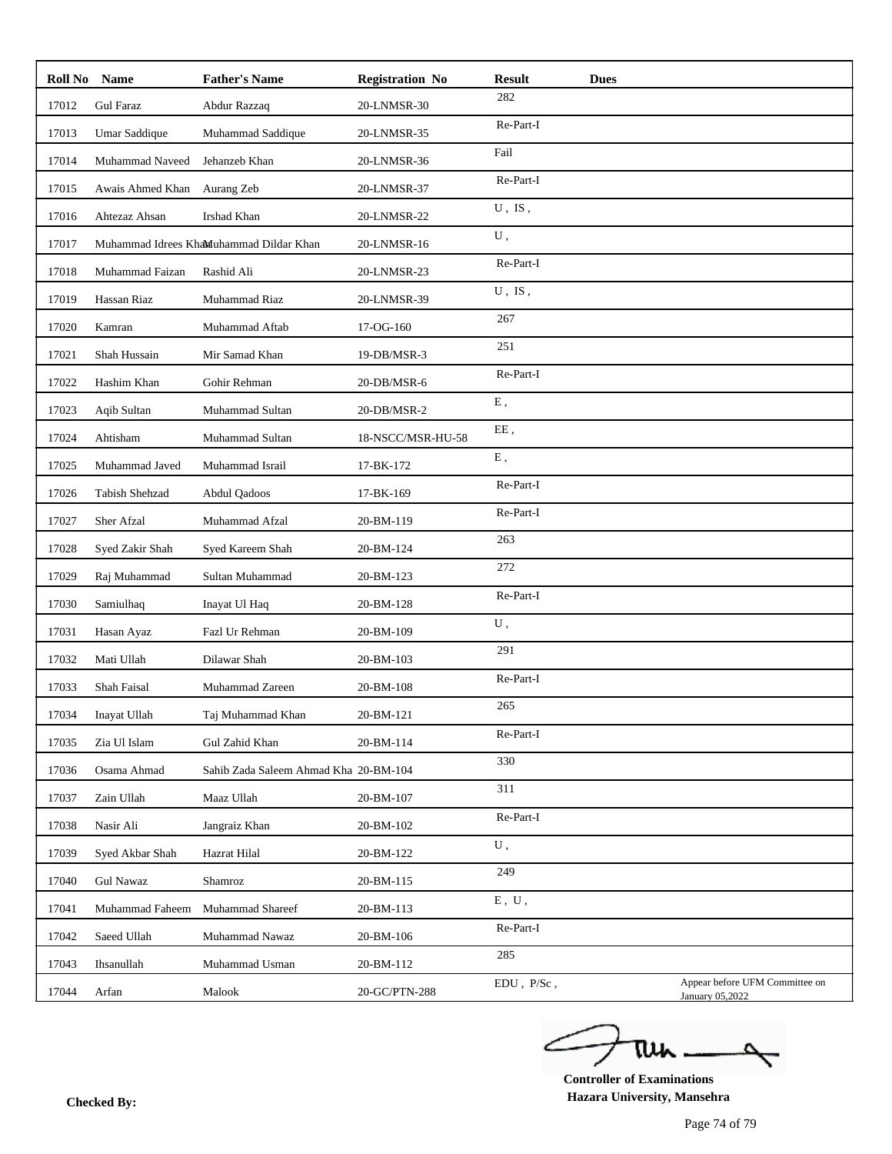| Roll No | <b>Name</b>      | <b>Father's Name</b>                    | <b>Registration No</b> | <b>Result</b> | <b>Dues</b> |                                                   |
|---------|------------------|-----------------------------------------|------------------------|---------------|-------------|---------------------------------------------------|
| 17012   | <b>Gul Faraz</b> | Abdur Razzaq                            | 20-LNMSR-30            | 282           |             |                                                   |
| 17013   | Umar Saddique    | Muhammad Saddique                       | 20-LNMSR-35            | Re-Part-I     |             |                                                   |
| 17014   | Muhammad Naveed  | Jehanzeb Khan                           | 20-LNMSR-36            | Fail          |             |                                                   |
| 17015   | Awais Ahmed Khan | Aurang Zeb                              | 20-LNMSR-37            | Re-Part-I     |             |                                                   |
| 17016   | Ahtezaz Ahsan    | Irshad Khan                             | 20-LNMSR-22            | $U$ , IS,     |             |                                                   |
| 17017   |                  | Muhammad Idrees Khamuhammad Dildar Khan | 20-LNMSR-16            | U,            |             |                                                   |
| 17018   | Muhammad Faizan  | Rashid Ali                              | 20-LNMSR-23            | Re-Part-I     |             |                                                   |
| 17019   | Hassan Riaz      | Muhammad Riaz                           | 20-LNMSR-39            | $U$ , IS,     |             |                                                   |
| 17020   | Kamran           | Muhammad Aftab                          | 17-OG-160              | 267           |             |                                                   |
| 17021   | Shah Hussain     | Mir Samad Khan                          | 19-DB/MSR-3            | 251           |             |                                                   |
| 17022   | Hashim Khan      | Gohir Rehman                            | 20-DB/MSR-6            | Re-Part-I     |             |                                                   |
| 17023   | Aqib Sultan      | Muhammad Sultan                         | 20-DB/MSR-2            | E,            |             |                                                   |
| 17024   | Ahtisham         | Muhammad Sultan                         | 18-NSCC/MSR-HU-58      | EE,           |             |                                                   |
| 17025   | Muhammad Javed   | Muhammad Israil                         | 17-BK-172              | ${\bf E}$ ,   |             |                                                   |
| 17026   | Tabish Shehzad   | Abdul Qadoos                            | 17-BK-169              | Re-Part-I     |             |                                                   |
| 17027   | Sher Afzal       | Muhammad Afzal                          | 20-BM-119              | Re-Part-I     |             |                                                   |
| 17028   | Syed Zakir Shah  | Syed Kareem Shah                        | 20-BM-124              | 263           |             |                                                   |
| 17029   | Raj Muhammad     | Sultan Muhammad                         | 20-BM-123              | 272           |             |                                                   |
| 17030   | Samiulhaq        | Inayat Ul Haq                           | 20-BM-128              | Re-Part-I     |             |                                                   |
| 17031   | Hasan Ayaz       | Fazl Ur Rehman                          | 20-BM-109              | U,            |             |                                                   |
| 17032   | Mati Ullah       | Dilawar Shah                            | 20-BM-103              | 291           |             |                                                   |
| 17033   | Shah Faisal      | Muhammad Zareen                         | 20-BM-108              | Re-Part-I     |             |                                                   |
| 17034   | Inayat Ullah     | Taj Muhammad Khan                       | 20-BM-121              | 265           |             |                                                   |
| 17035   | Zia Ul Islam     | Gul Zahid Khan                          | 20-BM-114              | Re-Part-I     |             |                                                   |
| 17036   | Osama Ahmad      | Sahib Zada Saleem Ahmad Kha 20-BM-104   |                        | 330           |             |                                                   |
| 17037   | Zain Ullah       | Maaz Ullah                              | 20-BM-107              | 311           |             |                                                   |
| 17038   | Nasir Ali        | Jangraiz Khan                           | 20-BM-102              | Re-Part-I     |             |                                                   |
| 17039   | Syed Akbar Shah  | Hazrat Hilal                            | 20-BM-122              | U,            |             |                                                   |
| 17040   | <b>Gul Nawaz</b> | Shamroz                                 | 20-BM-115              | 249           |             |                                                   |
| 17041   | Muhammad Faheem  | Muhammad Shareef                        | 20-BM-113              | $E$ , $U$ ,   |             |                                                   |
| 17042   | Saeed Ullah      | Muhammad Nawaz                          | 20-BM-106              | Re-Part-I     |             |                                                   |
| 17043   | Ihsanullah       | Muhammad Usman                          | 20-BM-112              | 285           |             |                                                   |
| 17044   | Arfan            | Malook                                  | 20-GC/PTN-288          | EDU, P/Sc,    |             | Appear before UFM Committee on<br>January 05,2022 |

ے tui

**Controller of Examinations Hazara University, Mansehra Checked By:**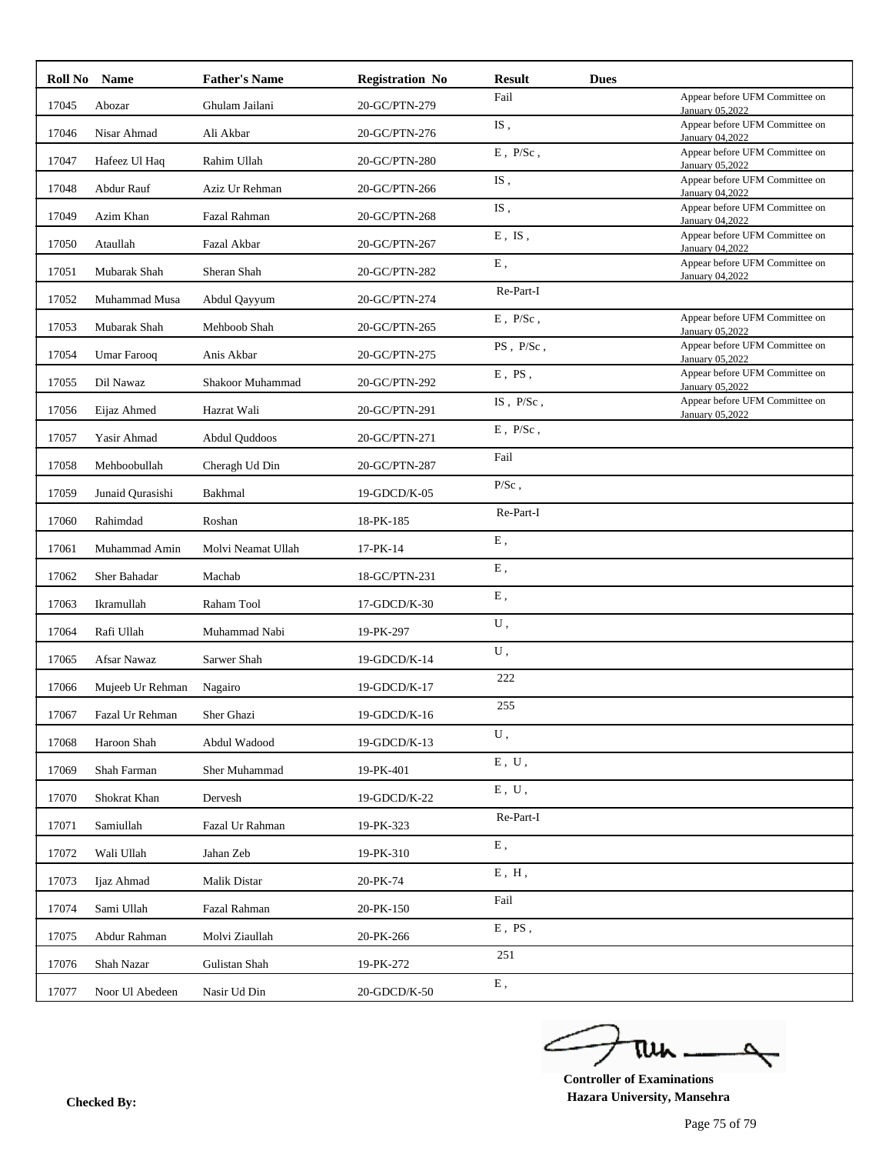| Roll No Name |                       | <b>Father's Name</b> | <b>Registration No</b> | <b>Result</b>                        | <b>Dues</b> |                                                   |
|--------------|-----------------------|----------------------|------------------------|--------------------------------------|-------------|---------------------------------------------------|
| 17045        | Abozar                | Ghulam Jailani       | 20-GC/PTN-279          | Fail                                 |             | Appear before UFM Committee on<br>January 05,2022 |
| 17046        | Nisar Ahmad           | Ali Akbar            | 20-GC/PTN-276          | $\mathrm{IS}% _{T}\left( t\right)$ , |             | Appear before UFM Committee on<br>January 04,2022 |
| 17047        | Hafeez Ul Haq         | Rahim Ullah          | 20-GC/PTN-280          | $\to$ , $\rm \,P/Sc$ ,               |             | Appear before UFM Committee on<br>January 05,2022 |
| 17048        | Abdur Rauf            | Aziz Ur Rehman       | 20-GC/PTN-266          | IS,                                  |             | Appear before UFM Committee on<br>January 04,2022 |
| 17049        | Azim Khan             | Fazal Rahman         | 20-GC/PTN-268          | IS,                                  |             | Appear before UFM Committee on<br>January 04,2022 |
| 17050        | Ataullah              | Fazal Akbar          | 20-GC/PTN-267          | $E$ , IS,                            |             | Appear before UFM Committee on<br>January 04,2022 |
| 17051        | Mubarak Shah          | Sheran Shah          | 20-GC/PTN-282          | E,                                   |             | Appear before UFM Committee on<br>January 04,2022 |
| 17052        | Muhammad Musa         | Abdul Qayyum         | 20-GC/PTN-274          | Re-Part-I                            |             |                                                   |
| 17053        | Mubarak Shah          | Mehboob Shah         | 20-GC/PTN-265          | $\to$ , $\rm \,P/Sc$ ,               |             | Appear before UFM Committee on<br>January 05,2022 |
| 17054        | Umar Farooq           | Anis Akbar           | 20-GC/PTN-275          | PS, P/Sc,                            |             | Appear before UFM Committee on<br>January 05,2022 |
| 17055        | Dil Nawaz             | Shakoor Muhammad     | 20-GC/PTN-292          | $E$ , PS,                            |             | Appear before UFM Committee on<br>January 05,2022 |
| 17056        | Eijaz Ahmed           | Hazrat Wali          | 20-GC/PTN-291          | $IS$ , $P/Sc$ ,                      |             | Appear before UFM Committee on<br>January 05,2022 |
| 17057        | Yasir Ahmad           | Abdul Quddoos        | 20-GC/PTN-271          | $E$ , $P/Sc$ ,                       |             |                                                   |
| 17058        | Mehboobullah          | Cheragh Ud Din       | 20-GC/PTN-287          | Fail                                 |             |                                                   |
| 17059        | Junaid Qurasishi      | Bakhmal              | 19-GDCD/K-05           | $P/Sc$ ,                             |             |                                                   |
| 17060        | Rahimdad              | Roshan               | 18-PK-185              | Re-Part-I                            |             |                                                   |
| 17061        | Muhammad Amin         | Molvi Neamat Ullah   | 17-PK-14               | ${\bf E}$ ,                          |             |                                                   |
| 17062        | Sher Bahadar          | Machab               | 18-GC/PTN-231          | E,                                   |             |                                                   |
| 17063        | Ikramullah            | Raham Tool           | 17-GDCD/K-30           | ${\bf E}$ ,                          |             |                                                   |
| 17064        | Rafi Ullah            | Muhammad Nabi        | 19-PK-297              | ${\bf U}$ ,                          |             |                                                   |
| 17065        | Afsar Nawaz           | Sarwer Shah          | 19-GDCD/K-14           | U,                                   |             |                                                   |
| 17066        | Mujeeb Ur Rehman      | Nagairo              | 19-GDCD/K-17           | 222                                  |             |                                                   |
|              | 17067 Fazal Ur Rehman | Sher Ghazi           | 19-GDCD/K-16           | 255                                  |             |                                                   |
| 17068        | Haroon Shah           | Abdul Wadood         | 19-GDCD/K-13           | ${\bf U}$ ,                          |             |                                                   |
| 17069        | Shah Farman           | Sher Muhammad        | 19-PK-401              | E, U,                                |             |                                                   |
| 17070        | Shokrat Khan          | Dervesh              | 19-GDCD/K-22           | E, U,                                |             |                                                   |
| 17071        | Samiullah             | Fazal Ur Rahman      | 19-PK-323              | Re-Part-I                            |             |                                                   |
| 17072        | Wali Ullah            | Jahan Zeb            | 19-PK-310              | ${\bf E}$ ,                          |             |                                                   |
| 17073        | Ijaz Ahmad            | Malik Distar         | 20-PK-74               | E, H,                                |             |                                                   |
| 17074        | Sami Ullah            | Fazal Rahman         | 20-PK-150              | Fail                                 |             |                                                   |
| 17075        | Abdur Rahman          | Molvi Ziaullah       | 20-PK-266              | $E$ , $PS$ ,                         |             |                                                   |
| 17076        | Shah Nazar            | Gulistan Shah        | 19-PK-272              | 251                                  |             |                                                   |
| 17077        | Noor Ul Abedeen       | Nasir Ud Din         | 20-GDCD/K-50           | ${\bf E}$ ,                          |             |                                                   |

ے ٥ tui

**Controller of Examinations Hazara University, Mansehra Checked By:**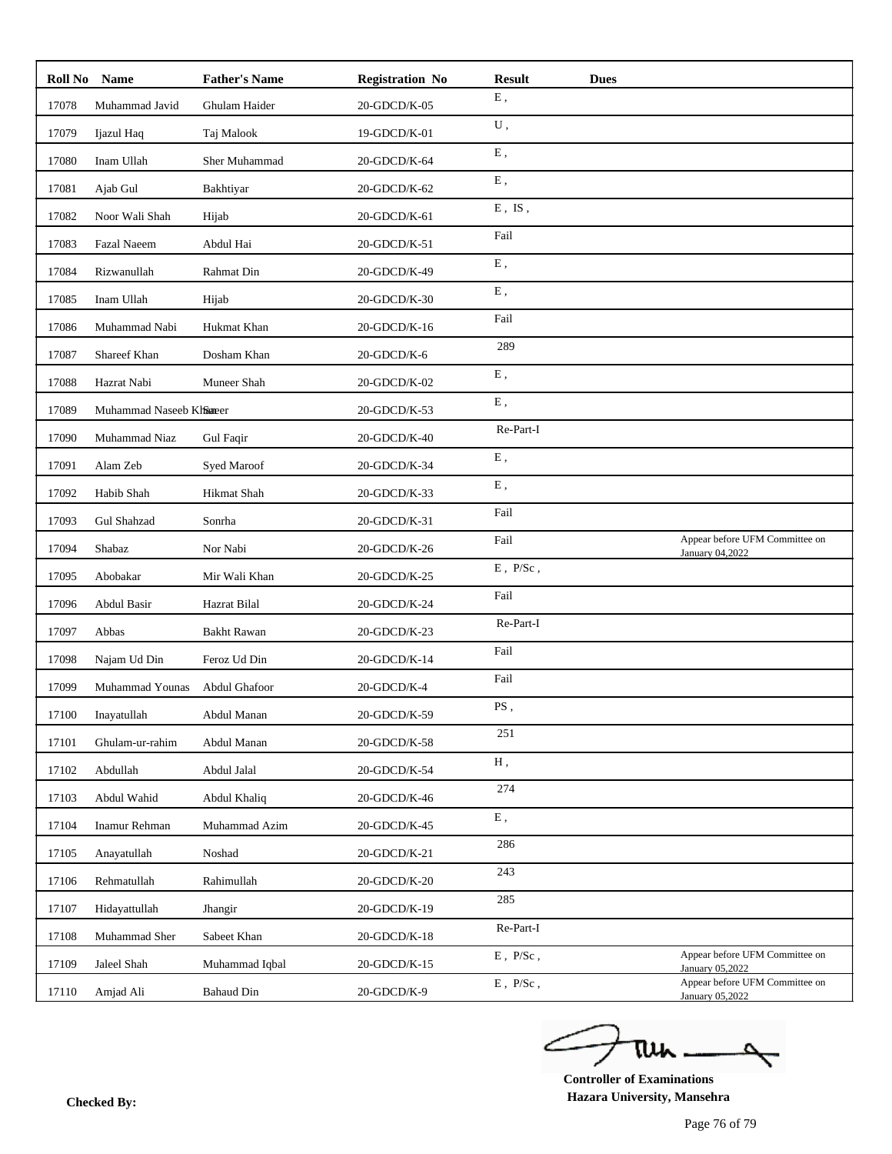| ${\bf E}$ ,<br>Muhammad Javid<br>Ghulam Haider<br>20-GDCD/K-05<br>17078<br>${\bf U}$ ,<br>17079<br>Ijazul Haq<br>Taj Malook<br>19-GDCD/K-01<br>${\bf E}$ ,<br>17080<br>Inam Ullah<br>Sher Muhammad<br>20-GDCD/K-64<br>E,<br>20-GDCD/K-62<br>17081<br>Ajab Gul<br>Bakhtiyar<br>$E$ , $IS$ ,<br>17082<br>Noor Wali Shah<br>20-GDCD/K-61<br>Hijab<br>Fail<br>17083<br>20-GDCD/K-51<br><b>Fazal Naeem</b><br>Abdul Hai<br>${\bf E}$ ,<br>17084<br>Rizwanullah<br>Rahmat Din<br>20-GDCD/K-49<br>${\bf E}$ ,<br>17085<br>Inam Ullah<br>20-GDCD/K-30<br>Hijab<br>Fail<br>17086<br>Muhammad Nabi<br>Hukmat Khan<br>20-GDCD/K-16<br>289<br>Shareef Khan<br>Dosham Khan<br>20-GDCD/K-6<br>17087<br>E,<br>17088<br>Muneer Shah<br>Hazrat Nabi<br>20-GDCD/K-02<br>${\bf E}$ ,<br>17089<br>Muhammad Naseeb Klfsaeer<br>20-GDCD/K-53<br>Re-Part-I<br>Muhammad Niaz<br>20-GDCD/K-40<br>17090<br>Gul Faqir<br>${\bf E}$ ,<br>17091<br>Alam Zeb<br>20-GDCD/K-34<br>Syed Maroof<br>${\bf E}$ ,<br>17092<br>Habib Shah<br>Hikmat Shah<br>20-GDCD/K-33<br>Fail<br>17093<br>Gul Shahzad<br>20-GDCD/K-31<br>Sonrha<br>Fail<br>Appear before UFM Committee on<br>17094<br>Nor Nabi<br>20-GDCD/K-26<br>Shabaz<br>January 04,2022<br>$E$ , $P/Sc$ ,<br>17095<br>20-GDCD/K-25<br>Abobakar<br>Mir Wali Khan<br>Fail<br>Abdul Basir<br>Hazrat Bilal<br>20-GDCD/K-24<br>17096<br>Re-Part-I<br>17097<br>Abbas<br><b>Bakht Rawan</b><br>20-GDCD/K-23<br>Fail<br>17098<br>Najam Ud Din<br>Feroz Ud Din<br>20-GDCD/K-14<br>Fail<br>Muhammad Younas<br>Abdul Ghafoor<br>20-GDCD/K-4<br>17099<br>PS,<br>17100<br>Inayatullah<br>20-GDCD/K-59<br>Abdul Manan<br>251<br>17101<br>Ghulam-ur-rahim<br>20-GDCD/K-58<br>Abdul Manan<br>Н,<br>17102<br>Abdullah<br>Abdul Jalal<br>20-GDCD/K-54<br>274<br>17103<br>Abdul Wahid<br>20-GDCD/K-46<br>Abdul Khaliq<br>Ε,<br>17104<br>Inamur Rehman<br>Muhammad Azim<br>20-GDCD/K-45<br>286<br>Anayatullah<br>Noshad<br>20-GDCD/K-21<br>17105<br>243<br>17106<br>Rehmatullah<br>Rahimullah<br>20-GDCD/K-20<br>285<br>17107<br>Hidayattullah<br>20-GDCD/K-19<br>Jhangir<br>Re-Part-I<br>17108<br>Muhammad Sher<br>Sabeet Khan<br>20-GDCD/K-18<br>$\to$ , $\rm \,P/Sc$ ,<br>Appear before UFM Committee on<br>17109<br>Jaleel Shah<br>20-GDCD/K-15<br>Muhammad Iqbal<br>January 05,2022<br>Appear before UFM Committee on<br>$\to$ , $\rm \,P/Sc$ ,<br>17110<br><b>Bahaud Din</b><br>20-GDCD/K-9<br>Amjad Ali<br>January 05,2022 | Roll No Name | <b>Father's Name</b> | <b>Registration No</b> | <b>Result</b> | <b>Dues</b> |  |
|--------------------------------------------------------------------------------------------------------------------------------------------------------------------------------------------------------------------------------------------------------------------------------------------------------------------------------------------------------------------------------------------------------------------------------------------------------------------------------------------------------------------------------------------------------------------------------------------------------------------------------------------------------------------------------------------------------------------------------------------------------------------------------------------------------------------------------------------------------------------------------------------------------------------------------------------------------------------------------------------------------------------------------------------------------------------------------------------------------------------------------------------------------------------------------------------------------------------------------------------------------------------------------------------------------------------------------------------------------------------------------------------------------------------------------------------------------------------------------------------------------------------------------------------------------------------------------------------------------------------------------------------------------------------------------------------------------------------------------------------------------------------------------------------------------------------------------------------------------------------------------------------------------------------------------------------------------------------------------------------------------------------------------------------------------------------------------------------------------------------------------------------------------------------------------------------------------------------------------------------------------------------------------------------------------------------------------------------------------------------------------------------------------------------------------|--------------|----------------------|------------------------|---------------|-------------|--|
|                                                                                                                                                                                                                                                                                                                                                                                                                                                                                                                                                                                                                                                                                                                                                                                                                                                                                                                                                                                                                                                                                                                                                                                                                                                                                                                                                                                                                                                                                                                                                                                                                                                                                                                                                                                                                                                                                                                                                                                                                                                                                                                                                                                                                                                                                                                                                                                                                                |              |                      |                        |               |             |  |
|                                                                                                                                                                                                                                                                                                                                                                                                                                                                                                                                                                                                                                                                                                                                                                                                                                                                                                                                                                                                                                                                                                                                                                                                                                                                                                                                                                                                                                                                                                                                                                                                                                                                                                                                                                                                                                                                                                                                                                                                                                                                                                                                                                                                                                                                                                                                                                                                                                |              |                      |                        |               |             |  |
|                                                                                                                                                                                                                                                                                                                                                                                                                                                                                                                                                                                                                                                                                                                                                                                                                                                                                                                                                                                                                                                                                                                                                                                                                                                                                                                                                                                                                                                                                                                                                                                                                                                                                                                                                                                                                                                                                                                                                                                                                                                                                                                                                                                                                                                                                                                                                                                                                                |              |                      |                        |               |             |  |
|                                                                                                                                                                                                                                                                                                                                                                                                                                                                                                                                                                                                                                                                                                                                                                                                                                                                                                                                                                                                                                                                                                                                                                                                                                                                                                                                                                                                                                                                                                                                                                                                                                                                                                                                                                                                                                                                                                                                                                                                                                                                                                                                                                                                                                                                                                                                                                                                                                |              |                      |                        |               |             |  |
|                                                                                                                                                                                                                                                                                                                                                                                                                                                                                                                                                                                                                                                                                                                                                                                                                                                                                                                                                                                                                                                                                                                                                                                                                                                                                                                                                                                                                                                                                                                                                                                                                                                                                                                                                                                                                                                                                                                                                                                                                                                                                                                                                                                                                                                                                                                                                                                                                                |              |                      |                        |               |             |  |
|                                                                                                                                                                                                                                                                                                                                                                                                                                                                                                                                                                                                                                                                                                                                                                                                                                                                                                                                                                                                                                                                                                                                                                                                                                                                                                                                                                                                                                                                                                                                                                                                                                                                                                                                                                                                                                                                                                                                                                                                                                                                                                                                                                                                                                                                                                                                                                                                                                |              |                      |                        |               |             |  |
|                                                                                                                                                                                                                                                                                                                                                                                                                                                                                                                                                                                                                                                                                                                                                                                                                                                                                                                                                                                                                                                                                                                                                                                                                                                                                                                                                                                                                                                                                                                                                                                                                                                                                                                                                                                                                                                                                                                                                                                                                                                                                                                                                                                                                                                                                                                                                                                                                                |              |                      |                        |               |             |  |
|                                                                                                                                                                                                                                                                                                                                                                                                                                                                                                                                                                                                                                                                                                                                                                                                                                                                                                                                                                                                                                                                                                                                                                                                                                                                                                                                                                                                                                                                                                                                                                                                                                                                                                                                                                                                                                                                                                                                                                                                                                                                                                                                                                                                                                                                                                                                                                                                                                |              |                      |                        |               |             |  |
|                                                                                                                                                                                                                                                                                                                                                                                                                                                                                                                                                                                                                                                                                                                                                                                                                                                                                                                                                                                                                                                                                                                                                                                                                                                                                                                                                                                                                                                                                                                                                                                                                                                                                                                                                                                                                                                                                                                                                                                                                                                                                                                                                                                                                                                                                                                                                                                                                                |              |                      |                        |               |             |  |
|                                                                                                                                                                                                                                                                                                                                                                                                                                                                                                                                                                                                                                                                                                                                                                                                                                                                                                                                                                                                                                                                                                                                                                                                                                                                                                                                                                                                                                                                                                                                                                                                                                                                                                                                                                                                                                                                                                                                                                                                                                                                                                                                                                                                                                                                                                                                                                                                                                |              |                      |                        |               |             |  |
|                                                                                                                                                                                                                                                                                                                                                                                                                                                                                                                                                                                                                                                                                                                                                                                                                                                                                                                                                                                                                                                                                                                                                                                                                                                                                                                                                                                                                                                                                                                                                                                                                                                                                                                                                                                                                                                                                                                                                                                                                                                                                                                                                                                                                                                                                                                                                                                                                                |              |                      |                        |               |             |  |
|                                                                                                                                                                                                                                                                                                                                                                                                                                                                                                                                                                                                                                                                                                                                                                                                                                                                                                                                                                                                                                                                                                                                                                                                                                                                                                                                                                                                                                                                                                                                                                                                                                                                                                                                                                                                                                                                                                                                                                                                                                                                                                                                                                                                                                                                                                                                                                                                                                |              |                      |                        |               |             |  |
|                                                                                                                                                                                                                                                                                                                                                                                                                                                                                                                                                                                                                                                                                                                                                                                                                                                                                                                                                                                                                                                                                                                                                                                                                                                                                                                                                                                                                                                                                                                                                                                                                                                                                                                                                                                                                                                                                                                                                                                                                                                                                                                                                                                                                                                                                                                                                                                                                                |              |                      |                        |               |             |  |
|                                                                                                                                                                                                                                                                                                                                                                                                                                                                                                                                                                                                                                                                                                                                                                                                                                                                                                                                                                                                                                                                                                                                                                                                                                                                                                                                                                                                                                                                                                                                                                                                                                                                                                                                                                                                                                                                                                                                                                                                                                                                                                                                                                                                                                                                                                                                                                                                                                |              |                      |                        |               |             |  |
|                                                                                                                                                                                                                                                                                                                                                                                                                                                                                                                                                                                                                                                                                                                                                                                                                                                                                                                                                                                                                                                                                                                                                                                                                                                                                                                                                                                                                                                                                                                                                                                                                                                                                                                                                                                                                                                                                                                                                                                                                                                                                                                                                                                                                                                                                                                                                                                                                                |              |                      |                        |               |             |  |
|                                                                                                                                                                                                                                                                                                                                                                                                                                                                                                                                                                                                                                                                                                                                                                                                                                                                                                                                                                                                                                                                                                                                                                                                                                                                                                                                                                                                                                                                                                                                                                                                                                                                                                                                                                                                                                                                                                                                                                                                                                                                                                                                                                                                                                                                                                                                                                                                                                |              |                      |                        |               |             |  |
|                                                                                                                                                                                                                                                                                                                                                                                                                                                                                                                                                                                                                                                                                                                                                                                                                                                                                                                                                                                                                                                                                                                                                                                                                                                                                                                                                                                                                                                                                                                                                                                                                                                                                                                                                                                                                                                                                                                                                                                                                                                                                                                                                                                                                                                                                                                                                                                                                                |              |                      |                        |               |             |  |
|                                                                                                                                                                                                                                                                                                                                                                                                                                                                                                                                                                                                                                                                                                                                                                                                                                                                                                                                                                                                                                                                                                                                                                                                                                                                                                                                                                                                                                                                                                                                                                                                                                                                                                                                                                                                                                                                                                                                                                                                                                                                                                                                                                                                                                                                                                                                                                                                                                |              |                      |                        |               |             |  |
|                                                                                                                                                                                                                                                                                                                                                                                                                                                                                                                                                                                                                                                                                                                                                                                                                                                                                                                                                                                                                                                                                                                                                                                                                                                                                                                                                                                                                                                                                                                                                                                                                                                                                                                                                                                                                                                                                                                                                                                                                                                                                                                                                                                                                                                                                                                                                                                                                                |              |                      |                        |               |             |  |
|                                                                                                                                                                                                                                                                                                                                                                                                                                                                                                                                                                                                                                                                                                                                                                                                                                                                                                                                                                                                                                                                                                                                                                                                                                                                                                                                                                                                                                                                                                                                                                                                                                                                                                                                                                                                                                                                                                                                                                                                                                                                                                                                                                                                                                                                                                                                                                                                                                |              |                      |                        |               |             |  |
|                                                                                                                                                                                                                                                                                                                                                                                                                                                                                                                                                                                                                                                                                                                                                                                                                                                                                                                                                                                                                                                                                                                                                                                                                                                                                                                                                                                                                                                                                                                                                                                                                                                                                                                                                                                                                                                                                                                                                                                                                                                                                                                                                                                                                                                                                                                                                                                                                                |              |                      |                        |               |             |  |
|                                                                                                                                                                                                                                                                                                                                                                                                                                                                                                                                                                                                                                                                                                                                                                                                                                                                                                                                                                                                                                                                                                                                                                                                                                                                                                                                                                                                                                                                                                                                                                                                                                                                                                                                                                                                                                                                                                                                                                                                                                                                                                                                                                                                                                                                                                                                                                                                                                |              |                      |                        |               |             |  |
|                                                                                                                                                                                                                                                                                                                                                                                                                                                                                                                                                                                                                                                                                                                                                                                                                                                                                                                                                                                                                                                                                                                                                                                                                                                                                                                                                                                                                                                                                                                                                                                                                                                                                                                                                                                                                                                                                                                                                                                                                                                                                                                                                                                                                                                                                                                                                                                                                                |              |                      |                        |               |             |  |
|                                                                                                                                                                                                                                                                                                                                                                                                                                                                                                                                                                                                                                                                                                                                                                                                                                                                                                                                                                                                                                                                                                                                                                                                                                                                                                                                                                                                                                                                                                                                                                                                                                                                                                                                                                                                                                                                                                                                                                                                                                                                                                                                                                                                                                                                                                                                                                                                                                |              |                      |                        |               |             |  |
|                                                                                                                                                                                                                                                                                                                                                                                                                                                                                                                                                                                                                                                                                                                                                                                                                                                                                                                                                                                                                                                                                                                                                                                                                                                                                                                                                                                                                                                                                                                                                                                                                                                                                                                                                                                                                                                                                                                                                                                                                                                                                                                                                                                                                                                                                                                                                                                                                                |              |                      |                        |               |             |  |
|                                                                                                                                                                                                                                                                                                                                                                                                                                                                                                                                                                                                                                                                                                                                                                                                                                                                                                                                                                                                                                                                                                                                                                                                                                                                                                                                                                                                                                                                                                                                                                                                                                                                                                                                                                                                                                                                                                                                                                                                                                                                                                                                                                                                                                                                                                                                                                                                                                |              |                      |                        |               |             |  |
|                                                                                                                                                                                                                                                                                                                                                                                                                                                                                                                                                                                                                                                                                                                                                                                                                                                                                                                                                                                                                                                                                                                                                                                                                                                                                                                                                                                                                                                                                                                                                                                                                                                                                                                                                                                                                                                                                                                                                                                                                                                                                                                                                                                                                                                                                                                                                                                                                                |              |                      |                        |               |             |  |
|                                                                                                                                                                                                                                                                                                                                                                                                                                                                                                                                                                                                                                                                                                                                                                                                                                                                                                                                                                                                                                                                                                                                                                                                                                                                                                                                                                                                                                                                                                                                                                                                                                                                                                                                                                                                                                                                                                                                                                                                                                                                                                                                                                                                                                                                                                                                                                                                                                |              |                      |                        |               |             |  |
|                                                                                                                                                                                                                                                                                                                                                                                                                                                                                                                                                                                                                                                                                                                                                                                                                                                                                                                                                                                                                                                                                                                                                                                                                                                                                                                                                                                                                                                                                                                                                                                                                                                                                                                                                                                                                                                                                                                                                                                                                                                                                                                                                                                                                                                                                                                                                                                                                                |              |                      |                        |               |             |  |
|                                                                                                                                                                                                                                                                                                                                                                                                                                                                                                                                                                                                                                                                                                                                                                                                                                                                                                                                                                                                                                                                                                                                                                                                                                                                                                                                                                                                                                                                                                                                                                                                                                                                                                                                                                                                                                                                                                                                                                                                                                                                                                                                                                                                                                                                                                                                                                                                                                |              |                      |                        |               |             |  |
|                                                                                                                                                                                                                                                                                                                                                                                                                                                                                                                                                                                                                                                                                                                                                                                                                                                                                                                                                                                                                                                                                                                                                                                                                                                                                                                                                                                                                                                                                                                                                                                                                                                                                                                                                                                                                                                                                                                                                                                                                                                                                                                                                                                                                                                                                                                                                                                                                                |              |                      |                        |               |             |  |
|                                                                                                                                                                                                                                                                                                                                                                                                                                                                                                                                                                                                                                                                                                                                                                                                                                                                                                                                                                                                                                                                                                                                                                                                                                                                                                                                                                                                                                                                                                                                                                                                                                                                                                                                                                                                                                                                                                                                                                                                                                                                                                                                                                                                                                                                                                                                                                                                                                |              |                      |                        |               |             |  |
|                                                                                                                                                                                                                                                                                                                                                                                                                                                                                                                                                                                                                                                                                                                                                                                                                                                                                                                                                                                                                                                                                                                                                                                                                                                                                                                                                                                                                                                                                                                                                                                                                                                                                                                                                                                                                                                                                                                                                                                                                                                                                                                                                                                                                                                                                                                                                                                                                                |              |                      |                        |               |             |  |

ے tui

**Controller of Examinations Hazara University, Mansehra Checked By:**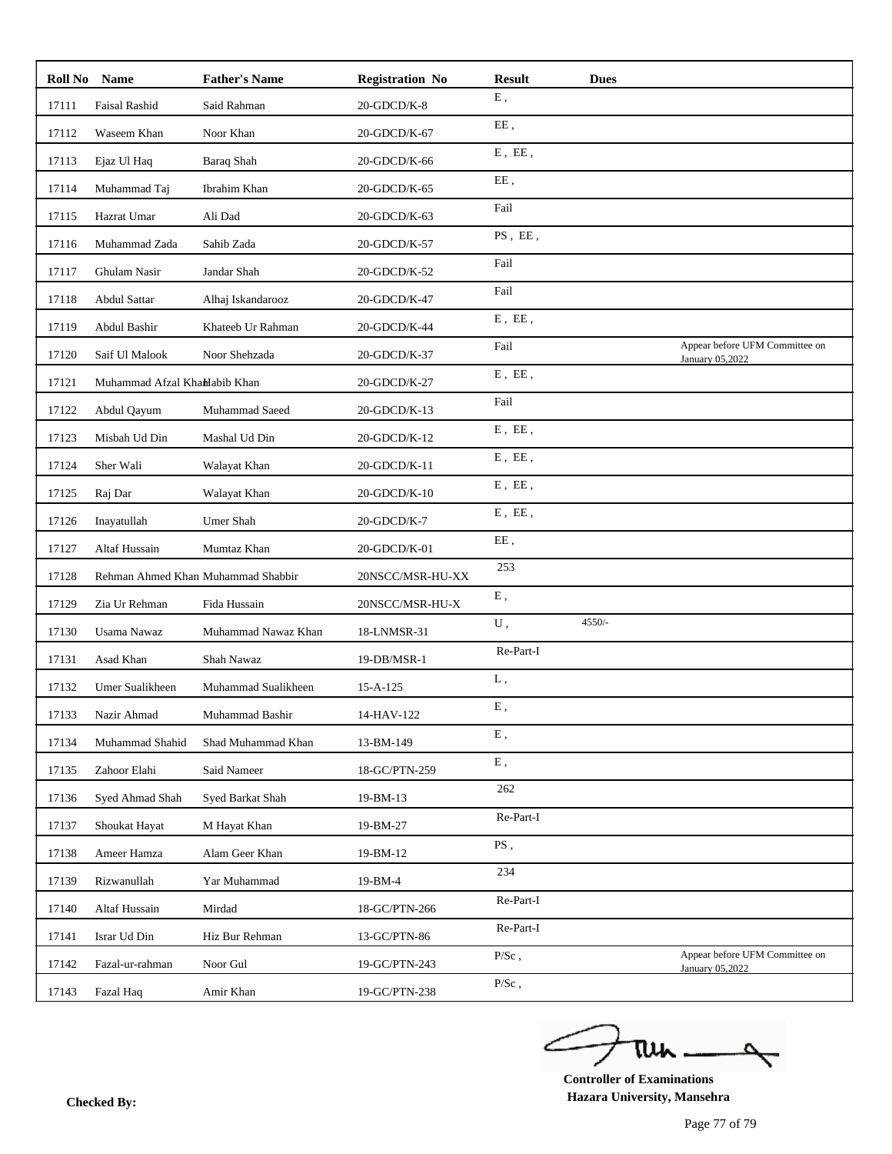| Roll No | Name                           | <b>Father's Name</b>               | <b>Registration No</b> | <b>Result</b>                        | <b>Dues</b> |                                                   |
|---------|--------------------------------|------------------------------------|------------------------|--------------------------------------|-------------|---------------------------------------------------|
| 17111   | Faisal Rashid                  | Said Rahman                        | 20-GDCD/K-8            | ${\bf E}$ ,                          |             |                                                   |
| 17112   | Waseem Khan                    | Noor Khan                          | 20-GDCD/K-67           | EE,                                  |             |                                                   |
| 17113   | Ejaz Ul Haq                    | <b>Baraq Shah</b>                  | 20-GDCD/K-66           | $\mathbf E$ , $\mathbf E\mathbf E$ , |             |                                                   |
| 17114   | Muhammad Taj                   | Ibrahim Khan                       | 20-GDCD/K-65           | EE,                                  |             |                                                   |
| 17115   | Hazrat Umar                    | Ali Dad                            | 20-GDCD/K-63           | Fail                                 |             |                                                   |
| 17116   | Muhammad Zada                  | Sahib Zada                         | 20-GDCD/K-57           | PS, EE,                              |             |                                                   |
| 17117   | Ghulam Nasir                   | Jandar Shah                        | 20-GDCD/K-52           | Fail                                 |             |                                                   |
| 17118   | <b>Abdul Sattar</b>            | Alhaj Iskandarooz                  | 20-GDCD/K-47           | Fail                                 |             |                                                   |
| 17119   | Abdul Bashir                   | Khateeb Ur Rahman                  | 20-GDCD/K-44           | $E$ , $EE$ ,                         |             |                                                   |
| 17120   | Saif Ul Malook                 | Noor Shehzada                      | 20-GDCD/K-37           | Fail                                 |             | Appear before UFM Committee on<br>January 05,2022 |
| 17121   | Muhammad Afzal Khalilabib Khan |                                    | 20-GDCD/K-27           | $E$ , $EE$ ,                         |             |                                                   |
| 17122   | Abdul Qayum                    | Muhammad Saeed                     | 20-GDCD/K-13           | Fail                                 |             |                                                   |
| 17123   | Misbah Ud Din                  | Mashal Ud Din                      | 20-GDCD/K-12           | $E$ , $EE$ ,                         |             |                                                   |
| 17124   | Sher Wali                      | Walayat Khan                       | 20-GDCD/K-11           | $E$ , $EE$ ,                         |             |                                                   |
| 17125   | Raj Dar                        | Walayat Khan                       | 20-GDCD/K-10           | $E$ , $E\bar{E}$ ,                   |             |                                                   |
| 17126   | Inayatullah                    | Umer Shah                          | 20-GDCD/K-7            | $E$ , $EE$ ,                         |             |                                                   |
| 17127   | Altaf Hussain                  | Mumtaz Khan                        | 20-GDCD/K-01           | EE,                                  |             |                                                   |
| 17128   |                                | Rehman Ahmed Khan Muhammad Shabbir | 20NSCC/MSR-HU-XX       | 253                                  |             |                                                   |
| 17129   | Zia Ur Rehman                  | Fida Hussain                       | 20NSCC/MSR-HU-X        | ${\bf E}$ ,                          |             |                                                   |
| 17130   | <b>Usama Nawaz</b>             | Muhammad Nawaz Khan                | 18-LNMSR-31            | U,                                   | $4550/-$    |                                                   |
| 17131   | Asad Khan                      | Shah Nawaz                         | 19-DB/MSR-1            | Re-Part-I                            |             |                                                   |
| 17132   | Umer Sualikheen                | Muhammad Sualikheen                | $15 - A - 125$         | L,                                   |             |                                                   |
| 17133   | Nazir Ahmad                    | Muhammad Bashir                    | 14-HAV-122             | E,                                   |             |                                                   |
| 17134   | Muhammad Shahid                | Shad Muhammad Khan                 | 13-BM-149              | Ε,                                   |             |                                                   |
| 17135   | Zahoor Elahi                   | Said Nameer                        | 18-GC/PTN-259          | ${\bf E}$ ,                          |             |                                                   |
| 17136   | Syed Ahmad Shah                | Syed Barkat Shah                   | 19-BM-13               | 262                                  |             |                                                   |
| 17137   | Shoukat Hayat                  | M Hayat Khan                       | 19-BM-27               | Re-Part-I                            |             |                                                   |
| 17138   | Ameer Hamza                    | Alam Geer Khan                     | 19-BM-12               | PS,                                  |             |                                                   |
| 17139   | Rizwanullah                    | Yar Muhammad                       | 19-BM-4                | 234                                  |             |                                                   |
| 17140   | Altaf Hussain                  | Mirdad                             | 18-GC/PTN-266          | Re-Part-I                            |             |                                                   |
| 17141   | Israr Ud Din                   | Hiz Bur Rehman                     | 13-GC/PTN-86           | Re-Part-I                            |             |                                                   |
|         |                                |                                    |                        | $P/Sc$ ,                             |             | Appear before UFM Committee on                    |
| 17142   | Fazal-ur-rahman                | Noor Gul                           | 19-GC/PTN-243          | $P/Sc$ ,                             |             | January 05,2022                                   |
| 17143   | Fazal Haq                      | Amir Khan                          | 19-GC/PTN-238          |                                      |             |                                                   |

ے tui

**Controller of Examinations Hazara University, Mansehra Checked By:**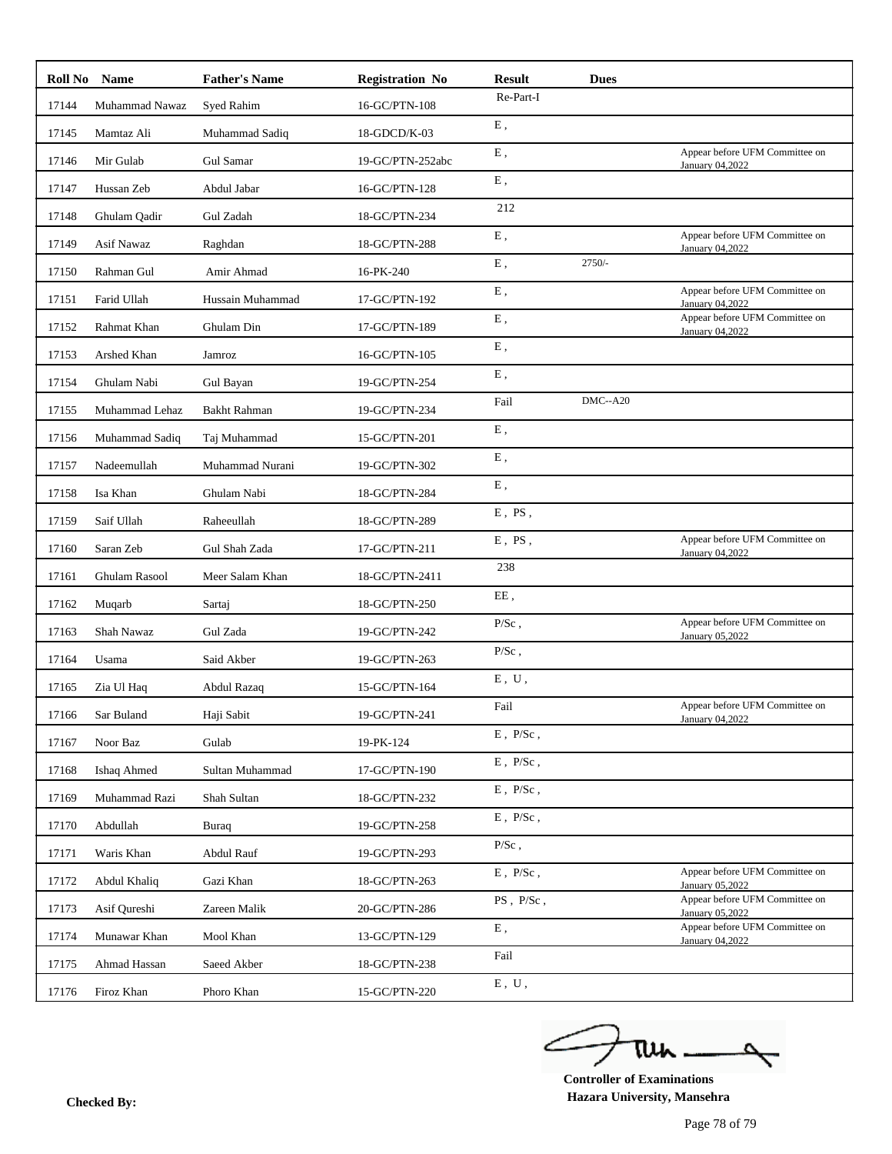|       | Roll No Name     | <b>Father's Name</b> | <b>Registration No</b> | <b>Result</b>  | <b>Dues</b> |                                                   |
|-------|------------------|----------------------|------------------------|----------------|-------------|---------------------------------------------------|
| 17144 | Muhammad Nawaz   | Syed Rahim           | 16-GC/PTN-108          | Re-Part-I      |             |                                                   |
| 17145 | Mamtaz Ali       | Muhammad Sadiq       | 18-GDCD/K-03           | E,             |             |                                                   |
| 17146 | Mir Gulab        | Gul Samar            | 19-GC/PTN-252abc       | ${\bf E}$ ,    |             | Appear before UFM Committee on<br>January 04,2022 |
| 17147 | Hussan Zeb       | Abdul Jabar          | 16-GC/PTN-128          | ${\bf E}$ ,    |             |                                                   |
| 17148 | Ghulam Qadir     | Gul Zadah            | 18-GC/PTN-234          | 212            |             |                                                   |
| 17149 | Asif Nawaz       | Raghdan              | 18-GC/PTN-288          | E,             |             | Appear before UFM Committee on<br>January 04,2022 |
| 17150 | Rahman Gul       | Amir Ahmad           | 16-PK-240              | E,             | $2750/-$    |                                                   |
| 17151 | Farid Ullah      | Hussain Muhammad     | 17-GC/PTN-192          | ${\bf E}$ ,    |             | Appear before UFM Committee on<br>January 04,2022 |
| 17152 | Rahmat Khan      | Ghulam Din           | 17-GC/PTN-189          | ${\bf E}$ ,    |             | Appear before UFM Committee on<br>January 04,2022 |
| 17153 | Arshed Khan      | Jamroz               | 16-GC/PTN-105          | E,             |             |                                                   |
| 17154 | Ghulam Nabi      | Gul Bayan            | 19-GC/PTN-254          | E,             |             |                                                   |
| 17155 | Muhammad Lehaz   | <b>Bakht Rahman</b>  | 19-GC/PTN-234          | Fail           | $DMC - A20$ |                                                   |
| 17156 | Muhammad Sadiq   | Taj Muhammad         | 15-GC/PTN-201          | E,             |             |                                                   |
| 17157 | Nadeemullah      | Muhammad Nurani      | 19-GC/PTN-302          | ${\bf E}$ ,    |             |                                                   |
| 17158 | Isa Khan         | Ghulam Nabi          | 18-GC/PTN-284          | E,             |             |                                                   |
| 17159 | Saif Ullah       | Raheeullah           | 18-GC/PTN-289          | $E$ , PS,      |             |                                                   |
| 17160 | Saran Zeb        | Gul Shah Zada        | 17-GC/PTN-211          | $E$ , PS,      |             | Appear before UFM Committee on<br>January 04,2022 |
| 17161 | Ghulam Rasool    | Meer Salam Khan      | 18-GC/PTN-2411         | 238            |             |                                                   |
| 17162 | Muqarb           | Sartaj               | 18-GC/PTN-250          | EE,            |             |                                                   |
| 17163 | Shah Nawaz       | Gul Zada             | 19-GC/PTN-242          | $P/Sc$ ,       |             | Appear before UFM Committee on<br>January 05,2022 |
| 17164 | Usama            | Said Akber           | 19-GC/PTN-263          | $P/Sc$ ,       |             |                                                   |
| 17165 | Zia Ul Haq       | Abdul Razaq          | 15-GC/PTN-164          | E, U,          |             |                                                   |
|       | 17166 Sar Buland | Haji Sabit           | 19-GC/PTN-241          | Fail           |             | Appear before UFM Committee on<br>January 04,2022 |
| 17167 | Noor Baz         | Gulab                | 19-PK-124              | $E$ , $P/Sc$ , |             |                                                   |
| 17168 | Ishaq Ahmed      | Sultan Muhammad      | 17-GC/PTN-190          | $E$ , $P/Sc$ , |             |                                                   |
| 17169 | Muhammad Razi    | Shah Sultan          | 18-GC/PTN-232          | $E$ , $P/Sc$ , |             |                                                   |
| 17170 | Abdullah         | Buraq                | 19-GC/PTN-258          | $E$ , $P/Sc$ , |             |                                                   |
| 17171 | Waris Khan       | Abdul Rauf           | 19-GC/PTN-293          | $P/Sc$ ,       |             |                                                   |
| 17172 | Abdul Khaliq     | Gazi Khan            | 18-GC/PTN-263          | $E$ , $P/Sc$ , |             | Appear before UFM Committee on<br>January 05,2022 |
| 17173 | Asif Qureshi     | Zareen Malik         | 20-GC/PTN-286          | PS, P/Sc,      |             | Appear before UFM Committee on<br>January 05,2022 |
| 17174 | Munawar Khan     | Mool Khan            | 13-GC/PTN-129          | ${\bf E}$ ,    |             | Appear before UFM Committee on<br>January 04,2022 |
| 17175 | Ahmad Hassan     | Saeed Akber          | 18-GC/PTN-238          | Fail           |             |                                                   |
| 17176 | Firoz Khan       | Phoro Khan           | 15-GC/PTN-220          | E, U,          |             |                                                   |
|       |                  |                      |                        |                |             |                                                   |

ے tui

**Controller of Examinations Hazara University, Mansehra Checked By:**